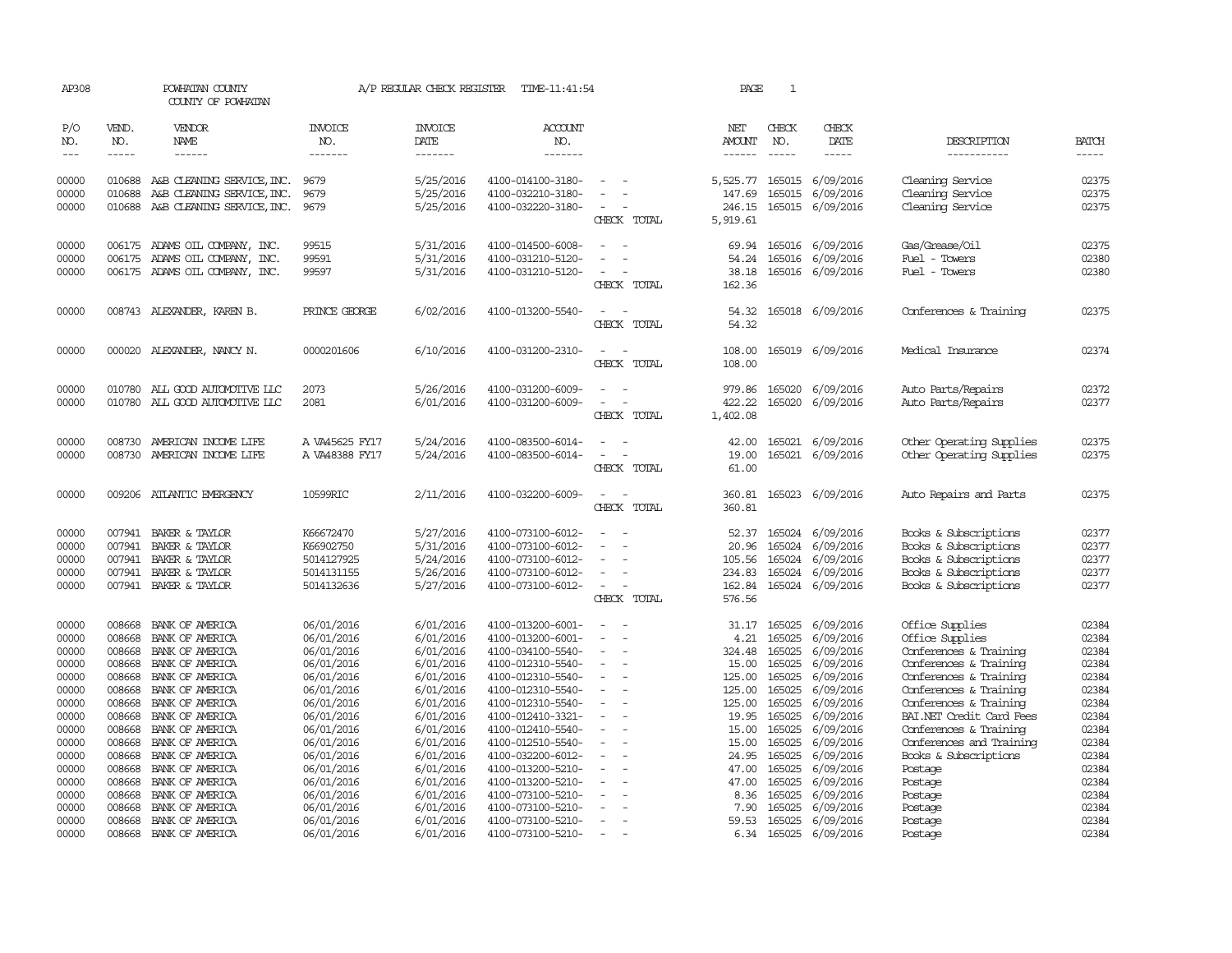| AP308          |                  | POWHATAN COUNTY<br>COUNTY OF POWHATAN                                                                                                                                                                                                                                                                                                                                                                                                                                      |                                  | A/P REGULAR CHECK REGISTER | TIME-11:41:54                          |                                                      | PAGE                    | $\mathbf{1}$     |                                      |                                                      |                |
|----------------|------------------|----------------------------------------------------------------------------------------------------------------------------------------------------------------------------------------------------------------------------------------------------------------------------------------------------------------------------------------------------------------------------------------------------------------------------------------------------------------------------|----------------------------------|----------------------------|----------------------------------------|------------------------------------------------------|-------------------------|------------------|--------------------------------------|------------------------------------------------------|----------------|
| P/O<br>NO.     | VEND.<br>NO.     | <b>VENDOR</b><br>NAME                                                                                                                                                                                                                                                                                                                                                                                                                                                      | <b>INVOICE</b><br>NO.            | <b>INVOICE</b><br>DATE     | <b>ACCOUNT</b><br>NO.                  |                                                      | NET<br>AMOUNT           | CHECK<br>NO.     | CHECK<br>DATE                        | DESCRIPTION                                          | <b>BATCH</b>   |
| $---$          | $\frac{1}{2}$    | $\frac{1}{2} \left( \frac{1}{2} \right) \left( \frac{1}{2} \right) \left( \frac{1}{2} \right) \left( \frac{1}{2} \right) \left( \frac{1}{2} \right) \left( \frac{1}{2} \right) \left( \frac{1}{2} \right) \left( \frac{1}{2} \right) \left( \frac{1}{2} \right) \left( \frac{1}{2} \right) \left( \frac{1}{2} \right) \left( \frac{1}{2} \right) \left( \frac{1}{2} \right) \left( \frac{1}{2} \right) \left( \frac{1}{2} \right) \left( \frac{1}{2} \right) \left( \frac$ | -------                          | --------                   | -------                                |                                                      | $- - - - - -$           | $\frac{1}{2}$    | $\frac{1}{2}$                        | -----------                                          | $- - - - -$    |
| 00000<br>00000 | 010688<br>010688 | A&B CLEANING SERVICE, INC.<br>A&B CLEANING SERVICE, INC.                                                                                                                                                                                                                                                                                                                                                                                                                   | 9679<br>9679                     | 5/25/2016<br>5/25/2016     | 4100-014100-3180-<br>4100-032210-3180- |                                                      | 5,525.77<br>147.69      | 165015<br>165015 | 6/09/2016<br>6/09/2016               | Cleaning Service<br>Cleaning Service                 | 02375<br>02375 |
| 00000          |                  | 010688 A&B CLEANING SERVICE, INC.                                                                                                                                                                                                                                                                                                                                                                                                                                          | 9679                             | 5/25/2016                  | 4100-032220-3180-                      | CHECK TOTAL                                          | 246.15<br>5,919.61      |                  | 165015 6/09/2016                     | Cleaning Service                                     | 02375          |
| 00000<br>00000 | 006175<br>006175 | ADAMS OIL COMPANY, INC.<br>ADAMS OIL COMPANY, INC.                                                                                                                                                                                                                                                                                                                                                                                                                         | 99515<br>99591                   | 5/31/2016<br>5/31/2016     | 4100-014500-6008-<br>4100-031210-5120- | $\overline{\phantom{a}}$                             | 69.94<br>54.24          | 165016<br>165016 | 6/09/2016<br>6/09/2016               | Gas/Grease/Oil<br>Fuel - Towers                      | 02375<br>02380 |
| 00000          |                  | 006175 ADAMS OIL COMPANY, INC.                                                                                                                                                                                                                                                                                                                                                                                                                                             | 99597                            | 5/31/2016                  | 4100-031210-5120-                      | $\sim$<br>CHECK TOTAL                                | 38.18<br>162.36         | 165016           | 6/09/2016                            | Fuel - Towers                                        | 02380          |
| 00000          |                  | 008743 ALEXANDER, KAREN B.                                                                                                                                                                                                                                                                                                                                                                                                                                                 | PRINCE GEORGE                    | 6/02/2016                  | 4100-013200-5540-                      | $\sim$<br>CHECK TOTAL                                | 54.32<br>54.32          |                  | 165018 6/09/2016                     | Conferences & Training                               | 02375          |
| 00000          |                  | 000020 ALEXANDER, NANCY N.                                                                                                                                                                                                                                                                                                                                                                                                                                                 | 0000201606                       | 6/10/2016                  | 4100-031200-2310-                      | CHECK TOTAL                                          | 108.00<br>108.00        |                  | 165019 6/09/2016                     | Medical Insurance                                    | 02374          |
| 00000          | 010780           | ALL GOOD AUTOMOTIVE LLC                                                                                                                                                                                                                                                                                                                                                                                                                                                    | 2073                             | 5/26/2016                  | 4100-031200-6009-                      |                                                      | 979.86                  | 165020           | 6/09/2016                            | Auto Parts/Repairs                                   | 02372          |
| 00000          | 010780           | ALL GOOD AUTOMOTTVE LLC                                                                                                                                                                                                                                                                                                                                                                                                                                                    | 2081                             | 6/01/2016                  | 4100-031200-6009-                      | $\sim$<br>CHECK TOTAL                                | 422.22<br>1,402.08      | 165020           | 6/09/2016                            | Auto Parts/Repairs                                   | 02377          |
| 00000<br>00000 |                  | 008730 AMERICAN INCOME LIFE<br>008730 AMERICAN INCOME LIFE                                                                                                                                                                                                                                                                                                                                                                                                                 | A VA45625 FY17<br>A VA48388 FY17 | 5/24/2016<br>5/24/2016     | 4100-083500-6014-<br>4100-083500-6014- | $\equiv$<br>$\overline{\phantom{a}}$<br>CHECK TOTAL  | 42.00<br>19.00<br>61.00 |                  | 165021 6/09/2016<br>165021 6/09/2016 | Other Operating Supplies<br>Other Operating Supplies | 02375<br>02375 |
| 00000          |                  | 009206 ATLANTIC EMERGENCY                                                                                                                                                                                                                                                                                                                                                                                                                                                  | 10599RIC                         | 2/11/2016                  | 4100-032200-6009-                      | CHECK TOTAL                                          | 360.81<br>360.81        | 165023           | 6/09/2016                            | Auto Repairs and Parts                               | 02375          |
| 00000          | 007941           | BAKER & TAYLOR                                                                                                                                                                                                                                                                                                                                                                                                                                                             | K66672470                        | 5/27/2016                  | 4100-073100-6012-                      | $\sim$                                               | 52.37                   | 165024           | 6/09/2016                            | Books & Subscriptions                                | 02377          |
| 00000          | 007941           | BAKER & TAYLOR                                                                                                                                                                                                                                                                                                                                                                                                                                                             | K66902750                        | 5/31/2016                  | 4100-073100-6012-                      | $\sim$                                               | 20.96                   | 165024           | 6/09/2016                            | Books & Subscriptions                                | 02377          |
| 00000          | 007941           | BAKER & TAYLOR                                                                                                                                                                                                                                                                                                                                                                                                                                                             | 5014127925                       | 5/24/2016                  | 4100-073100-6012-                      |                                                      | 105.56                  | 165024           | 6/09/2016                            | Books & Subscriptions                                | 02377          |
| 00000          | 007941           | BAKER & TAYLOR                                                                                                                                                                                                                                                                                                                                                                                                                                                             | 5014131155                       | 5/26/2016                  | 4100-073100-6012-                      | $\overline{\phantom{a}}$                             | 234.83                  | 165024           | 6/09/2016                            | Books & Subscriptions                                | 02377          |
| 00000          |                  | 007941 BAKER & TAYLOR                                                                                                                                                                                                                                                                                                                                                                                                                                                      | 5014132636                       | 5/27/2016                  | 4100-073100-6012-                      | $\sim$<br>CHECK TOTAL                                | 162.84<br>576.56        | 165024           | 6/09/2016                            | Books & Subscriptions                                | 02377          |
|                |                  |                                                                                                                                                                                                                                                                                                                                                                                                                                                                            |                                  |                            |                                        |                                                      |                         |                  |                                      |                                                      |                |
| 00000          | 008668           | BANK OF AMERICA                                                                                                                                                                                                                                                                                                                                                                                                                                                            | 06/01/2016                       | 6/01/2016                  | 4100-013200-6001-                      | $\overline{\phantom{a}}$<br>$\overline{\phantom{a}}$ |                         | 31.17 165025     | 6/09/2016                            | Office Supplies                                      | 02384          |
| 00000          | 008668           | BANK OF AMERICA                                                                                                                                                                                                                                                                                                                                                                                                                                                            | 06/01/2016                       | 6/01/2016                  | 4100-013200-6001-                      |                                                      | 4.21                    | 165025           | 6/09/2016                            | Office Supplies                                      | 02384          |
| 00000          | 008668           | BANK OF AMERICA                                                                                                                                                                                                                                                                                                                                                                                                                                                            | 06/01/2016                       | 6/01/2016                  | 4100-034100-5540-                      |                                                      | 324.48                  | 165025           | 6/09/2016                            | Conferences & Training                               | 02384          |
| 00000          | 008668           | BANK OF AMERICA                                                                                                                                                                                                                                                                                                                                                                                                                                                            | 06/01/2016                       | 6/01/2016                  | 4100-012310-5540-                      | $\sim$                                               | 15.00                   | 165025           | 6/09/2016                            | Conferences & Training                               | 02384          |
| 00000          | 008668           | BANK OF AMERICA                                                                                                                                                                                                                                                                                                                                                                                                                                                            | 06/01/2016                       | 6/01/2016                  | 4100-012310-5540-                      | $\sim$                                               | 125.00                  | 165025           | 6/09/2016                            | Conferences & Training                               | 02384          |
| 00000          | 008668           | BANK OF AMERICA                                                                                                                                                                                                                                                                                                                                                                                                                                                            | 06/01/2016                       | 6/01/2016                  | 4100-012310-5540-                      |                                                      | 125.00                  | 165025           | 6/09/2016                            | Conferences & Training                               | 02384          |
| 00000          | 008668           | BANK OF AMERICA                                                                                                                                                                                                                                                                                                                                                                                                                                                            | 06/01/2016                       | 6/01/2016                  | 4100-012310-5540-                      | $\overline{\phantom{a}}$                             | 125.00                  | 165025           | 6/09/2016                            | Conferences & Training                               | 02384          |
| 00000          | 008668           | BANK OF AMERICA                                                                                                                                                                                                                                                                                                                                                                                                                                                            | 06/01/2016                       | 6/01/2016                  | 4100-012410-3321-                      | $\overline{\phantom{a}}$                             | 19.95                   | 165025           | 6/09/2016                            | BAI.NET Credit Card Fees                             | 02384          |
| 00000          |                  | 008668 BANK OF AMERICA                                                                                                                                                                                                                                                                                                                                                                                                                                                     | 06/01/2016                       | 6/01/2016                  | 4100-012410-5540-                      |                                                      | 15.00                   | 165025           | 6/09/2016                            | Conferences & Training                               | 02384          |
| 00000          | 008668           | BANK OF AMERICA                                                                                                                                                                                                                                                                                                                                                                                                                                                            | 06/01/2016                       | 6/01/2016                  | 4100-012510-5540-                      |                                                      | 15.00                   | 165025           | 6/09/2016                            | Conferences and Training                             | 02384          |
| 00000          | 008668           | BANK OF AMERICA                                                                                                                                                                                                                                                                                                                                                                                                                                                            | 06/01/2016                       | 6/01/2016                  | 4100-032200-6012-                      | $\overline{\phantom{a}}$                             | 24.95                   | 165025           | 6/09/2016                            | Books & Subscriptions                                | 02384          |
| 00000          | 008668           | BANK OF AMERICA                                                                                                                                                                                                                                                                                                                                                                                                                                                            | 06/01/2016                       | 6/01/2016                  | 4100-013200-5210-                      | $\overline{\phantom{a}}$                             | 47.00                   | 165025           | 6/09/2016                            | Postage                                              | 02384          |
| 00000          | 008668           | BANK OF AMERICA                                                                                                                                                                                                                                                                                                                                                                                                                                                            | 06/01/2016                       | 6/01/2016                  | 4100-013200-5210-                      |                                                      | 47.00                   | 165025           | 6/09/2016                            | Postage                                              | 02384          |
| 00000          | 008668           | BANK OF AMERICA                                                                                                                                                                                                                                                                                                                                                                                                                                                            | 06/01/2016                       | 6/01/2016                  | 4100-073100-5210-                      |                                                      | 8.36                    | 165025           | 6/09/2016                            | Postage                                              | 02384          |
| 00000          | 008668           | BANK OF AMERICA                                                                                                                                                                                                                                                                                                                                                                                                                                                            | 06/01/2016                       | 6/01/2016                  | 4100-073100-5210-                      |                                                      | 7.90                    | 165025           | 6/09/2016                            | Postage                                              | 02384          |
| 00000          | 008668           | BANK OF AMERICA                                                                                                                                                                                                                                                                                                                                                                                                                                                            | 06/01/2016                       | 6/01/2016                  | 4100-073100-5210-                      | $\overline{\phantom{a}}$                             | 59.53                   | 165025           | 6/09/2016                            | Postage                                              | 02384          |
| 00000          | 008668           | BANK OF AMERICA                                                                                                                                                                                                                                                                                                                                                                                                                                                            | 06/01/2016                       | 6/01/2016                  | 4100-073100-5210-                      | $\sim$                                               | 6.34                    | 165025           | 6/09/2016                            | Postage                                              | 02384          |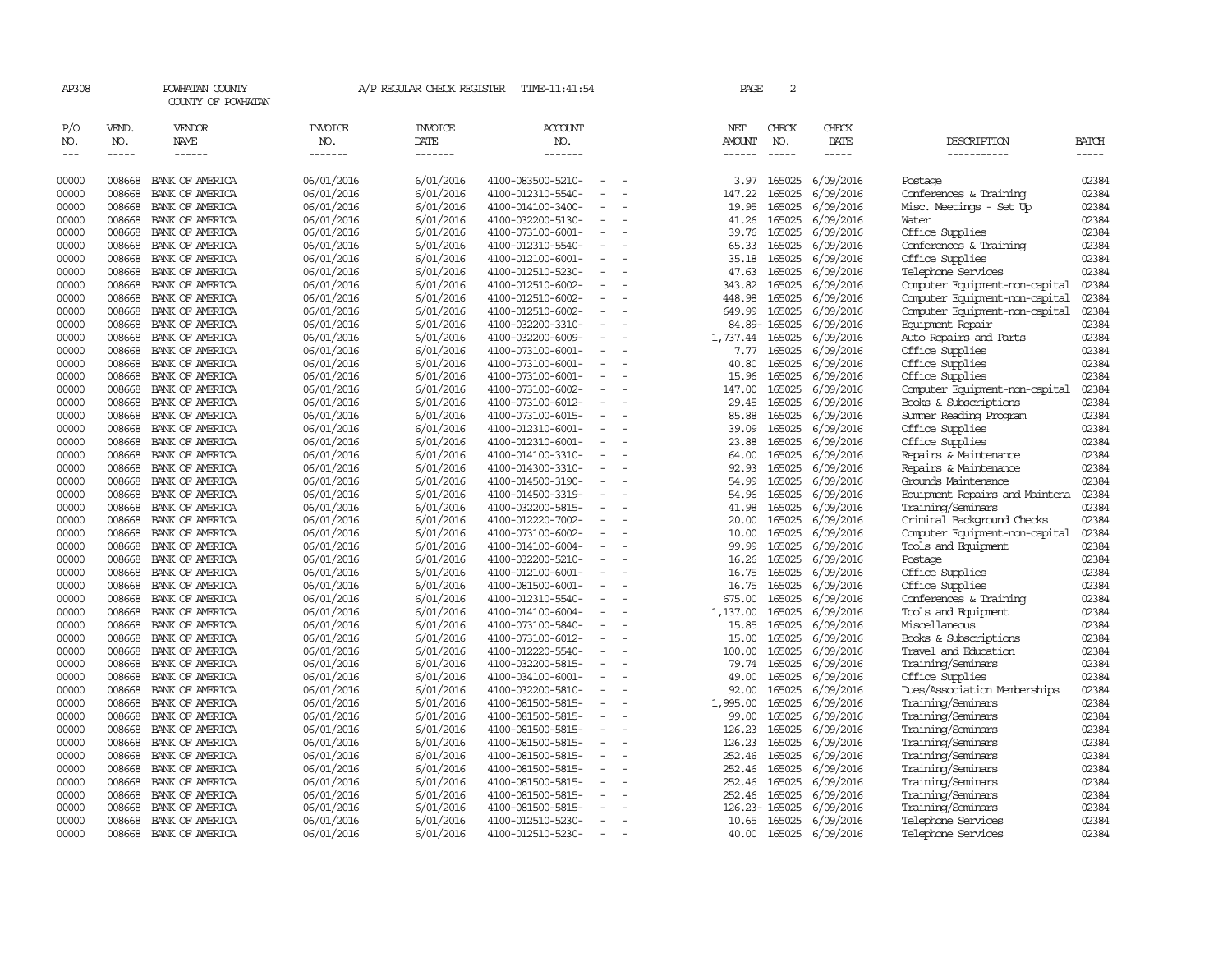| AP308      |               | POWHATAN COUNTY<br>COUNTY OF POWHATAN |                       | A/P REGULAR CHECK REGISTER | TIME-11:41:54     |                          | PAGE          | 2            |               |                                |       |
|------------|---------------|---------------------------------------|-----------------------|----------------------------|-------------------|--------------------------|---------------|--------------|---------------|--------------------------------|-------|
| P/O<br>NO. | VEND.<br>NO.  | VENDOR<br><b>NAME</b>                 | <b>INVOICE</b><br>NO. | <b>INVOICE</b><br>DATE     | ACCOUNT<br>NO.    |                          | NET<br>AMOUNT | CHECK<br>NO. | CHECK<br>DATE | DESCRIPTION                    | BATCH |
| $\cdots$   | $\frac{1}{2}$ | $- - - - - -$                         | -------               | -------                    | -------           |                          | $- - - - - -$ | $- - - - -$  | -----         | -----------                    | ----- |
| 00000      | 008668        | BANK OF AMERICA                       | 06/01/2016            | 6/01/2016                  | 4100-083500-5210- |                          | 3.97          | 165025       | 6/09/2016     | Postage                        | 02384 |
| 00000      | 008668        | BANK OF AMERICA                       | 06/01/2016            | 6/01/2016                  | 4100-012310-5540- |                          | 147.22        | 165025       | 6/09/2016     | Conferences & Training         | 02384 |
| 00000      | 008668        | BANK OF AMERICA                       | 06/01/2016            | 6/01/2016                  | 4100-014100-3400- |                          | 19.95         | 165025       | 6/09/2016     | Misc. Meetings - Set Up        | 02384 |
| 00000      | 008668        | BANK OF AMERICA                       | 06/01/2016            | 6/01/2016                  | 4100-032200-5130- | $\equiv$                 | 41.26         | 165025       | 6/09/2016     | Water                          | 02384 |
| 00000      | 008668        | BANK OF AMERICA                       | 06/01/2016            | 6/01/2016                  | 4100-073100-6001- |                          | 39.76         | 165025       | 6/09/2016     | Office Supplies                | 02384 |
| 00000      | 008668        | BANK OF AMERICA                       | 06/01/2016            | 6/01/2016                  | 4100-012310-5540- |                          | 65.33         | 165025       | 6/09/2016     | Conferences & Training         | 02384 |
| 00000      | 008668        | BANK OF AMERICA                       | 06/01/2016            | 6/01/2016                  | 4100-012100-6001- |                          | 35.18         | 165025       | 6/09/2016     | Office Supplies                | 02384 |
| 00000      | 008668        | BANK OF AMERICA                       | 06/01/2016            | 6/01/2016                  | 4100-012510-5230- |                          | 47.63         | 165025       | 6/09/2016     | Telephone Services             | 02384 |
| 00000      | 008668        | BANK OF AMERICA                       | 06/01/2016            | 6/01/2016                  | 4100-012510-6002- |                          | 343.82        | 165025       | 6/09/2016     | Computer Equipment-non-capital | 02384 |
| 00000      | 008668        | BANK OF AMERICA                       | 06/01/2016            | 6/01/2016                  | 4100-012510-6002- |                          | 448.98        | 165025       | 6/09/2016     | Computer Equipment-non-capital | 02384 |
| 00000      | 008668        | BANK OF AMERICA                       | 06/01/2016            | 6/01/2016                  | 4100-012510-6002- | $\overline{\phantom{a}}$ | 649.99        | 165025       | 6/09/2016     | Computer Equipment-non-capital | 02384 |
| 00000      | 008668        | BANK OF AMERICA                       | 06/01/2016            | 6/01/2016                  | 4100-032200-3310- |                          | 84.89-        | 165025       | 6/09/2016     | Equipment Repair               | 02384 |
| 00000      | 008668        | BANK OF AMERICA                       | 06/01/2016            | 6/01/2016                  | 4100-032200-6009- |                          | 1,737.44      | 165025       | 6/09/2016     | Auto Repairs and Parts         | 02384 |
| 00000      | 008668        | BANK OF AMERICA                       | 06/01/2016            | 6/01/2016                  | 4100-073100-6001- | $\equiv$                 | 7.77          | 165025       | 6/09/2016     | Office Supplies                | 02384 |
| 00000      | 008668        | BANK OF AMERICA                       | 06/01/2016            | 6/01/2016                  | 4100-073100-6001- |                          | 40.80         | 165025       | 6/09/2016     | Office Supplies                | 02384 |
| 00000      | 008668        | BANK OF AMERICA                       | 06/01/2016            | 6/01/2016                  | 4100-073100-6001- |                          | 15.96         | 165025       | 6/09/2016     | Office Supplies                | 02384 |
| 00000      | 008668        | BANK OF AMERICA                       | 06/01/2016            | 6/01/2016                  | 4100-073100-6002- |                          | 147.00        | 165025       | 6/09/2016     | Computer Equipment-non-capital | 02384 |
| 00000      | 008668        | BANK OF AMERICA                       | 06/01/2016            | 6/01/2016                  | 4100-073100-6012- | $\sim$                   | 29.45         | 165025       | 6/09/2016     | Books & Subscriptions          | 02384 |
| 00000      | 008668        | BANK OF AMERICA                       | 06/01/2016            | 6/01/2016                  | 4100-073100-6015- |                          | 85.88         | 165025       | 6/09/2016     | Summer Reading Program         | 02384 |
| 00000      | 008668        | BANK OF AMERICA                       | 06/01/2016            | 6/01/2016                  | 4100-012310-6001- |                          | 39.09         | 165025       | 6/09/2016     | Office Supplies                | 02384 |
| 00000      | 008668        | BANK OF AMERICA                       | 06/01/2016            | 6/01/2016                  | 4100-012310-6001- | $\blacksquare$           | 23.88         | 165025       | 6/09/2016     | Office Supplies                | 02384 |
| 00000      | 008668        | BANK OF AMERICA                       | 06/01/2016            | 6/01/2016                  | 4100-014100-3310- |                          | 64.00         | 165025       | 6/09/2016     | Repairs & Maintenance          | 02384 |
| 00000      | 008668        | BANK OF AMERICA                       | 06/01/2016            | 6/01/2016                  | 4100-014300-3310- |                          | 92.93         | 165025       | 6/09/2016     | Repairs & Maintenance          | 02384 |
| 00000      | 008668        | BANK OF AMERICA                       | 06/01/2016            | 6/01/2016                  | 4100-014500-3190- |                          | 54.99         | 165025       | 6/09/2016     | Grounds Maintenance            | 02384 |
| 00000      | 008668        | BANK OF AMERICA                       | 06/01/2016            | 6/01/2016                  | 4100-014500-3319- | $\sim$                   | 54.96         | 165025       | 6/09/2016     | Equipment Repairs and Maintena | 02384 |
| 00000      | 008668        | BANK OF AMERICA                       | 06/01/2016            | 6/01/2016                  | 4100-032200-5815- |                          | 41.98         | 165025       | 6/09/2016     | Training/Seminars              | 02384 |
| 00000      | 008668        | BANK OF AMERICA                       | 06/01/2016            | 6/01/2016                  | 4100-012220-7002- |                          | 20.00         | 165025       | 6/09/2016     | Criminal Background Checks     | 02384 |
| 00000      | 008668        | BANK OF AMERICA                       | 06/01/2016            | 6/01/2016                  | 4100-073100-6002- |                          | 10.00         | 165025       | 6/09/2016     | Computer Equipment-non-capital | 02384 |
| 00000      | 008668        | BANK OF AMERICA                       | 06/01/2016            | 6/01/2016                  | 4100-014100-6004- |                          | 99.99         | 165025       | 6/09/2016     | Tools and Equipment            | 02384 |
| 00000      | 008668        | BANK OF AMERICA                       | 06/01/2016            | 6/01/2016                  | 4100-032200-5210- |                          | 16.26         | 165025       | 6/09/2016     | Postage                        | 02384 |
| 00000      | 008668        | BANK OF AMERICA                       | 06/01/2016            | 6/01/2016                  | 4100-012100-6001- |                          | 16.75         | 165025       | 6/09/2016     | Office Supplies                | 02384 |
| 00000      | 008668        | BANK OF AMERICA                       | 06/01/2016            | 6/01/2016                  | 4100-081500-6001- | $\sim$                   | 16.75         | 165025       | 6/09/2016     | Office Supplies                | 02384 |
| 00000      | 008668        | BANK OF AMERICA                       | 06/01/2016            | 6/01/2016                  | 4100-012310-5540- |                          | 675.00        | 165025       | 6/09/2016     | Conferences & Training         | 02384 |
| 00000      | 008668        | BANK OF AMERICA                       | 06/01/2016            | 6/01/2016                  | 4100-014100-6004- |                          | 1,137.00      | 165025       | 6/09/2016     | Tools and Equipment            | 02384 |
| 00000      | 008668        | BANK OF AMERICA                       | 06/01/2016            | 6/01/2016                  | 4100-073100-5840- | $\overline{\phantom{a}}$ | 15.85         | 165025       | 6/09/2016     | Miscellaneous                  | 02384 |
| 00000      | 008668        | BANK OF AMERICA                       | 06/01/2016            | 6/01/2016                  | 4100-073100-6012- |                          | 15.00         | 165025       | 6/09/2016     | Books & Subscriptions          | 02384 |
| 00000      | 008668        | BANK OF AMERICA                       | 06/01/2016            | 6/01/2016                  | 4100-012220-5540- | $\sim$                   | 100.00        | 165025       | 6/09/2016     | Travel and Education           | 02384 |
| 00000      | 008668        | BANK OF AMERICA                       | 06/01/2016            | 6/01/2016                  | 4100-032200-5815- |                          | 79.74         | 165025       | 6/09/2016     | Training/Seminars              | 02384 |
| 00000      | 008668        | BANK OF AMERICA                       | 06/01/2016            | 6/01/2016                  | 4100-034100-6001- | $\sim$                   | 49.00         | 165025       | 6/09/2016     | Office Supplies                | 02384 |
| 00000      | 008668        | BANK OF AMERICA                       | 06/01/2016            | 6/01/2016                  | 4100-032200-5810- |                          | 92.00         | 165025       | 6/09/2016     | Dues/Association Memberships   | 02384 |
| 00000      | 008668        | BANK OF AMERICA                       | 06/01/2016            | 6/01/2016                  | 4100-081500-5815- |                          | 1,995.00      | 165025       | 6/09/2016     | Training/Seminars              | 02384 |
| 00000      | 008668        | BANK OF AMERICA                       | 06/01/2016            | 6/01/2016                  | 4100-081500-5815- | $\equiv$                 | 99.00         | 165025       | 6/09/2016     | Training/Seminars              | 02384 |
| 00000      | 008668        | BANK OF AMERICA                       | 06/01/2016            | 6/01/2016                  | 4100-081500-5815- |                          | 126.23        | 165025       | 6/09/2016     | Training/Seminars              | 02384 |
| 00000      | 008668        | BANK OF AMERICA                       | 06/01/2016            | 6/01/2016                  | 4100-081500-5815- |                          | 126.23        | 165025       | 6/09/2016     | Training/Seminars              | 02384 |
| 00000      | 008668        | BANK OF AMERICA                       | 06/01/2016            | 6/01/2016                  | 4100-081500-5815- |                          | 252.46        | 165025       | 6/09/2016     | Training/Seminars              | 02384 |
| 00000      | 008668        | BANK OF AMERICA                       | 06/01/2016            | 6/01/2016                  | 4100-081500-5815- |                          | 252.46        | 165025       | 6/09/2016     | Training/Seminars              | 02384 |
| 00000      | 008668        | BANK OF AMERICA                       | 06/01/2016            | 6/01/2016                  | 4100-081500-5815- |                          | 252.46        | 165025       | 6/09/2016     | Training/Seminars              | 02384 |
| 00000      | 008668        | BANK OF AMERICA                       | 06/01/2016            | 6/01/2016                  | 4100-081500-5815- |                          | 252.46        | 165025       | 6/09/2016     | Training/Seminars              | 02384 |
| 00000      | 008668        | BANK OF AMERICA                       | 06/01/2016            | 6/01/2016                  | 4100-081500-5815- | $\sim$                   | 126.23-165025 |              | 6/09/2016     | Training/Seminars              | 02384 |
| 00000      | 008668        | BANK OF AMERICA                       | 06/01/2016            | 6/01/2016                  | 4100-012510-5230- |                          | 10.65         | 165025       | 6/09/2016     | Telephone Services             | 02384 |
| 00000      | 008668        | BANK OF AMERICA                       | 06/01/2016            | 6/01/2016                  | 4100-012510-5230- | $\sim$                   | 40.00         | 165025       | 6/09/2016     | Telephone Services             | 02384 |
|            |               |                                       |                       |                            |                   |                          |               |              |               |                                |       |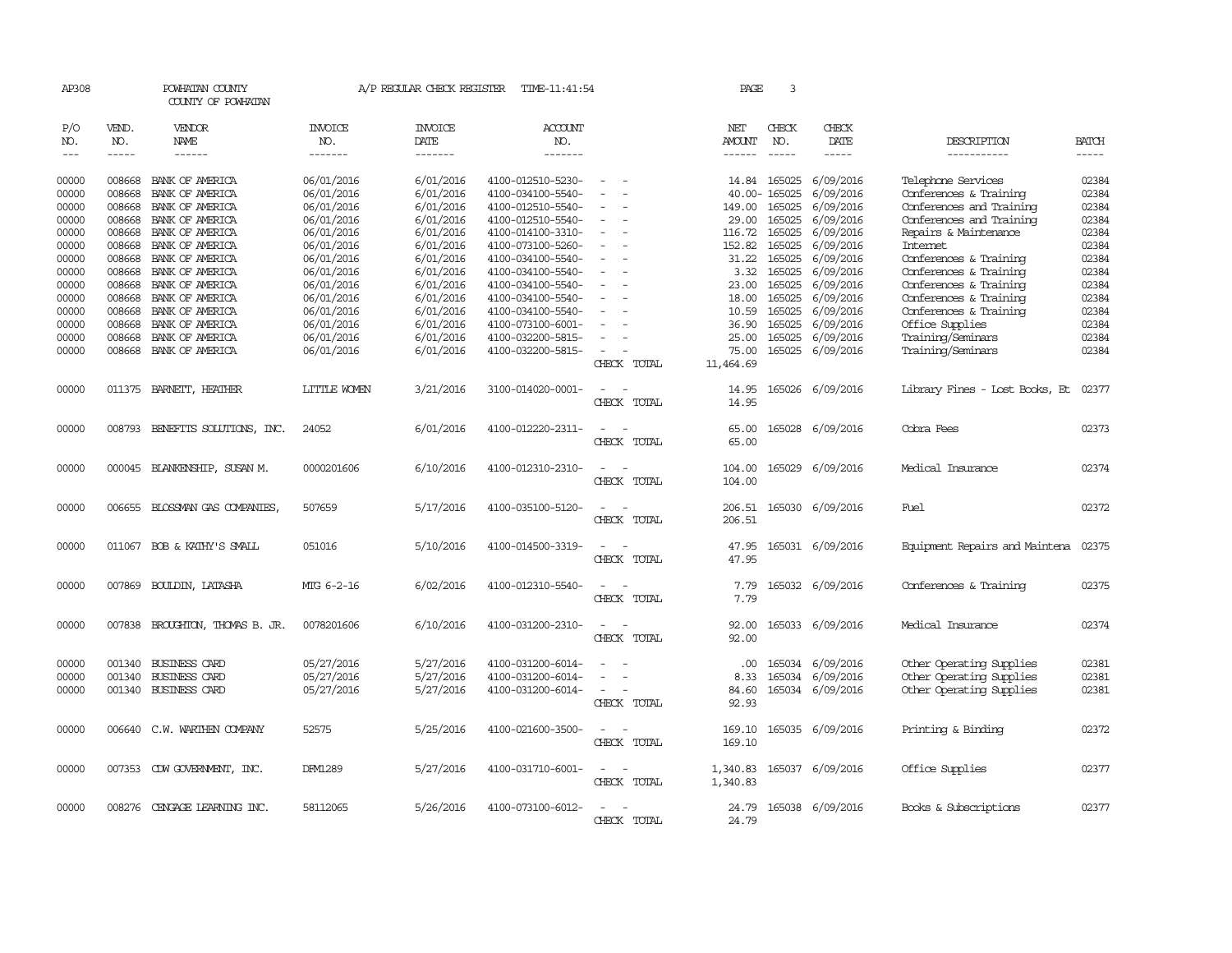| AP308 |        | POWHATAN COUNTY<br>COUNTY OF POWHATAN |                | A/P REGULAR CHECK REGISTER | TIME-11:41:54     |             | PAGE          | 3             |                  |                                |              |
|-------|--------|---------------------------------------|----------------|----------------------------|-------------------|-------------|---------------|---------------|------------------|--------------------------------|--------------|
| P/O   | VEND.  | VENDOR                                | INVOICE        | <b>INVOICE</b>             | <b>ACCOUNT</b>    |             | NET           | CHECK         | CHECK            |                                |              |
| NO.   | NO.    | NAME                                  | NO.            | DATE                       | NO.               |             | <b>AMOUNT</b> | NO.           | DATE             | DESCRIPTION                    | <b>BATCH</b> |
| $---$ | -----  | $- - - - - -$                         | -------        | --------                   | -------           |             | $- - - - - -$ | $\frac{1}{2}$ | -----            | -----------                    | -----        |
| 00000 | 008668 | BANK OF AMERICA                       | 06/01/2016     | 6/01/2016                  | 4100-012510-5230- |             | 14.84         | 165025        | 6/09/2016        | Telephone Services             | 02384        |
| 00000 | 008668 | BANK OF AMERICA                       | 06/01/2016     | 6/01/2016                  | 4100-034100-5540- |             |               | 40.00-165025  | 6/09/2016        | Conferences & Training         | 02384        |
| 00000 | 008668 | BANK OF AMERICA                       | 06/01/2016     | 6/01/2016                  | 4100-012510-5540- |             | 149.00        | 165025        | 6/09/2016        | Conferences and Training       | 02384        |
| 00000 | 008668 | BANK OF AMERICA                       | 06/01/2016     | 6/01/2016                  | 4100-012510-5540- |             | 29.00         | 165025        | 6/09/2016        | Conferences and Training       | 02384        |
| 00000 | 008668 | BANK OF AMERICA                       | 06/01/2016     | 6/01/2016                  | 4100-014100-3310- |             | 116.72        | 165025        | 6/09/2016        | Repairs & Maintenance          | 02384        |
| 00000 | 008668 | BANK OF AMERICA                       | 06/01/2016     | 6/01/2016                  | 4100-073100-5260- |             | 152.82        | 165025        | 6/09/2016        | Internet                       | 02384        |
| 00000 | 008668 | BANK OF AMERICA                       | 06/01/2016     | 6/01/2016                  | 4100-034100-5540- |             | 31.22         | 165025        | 6/09/2016        | Conferences & Training         | 02384        |
| 00000 | 008668 | BANK OF AMERICA                       | 06/01/2016     | 6/01/2016                  | 4100-034100-5540- |             | 3.32          | 165025        | 6/09/2016        | Conferences & Training         | 02384        |
| 00000 | 008668 | BANK OF AMERICA                       | 06/01/2016     | 6/01/2016                  | 4100-034100-5540- |             | 23.00         | 165025        | 6/09/2016        | Conferences & Training         | 02384        |
| 00000 | 008668 | BANK OF AMERICA                       | 06/01/2016     | 6/01/2016                  | 4100-034100-5540- |             | 18.00         | 165025        | 6/09/2016        | Conferences & Training         | 02384        |
| 00000 | 008668 | BANK OF AMERICA                       | 06/01/2016     | 6/01/2016                  | 4100-034100-5540- |             | 10.59         | 165025        | 6/09/2016        | Conferences & Training         | 02384        |
| 00000 | 008668 | BANK OF AMERICA                       | 06/01/2016     | 6/01/2016                  | 4100-073100-6001- |             | 36.90         | 165025        | 6/09/2016        | Office Supplies                | 02384        |
| 00000 | 008668 | BANK OF AMERICA                       | 06/01/2016     | 6/01/2016                  | 4100-032200-5815- |             | 25.00         | 165025        | 6/09/2016        | Training/Seminars              | 02384        |
| 00000 | 008668 | BANK OF AMERICA                       | 06/01/2016     | 6/01/2016                  | 4100-032200-5815- |             | 75.00         | 165025        | 6/09/2016        | Training/Seminars              | 02384        |
|       |        |                                       |                |                            |                   | CHECK TOTAL | 11,464.69     |               |                  |                                |              |
| 00000 | 011375 | BARNETT, HEATHER                      | LITTLE WOMEN   | 3/21/2016                  | 3100-014020-0001- |             | 14.95         | 165026        | 6/09/2016        | Library Fines - Lost Books, Et | 02377        |
|       |        |                                       |                |                            |                   | CHECK TOTAL | 14.95         |               |                  |                                |              |
|       |        |                                       |                |                            |                   |             |               |               |                  |                                |              |
| 00000 | 008793 | BENEFITS SOLUTIONS, INC.              | 24052          | 6/01/2016                  | 4100-012220-2311- |             | 65.00         | 165028        | 6/09/2016        | Cobra Fees                     | 02373        |
|       |        |                                       |                |                            |                   | CHECK TOTAL | 65.00         |               |                  |                                |              |
| 00000 |        | 000045 BLANKENSHIP, SUSAN M.          | 0000201606     | 6/10/2016                  | 4100-012310-2310- |             | 104.00        | 165029        | 6/09/2016        | Medical Insurance              | 02374        |
|       |        |                                       |                |                            |                   | CHECK TOTAL | 104.00        |               |                  |                                |              |
|       |        |                                       |                |                            |                   |             |               |               |                  |                                |              |
| 00000 | 006655 | BLOSSMAN GAS COMPANIES,               | 507659         | 5/17/2016                  | 4100-035100-5120- |             | 206.51        | 165030        | 6/09/2016        | Fuel                           | 02372        |
|       |        |                                       |                |                            |                   | CHECK TOTAL | 206.51        |               |                  |                                |              |
| 00000 |        | 011067 BOB & KATHY'S SMALL            | 051016         | 5/10/2016                  | 4100-014500-3319- |             | 47.95         |               | 165031 6/09/2016 | Equipment Repairs and Maintena | 02375        |
|       |        |                                       |                |                            |                   | CHECK TOTAL | 47.95         |               |                  |                                |              |
|       |        |                                       |                |                            |                   |             |               |               |                  |                                |              |
| 00000 |        | 007869 BOULDIN, LATASHA               | MIG 6-2-16     | 6/02/2016                  | 4100-012310-5540- |             | 7.79          |               | 165032 6/09/2016 | Conferences & Training         | 02375        |
|       |        |                                       |                |                            |                   | CHECK TOTAL | 7.79          |               |                  |                                |              |
| 00000 |        | 007838 BROUGHTON, THOMAS B. JR.       | 0078201606     | 6/10/2016                  | 4100-031200-2310- |             | 92.00         |               | 165033 6/09/2016 | Medical Insurance              | 02374        |
|       |        |                                       |                |                            |                   | CHECK TOTAL | 92.00         |               |                  |                                |              |
|       |        |                                       |                |                            |                   |             |               |               |                  |                                |              |
| 00000 |        | 001340 BUSINESS CARD                  | 05/27/2016     | 5/27/2016                  | 4100-031200-6014- |             | .00.          | 165034        | 6/09/2016        | Other Operating Supplies       | 02381        |
| 00000 | 001340 | BUSINESS CARD                         | 05/27/2016     | 5/27/2016                  | 4100-031200-6014- |             | 8.33          | 165034        | 6/09/2016        | Other Operating Supplies       | 02381        |
| 00000 |        | 001340 BUSINESS CARD                  | 05/27/2016     | 5/27/2016                  | 4100-031200-6014- |             | 84.60         |               | 165034 6/09/2016 | Other Operating Supplies       | 02381        |
|       |        |                                       |                |                            |                   | CHECK TOTAL | 92.93         |               |                  |                                |              |
| 00000 |        | 006640 C.W. WARTHEN COMPANY           | 52575          | 5/25/2016                  | 4100-021600-3500- |             | 169.10        |               | 165035 6/09/2016 | Printing & Binding             | 02372        |
|       |        |                                       |                |                            |                   | CHECK TOTAL | 169.10        |               |                  |                                |              |
|       |        |                                       |                |                            |                   |             |               |               |                  |                                |              |
| 00000 |        | 007353 CDW GOVERNMENT, INC.           | <b>DFM1289</b> | 5/27/2016                  | 4100-031710-6001- |             | 1,340.83      |               | 165037 6/09/2016 | Office Supplies                | 02377        |
|       |        |                                       |                |                            |                   | CHECK TOTAL | 1,340.83      |               |                  |                                |              |
|       |        |                                       |                |                            |                   |             |               |               |                  |                                |              |
| 00000 |        | 008276 CENGAGE LEARNING INC.          | 58112065       | 5/26/2016                  | 4100-073100-6012- |             | 24.79         |               | 165038 6/09/2016 | Books & Subscriptions          | 02377        |
|       |        |                                       |                |                            |                   | CHECK TOTAL | 24.79         |               |                  |                                |              |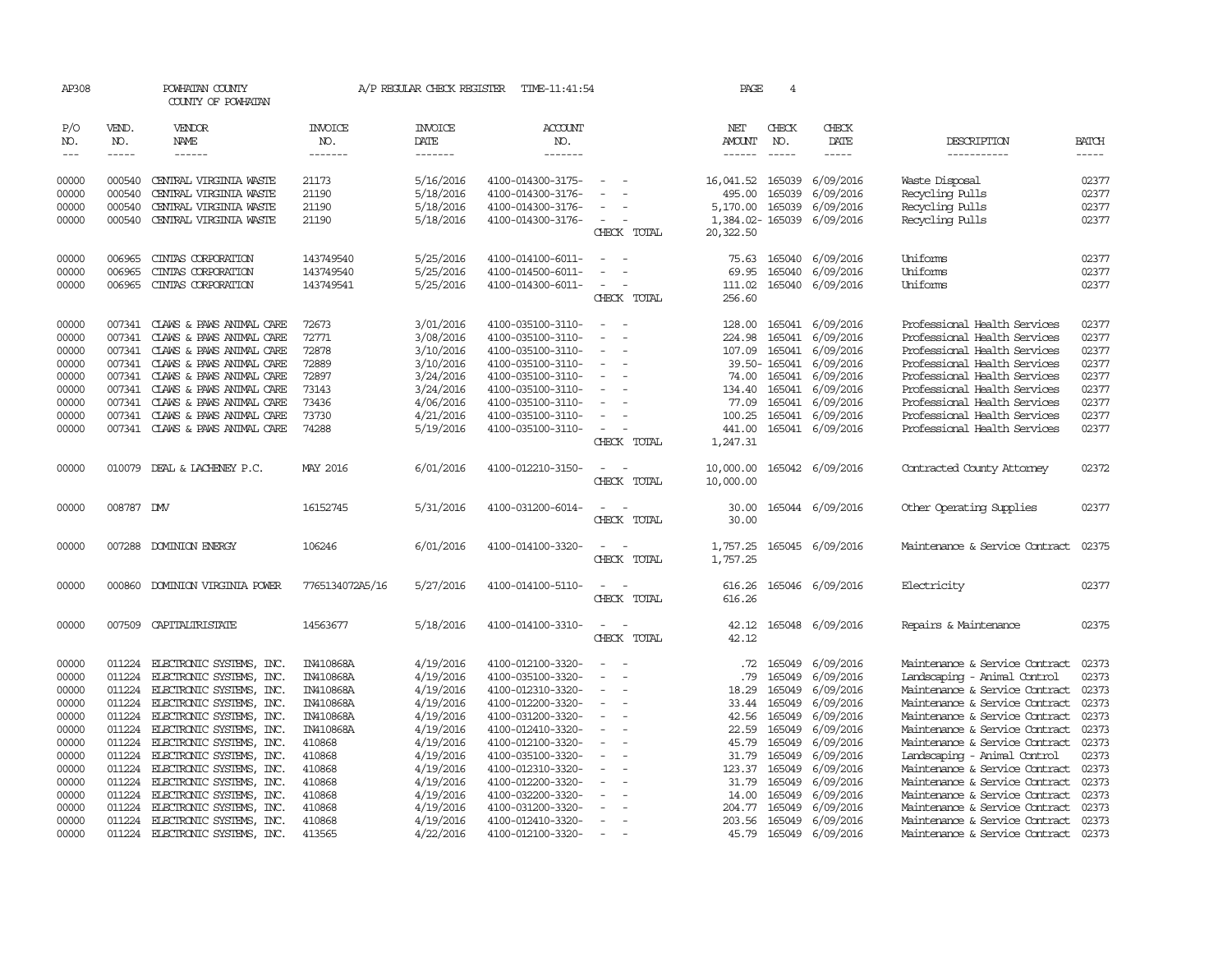| AP308               |              | POWHATAN COUNTY<br>COUNTY OF POWHATAN |                  |                        | A/P REGULAR CHECK REGISTER TIME-11:41:54 |                                                      | PAGE                   | 4            |                           |                                |              |
|---------------------|--------------|---------------------------------------|------------------|------------------------|------------------------------------------|------------------------------------------------------|------------------------|--------------|---------------------------|--------------------------------|--------------|
| P/O<br>NO.          | VEND.<br>NO. | VENDOR<br>NAME                        | INVOICE<br>NO.   | <b>INVOICE</b><br>DATE | <b>ACCOUNT</b><br>NO.                    |                                                      | NET<br>AMOUNT          | CHECK<br>NO. | CHECK<br>DATE             | DESCRIPTION                    | <b>BATCH</b> |
| $\qquad \qquad - -$ | $\cdots$     | ------                                | -------          | -------                | -------                                  |                                                      | ------                 | $- - - - -$  | -----                     | -----------                    | -----        |
| 00000               | 000540       | CENTRAL VIRGINIA WASTE                | 21173            | 5/16/2016              | 4100-014300-3175-                        | $\overline{\phantom{a}}$                             | 16,041.52              | 165039       | 6/09/2016                 | Waste Disposal                 | 02377        |
| 00000               | 000540       | CENTRAL VIRGINIA WASTE                | 21190            | 5/18/2016              | 4100-014300-3176-                        | $\sim$                                               | 495.00                 | 165039       | 6/09/2016                 | Recycling Pulls                | 02377        |
| 00000               | 000540       | CENTRAL VIRGINIA WASTE                | 21190            | 5/18/2016              | 4100-014300-3176-                        |                                                      | 5,170.00               | 165039       | 6/09/2016                 | Recycling Pulls                | 02377        |
| 00000               | 000540       | CENTRAL VIRGINIA WASTE                | 21190            | 5/18/2016              | 4100-014300-3176-                        | $\overline{\phantom{a}}$                             |                        |              | 1,384.02-165039 6/09/2016 | Recycling Pulls                | 02377        |
|                     |              |                                       |                  |                        |                                          | CHECK TOTAL                                          | 20,322.50              |              |                           |                                |              |
| 00000               | 006965       | CINIAS CORPORATION                    | 143749540        | 5/25/2016              | 4100-014100-6011-                        | $\sim$<br>$\sim$                                     | 75.63                  | 165040       | 6/09/2016                 | <b>Uniforms</b>                | 02377        |
| 00000               | 006965       | CINIAS CORPORATION                    | 143749540        | 5/25/2016              | 4100-014500-6011-                        | $\overline{\phantom{a}}$<br>$\overline{\phantom{a}}$ | 69.95                  | 165040       | 6/09/2016                 | Uniforms                       | 02377        |
| 00000               | 006965       | CINIAS CORPORATION                    | 143749541        | 5/25/2016              | 4100-014300-6011-                        | $\overline{\phantom{a}}$<br>$\overline{\phantom{a}}$ | 111.02                 | 165040       | 6/09/2016                 | Uniforms                       | 02377        |
|                     |              |                                       |                  |                        |                                          | CHECK TOTAL                                          | 256.60                 |              |                           |                                |              |
| 00000               |              | 007341 CLAWS & PAWS ANIMAL CARE       | 72673            | 3/01/2016              | 4100-035100-3110-                        | $\sim$<br>$\sim$                                     | 128.00                 |              | 165041 6/09/2016          | Professional Health Services   | 02377        |
| 00000               | 007341       | CLAWS & PAWS ANIMAL CARE              | 72771            | 3/08/2016              | 4100-035100-3110-                        |                                                      | 224.98                 | 165041       | 6/09/2016                 | Professional Health Services   | 02377        |
| 00000               | 007341       | CLAWS & PAWS ANIMAL CARE              | 72878            | 3/10/2016              | 4100-035100-3110-                        | $\overline{\phantom{a}}$                             | 107.09                 | 165041       | 6/09/2016                 | Professional Health Services   | 02377        |
| 00000               | 007341       | CLAWS & PAWS ANIMAL CARE              | 72889            | 3/10/2016              | 4100-035100-3110-                        | $\overline{\phantom{a}}$                             |                        | 39.50-165041 | 6/09/2016                 | Professional Health Services   | 02377        |
| 00000               | 007341       | CLAWS & PAWS ANIMAL CARE              | 72897            | 3/24/2016              | 4100-035100-3110-                        |                                                      | 74.00                  | 165041       | 6/09/2016                 | Professional Health Services   | 02377        |
| 00000               | 007341       | CLAWS & PAWS ANIMAL CARE              | 73143            | 3/24/2016              | 4100-035100-3110-                        |                                                      | 134.40                 | 165041       | 6/09/2016                 | Professional Health Services   | 02377        |
| 00000               |              | 007341 CLAWS & PAWS ANIMAL CARE       | 73436            | 4/06/2016              | 4100-035100-3110-                        | $\sim$                                               |                        | 77.09 165041 | 6/09/2016                 | Professional Health Services   | 02377        |
| 00000               |              | 007341 CLAWS & PAWS ANIMAL CARE       | 73730            | 4/21/2016              | 4100-035100-3110-                        |                                                      | 100.25                 | 165041       | 6/09/2016                 | Professional Health Services   | 02377        |
| 00000               |              | 007341 CLAWS & PAWS ANIMAL CARE       | 74288            | 5/19/2016              | 4100-035100-3110-                        |                                                      | 441.00                 |              | 165041 6/09/2016          | Professional Health Services   | 02377        |
|                     |              |                                       |                  |                        |                                          | CHECK TOTAL                                          | 1,247.31               |              |                           |                                |              |
| 00000               |              | 010079 DEAL & LACHENEY P.C.           | MAY 2016         | 6/01/2016              | 4100-012210-3150-                        | CHECK TOTAL                                          | 10,000.00<br>10,000.00 |              | 165042 6/09/2016          | Contracted County Attorney     | 02372        |
| 00000               | 008787 DMV   |                                       | 16152745         | 5/31/2016              | 4100-031200-6014-                        | CHECK TOTAL                                          | 30.00<br>30.00         |              | 165044 6/09/2016          | Other Operating Supplies       | 02377        |
| 00000               | 007288       | <b>DOMINION ENERGY</b>                | 106246           | 6/01/2016              | 4100-014100-3320-                        | CHECK TOTAL                                          | 1,757.25<br>1,757.25   |              | 165045 6/09/2016          | Maintenance & Service Contract | 02375        |
|                     |              |                                       |                  |                        |                                          |                                                      |                        |              |                           |                                |              |
| 00000               | 000860       | DOMINION VIRGINIA POWER               | 7765134072A5/16  | 5/27/2016              | 4100-014100-5110-                        | $\overline{\phantom{a}}$<br>CHECK TOTAL              | 616.26<br>616.26       |              | 165046 6/09/2016          | Electricity                    | 02377        |
| 00000               |              | 007509 CAPITALIRISTATE                | 14563677         | 5/18/2016              | 4100-014100-3310-                        | $\equiv$                                             | 42.12                  |              | 165048 6/09/2016          | Repairs & Maintenance          | 02375        |
|                     |              |                                       |                  |                        |                                          | CHECK TOTAL                                          | 42.12                  |              |                           |                                |              |
| 00000               |              | 011224 ELECTRONIC SYSTEMS, INC.       | IN410868A        | 4/19/2016              | 4100-012100-3320-                        |                                                      | $.72\,$                | 165049       | 6/09/2016                 | Maintenance & Service Contract | 02373        |
| 00000               | 011224       | ELECTRONIC SYSTEMS, INC.              | <b>IN410868A</b> | 4/19/2016              | 4100-035100-3320-                        | $\sim$<br>$\overline{\phantom{a}}$                   | .79                    | 165049       | 6/09/2016                 | Landscaping - Animal Control   | 02373        |
| 00000               | 011224       | ELECTRONIC SYSTEMS, INC.              | IN410868A        | 4/19/2016              | 4100-012310-3320-                        | $\overline{\phantom{a}}$                             | 18.29                  | 165049       | 6/09/2016                 | Maintenance & Service Contract | 02373        |
| 00000               | 011224       | ELECTRONIC SYSTEMS, INC.              | IN410868A        | 4/19/2016              | 4100-012200-3320-                        |                                                      | 33.44                  | 165049       | 6/09/2016                 | Maintenance & Service Contract | 02373        |
| 00000               | 011224       | ELECTRONIC SYSTEMS, INC.              | <b>IN410868A</b> | 4/19/2016              | 4100-031200-3320-                        | $\overline{\phantom{a}}$                             | 42.56                  | 165049       | 6/09/2016                 | Maintenance & Service Contract | 02373        |
| 00000               | 011224       | ELECTRONIC SYSTEMS, INC.              | IN410868A        | 4/19/2016              | 4100-012410-3320-                        |                                                      | 22.59                  | 165049       | 6/09/2016                 | Maintenance & Service Contract | 02373        |
| 00000               | 011224       | ELECTRONIC SYSTEMS, INC.              | 410868           | 4/19/2016              | 4100-012100-3320-                        |                                                      | 45.79                  | 165049       | 6/09/2016                 | Maintenance & Service Contract | 02373        |
| 00000               | 011224       | ELECTRONIC SYSTEMS, INC.              | 410868           | 4/19/2016              | 4100-035100-3320-                        | $\equiv$<br>$\overline{\phantom{a}}$                 | 31.79                  | 165049       | 6/09/2016                 | Landscaping - Animal Control   | 02373        |
| 00000               |              | 011224 ELECTRONIC SYSTEMS, INC.       | 410868           | 4/19/2016              | 4100-012310-3320-                        |                                                      | 123.37                 | 165049       | 6/09/2016                 | Maintenance & Service Contract | 02373        |
| 00000               | 011224       | ELECTRONIC SYSTEMS, INC.              | 410868           | 4/19/2016              | 4100-012200-3320-                        |                                                      | 31.79                  | 165049       | 6/09/2016                 | Maintenance & Service Contract | 02373        |
| 00000               | 011224       | ELECTRONIC SYSTEMS, INC.              | 410868           | 4/19/2016              | 4100-032200-3320-                        |                                                      | 14.00                  | 165049       | 6/09/2016                 | Maintenance & Service Contract | 02373        |
| 00000               | 011224       | ELECTRONIC SYSTEMS, INC.              | 410868           | 4/19/2016              | 4100-031200-3320-                        |                                                      | 204.77                 | 165049       | 6/09/2016                 | Maintenance & Service Contract | 02373        |
| 00000               | 011224       | ELECTRONIC SYSTEMS, INC.              | 410868           | 4/19/2016              | 4100-012410-3320-                        | $\sim$                                               | 203.56                 | 165049       | 6/09/2016                 | Maintenance & Service Contract | 02373        |
| 00000               | 011224       | ELECTRONIC SYSTEMS, INC.              | 413565           | 4/22/2016              | 4100-012100-3320-                        |                                                      |                        |              | 45.79 165049 6/09/2016    | Maintenance & Service Contract | 02373        |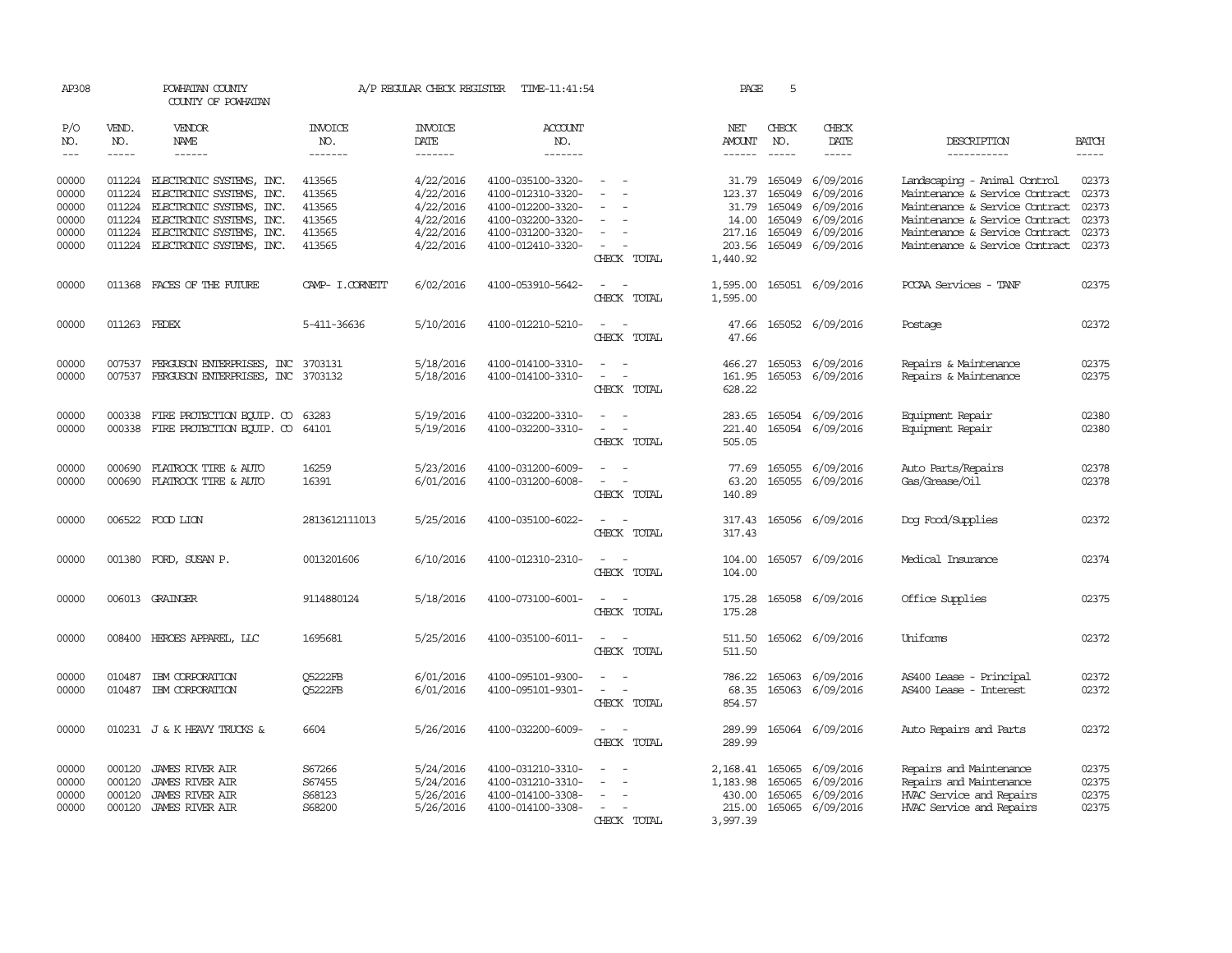| AP308               |                             | POWHATAN COUNTY<br>COUNTY OF POWHATAN                       |                                  | A/P REGULAR CHECK REGISTER                       | TIME-11:41:54                          |                                    | PAGE                                  | 5                             |                              |                                                                |                                                                                                                                                                                                                                                                                                                                                                                                                                                                         |
|---------------------|-----------------------------|-------------------------------------------------------------|----------------------------------|--------------------------------------------------|----------------------------------------|------------------------------------|---------------------------------------|-------------------------------|------------------------------|----------------------------------------------------------------|-------------------------------------------------------------------------------------------------------------------------------------------------------------------------------------------------------------------------------------------------------------------------------------------------------------------------------------------------------------------------------------------------------------------------------------------------------------------------|
| P/O<br>NO.<br>$---$ | VEND.<br>NO.<br>$- - - - -$ | <b>VENDOR</b><br><b>NAME</b><br>$- - - - - -$               | <b>INVOICE</b><br>NO.<br>------- | <b>INVOICE</b><br><b>DATE</b><br>$- - - - - - -$ | <b>ACCOUNT</b><br>NO.<br>-------       |                                    | NET<br><b>AMOUNT</b><br>$- - - - - -$ | CHECK<br>NO.<br>$\frac{1}{2}$ | CHECK<br>DATE<br>$- - - - -$ | DESCRIPTION<br>-----------                                     | <b>BATCH</b><br>$\begin{tabular}{ccccc} \multicolumn{2}{c }{\multicolumn{2}{c }{\multicolumn{2}{c }{\multicolumn{2}{c}}{\hspace{-2.2cm}}}} \multicolumn{2}{c }{\multicolumn{2}{c }{\hspace{-2.2cm}}\hline} \multicolumn{2}{c }{\hspace{-2.2cm}}\hline \multicolumn{2}{c }{\hspace{-2.2cm}}\hline \multicolumn{2}{c }{\hspace{-2.2cm}}\hline \multicolumn{2}{c }{\hspace{-2.2cm}}\hline \multicolumn{2}{c }{\hspace{-2.2cm}}\hline \multicolumn{2}{c }{\hspace{-2.2cm}}$ |
|                     |                             |                                                             |                                  |                                                  |                                        |                                    |                                       |                               |                              |                                                                |                                                                                                                                                                                                                                                                                                                                                                                                                                                                         |
| 00000<br>00000      | 011224                      | 011224 ELECTRONIC SYSTEMS, INC.<br>ELECTRONIC SYSTEMS, INC. | 413565<br>413565                 | 4/22/2016<br>4/22/2016                           | 4100-035100-3320-<br>4100-012310-3320- |                                    | 31.79<br>123.37                       | 165049<br>165049              | 6/09/2016<br>6/09/2016       | Landscaping - Animal Control<br>Maintenance & Service Contract | 02373<br>02373                                                                                                                                                                                                                                                                                                                                                                                                                                                          |
| 00000               | 011224                      | ELECTRONIC SYSTEMS, INC.                                    | 413565                           | 4/22/2016                                        | 4100-012200-3320-                      |                                    | 31.79                                 | 165049                        | 6/09/2016                    | Maintenance & Service Contract                                 | 02373                                                                                                                                                                                                                                                                                                                                                                                                                                                                   |
| 00000               | 011224                      | ELECTRONIC SYSTEMS, INC.                                    | 413565                           | 4/22/2016                                        | 4100-032200-3320-                      | $\overline{\phantom{a}}$           | 14.00                                 | 165049                        | 6/09/2016                    | Maintenance & Service Contract                                 | 02373                                                                                                                                                                                                                                                                                                                                                                                                                                                                   |
| 00000               | 011224                      | ELECTRONIC SYSTEMS, INC.                                    | 413565                           | 4/22/2016                                        | 4100-031200-3320-                      |                                    | 217.16                                | 165049                        | 6/09/2016                    | Maintenance & Service Contract                                 | 02373                                                                                                                                                                                                                                                                                                                                                                                                                                                                   |
| 00000               |                             | 011224 ELECTRONIC SYSTEMS, INC.                             | 413565                           | 4/22/2016                                        | 4100-012410-3320-                      | CHECK TOTAL                        | 203.56<br>1,440.92                    |                               | 165049 6/09/2016             | Maintenance & Service Contract                                 | 02373                                                                                                                                                                                                                                                                                                                                                                                                                                                                   |
| 00000               |                             | 011368 FACES OF THE FUTURE                                  | CAMP- I.CORNETT                  | 6/02/2016                                        | 4100-053910-5642-                      | CHECK TOTAL                        | 1,595.00<br>1,595.00                  |                               | 165051 6/09/2016             | PCCAA Services - TANF                                          | 02375                                                                                                                                                                                                                                                                                                                                                                                                                                                                   |
| 00000               | 011263 FEDEX                |                                                             | 5-411-36636                      | 5/10/2016                                        | 4100-012210-5210-                      | CHECK TOTAL                        | 47.66<br>47.66                        |                               | 165052 6/09/2016             | Postage                                                        | 02372                                                                                                                                                                                                                                                                                                                                                                                                                                                                   |
| 00000               |                             | 007537 FERGUSON ENTERPRISES, INC 3703131                    |                                  | 5/18/2016                                        | 4100-014100-3310-                      |                                    | 466.27                                |                               | 165053 6/09/2016             | Repairs & Maintenance                                          | 02375                                                                                                                                                                                                                                                                                                                                                                                                                                                                   |
| 00000               |                             | 007537 FERGUSON ENTERPRISES, INC 3703132                    |                                  | 5/18/2016                                        | 4100-014100-3310-                      | $\sim$<br>$\overline{\phantom{a}}$ | 161.95                                |                               | 165053 6/09/2016             | Repairs & Maintenance                                          | 02375                                                                                                                                                                                                                                                                                                                                                                                                                                                                   |
|                     |                             |                                                             |                                  |                                                  |                                        | CHECK TOTAL                        | 628.22                                |                               |                              |                                                                |                                                                                                                                                                                                                                                                                                                                                                                                                                                                         |
| 00000               |                             | 000338 FIRE PROTECTION ECUIP. CO                            | 63283                            | 5/19/2016                                        | 4100-032200-3310-                      | $\sim$                             | 283.65                                |                               | 165054 6/09/2016             | Equipment Repair                                               | 02380                                                                                                                                                                                                                                                                                                                                                                                                                                                                   |
| 00000               |                             | 000338 FIRE PROTECTION EQUIP. CO                            | 64101                            | 5/19/2016                                        | 4100-032200-3310-                      | $\overline{\phantom{a}}$           | 221.40                                |                               | 165054 6/09/2016             | Equipment Repair                                               | 02380                                                                                                                                                                                                                                                                                                                                                                                                                                                                   |
|                     |                             |                                                             |                                  |                                                  |                                        | CHECK TOTAL                        | 505.05                                |                               |                              |                                                                |                                                                                                                                                                                                                                                                                                                                                                                                                                                                         |
| 00000               | 000690                      | FLATROCK TIRE & AUTO                                        | 16259                            | 5/23/2016                                        | 4100-031200-6009-                      | $\equiv$                           | 77.69                                 | 165055                        | 6/09/2016                    | Auto Parts/Repairs                                             | 02378                                                                                                                                                                                                                                                                                                                                                                                                                                                                   |
| 00000               | 000690                      | FLATROCK TIRE & AUTO                                        | 16391                            | 6/01/2016                                        | 4100-031200-6008-                      | $\sim$                             | 63.20                                 | 165055                        | 6/09/2016                    | Gas/Grease/Oil                                                 | 02378                                                                                                                                                                                                                                                                                                                                                                                                                                                                   |
|                     |                             |                                                             |                                  |                                                  |                                        | CHECK TOTAL                        | 140.89                                |                               |                              |                                                                |                                                                                                                                                                                                                                                                                                                                                                                                                                                                         |
| 00000               |                             | 006522 FOOD LION                                            | 2813612111013                    | 5/25/2016                                        | 4100-035100-6022-                      |                                    |                                       |                               | 317.43 165056 6/09/2016      | Dog Food/Supplies                                              | 02372                                                                                                                                                                                                                                                                                                                                                                                                                                                                   |
|                     |                             |                                                             |                                  |                                                  |                                        | CHECK TOTAL                        | 317.43                                |                               |                              |                                                                |                                                                                                                                                                                                                                                                                                                                                                                                                                                                         |
| 00000               |                             | 001380 FORD, SUSAN P.                                       | 0013201606                       | 6/10/2016                                        | 4100-012310-2310-                      | $\overline{\phantom{a}}$           | 104.00                                |                               | 165057 6/09/2016             | Medical Insurance                                              | 02374                                                                                                                                                                                                                                                                                                                                                                                                                                                                   |
|                     |                             |                                                             |                                  |                                                  |                                        | CHECK TOTAL                        | 104.00                                |                               |                              |                                                                |                                                                                                                                                                                                                                                                                                                                                                                                                                                                         |
| 00000               |                             | 006013 GRAINGER                                             | 9114880124                       | 5/18/2016                                        | 4100-073100-6001-                      | $\overline{\phantom{a}}$<br>$\sim$ | 175.28                                |                               | 165058 6/09/2016             | Office Supplies                                                | 02375                                                                                                                                                                                                                                                                                                                                                                                                                                                                   |
|                     |                             |                                                             |                                  |                                                  |                                        | CHECK TOTAL                        | 175.28                                |                               |                              |                                                                |                                                                                                                                                                                                                                                                                                                                                                                                                                                                         |
| 00000               |                             | 008400 HEROES APPAREL, LLC                                  | 1695681                          | 5/25/2016                                        | 4100-035100-6011-                      | $\sim$<br>$\sim$                   | 511.50                                |                               | 165062 6/09/2016             | Uniforms                                                       | 02372                                                                                                                                                                                                                                                                                                                                                                                                                                                                   |
|                     |                             |                                                             |                                  |                                                  |                                        | CHECK TOTAL                        | 511.50                                |                               |                              |                                                                |                                                                                                                                                                                                                                                                                                                                                                                                                                                                         |
| 00000               | 010487                      | IBM CORPORATION                                             | <b>O5222FB</b>                   | 6/01/2016                                        | 4100-095101-9300-                      |                                    | 786.22                                | 165063                        | 6/09/2016                    | AS400 Lease - Principal                                        | 02372                                                                                                                                                                                                                                                                                                                                                                                                                                                                   |
| 00000               |                             | 010487 IBM CORPORATION                                      | Q5222FB                          | 6/01/2016                                        | 4100-095101-9301-                      | $\sim$                             | 68.35                                 |                               | 165063 6/09/2016             | AS400 Lease - Interest                                         | 02372                                                                                                                                                                                                                                                                                                                                                                                                                                                                   |
|                     |                             |                                                             |                                  |                                                  |                                        | CHECK TOTAL                        | 854.57                                |                               |                              |                                                                |                                                                                                                                                                                                                                                                                                                                                                                                                                                                         |
| 00000               |                             | 010231 J & K HEAVY TRUCKS &                                 | 6604                             | 5/26/2016                                        | 4100-032200-6009-                      | $\overline{\phantom{a}}$           | 289.99                                |                               | 165064 6/09/2016             | Auto Repairs and Parts                                         | 02372                                                                                                                                                                                                                                                                                                                                                                                                                                                                   |
|                     |                             |                                                             |                                  |                                                  |                                        | CHECK TOTAL                        | 289.99                                |                               |                              |                                                                |                                                                                                                                                                                                                                                                                                                                                                                                                                                                         |
| 00000               | 000120                      | <b>JAMES RIVER AIR</b>                                      | S67266                           | 5/24/2016                                        | 4100-031210-3310-                      |                                    | 2,168.41                              | 165065                        | 6/09/2016                    | Repairs and Maintenance                                        | 02375                                                                                                                                                                                                                                                                                                                                                                                                                                                                   |
| 00000               | 000120                      | JAMES RIVER AIR                                             | S67455                           | 5/24/2016                                        | 4100-031210-3310-                      | $\sim$<br>$\overline{\phantom{a}}$ | 1,183.98                              | 165065                        | 6/09/2016                    | Repairs and Maintenance                                        | 02375                                                                                                                                                                                                                                                                                                                                                                                                                                                                   |
| 00000               | 000120                      | <b>JAMES RIVER AIR</b>                                      | S68123                           | 5/26/2016                                        | 4100-014100-3308-                      |                                    | 430.00                                | 165065                        | 6/09/2016                    | HVAC Service and Repairs                                       | 02375                                                                                                                                                                                                                                                                                                                                                                                                                                                                   |
| 00000               |                             | 000120 JAMES RIVER AIR                                      | S68200                           | 5/26/2016                                        | 4100-014100-3308-                      |                                    | 215.00                                |                               | 165065 6/09/2016             | HVAC Service and Repairs                                       | 02375                                                                                                                                                                                                                                                                                                                                                                                                                                                                   |
|                     |                             |                                                             |                                  |                                                  |                                        | CHECK TOTAL                        | 3,997.39                              |                               |                              |                                                                |                                                                                                                                                                                                                                                                                                                                                                                                                                                                         |
|                     |                             |                                                             |                                  |                                                  |                                        |                                    |                                       |                               |                              |                                                                |                                                                                                                                                                                                                                                                                                                                                                                                                                                                         |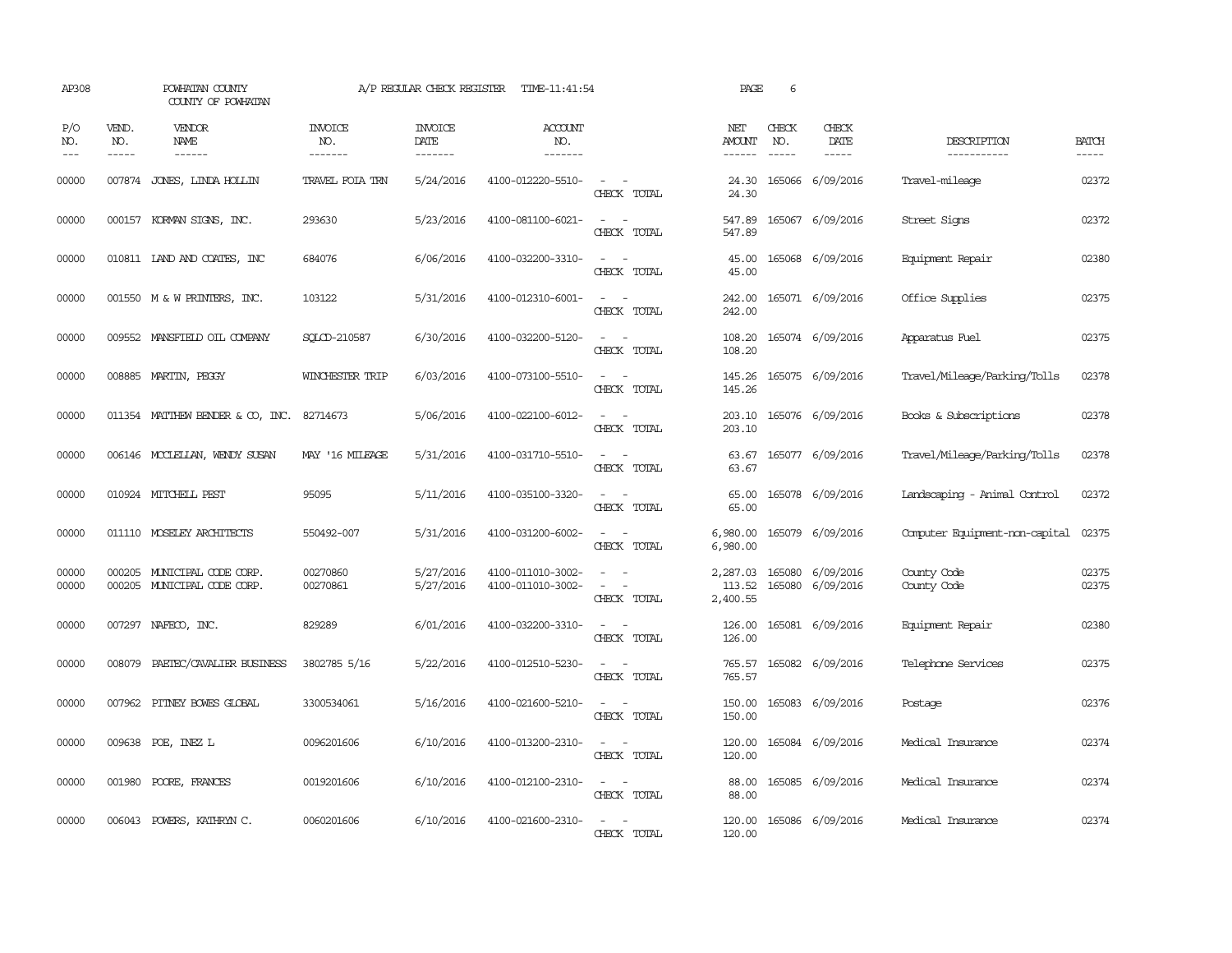| AP308              |                             | POWHATAN COUNTY<br>COUNTY OF POWHATAN                      |                                  | A/P REGULAR CHECK REGISTER        | TIME-11:41:54                          |                                                                                                                             | PAGE                           | 6                             |                                      |                                |                       |
|--------------------|-----------------------------|------------------------------------------------------------|----------------------------------|-----------------------------------|----------------------------------------|-----------------------------------------------------------------------------------------------------------------------------|--------------------------------|-------------------------------|--------------------------------------|--------------------------------|-----------------------|
| P/O<br>NO.<br>$--$ | VEND.<br>NO.<br>$- - - - -$ | VENDOR<br>NAME<br>$- - - - - -$                            | <b>INVOICE</b><br>NO.<br>------- | <b>INVOICE</b><br>DATE<br>------- | <b>ACCOUNT</b><br>NO.<br>-------       |                                                                                                                             | NET<br>AMOUNT<br>-------       | CHECK<br>NO.<br>$\frac{1}{2}$ | CHECK<br>DATE<br>$- - - - -$         | DESCRIPTION<br>-----------     | <b>BATCH</b><br>----- |
| 00000              |                             | 007874 JONES, LINDA HOLLIN                                 | TRAVEL FOIA TRN                  | 5/24/2016                         | 4100-012220-5510-                      | $\overline{\phantom{a}}$<br>CHECK TOTAL                                                                                     | 24.30<br>24.30                 |                               | 165066 6/09/2016                     | Travel-mileage                 | 02372                 |
| 00000              |                             | 000157 KORMAN SIGNS, INC.                                  | 293630                           | 5/23/2016                         | 4100-081100-6021-                      | $\sim$ $\sim$<br>CHECK TOTAL                                                                                                | 547.89<br>547.89               |                               | 165067 6/09/2016                     | Street Signs                   | 02372                 |
| 00000              |                             | 010811 LAND AND COATES, INC                                | 684076                           | 6/06/2016                         | 4100-032200-3310-                      | $\sim$ 100 $\sim$<br>CHECK TOTAL                                                                                            | 45.00<br>45.00                 |                               | 165068 6/09/2016                     | Equipment Repair               | 02380                 |
| 00000              |                             | 001550 M & W PRINTERS, INC.                                | 103122                           | 5/31/2016                         | 4100-012310-6001-                      | $\equiv$<br>$\sim$<br>CHECK TOTAL                                                                                           | 242.00<br>242.00               |                               | 165071 6/09/2016                     | Office Supplies                | 02375                 |
| 00000              |                             | 009552 MANSFIELD OIL COMPANY                               | SOLCD-210587                     | 6/30/2016                         | 4100-032200-5120-                      | $\sim$<br>$\sim$<br>CHECK TOTAL                                                                                             | 108.20<br>108.20               |                               | 165074 6/09/2016                     | Apparatus Fuel                 | 02375                 |
| 00000              |                             | 008885 MARTIN, PEGGY                                       | WINCHESTER TRIP                  | 6/03/2016                         | 4100-073100-5510-                      | $\overline{\phantom{a}}$<br>$\sim$<br>CHECK TOTAL                                                                           | 145.26<br>145.26               |                               | 165075 6/09/2016                     | Travel/Mileage/Parking/Tolls   | 02378                 |
| 00000              |                             | 011354 MATTHEW BENDER & CO, INC.                           | 82714673                         | 5/06/2016                         | 4100-022100-6012-                      | $\equiv$<br>CHECK TOTAL                                                                                                     | 203.10<br>203.10               |                               | 165076 6/09/2016                     | Books & Subscriptions          | 02378                 |
| 00000              |                             | 006146 MCCLELLAN, WENDY SUSAN                              | MAY '16 MILEAGE                  | 5/31/2016                         | 4100-031710-5510-                      | $ -$<br>CHECK TOTAL                                                                                                         | 63.67<br>63.67                 |                               | 165077 6/09/2016                     | Travel/Mileage/Parking/Tolls   | 02378                 |
| 00000              |                             | 010924 MITCHELL PEST                                       | 95095                            | 5/11/2016                         | 4100-035100-3320-                      | CHECK TOTAL                                                                                                                 | 65.00<br>65.00                 |                               | 165078 6/09/2016                     | Landscaping - Animal Control   | 02372                 |
| 00000              |                             | 011110 MOSELEY ARCHITECTS                                  | 550492-007                       | 5/31/2016                         | 4100-031200-6002-                      | CHECK TOTAL                                                                                                                 | 6,980.00<br>6,980.00           |                               | 165079 6/09/2016                     | Computer Equipment-non-capital | 02375                 |
| 00000<br>00000     |                             | 000205 MUNICIPAL CODE CORP.<br>000205 MUNICIPAL CODE CORP. | 00270860<br>00270861             | 5/27/2016<br>5/27/2016            | 4100-011010-3002-<br>4100-011010-3002- | $\frac{1}{2} \left( \frac{1}{2} \right) \left( \frac{1}{2} \right) = \frac{1}{2} \left( \frac{1}{2} \right)$<br>CHECK TOTAL | 2,287.03<br>113.52<br>2,400.55 |                               | 165080 6/09/2016<br>165080 6/09/2016 | County Code<br>County Code     | 02375<br>02375        |
| 00000              |                             | 007297 NAFECO, INC.                                        | 829289                           | 6/01/2016                         | 4100-032200-3310-                      | $\sim$ 10 $\sim$ 10 $\sim$<br>CHECK TOTAL                                                                                   | 126.00<br>126.00               |                               | 165081 6/09/2016                     | Equipment Repair               | 02380                 |
| 00000              |                             | 008079 PAETEC/CAVALIER BUSINESS                            | 3802785 5/16                     | 5/22/2016                         | 4100-012510-5230-                      | $\sim$<br>CHECK TOTAL                                                                                                       | 765.57<br>765.57               |                               | 165082 6/09/2016                     | Telephone Services             | 02375                 |
| 00000              | 007962                      | PITNEY BOWES GLOBAL                                        | 3300534061                       | 5/16/2016                         | 4100-021600-5210-                      | $\sim$<br>$\overline{\phantom{a}}$<br>CHECK TOTAL                                                                           | 150.00<br>150.00               |                               | 165083 6/09/2016                     | Postage                        | 02376                 |
| 00000              |                             | 009638 POE, INEZ L                                         | 0096201606                       | 6/10/2016                         | 4100-013200-2310-                      | $\sim$<br>CHECK TOTAL                                                                                                       | 120.00<br>120.00               |                               | 165084 6/09/2016                     | Medical Insurance              | 02374                 |
| 00000              |                             | 001980 POORE, FRANCES                                      | 0019201606                       | 6/10/2016                         | 4100-012100-2310-                      | $ -$<br>CHECK TOTAL                                                                                                         | 88.00<br>88.00                 |                               | 165085 6/09/2016                     | Medical Insurance              | 02374                 |
| 00000              |                             | 006043 POWERS, KATHRYN C.                                  | 0060201606                       | 6/10/2016                         | 4100-021600-2310-                      | $\overline{\phantom{a}}$<br>CHECK TOTAL                                                                                     | 120.00<br>120.00               |                               | 165086 6/09/2016                     | Medical Insurance              | 02374                 |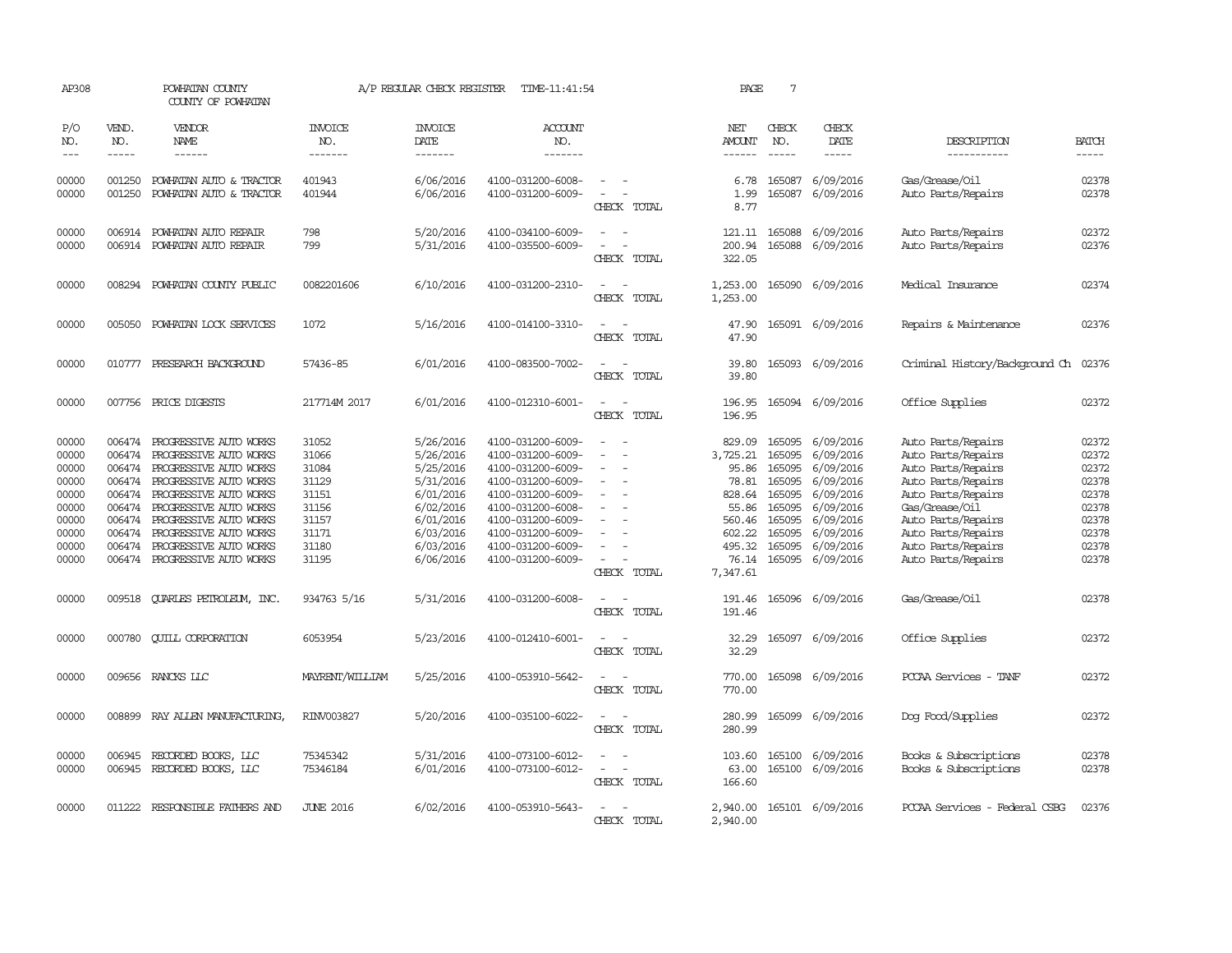| AP308                       |                             | POWHATAN COUNTY<br>COUNTY OF POWHATAN                                                    |                                  | A/P REGULAR CHECK REGISTER          | TIME-11:41:54                                               |                                 | PAGE                           | $7\phantom{.0}$               |                                      |                                                                |                         |
|-----------------------------|-----------------------------|------------------------------------------------------------------------------------------|----------------------------------|-------------------------------------|-------------------------------------------------------------|---------------------------------|--------------------------------|-------------------------------|--------------------------------------|----------------------------------------------------------------|-------------------------|
| P/O<br>NO.<br>$\frac{1}{2}$ | VEND.<br>NO.<br>$- - - - -$ | VENDOR<br>NAME<br>$- - - - - -$                                                          | <b>INVOICE</b><br>NO.<br>------- | <b>INVOICE</b><br>DATE<br>-------   | <b>ACCOUNT</b><br>NO.<br>-------                            |                                 | NET<br><b>AMOUNT</b><br>------ | CHECK<br>NO.<br>$\frac{1}{2}$ | CHECK<br>DATE<br>$- - - - -$         | DESCRIPTION<br>-----------                                     | <b>BATCH</b><br>-----   |
| 00000<br>00000              | 001250<br>001250            | POWHATAN AUTO & TRACTOR<br>POWHATAN AUTO & TRACTOR                                       | 401943<br>401944                 | 6/06/2016<br>6/06/2016              | 4100-031200-6008-<br>4100-031200-6009-                      | $\sim$<br>$\sim$<br>CHECK TOTAL | 6.78<br>1.99<br>8.77           | 165087                        | 6/09/2016<br>165087 6/09/2016        | Gas/Grease/Oil<br>Auto Parts/Repairs                           | 02378<br>02378          |
| 00000<br>00000              |                             | 006914 POWHATAN AUTO REPAIR<br>006914 POWHATAN AUTO REPAIR                               | 798<br>799                       | 5/20/2016<br>5/31/2016              | 4100-034100-6009-<br>4100-035500-6009-                      | CHECK TOTAL                     | 200.94<br>322.05               | 121.11 165088                 | 6/09/2016<br>165088 6/09/2016        | Auto Parts/Repairs<br>Auto Parts/Repairs                       | 02372<br>02376          |
| 00000                       | 008294                      | POWHATAN COUNTY PUBLIC                                                                   | 0082201606                       | 6/10/2016                           | 4100-031200-2310-                                           | CHECK TOTAL                     | 1,253.00<br>1,253.00           |                               | 165090 6/09/2016                     | Medical Insurance                                              | 02374                   |
| 00000                       | 005050                      | POWHATAN LOCK SERVICES                                                                   | 1072                             | 5/16/2016                           | 4100-014100-3310-                                           | CHECK TOTAL                     | 47.90<br>47.90                 |                               | 165091 6/09/2016                     | Repairs & Maintenance                                          | 02376                   |
| 00000                       | 010777                      | PRESEARCH BACKGROUND                                                                     | 57436-85                         | 6/01/2016                           | 4100-083500-7002-                                           | CHECK TOTAL                     | 39.80<br>39.80                 |                               | 165093 6/09/2016                     | Criminal History/Background Ch                                 | 02376                   |
| 00000                       |                             | 007756 PRICE DIGESTS                                                                     | 217714M 2017                     | 6/01/2016                           | 4100-012310-6001-                                           | CHECK TOTAL                     | 196.95<br>196.95               |                               | 165094 6/09/2016                     | Office Supplies                                                | 02372                   |
| 00000<br>00000<br>00000     | 006474<br>006474<br>006474  | PROGRESSIVE AUTO WORKS<br>PROGRESSIVE AUTO WORKS<br>PROGRESSIVE AUTO WORKS               | 31052<br>31066<br>31084          | 5/26/2016<br>5/26/2016<br>5/25/2016 | 4100-031200-6009-<br>4100-031200-6009-<br>4100-031200-6009- | $\equiv$                        | 829.09<br>3,725.21<br>95.86    | 165095<br>165095<br>165095    | 6/09/2016<br>6/09/2016<br>6/09/2016  | Auto Parts/Repairs<br>Auto Parts/Repairs<br>Auto Parts/Repairs | 02372<br>02372<br>02372 |
| 00000<br>00000<br>00000     | 006474                      | 006474 PROGRESSIVE AUTO WORKS<br>006474 PROGRESSIVE AUTO WORKS<br>PROGRESSIVE AUTO WORKS | 31129<br>31151<br>31156          | 5/31/2016<br>6/01/2016<br>6/02/2016 | 4100-031200-6009-<br>4100-031200-6009-<br>4100-031200-6008- | $\sim$                          | 78.81<br>828.64<br>55.86       | 165095<br>165095<br>165095    | 6/09/2016<br>6/09/2016<br>6/09/2016  | Auto Parts/Repairs<br>Auto Parts/Repairs<br>Gas/Grease/Oil     | 02378<br>02378<br>02378 |
| 00000<br>00000<br>00000     | 006474<br>006474<br>006474  | PROGRESSIVE AUTO WORKS<br>PROGRESSIVE AUTO WORKS<br>PROGRESSIVE AUTO WORKS               | 31157<br>31171<br>31180          | 6/01/2016<br>6/03/2016<br>6/03/2016 | 4100-031200-6009-<br>4100-031200-6009-<br>4100-031200-6009- |                                 | 560.46<br>602.22<br>495.32     | 165095<br>165095<br>165095    | 6/09/2016<br>6/09/2016<br>6/09/2016  | Auto Parts/Repairs<br>Auto Parts/Repairs<br>Auto Parts/Repairs | 02378<br>02378<br>02378 |
| 00000                       |                             | 006474 PROGRESSIVE AUTO WORKS                                                            | 31195                            | 6/06/2016                           | 4100-031200-6009-                                           | $\sim$<br>CHECK TOTAL           | 76.14<br>7,347.61              | 165095                        | 6/09/2016                            | Auto Parts/Repairs                                             | 02378                   |
| 00000                       |                             | 009518 QUARLES PETROLEUM, INC.                                                           | 934763 5/16                      | 5/31/2016                           | 4100-031200-6008-                                           | CHECK TOTAL                     | 191.46<br>191.46               |                               | 165096 6/09/2016                     | Gas/Grease/Oil                                                 | 02378                   |
| 00000                       |                             | 000780 CUILL CORPORATION                                                                 | 6053954                          | 5/23/2016                           | 4100-012410-6001-                                           | CHECK TOTAL                     | 32.29<br>32.29                 |                               | 165097 6/09/2016                     | Office Supplies                                                | 02372                   |
| 00000                       |                             | 009656 RANCKS LLC                                                                        | MAYRENT/WILLIAM                  | 5/25/2016                           | 4100-053910-5642-                                           | $\sim$<br>$\sim$<br>CHECK TOTAL | 770.00<br>770.00               |                               | 165098 6/09/2016                     | PCCAA Services - TANF                                          | 02372                   |
| 00000                       |                             | 008899 RAY ALLEN MANUFACTURING,                                                          | RINV003827                       | 5/20/2016                           | 4100-035100-6022-                                           | $\sim$ $\sim$<br>CHECK TOTAL    | 280.99<br>280.99               |                               | 165099 6/09/2016                     | Dog Food/Supplies                                              | 02372                   |
| 00000<br>00000              | 006945                      | RECORDED BOOKS, LLC<br>006945 RECORDED BOOKS, LLC                                        | 75345342<br>75346184             | 5/31/2016<br>6/01/2016              | 4100-073100-6012-<br>4100-073100-6012-                      | $\equiv$<br>CHECK TOTAL         | 103.60<br>63.00<br>166.60      |                               | 165100 6/09/2016<br>165100 6/09/2016 | Books & Subscriptions<br>Books & Subscriptions                 | 02378<br>02378          |
| 00000                       |                             | 011222 RESPONSIBLE FAIHERS AND                                                           | <b>JUNE 2016</b>                 | 6/02/2016                           | 4100-053910-5643-                                           | CHECK TOTAL                     | 2,940.00<br>2,940.00           |                               | 165101 6/09/2016                     | PCCAA Services - Federal CSBG                                  | 02376                   |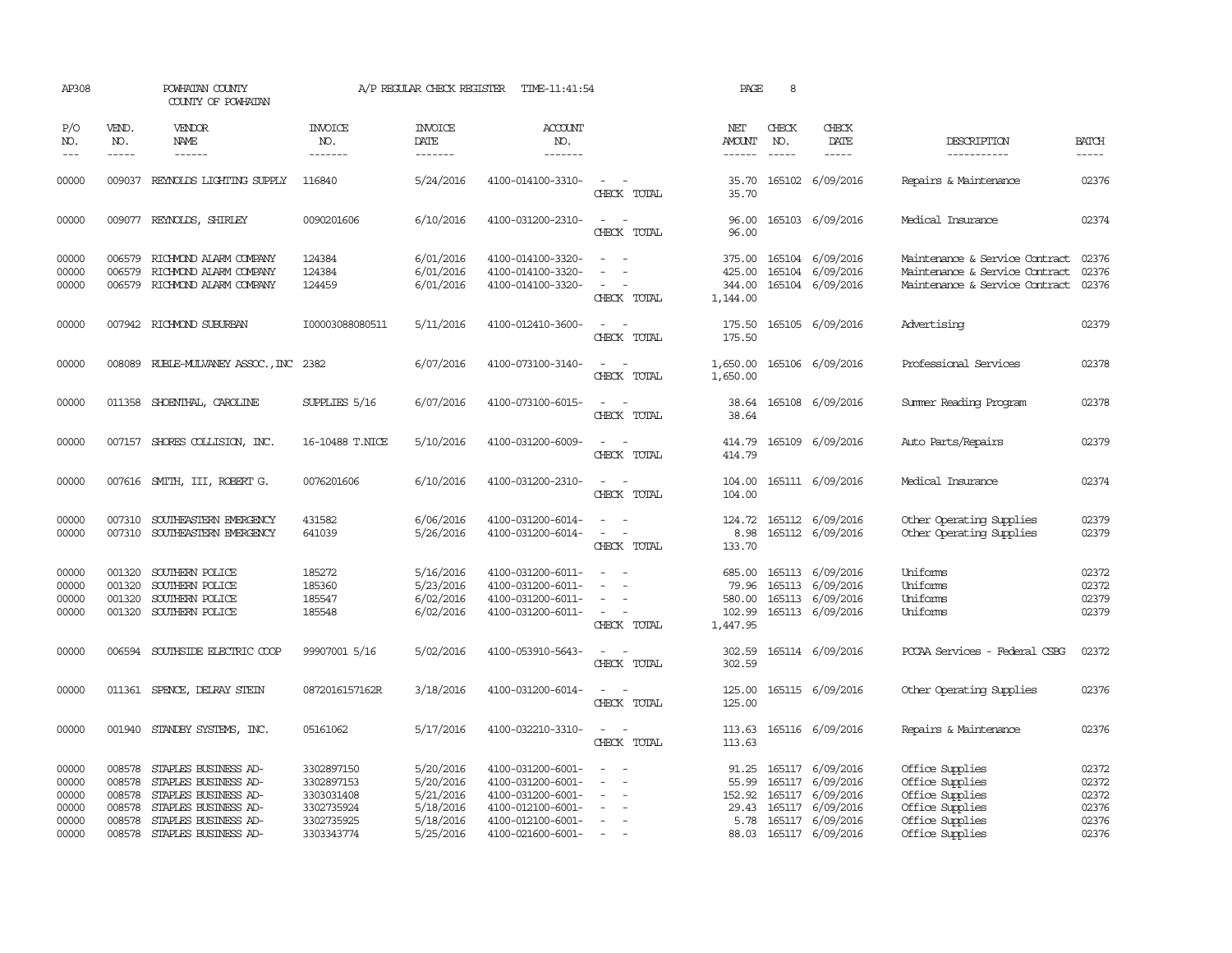| AP308                                              |                                                          | POWHATAN COUNTY<br>COUNTY OF POWHATAN                                                                                                        |                                                                                  | A/P REGULAR CHECK REGISTER                                                 | TIME-11:41:54                                                                                                              |                                                                | PAGE                                      | 8                             |                                                                                                                            |                                                                                                                |                                                    |
|----------------------------------------------------|----------------------------------------------------------|----------------------------------------------------------------------------------------------------------------------------------------------|----------------------------------------------------------------------------------|----------------------------------------------------------------------------|----------------------------------------------------------------------------------------------------------------------------|----------------------------------------------------------------|-------------------------------------------|-------------------------------|----------------------------------------------------------------------------------------------------------------------------|----------------------------------------------------------------------------------------------------------------|----------------------------------------------------|
| P/O<br>NO.<br>$---$                                | VEND.<br>NO.<br>$- - - - -$                              | <b>VENDOR</b><br>NAME<br>------                                                                                                              | <b>INVOICE</b><br>NO.<br>-------                                                 | <b>INVOICE</b><br><b>DATE</b><br>-------                                   | <b>ACCOUNT</b><br>NO.<br>-------                                                                                           |                                                                | NET<br>AMOUNT<br>$- - - - - -$            | CHECK<br>NO.<br>$\frac{1}{2}$ | CHECK<br>DATE<br>$- - - - -$                                                                                               | DESCRIPTION<br>-----------                                                                                     | <b>BATCH</b><br>-----                              |
| 00000                                              |                                                          | 009037 REYNOLDS LIGHTING SUPPLY                                                                                                              | 116840                                                                           | 5/24/2016                                                                  | 4100-014100-3310-                                                                                                          | $\sim$<br>CHECK TOTAL                                          | 35.70<br>35.70                            |                               | 165102 6/09/2016                                                                                                           | Repairs & Maintenance                                                                                          | 02376                                              |
| 00000                                              |                                                          | 009077 REYNOLDS, SHIRLEY                                                                                                                     | 0090201606                                                                       | 6/10/2016                                                                  | 4100-031200-2310-                                                                                                          | $\sim$ 10 $\sim$ 10 $\sim$<br>CHECK TOTAL                      | 96.00<br>96.00                            |                               | 165103 6/09/2016                                                                                                           | Medical Insurance                                                                                              | 02374                                              |
| 00000<br>00000<br>00000                            | 006579                                                   | 006579 RICHMOND ALARM COMPANY<br>RICHMOND ALARM COMPANY<br>006579 RICHMOND ALARM COMPANY                                                     | 124384<br>124384<br>124459                                                       | 6/01/2016<br>6/01/2016<br>6/01/2016                                        | 4100-014100-3320-<br>4100-014100-3320-<br>4100-014100-3320-                                                                | $\overline{\phantom{a}}$<br>CHECK TOTAL                        | 425.00<br>344.00<br>1,144.00              |                               | 375.00 165104 6/09/2016<br>165104 6/09/2016<br>165104 6/09/2016                                                            | Maintenance & Service Contract<br>Maintenance & Service Contract<br>Maintenance & Service Contract             | 02376<br>02376<br>02376                            |
| 00000                                              |                                                          | 007942 RICHMOND SUBURBAN                                                                                                                     | I00003088080511                                                                  | 5/11/2016                                                                  | 4100-012410-3600-                                                                                                          | CHECK TOTAL                                                    | 175.50<br>175.50                          |                               | 165105 6/09/2016                                                                                                           | Advertising                                                                                                    | 02379                                              |
| 00000                                              |                                                          | 008089 RUBLE-MULVANEY ASSOC., INC 2382                                                                                                       |                                                                                  | 6/07/2016                                                                  | 4100-073100-3140-                                                                                                          | $\sim$<br>CHECK TOTAL                                          | 1,650.00<br>1,650.00                      |                               | 165106 6/09/2016                                                                                                           | Professional Services                                                                                          | 02378                                              |
| 00000                                              |                                                          | 011358 SHOENTHAL, CAROLINE                                                                                                                   | SUPPLIES 5/16                                                                    | 6/07/2016                                                                  | 4100-073100-6015-                                                                                                          | $\sim$<br>CHECK TOTAL                                          | 38.64<br>38.64                            |                               | 165108 6/09/2016                                                                                                           | Summer Reading Program                                                                                         | 02378                                              |
| 00000                                              |                                                          | 007157 SHORES COLLISION, INC.                                                                                                                | 16-10488 T.NICE                                                                  | 5/10/2016                                                                  | 4100-031200-6009-                                                                                                          | $\sim$<br>CHECK TOTAL                                          | 414.79<br>414.79                          |                               | 165109 6/09/2016                                                                                                           | Auto Parts/Repairs                                                                                             | 02379                                              |
| 00000                                              |                                                          | 007616 SMITH, III, ROBERT G.                                                                                                                 | 0076201606                                                                       | 6/10/2016                                                                  | 4100-031200-2310-                                                                                                          | $\sim$<br>$\sim$<br>CHECK TOTAL                                | 104.00<br>104.00                          |                               | 165111 6/09/2016                                                                                                           | Medical Insurance                                                                                              | 02374                                              |
| 00000<br>00000                                     | 007310                                                   | SOUTHEASTERN EMERGENCY<br>007310 SOUTHEASTERN EMERGENCY                                                                                      | 431582<br>641039                                                                 | 6/06/2016<br>5/26/2016                                                     | 4100-031200-6014-<br>4100-031200-6014-                                                                                     | $\sim$ $\sim$<br>$\equiv$<br>$\sim$<br>CHECK TOTAL             | 124.72<br>8.98<br>133.70                  |                               | 165112 6/09/2016<br>165112 6/09/2016                                                                                       | Other Operating Supplies<br>Other Operating Supplies                                                           | 02379<br>02379                                     |
| 00000<br>00000<br>00000<br>00000                   | 001320<br>001320<br>001320                               | SOUTHERN POLICE<br>SOUTHERN POLICE<br>SOUTHERN POLICE<br>001320 SOUTHERN POLICE                                                              | 185272<br>185360<br>185547<br>185548                                             | 5/16/2016<br>5/23/2016<br>6/02/2016<br>6/02/2016                           | 4100-031200-6011-<br>4100-031200-6011-<br>4100-031200-6011-<br>4100-031200-6011-                                           | $\equiv$<br>$\sim$<br>$\sim$ 100 $\mu$<br>CHECK TOTAL          | 685.00<br>79.96<br>102.99<br>1,447.95     |                               | 165113 6/09/2016<br>165113 6/09/2016<br>580.00 165113 6/09/2016<br>165113 6/09/2016                                        | Uniforms<br>Uniforms<br>Uniforms<br>Uniforms                                                                   | 02372<br>02372<br>02379<br>02379                   |
| 00000                                              | 006594                                                   | SOUTHSIDE ELECTRIC COOP                                                                                                                      | 99907001 5/16                                                                    | 5/02/2016                                                                  | 4100-053910-5643-                                                                                                          | CHECK TOTAL                                                    | 302.59<br>302.59                          |                               | 165114 6/09/2016                                                                                                           | PCCAA Services - Federal CSBG                                                                                  | 02372                                              |
| 00000                                              |                                                          | 011361 SPENCE, DELRAY STEIN                                                                                                                  | 0872016157162R                                                                   | 3/18/2016                                                                  | 4100-031200-6014-                                                                                                          | CHECK TOTAL                                                    | 125.00<br>125.00                          |                               | 165115 6/09/2016                                                                                                           | Other Operating Supplies                                                                                       | 02376                                              |
| 00000                                              | 001940                                                   | STANDBY SYSTEMS, INC.                                                                                                                        | 05161062                                                                         | 5/17/2016                                                                  | 4100-032210-3310-                                                                                                          | CHECK TOTAL                                                    | 113.63<br>113.63                          |                               | 165116 6/09/2016                                                                                                           | Repairs & Maintenance                                                                                          | 02376                                              |
| 00000<br>00000<br>00000<br>00000<br>00000<br>00000 | 008578<br>008578<br>008578<br>008578<br>008578<br>008578 | STAPLES BUSINESS AD-<br>STAPLES BUSINESS AD-<br>STAPLES BUSINESS AD-<br>STAPLES BUSINESS AD-<br>STAPLES BUSINESS AD-<br>STAPLES BUSINESS AD- | 3302897150<br>3302897153<br>3303031408<br>3302735924<br>3302735925<br>3303343774 | 5/20/2016<br>5/20/2016<br>5/21/2016<br>5/18/2016<br>5/18/2016<br>5/25/2016 | 4100-031200-6001-<br>4100-031200-6001-<br>4100-031200-6001-<br>4100-012100-6001-<br>4100-012100-6001-<br>4100-021600-6001- | $\overline{\phantom{a}}$<br>$\overline{\phantom{a}}$<br>$\sim$ | 91.25<br>152.92<br>29.43<br>5.78<br>88.03 |                               | 165117 6/09/2016<br>55.99 165117 6/09/2016<br>165117 6/09/2016<br>165117 6/09/2016<br>165117 6/09/2016<br>165117 6/09/2016 | Office Supplies<br>Office Supplies<br>Office Supplies<br>Office Supplies<br>Office Supplies<br>Office Supplies | 02372<br>02372<br>02372<br>02376<br>02376<br>02376 |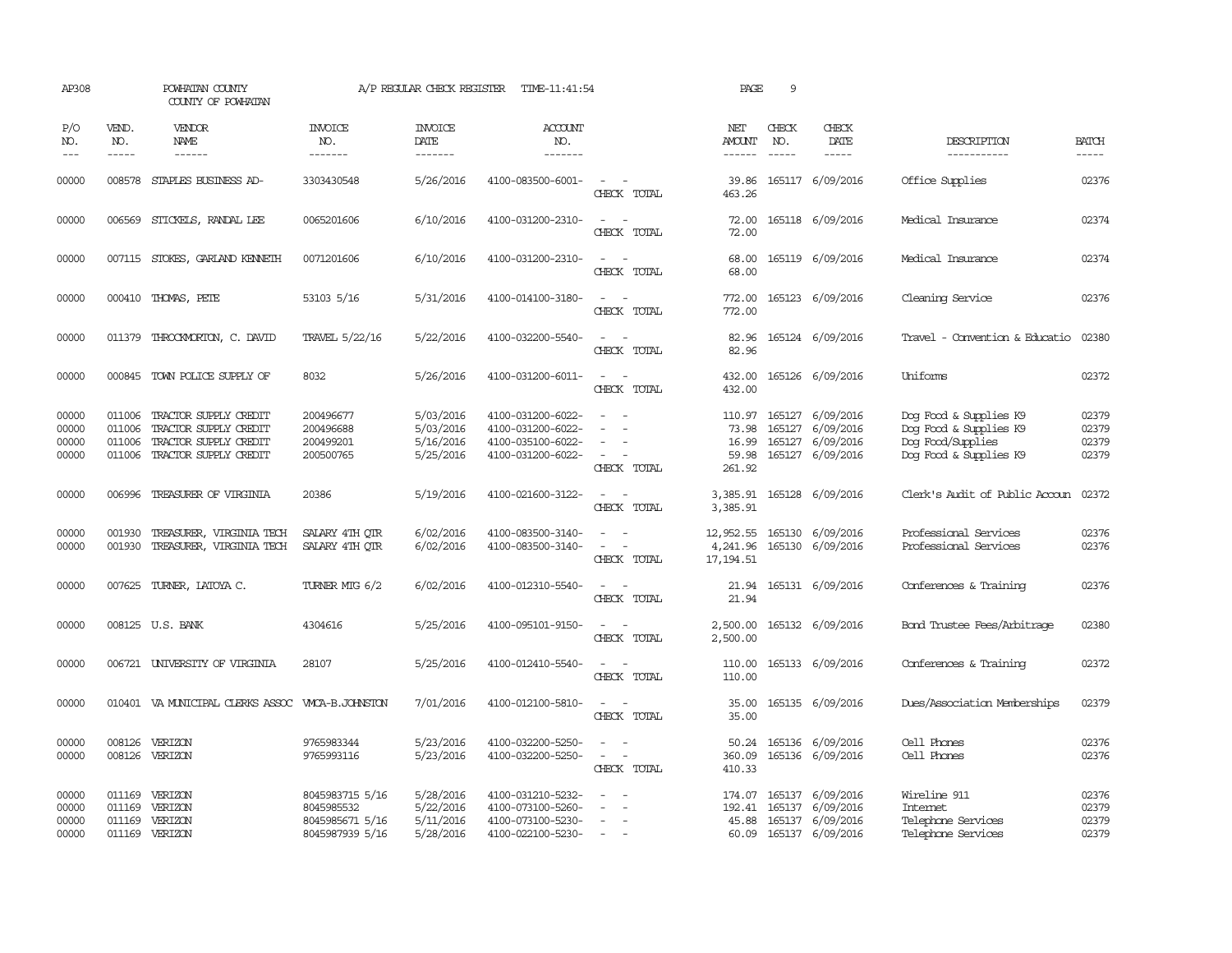| AP308                            |                                      | POWHATAN COUNTY<br>COUNTY OF POWHATAN                                                            |                                                                     | A/P REGULAR CHECK REGISTER                       | TIME-11:41:54                                                                    |                                                                                                                             | PAGE                                        | 9            |                                                                              |                                                                                                 |                                  |
|----------------------------------|--------------------------------------|--------------------------------------------------------------------------------------------------|---------------------------------------------------------------------|--------------------------------------------------|----------------------------------------------------------------------------------|-----------------------------------------------------------------------------------------------------------------------------|---------------------------------------------|--------------|------------------------------------------------------------------------------|-------------------------------------------------------------------------------------------------|----------------------------------|
| P/O<br>NO.<br>$---$              | VEND.<br>NO.<br>$- - - - -$          | <b>VENDOR</b><br>NAME                                                                            | <b>INVOICE</b><br>NO.<br>-------                                    | <b>INVOICE</b><br>DATE<br>-------                | <b>ACCOUNT</b><br>NO.<br>-------                                                 |                                                                                                                             | NET<br>AMOUNT<br>------                     | CHECK<br>NO. | CHECK<br>DATE<br>$- - - - -$                                                 | DESCRIPTION<br>-----------                                                                      | <b>BATCH</b><br>$- - - - -$      |
| 00000                            | 008578                               | STAPLES BUSINESS AD-                                                                             | 3303430548                                                          | 5/26/2016                                        | 4100-083500-6001-                                                                | $\sim$<br>CHECK TOTAL                                                                                                       | 39.86<br>463.26                             |              | 165117 6/09/2016                                                             | Office Supplies                                                                                 | 02376                            |
| 00000                            | 006569                               | STICKELS, RANDAL LEE                                                                             | 0065201606                                                          | 6/10/2016                                        | 4100-031200-2310-                                                                | $\sim$<br>$\overline{\phantom{a}}$<br>CHECK TOTAL                                                                           | 72.00<br>72.00                              |              | 165118 6/09/2016                                                             | Medical Insurance                                                                               | 02374                            |
| 00000                            |                                      | 007115 STOKES, GARLAND KENNETH                                                                   | 0071201606                                                          | 6/10/2016                                        | 4100-031200-2310-                                                                | $\equiv$<br>CHECK TOTAL                                                                                                     | 68.00<br>68.00                              |              | 165119 6/09/2016                                                             | Medical Insurance                                                                               | 02374                            |
| 00000                            |                                      | 000410 THOMAS, PETE                                                                              | 53103 5/16                                                          | 5/31/2016                                        | 4100-014100-3180-                                                                | $\sim$ $\sim$<br>CHECK TOTAL                                                                                                | 772.00<br>772.00                            |              | 165123 6/09/2016                                                             | Cleaning Service                                                                                | 02376                            |
| 00000                            |                                      | 011379 THROCKMORTON, C. DAVID                                                                    | TRAVEL 5/22/16                                                      | 5/22/2016                                        | 4100-032200-5540-                                                                | $\frac{1}{2} \left( \frac{1}{2} \right) \left( \frac{1}{2} \right) = \frac{1}{2} \left( \frac{1}{2} \right)$<br>CHECK TOTAL | 82.96<br>82.96                              |              | 165124 6/09/2016                                                             | Travel - Convention & Educatio                                                                  | 02380                            |
| 00000                            |                                      | 000845 TOWN POLICE SUPPLY OF                                                                     | 8032                                                                | 5/26/2016                                        | 4100-031200-6011-                                                                | $\frac{1}{2} \left( \frac{1}{2} \right) \left( \frac{1}{2} \right) = \frac{1}{2} \left( \frac{1}{2} \right)$<br>CHECK TOTAL | 432.00<br>432.00                            |              | 165126 6/09/2016                                                             | Uniforms                                                                                        | 02372                            |
| 00000<br>00000<br>00000<br>00000 | 011006<br>011006<br>011006<br>011006 | TRACTOR SUPPLY CREDIT<br>TRACTOR SUPPLY CREDIT<br>TRACTOR SUPPLY CREDIT<br>TRACTOR SUPPLY CREDIT | 200496677<br>200496688<br>200499201<br>200500765                    | 5/03/2016<br>5/03/2016<br>5/16/2016<br>5/25/2016 | 4100-031200-6022-<br>4100-031200-6022-<br>4100-035100-6022-<br>4100-031200-6022- | $\equiv$<br>$\sim$<br>CHECK TOTAL                                                                                           | 110.97<br>73.98<br>16.99<br>59.98<br>261.92 | 165127       | 165127 6/09/2016<br>165127 6/09/2016<br>165127 6/09/2016<br>6/09/2016        | Dog Food & Supplies K9<br>Dog Food & Supplies K9<br>Dog Food/Supplies<br>Dog Food & Supplies K9 | 02379<br>02379<br>02379<br>02379 |
| 00000                            | 006996                               | TREASURER OF VIRGINIA                                                                            | 20386                                                               | 5/19/2016                                        | 4100-021600-3122-                                                                | $\sim$<br>CHECK TOTAL                                                                                                       | 3,385.91<br>3,385.91                        |              | 165128 6/09/2016                                                             | Clerk's Audit of Public Accoun                                                                  | 02372                            |
| 00000<br>00000                   | 001930<br>001930                     | TREASURER, VIRGINIA TECH<br>TREASURER, VIRGINIA TECH                                             | SALARY 4TH OTR<br>SALARY 4TH OTR                                    | 6/02/2016<br>6/02/2016                           | 4100-083500-3140-<br>4100-083500-3140-                                           | $\equiv$<br>$\overline{\phantom{a}}$<br>CHECK TOTAL                                                                         | 12,952.55<br>4,241.96<br>17, 194.51         | 165130       | 165130 6/09/2016<br>6/09/2016                                                | Professional Services<br>Professional Services                                                  | 02376<br>02376                   |
| 00000                            |                                      | 007625 TURNER, LATOYA C.                                                                         | TURNER MIG 6/2                                                      | 6/02/2016                                        | 4100-012310-5540-                                                                | $\sim$<br>CHECK TOTAL                                                                                                       | 21.94<br>21.94                              |              | 165131 6/09/2016                                                             | Conferences & Training                                                                          | 02376                            |
| 00000                            |                                      | 008125 U.S. BANK                                                                                 | 4304616                                                             | 5/25/2016                                        | 4100-095101-9150-                                                                | $\sim$<br>CHECK TOTAL                                                                                                       | 2,500.00<br>2,500.00                        |              | 165132 6/09/2016                                                             | Bond Trustee Fees/Arbitrage                                                                     | 02380                            |
| 00000                            |                                      | 006721 UNIVERSITY OF VIRGINIA                                                                    | 28107                                                               | 5/25/2016                                        | 4100-012410-5540-                                                                | CHECK TOTAL                                                                                                                 | 110.00<br>110.00                            |              | 165133 6/09/2016                                                             | Conferences & Training                                                                          | 02372                            |
| 00000                            |                                      | 010401 VA MUNICIPAL CLERKS ASSOC WACA-B.JOHNSTON                                                 |                                                                     | 7/01/2016                                        | 4100-012100-5810-                                                                | $\frac{1}{2} \left( \frac{1}{2} \right) \left( \frac{1}{2} \right) = \frac{1}{2} \left( \frac{1}{2} \right)$<br>CHECK TOTAL | 35.00<br>35.00                              |              | 165135 6/09/2016                                                             | Dues/Association Memberships                                                                    | 02379                            |
| 00000<br>00000                   | 008126                               | VERIZON<br>008126 VERIZON                                                                        | 9765983344<br>9765993116                                            | 5/23/2016<br>5/23/2016                           | 4100-032200-5250-<br>4100-032200-5250-                                           | $\equiv$<br>CHECK TOTAL                                                                                                     | 360.09<br>410.33                            |              | 50.24 165136 6/09/2016<br>165136 6/09/2016                                   | Cell Phones<br>Cell Phones                                                                      | 02376<br>02376                   |
| 00000<br>00000<br>00000<br>00000 | 011169<br>011169<br>011169<br>011169 | VERIZON<br>VERIZON<br>VERIZON<br>VERIZON                                                         | 8045983715 5/16<br>8045985532<br>8045985671 5/16<br>8045987939 5/16 | 5/28/2016<br>5/22/2016<br>5/11/2016<br>5/28/2016 | 4100-031210-5232-<br>4100-073100-5260-<br>4100-073100-5230-<br>4100-022100-5230- | $\equiv$<br>$\sim$<br>$\sim$<br>$\sim$                                                                                      | 174.07<br>192.41<br>45.88<br>60.09          |              | 165137 6/09/2016<br>165137 6/09/2016<br>165137 6/09/2016<br>165137 6/09/2016 | Wireline 911<br>Internet<br>Telephone Services<br>Telephone Services                            | 02376<br>02379<br>02379<br>02379 |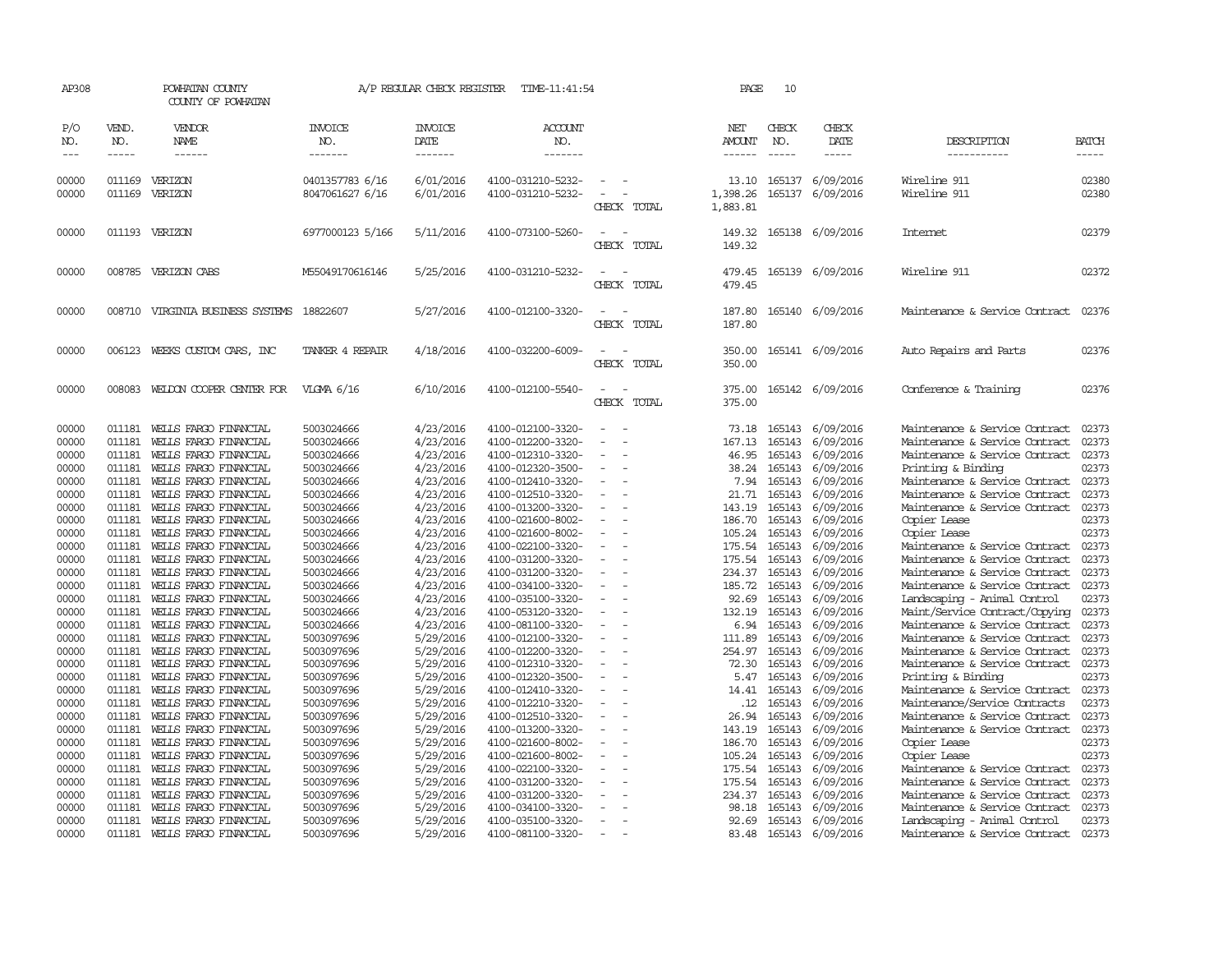| AP308               |                  | POWHATAN COUNTY<br>COUNTY OF POWHATAN          |                                    | A/P REGULAR CHECK REGISTER        | TIME-11:41:54                          |                                      |             | PAGE                          | 10                          |                                      |                                                                  |                       |
|---------------------|------------------|------------------------------------------------|------------------------------------|-----------------------------------|----------------------------------------|--------------------------------------|-------------|-------------------------------|-----------------------------|--------------------------------------|------------------------------------------------------------------|-----------------------|
| P/O<br>NO.<br>$---$ | VEND.<br>NO.     | VENDOR<br>NAME<br>------                       | <b>INVOICE</b><br>NO.<br>-------   | <b>INVOICE</b><br>DATE<br>------- | <b>ACCOUNT</b><br>NO.<br>-------       |                                      |             | NET<br>AMOUNT<br>------       | CHECK<br>NO.<br>$- - - - -$ | CHECK<br>DATE                        | DESCRIPTION<br>-----------                                       | <b>BATCH</b><br>----- |
| 00000<br>00000      | 011169<br>011169 | VERIZON<br>VERIZON                             | 0401357783 6/16<br>8047061627 6/16 | 6/01/2016<br>6/01/2016            | 4100-031210-5232-<br>4100-031210-5232- | $\sim$                               | CHECK TOTAL | 13.10<br>1,398.26<br>1,883.81 |                             | 165137 6/09/2016<br>165137 6/09/2016 | Wireline 911<br>Wireline 911                                     | 02380<br>02380        |
| 00000               |                  | 011193 VERIZON                                 | 6977000123 5/166                   | 5/11/2016                         | 4100-073100-5260-                      | $\overline{\phantom{a}}$             | CHECK TOTAL | 149.32<br>149.32              |                             | 165138 6/09/2016                     | Internet                                                         | 02379                 |
| 00000               | 008785           | VERIZON CABS                                   | M55049170616146                    | 5/25/2016                         | 4100-031210-5232-                      | $\equiv$                             | CHECK TOTAL | 479.45<br>479.45              |                             | 165139 6/09/2016                     | Wireline 911                                                     | 02372                 |
| 00000               | 008710           | VIRGINIA BUSINESS SYSTEMS                      | 18822607                           | 5/27/2016                         | 4100-012100-3320-                      | $\overline{\phantom{a}}$             | CHECK TOTAL | 187.80<br>187.80              |                             | 165140 6/09/2016                     | Maintenance & Service Contract                                   | 02376                 |
| 00000               | 006123           | WEEKS CUSTOM CARS, INC                         | TANKER 4 REPAIR                    | 4/18/2016                         | 4100-032200-6009-                      |                                      | CHECK TOTAL | 350.00<br>350.00              |                             | 165141 6/09/2016                     | Auto Repairs and Parts                                           | 02376                 |
| 00000               | 008083           | WELDON COOPER CENTER FOR                       | VLGMA 6/16                         | 6/10/2016                         | 4100-012100-5540-                      | $\equiv$                             | CHECK TOTAL | 375.00<br>375.00              |                             | 165142 6/09/2016                     | Conference & Training                                            | 02376                 |
| 00000               | 011181           | WELLS FARGO FINANCIAL                          | 5003024666                         | 4/23/2016                         | 4100-012100-3320-                      |                                      |             | 73.18                         |                             | 165143 6/09/2016                     | Maintenance & Service Contract                                   | 02373                 |
| 00000               | 011181           | WELLS FARGO FINANCIAL                          | 5003024666                         | 4/23/2016                         | 4100-012200-3320-                      | $\equiv$                             |             | 167.13                        |                             | 165143 6/09/2016                     | Maintenance & Service Contract                                   | 02373                 |
| 00000               | 011181           | WELLS FARGO FINANCIAL                          | 5003024666                         | 4/23/2016                         | 4100-012310-3320-                      | $\equiv$                             |             | 46.95                         | 165143                      | 6/09/2016                            | Maintenance & Service Contract                                   | 02373                 |
| 00000               | 011181           | WELLS FARGO FINANCIAL                          | 5003024666                         | 4/23/2016                         | 4100-012320-3500-                      | $\overline{\phantom{a}}$             |             | 38.24                         | 165143                      | 6/09/2016                            | Printing & Binding                                               | 02373                 |
| 00000               | 011181           | WELLS FARGO FINANCIAL                          | 5003024666                         | 4/23/2016                         | 4100-012410-3320-                      | $\equiv$                             |             | 7.94                          | 165143                      | 6/09/2016                            | Maintenance & Service Contract                                   | 02373                 |
| 00000               | 011181           | WELLS FARGO FINANCIAL                          | 5003024666                         | 4/23/2016                         | 4100-012510-3320-                      |                                      |             | 21.71                         | 165143                      | 6/09/2016                            | Maintenance & Service Contract                                   | 02373                 |
| 00000               | 011181           | WELLS FARGO FINANCIAL                          | 5003024666                         | 4/23/2016                         | 4100-013200-3320-                      | $\overline{\phantom{a}}$             |             | 143.19                        | 165143                      | 6/09/2016                            | Maintenance & Service Contract                                   | 02373                 |
| 00000               | 011181           | WELLS FARGO FINANCIAL                          | 5003024666                         | 4/23/2016                         | 4100-021600-8002-                      | $\overline{\phantom{a}}$             |             | 186.70                        | 165143                      | 6/09/2016                            | Copier Lease                                                     | 02373                 |
| 00000               | 011181           | WELLS FARGO FINANCIAL                          | 5003024666                         | 4/23/2016                         | 4100-021600-8002-                      | $\overline{\phantom{a}}$             |             | 105.24                        | 165143                      | 6/09/2016                            | Copier Lease                                                     | 02373                 |
| 00000               | 011181           | WELLS FARGO FINANCIAL                          | 5003024666                         | 4/23/2016                         | 4100-022100-3320-                      | $\overline{\phantom{a}}$             |             | 175.54                        | 165143                      | 6/09/2016                            | Maintenance & Service Contract                                   | 02373                 |
| 00000               | 011181           | WELLS FARGO FINANCIAL                          | 5003024666                         | 4/23/2016                         | 4100-031200-3320-                      | $\overline{\phantom{a}}$             |             | 175.54                        | 165143                      | 6/09/2016                            | Maintenance & Service Contract                                   | 02373                 |
| 00000               | 011181           | WELLS FARGO FINANCIAL                          | 5003024666                         | 4/23/2016                         | 4100-031200-3320-                      | $\equiv$                             |             | 234.37                        | 165143                      | 6/09/2016                            | Maintenance & Service Contract                                   | 02373                 |
| 00000               | 011181           | WELLS FARGO FINANCIAL                          | 5003024666                         | 4/23/2016                         | 4100-034100-3320-                      | $\overline{\phantom{a}}$             |             | 185.72                        | 165143                      | 6/09/2016                            | Maintenance & Service Contract                                   | 02373                 |
| 00000               | 011181           | WELLS FARGO FINANCIAL                          | 5003024666                         | 4/23/2016                         | 4100-035100-3320-                      | $\overline{\phantom{a}}$             |             | 92.69                         | 165143                      | 6/09/2016                            | Landscaping - Animal Control                                     | 02373                 |
| 00000               | 011181<br>011181 | WELLS FARGO FINANCIAL                          | 5003024666                         | 4/23/2016                         | 4100-053120-3320-                      | $\equiv$<br>$\overline{\phantom{a}}$ |             | 132.19                        | 165143                      | 6/09/2016                            | Maint/Service Contract/Copying                                   | 02373<br>02373        |
| 00000<br>00000      | 011181           | WELLS FARGO FINANCIAL                          | 5003024666                         | 4/23/2016                         | 4100-081100-3320-<br>4100-012100-3320- | $\overline{\phantom{a}}$             |             | 6.94<br>111.89                | 165143<br>165143            | 6/09/2016<br>6/09/2016               | Maintenance & Service Contract<br>Maintenance & Service Contract | 02373                 |
| 00000               | 011181           | WELLS FARGO FINANCIAL<br>WELLS FARGO FINANCIAL | 5003097696<br>5003097696           | 5/29/2016<br>5/29/2016            | 4100-012200-3320-                      |                                      |             | 254.97                        | 165143                      | 6/09/2016                            | Maintenance & Service Contract                                   | 02373                 |
| 00000               | 011181           | WELLS FARGO FINANCIAL                          | 5003097696                         | 5/29/2016                         | 4100-012310-3320-                      | $\sim$                               |             | 72.30                         | 165143                      | 6/09/2016                            | Maintenance & Service Contract                                   | 02373                 |
| 00000               | 011181           | WELLS FARGO FINANCIAL                          | 5003097696                         | 5/29/2016                         | 4100-012320-3500-                      | $\overline{\phantom{a}}$             |             | 5.47                          | 165143                      | 6/09/2016                            | Printing & Binding                                               | 02373                 |
| 00000               | 011181           | WELLS FARGO FINANCIAL                          | 5003097696                         | 5/29/2016                         | 4100-012410-3320-                      | $\overline{\phantom{a}}$             |             | 14.41                         | 165143                      | 6/09/2016                            | Maintenance & Service Contract                                   | 02373                 |
| 00000               | 011181           | WELLS FARGO FINANCIAL                          | 5003097696                         | 5/29/2016                         | 4100-012210-3320-                      | $\equiv$                             |             | .12                           | 165143                      | 6/09/2016                            | Maintenance/Service Contracts                                    | 02373                 |
| 00000               | 011181           | WELLS FARGO FINANCIAL                          | 5003097696                         | 5/29/2016                         | 4100-012510-3320-                      | $\equiv$                             |             | 26.94                         | 165143                      | 6/09/2016                            | Maintenance & Service Contract                                   | 02373                 |
| 00000               | 011181           | WELLS FARGO FINANCIAL                          | 5003097696                         | 5/29/2016                         | 4100-013200-3320-                      | $\equiv$                             |             | 143.19                        | 165143                      | 6/09/2016                            | Maintenance & Service Contract                                   | 02373                 |
| 00000               | 011181           | WELLS FARGO FINANCIAL                          | 5003097696                         | 5/29/2016                         | 4100-021600-8002-                      | $\overline{\phantom{a}}$             |             | 186.70                        | 165143                      | 6/09/2016                            | Copier Lease                                                     | 02373                 |
| 00000               | 011181           | WELLS FARGO FINANCIAL                          | 5003097696                         | 5/29/2016                         | 4100-021600-8002-                      | $\sim$                               |             | 105.24                        | 165143                      | 6/09/2016                            | Copier Lease                                                     | 02373                 |
| 00000               | 011181           | WELLS FARGO FINANCIAL                          | 5003097696                         | 5/29/2016                         | 4100-022100-3320-                      | $\overline{\phantom{a}}$             |             | 175.54                        | 165143                      | 6/09/2016                            | Maintenance & Service Contract                                   | 02373                 |
| 00000               | 011181           | WELLS FARGO FINANCIAL                          | 5003097696                         | 5/29/2016                         | 4100-031200-3320-                      |                                      |             | 175.54                        | 165143                      | 6/09/2016                            | Maintenance & Service Contract                                   | 02373                 |
| 00000               | 011181           | WELLS FARGO FINANCIAL                          | 5003097696                         | 5/29/2016                         | 4100-031200-3320-                      |                                      |             | 234.37                        | 165143                      | 6/09/2016                            | Maintenance & Service Contract                                   | 02373                 |
| 00000               | 011181           | WELLS FARGO FINANCIAL                          | 5003097696                         | 5/29/2016                         | 4100-034100-3320-                      |                                      |             | 98.18                         | 165143                      | 6/09/2016                            | Maintenance & Service Contract                                   | 02373                 |
| 00000               | 011181           | WELLS FARGO FINANCIAL                          | 5003097696                         | 5/29/2016                         | 4100-035100-3320-                      | $\sim$                               |             | 92.69                         |                             | 165143 6/09/2016                     | Landscaping - Animal Control                                     | 02373                 |
| 00000               | 011181           | WEILS FARGO FINANCIAL                          | 5003097696                         | 5/29/2016                         | 4100-081100-3320-                      | $\sim$                               |             | 83.48                         |                             | 165143 6/09/2016                     | Maintenance & Service Contract                                   | 02373                 |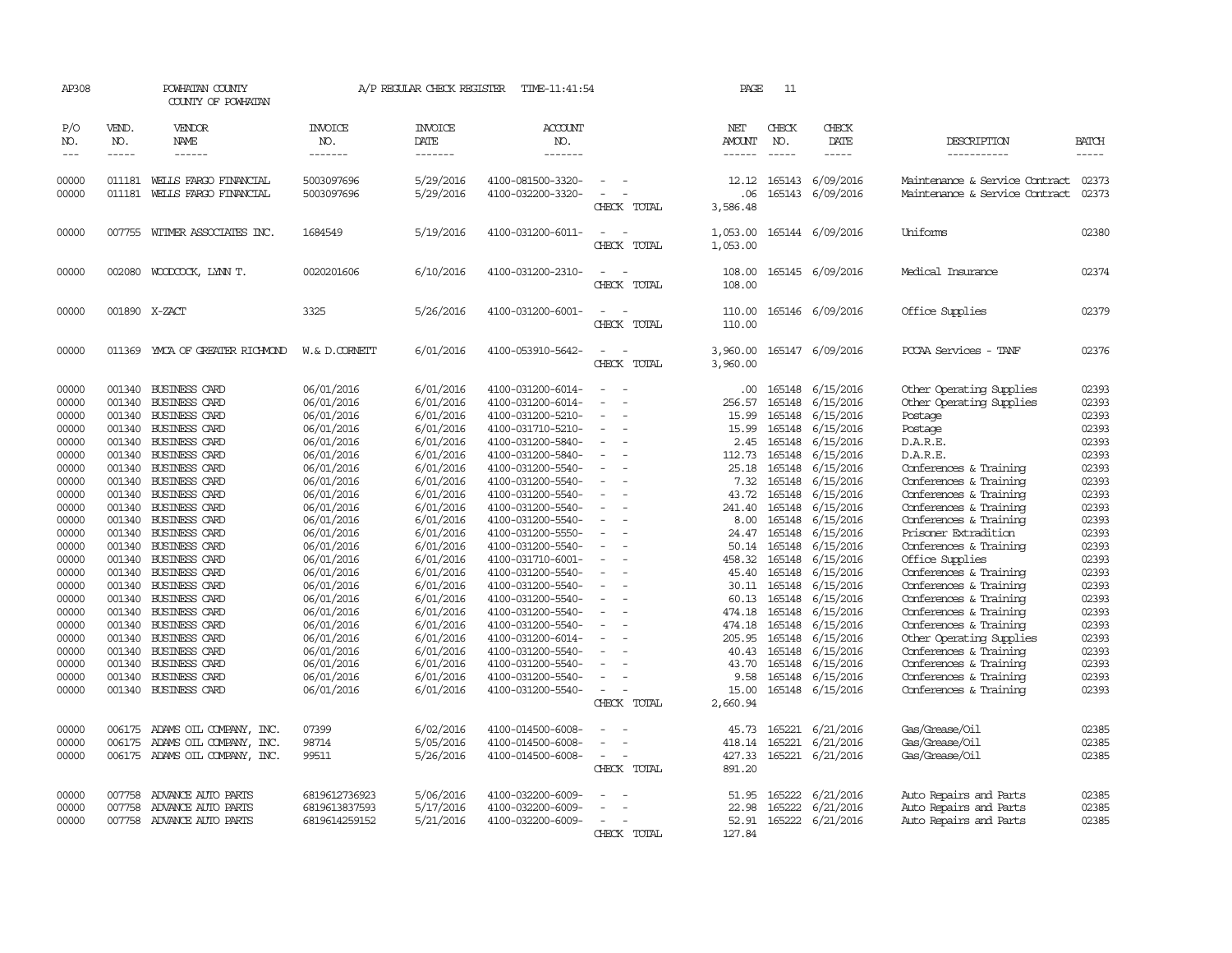| AP308                                                                                                                                                          |                                                                                                                                                                                  | POWHATAN COUNTY<br>COUNTY OF POWHATAN                                                                                                                                                                                                                                                                                                                                                                            |                                                                                                                                                                                                                                                          | A/P REGULAR CHECK REGISTER                                                                                                                                                                                                             | TIME-11:41:54                                                                                                                                                                                                                                                                                                                                                                          |                                                                                                                              | PAGE                                                                                                                                                            | 11                                                                                                                                                                               |                                                                                                                                                                                                                                        |                                                                                                                                                                                                                                                                                                                                                                                                                   |                                                                                                                                                                |
|----------------------------------------------------------------------------------------------------------------------------------------------------------------|----------------------------------------------------------------------------------------------------------------------------------------------------------------------------------|------------------------------------------------------------------------------------------------------------------------------------------------------------------------------------------------------------------------------------------------------------------------------------------------------------------------------------------------------------------------------------------------------------------|----------------------------------------------------------------------------------------------------------------------------------------------------------------------------------------------------------------------------------------------------------|----------------------------------------------------------------------------------------------------------------------------------------------------------------------------------------------------------------------------------------|----------------------------------------------------------------------------------------------------------------------------------------------------------------------------------------------------------------------------------------------------------------------------------------------------------------------------------------------------------------------------------------|------------------------------------------------------------------------------------------------------------------------------|-----------------------------------------------------------------------------------------------------------------------------------------------------------------|----------------------------------------------------------------------------------------------------------------------------------------------------------------------------------|----------------------------------------------------------------------------------------------------------------------------------------------------------------------------------------------------------------------------------------|-------------------------------------------------------------------------------------------------------------------------------------------------------------------------------------------------------------------------------------------------------------------------------------------------------------------------------------------------------------------------------------------------------------------|----------------------------------------------------------------------------------------------------------------------------------------------------------------|
| P/O<br>NO.<br>$\frac{1}{2}$                                                                                                                                    | VEND.<br>NO.<br>$- - - - -$                                                                                                                                                      | VENDOR<br>NAME<br>------                                                                                                                                                                                                                                                                                                                                                                                         | <b>INVOICE</b><br>NO.<br>-------                                                                                                                                                                                                                         | <b>INVOICE</b><br>DATE<br>-------                                                                                                                                                                                                      | ACCOUNT<br>NO.<br>-------                                                                                                                                                                                                                                                                                                                                                              |                                                                                                                              | NET<br>AMOUNT<br>------                                                                                                                                         | CHECK<br>NO.<br>$- - - - -$                                                                                                                                                      | CHECK<br>DATE<br>$- - - - -$                                                                                                                                                                                                           | DESCRIPTION<br>-----------                                                                                                                                                                                                                                                                                                                                                                                        | <b>BATCH</b><br>$- - - - -$                                                                                                                                    |
| 00000<br>00000                                                                                                                                                 | 011181<br>011181                                                                                                                                                                 | WELLS FARGO FINANCIAL<br>WELLS FARGO FINANCIAL                                                                                                                                                                                                                                                                                                                                                                   | 5003097696<br>5003097696                                                                                                                                                                                                                                 | 5/29/2016<br>5/29/2016                                                                                                                                                                                                                 | 4100-081500-3320-<br>4100-032200-3320-                                                                                                                                                                                                                                                                                                                                                 | $\equiv$<br>CHECK TOTAL                                                                                                      | 12.12<br>.06<br>3,586.48                                                                                                                                        | 165143<br>165143                                                                                                                                                                 | 6/09/2016<br>6/09/2016                                                                                                                                                                                                                 | Maintenance & Service Contract<br>Maintenance & Service Contract                                                                                                                                                                                                                                                                                                                                                  | 02373<br>02373                                                                                                                                                 |
| 00000                                                                                                                                                          | 007755                                                                                                                                                                           | WITMER ASSOCIATES INC.                                                                                                                                                                                                                                                                                                                                                                                           | 1684549                                                                                                                                                                                                                                                  | 5/19/2016                                                                                                                                                                                                                              | 4100-031200-6011-                                                                                                                                                                                                                                                                                                                                                                      | CHECK TOTAL                                                                                                                  | 1,053.00<br>1,053.00                                                                                                                                            |                                                                                                                                                                                  | 165144 6/09/2016                                                                                                                                                                                                                       | Uniforms                                                                                                                                                                                                                                                                                                                                                                                                          | 02380                                                                                                                                                          |
| 00000                                                                                                                                                          |                                                                                                                                                                                  | 002080 WOODCOCK, LYNN T.                                                                                                                                                                                                                                                                                                                                                                                         | 0020201606                                                                                                                                                                                                                                               | 6/10/2016                                                                                                                                                                                                                              | 4100-031200-2310-                                                                                                                                                                                                                                                                                                                                                                      | CHECK TOTAL                                                                                                                  | 108.00<br>108.00                                                                                                                                                |                                                                                                                                                                                  | 165145 6/09/2016                                                                                                                                                                                                                       | Medical Insurance                                                                                                                                                                                                                                                                                                                                                                                                 | 02374                                                                                                                                                          |
| 00000                                                                                                                                                          |                                                                                                                                                                                  | 001890 X-ZACT                                                                                                                                                                                                                                                                                                                                                                                                    | 3325                                                                                                                                                                                                                                                     | 5/26/2016                                                                                                                                                                                                                              | 4100-031200-6001-                                                                                                                                                                                                                                                                                                                                                                      | CHECK TOTAL                                                                                                                  | 110.00<br>110.00                                                                                                                                                |                                                                                                                                                                                  | 165146 6/09/2016                                                                                                                                                                                                                       | Office Supplies                                                                                                                                                                                                                                                                                                                                                                                                   | 02379                                                                                                                                                          |
| 00000                                                                                                                                                          |                                                                                                                                                                                  | 011369 YMCA OF GREATER RICHMOND                                                                                                                                                                                                                                                                                                                                                                                  | W.& D.CORNETT                                                                                                                                                                                                                                            | 6/01/2016                                                                                                                                                                                                                              | 4100-053910-5642-                                                                                                                                                                                                                                                                                                                                                                      | CHECK TOTAL                                                                                                                  | 3,960.00<br>3,960.00                                                                                                                                            |                                                                                                                                                                                  | 165147 6/09/2016                                                                                                                                                                                                                       | PCCAA Services - TANF                                                                                                                                                                                                                                                                                                                                                                                             | 02376                                                                                                                                                          |
| 00000<br>00000<br>00000<br>00000<br>00000<br>00000<br>00000<br>00000<br>00000<br>00000<br>00000<br>00000<br>00000<br>00000<br>00000<br>00000<br>00000<br>00000 | 001340<br>001340<br>001340<br>001340<br>001340<br>001340<br>001340<br>001340<br>001340<br>001340<br>001340<br>001340<br>001340<br>001340<br>001340<br>001340<br>001340<br>001340 | BUSINESS CARD<br><b>BUSINESS CARD</b><br><b>BUSINESS CARD</b><br><b>BUSINESS CARD</b><br><b>BUSINESS CARD</b><br>BUSINESS CARD<br><b>BUSINESS CARD</b><br><b>BUSINESS CARD</b><br><b>BUSINESS CARD</b><br><b>BUSINESS CARD</b><br><b>BUSINESS CARD</b><br><b>BUSINESS CARD</b><br><b>BUSINESS CARD</b><br><b>BUSINESS CARD</b><br>BUSINESS CARD<br><b>BUSINESS CARD</b><br><b>BUSINESS CARD</b><br>BUSINESS CARD | 06/01/2016<br>06/01/2016<br>06/01/2016<br>06/01/2016<br>06/01/2016<br>06/01/2016<br>06/01/2016<br>06/01/2016<br>06/01/2016<br>06/01/2016<br>06/01/2016<br>06/01/2016<br>06/01/2016<br>06/01/2016<br>06/01/2016<br>06/01/2016<br>06/01/2016<br>06/01/2016 | 6/01/2016<br>6/01/2016<br>6/01/2016<br>6/01/2016<br>6/01/2016<br>6/01/2016<br>6/01/2016<br>6/01/2016<br>6/01/2016<br>6/01/2016<br>6/01/2016<br>6/01/2016<br>6/01/2016<br>6/01/2016<br>6/01/2016<br>6/01/2016<br>6/01/2016<br>6/01/2016 | 4100-031200-6014-<br>4100-031200-6014-<br>4100-031200-5210-<br>4100-031710-5210-<br>4100-031200-5840-<br>4100-031200-5840-<br>4100-031200-5540-<br>4100-031200-5540-<br>4100-031200-5540-<br>4100-031200-5540-<br>4100-031200-5540-<br>4100-031200-5550-<br>4100-031200-5540-<br>4100-031710-6001-<br>4100-031200-5540-<br>4100-031200-5540-<br>4100-031200-5540-<br>4100-031200-5540- | $\overline{\phantom{a}}$<br>$\equiv$<br>$\equiv$<br>$\sim$<br>$\equiv$<br>$\sim$<br>$\equiv$<br>$\sim$<br>$\sim$<br>$\equiv$ | .00.<br>256.57<br>15.99<br>15.99<br>2.45<br>112.73<br>25.18<br>7.32<br>43.72<br>241.40<br>8.00<br>24.47<br>50.14<br>458.32<br>45.40<br>30.11<br>60.13<br>474.18 | 165148<br>165148<br>165148<br>165148<br>165148<br>165148<br>165148<br>165148<br>165148<br>165148<br>165148<br>165148<br>165148<br>165148<br>165148<br>165148<br>165148<br>165148 | 6/15/2016<br>6/15/2016<br>6/15/2016<br>6/15/2016<br>6/15/2016<br>6/15/2016<br>6/15/2016<br>6/15/2016<br>6/15/2016<br>6/15/2016<br>6/15/2016<br>6/15/2016<br>6/15/2016<br>6/15/2016<br>6/15/2016<br>6/15/2016<br>6/15/2016<br>6/15/2016 | Other Operating Supplies<br>Other Operating Supplies<br>Postage<br>Postage<br>D.A.R.E.<br>D.A.R.E.<br>Conferences & Training<br>Conferences & Training<br>Conferences & Training<br>Conferences & Training<br>Conferences & Training<br>Prisoner Extradition<br>Conferences & Training<br>Office Supplies<br>Conferences & Training<br>Conferences & Training<br>Conferences & Training<br>Conferences & Training | 02393<br>02393<br>02393<br>02393<br>02393<br>02393<br>02393<br>02393<br>02393<br>02393<br>02393<br>02393<br>02393<br>02393<br>02393<br>02393<br>02393<br>02393 |
| 00000<br>00000<br>00000<br>00000<br>00000<br>00000<br>00000                                                                                                    | 001340<br>001340<br>001340<br>001340<br>001340<br>001340<br>006175                                                                                                               | <b>BUSINESS CARD</b><br><b>BUSINESS CARD</b><br><b>BUSINESS CARD</b><br><b>BUSINESS CARD</b><br><b>BUSINESS CARD</b><br><b>BUSINESS CARD</b><br>ADAMS OIL COMPANY, INC.                                                                                                                                                                                                                                          | 06/01/2016<br>06/01/2016<br>06/01/2016<br>06/01/2016<br>06/01/2016<br>06/01/2016<br>07399                                                                                                                                                                | 6/01/2016<br>6/01/2016<br>6/01/2016<br>6/01/2016<br>6/01/2016<br>6/01/2016<br>6/02/2016                                                                                                                                                | 4100-031200-5540-<br>4100-031200-6014-<br>4100-031200-5540-<br>4100-031200-5540-<br>4100-031200-5540-<br>4100-031200-5540-<br>4100-014500-6008-                                                                                                                                                                                                                                        | $\equiv$<br>$\sim$<br>$\sim$<br>$\sim$<br>CHECK TOTAL                                                                        | 474.18<br>205.95<br>40.43<br>43.70<br>9.58<br>15.00<br>2,660.94<br>45.73                                                                                        | 165148<br>165148<br>165148<br>165148<br>165148<br>165148<br>165221                                                                                                               | 6/15/2016<br>6/15/2016<br>6/15/2016<br>6/15/2016<br>6/15/2016<br>6/15/2016<br>6/21/2016                                                                                                                                                | Conferences & Training<br>Other Operating Supplies<br>Conferences & Training<br>Conferences & Training<br>Conferences & Training<br>Conferences & Training<br>Gas/Grease/Oil                                                                                                                                                                                                                                      | 02393<br>02393<br>02393<br>02393<br>02393<br>02393<br>02385                                                                                                    |
| 00000<br>00000                                                                                                                                                 | 006175                                                                                                                                                                           | ADAMS OIL COMPANY, INC.<br>006175 ADAMS OIL COMPANY, INC.                                                                                                                                                                                                                                                                                                                                                        | 98714<br>99511                                                                                                                                                                                                                                           | 5/05/2016<br>5/26/2016                                                                                                                                                                                                                 | 4100-014500-6008-<br>4100-014500-6008-                                                                                                                                                                                                                                                                                                                                                 | $\equiv$<br>CHECK TOTAL                                                                                                      | 418.14<br>427.33<br>891.20                                                                                                                                      | 165221                                                                                                                                                                           | 6/21/2016<br>165221 6/21/2016                                                                                                                                                                                                          | Gas/Grease/Oil<br>Gas/Grease/Oil                                                                                                                                                                                                                                                                                                                                                                                  | 02385<br>02385                                                                                                                                                 |
| 00000<br>00000<br>00000                                                                                                                                        | 007758<br>007758                                                                                                                                                                 | ADVANCE AUTO PARTS<br>ADVANCE AUTO PARTS<br>007758 ADVANCE AUTO PARTS                                                                                                                                                                                                                                                                                                                                            | 6819612736923<br>6819613837593<br>6819614259152                                                                                                                                                                                                          | 5/06/2016<br>5/17/2016<br>5/21/2016                                                                                                                                                                                                    | 4100-032200-6009-<br>4100-032200-6009-<br>4100-032200-6009-                                                                                                                                                                                                                                                                                                                            | $\equiv$<br>$\equiv$<br>CHECK TOTAL                                                                                          | 51.95<br>22.98<br>52.91<br>127.84                                                                                                                               | 165222<br>165222                                                                                                                                                                 | 6/21/2016<br>6/21/2016<br>165222 6/21/2016                                                                                                                                                                                             | Auto Repairs and Parts<br>Auto Repairs and Parts<br>Auto Repairs and Parts                                                                                                                                                                                                                                                                                                                                        | 02385<br>02385<br>02385                                                                                                                                        |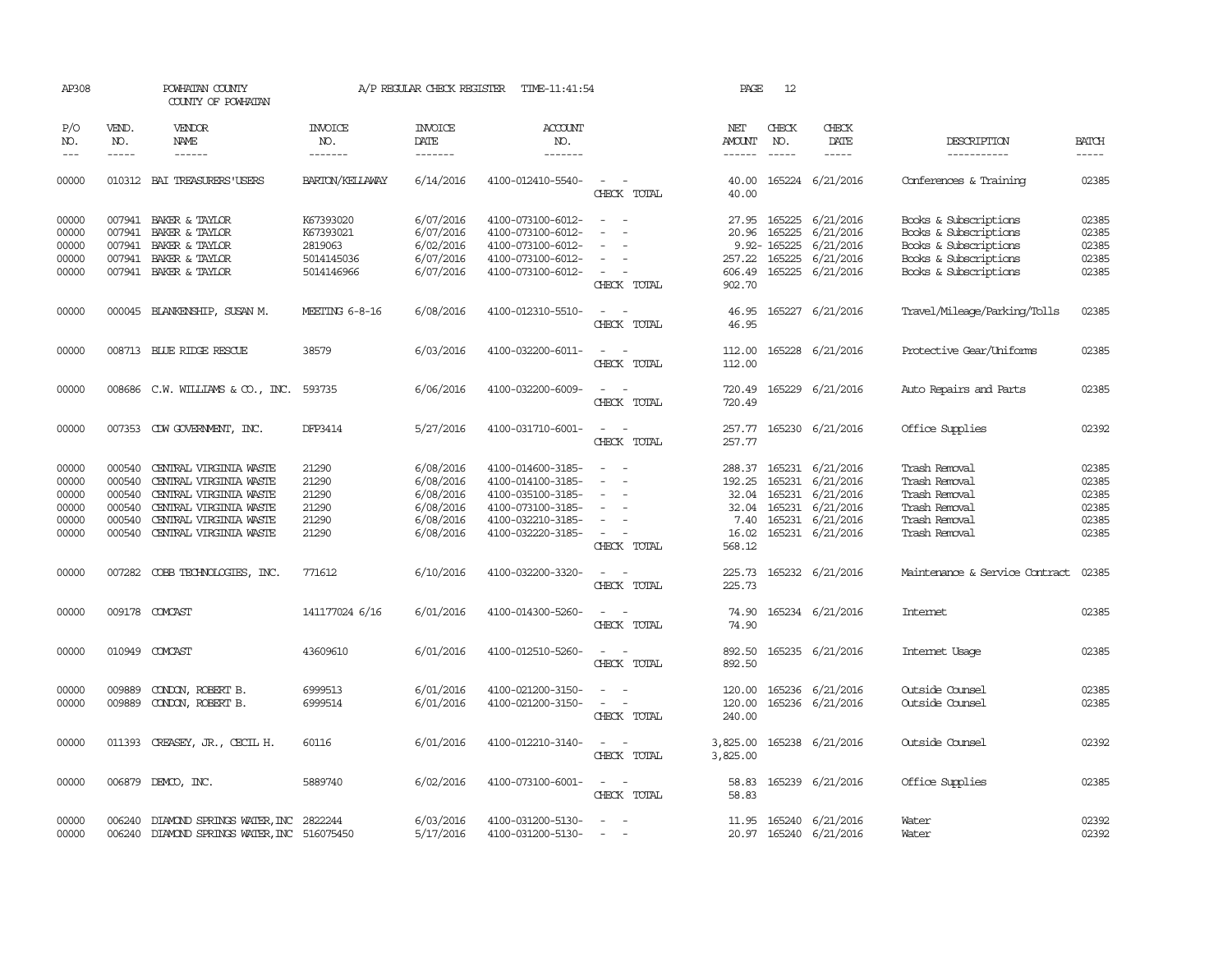| AP308      |              | POWHATAN COUNTY<br>COUNTY OF POWHATAN     |                       | A/P REGULAR CHECK REGISTER | TIME-11:41:54     |                                         | PAGE            | 12            |                        |                                |              |
|------------|--------------|-------------------------------------------|-----------------------|----------------------------|-------------------|-----------------------------------------|-----------------|---------------|------------------------|--------------------------------|--------------|
| P/O<br>NO. | VEND.<br>NO. | <b>VENDOR</b><br>NAME                     | <b>INVOICE</b><br>NO. | <b>INVOICE</b><br>DATE     | ACCOUNT<br>NO.    |                                         | NET<br>AMOUNT   | CHECK<br>NO.  | CHECK<br>DATE          | DESCRIPTION                    | <b>BATCH</b> |
| $- - -$    | $- - - - -$  | $- - - - - -$                             | -------               | --------                   | -------           |                                         | $- - - - - -$   | $\frac{1}{2}$ | -----                  | -----------                    | $- - - - -$  |
| 00000      |              | 010312 BAI TREASURERS USERS               | BARTON/KELLAWAY       | 6/14/2016                  | 4100-012410-5540- | $\overline{\phantom{a}}$<br>CHECK TOTAL | 40.00<br>40.00  |               | 165224 6/21/2016       | Conferences & Training         | 02385        |
| 00000      |              | 007941 BAKER & TAYLOR                     | K67393020             | 6/07/2016                  | 4100-073100-6012- | $\sim$<br>$\sim$                        | 27.95           |               | 165225 6/21/2016       | Books & Subscriptions          | 02385        |
| 00000      |              | 007941 BAKER & TAYLOR                     | K67393021             | 6/07/2016                  | 4100-073100-6012- |                                         | 20.96           | 165225        | 6/21/2016              | Books & Subscriptions          | 02385        |
| 00000      | 007941       | BAKER & TAYLOR                            | 2819063               | 6/02/2016                  | 4100-073100-6012- |                                         |                 | 9.92-165225   | 6/21/2016              | Books & Subscriptions          | 02385        |
| 00000      |              | 007941 BAKER & TAYLOR                     | 5014145036            | 6/07/2016                  | 4100-073100-6012- | $\equiv$                                | 257.22          |               | 165225 6/21/2016       | Books & Subscriptions          | 02385        |
| 00000      |              | 007941 BAKER & TAYLOR                     | 5014146966            | 6/07/2016                  | 4100-073100-6012- |                                         | 606.49          |               | 165225 6/21/2016       | Books & Subscriptions          | 02385        |
|            |              |                                           |                       |                            |                   | CHECK TOTAL                             | 902.70          |               |                        |                                |              |
| 00000      |              | 000045 BLANKENSHIP, SUSAN M.              | MEETING 6-8-16        | 6/08/2016                  | 4100-012310-5510- | $\sim$<br>$\sim$                        | 46.95           |               | 165227 6/21/2016       | Travel/Mileage/Parking/Tolls   | 02385        |
|            |              |                                           |                       |                            |                   | CHECK TOTAL                             | 46.95           |               |                        |                                |              |
| 00000      |              | 008713 BLUE RIDGE RESCUE                  | 38579                 | 6/03/2016                  | 4100-032200-6011- |                                         | 112.00          |               | 165228 6/21/2016       | Protective Gear/Uniforms       | 02385        |
|            |              |                                           |                       |                            |                   | CHECK TOTAL                             | 112.00          |               |                        |                                |              |
| 00000      |              | 008686 C.W. WILLIAMS & CO., INC.          | 593735                | 6/06/2016                  | 4100-032200-6009- |                                         | 720.49          |               | 165229 6/21/2016       | Auto Repairs and Parts         | 02385        |
|            |              |                                           |                       |                            |                   | CHECK TOTAL                             | 720.49          |               |                        |                                |              |
| 00000      |              | 007353 CDW GOVERNMENT, INC.               | DFP3414               | 5/27/2016                  | 4100-031710-6001- | $\sim$ 100 $\sim$                       | 257.77          |               | 165230 6/21/2016       | Office Supplies                | 02392        |
|            |              |                                           |                       |                            |                   | CHECK TOTAL                             | 257.77          |               |                        |                                |              |
| 00000      | 000540       | CENTRAL VIRGINIA WASTE                    | 21290                 | 6/08/2016                  | 4100-014600-3185- |                                         | 288.37          |               | 165231 6/21/2016       | Trash Removal                  | 02385        |
| 00000      | 000540       | CENTRAL VIRGINIA WASTE                    | 21290                 | 6/08/2016                  | 4100-014100-3185- | $\equiv$                                | 192.25          | 165231        | 6/21/2016              | Trash Removal                  | 02385        |
| 00000      | 000540       | CENTRAL VIRGINIA WASTE                    | 21290                 | 6/08/2016                  | 4100-035100-3185- | $\overline{\phantom{a}}$                | 32.04           | 165231        | 6/21/2016              | Trash Removal                  | 02385        |
| 00000      | 000540       | CENTRAL VIRGINIA WASTE                    | 21290                 | 6/08/2016                  | 4100-073100-3185- |                                         | 32.04           | 165231        | 6/21/2016              | Trash Removal                  | 02385        |
| 00000      | 000540       | CENTRAL VIRGINIA WASTE                    | 21290                 | 6/08/2016                  | 4100-032210-3185- |                                         | 7.40            | 165231        | 6/21/2016              | Trash Removal                  | 02385        |
| 00000      | 000540       | CENTRAL VIRGINIA WASTE                    | 21290                 | 6/08/2016                  | 4100-032220-3185- | $\sim$<br>CHECK TOTAL                   | 16.02<br>568.12 |               | 165231 6/21/2016       | Trash Removal                  | 02385        |
| 00000      |              | 007282 COBB TECHNOLOGIES, INC.            | 771612                | 6/10/2016                  | 4100-032200-3320- |                                         | 225.73          |               | 165232 6/21/2016       | Maintenance & Service Contract | 02385        |
|            |              |                                           |                       |                            |                   | CHECK TOTAL                             | 225.73          |               |                        |                                |              |
| 00000      |              | 009178 COMCAST                            | 141177024 6/16        | 6/01/2016                  | 4100-014300-5260- | $ -$                                    | 74.90           |               | 165234 6/21/2016       | Internet                       | 02385        |
|            |              |                                           |                       |                            |                   | CHECK TOTAL                             | 74.90           |               |                        |                                |              |
| 00000      |              | 010949 COMCAST                            | 43609610              | 6/01/2016                  | 4100-012510-5260- | $\sim$                                  | 892.50          |               | 165235 6/21/2016       | Internet Usage                 | 02385        |
|            |              |                                           |                       |                            |                   | CHECK TOTAL                             | 892.50          |               |                        |                                |              |
| 00000      | 009889       | CONDON, ROBERT B.                         | 6999513               | 6/01/2016                  | 4100-021200-3150- |                                         | 120.00          |               | 165236 6/21/2016       | Outside Counsel                | 02385        |
| 00000      | 009889       | CONDON, ROBERT B.                         | 6999514               | 6/01/2016                  | 4100-021200-3150- | $\sim$<br>$\overline{\phantom{a}}$      | 120.00          |               | 165236 6/21/2016       | Outside Counsel                | 02385        |
|            |              |                                           |                       |                            |                   | CHECK TOTAL                             | 240.00          |               |                        |                                |              |
| 00000      |              | 011393 CREASEY, JR., CECIL H.             | 60116                 | 6/01/2016                  | 4100-012210-3140- | $\sim$ $ \sim$                          | 3,825.00        |               | 165238 6/21/2016       | Outside Counsel                | 02392        |
|            |              |                                           |                       |                            |                   | CHECK TOTAL                             | 3,825.00        |               |                        |                                |              |
| 00000      |              | 006879 DEMCO, INC.                        | 5889740               | 6/02/2016                  | 4100-073100-6001- | $\sim$<br>$\sim$                        | 58.83           |               | 165239 6/21/2016       | Office Supplies                | 02385        |
|            |              |                                           |                       |                            |                   | CHECK TOTAL                             | 58.83           |               |                        |                                |              |
| 00000      |              | 006240 DIAMOND SPRINGS WATER, INC 2822244 |                       | 6/03/2016                  | 4100-031200-5130- | $\overline{\phantom{a}}$                | 11.95           |               | 165240 6/21/2016       | Water                          | 02392        |
| 00000      | 006240       | DIAMOND SPRINGS WATER, INC 516075450      |                       | 5/17/2016                  | 4100-031200-5130- | $\sim$                                  |                 |               | 20.97 165240 6/21/2016 | Water                          | 02392        |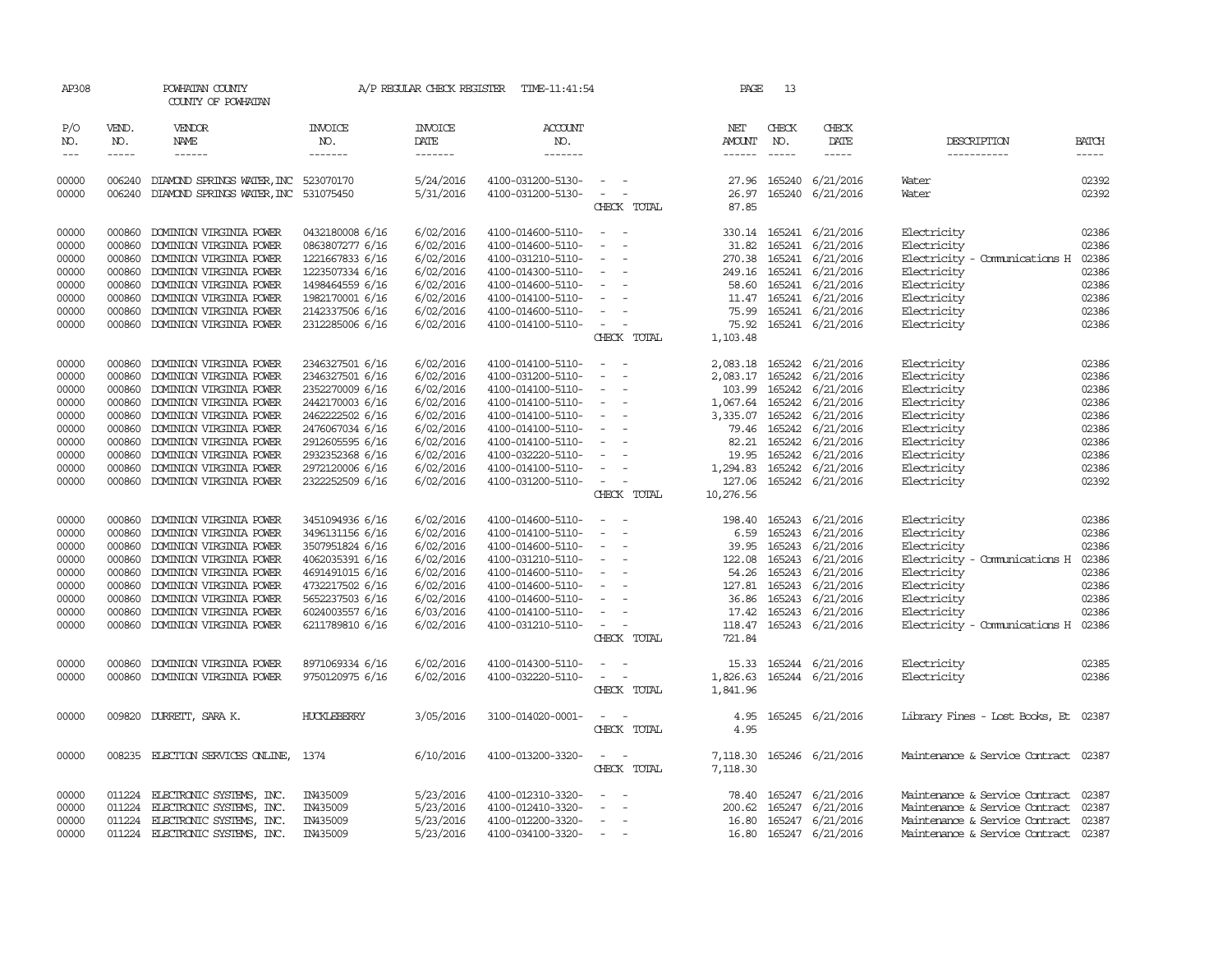| AP308                                                                                                                                                                                                                                                                                                                                                                                                      |                                                                                        | POWHATAN COUNTY<br>COUNTY OF POWHATAN                                                                                                                                                                                                                                             |                                                                                                                                                                                            |                                                                                                                                | A/P REGULAR CHECK REGISTER TIME-11:41:54                                                                                                                                                                       |                                                                                                                                                                                                                                           | PAGE                                       | 13                            |                                                                                                                                                                                                                                                                                                                                                                                                                                                                          |                                                                                                                                                                         |                                                                                        |
|------------------------------------------------------------------------------------------------------------------------------------------------------------------------------------------------------------------------------------------------------------------------------------------------------------------------------------------------------------------------------------------------------------|----------------------------------------------------------------------------------------|-----------------------------------------------------------------------------------------------------------------------------------------------------------------------------------------------------------------------------------------------------------------------------------|--------------------------------------------------------------------------------------------------------------------------------------------------------------------------------------------|--------------------------------------------------------------------------------------------------------------------------------|----------------------------------------------------------------------------------------------------------------------------------------------------------------------------------------------------------------|-------------------------------------------------------------------------------------------------------------------------------------------------------------------------------------------------------------------------------------------|--------------------------------------------|-------------------------------|--------------------------------------------------------------------------------------------------------------------------------------------------------------------------------------------------------------------------------------------------------------------------------------------------------------------------------------------------------------------------------------------------------------------------------------------------------------------------|-------------------------------------------------------------------------------------------------------------------------------------------------------------------------|----------------------------------------------------------------------------------------|
| P/O<br>NO.<br>$\frac{1}{2} \frac{1}{2} \frac{1}{2} \frac{1}{2} \frac{1}{2} \frac{1}{2} \frac{1}{2} \frac{1}{2} \frac{1}{2} \frac{1}{2} \frac{1}{2} \frac{1}{2} \frac{1}{2} \frac{1}{2} \frac{1}{2} \frac{1}{2} \frac{1}{2} \frac{1}{2} \frac{1}{2} \frac{1}{2} \frac{1}{2} \frac{1}{2} \frac{1}{2} \frac{1}{2} \frac{1}{2} \frac{1}{2} \frac{1}{2} \frac{1}{2} \frac{1}{2} \frac{1}{2} \frac{1}{2} \frac{$ | VEND.<br>NO.<br>$\frac{1}{2}$                                                          | VENDOR<br>NAME<br>$- - - - - -$                                                                                                                                                                                                                                                   | <b>INVOICE</b><br>NO.<br>$- - - - - - -$                                                                                                                                                   | <b>INVOICE</b><br>DATE<br>-------                                                                                              | <b>ACCOUNT</b><br>NO.<br>$- - - - - - -$                                                                                                                                                                       |                                                                                                                                                                                                                                           | NET<br>AMOUNT<br>------                    | CHECK<br>NO.<br>$\frac{1}{2}$ | CHECK<br>DATE<br>$\begin{tabular}{ccccc} \multicolumn{2}{c }{\multicolumn{2}{c }{\multicolumn{2}{c }{\multicolumn{2}{c}}{\hspace{-2.2cm}}}} \multicolumn{2}{c }{\multicolumn{2}{c }{\hspace{-2.2cm}}\hline} \multicolumn{2}{c }{\hspace{-2.2cm}}\hline \multicolumn{2}{c }{\hspace{-2.2cm}}\hline \multicolumn{2}{c }{\hspace{-2.2cm}}\hline \multicolumn{2}{c }{\hspace{-2.2cm}}\hline \multicolumn{2}{c }{\hspace{-2.2cm}}\hline \multicolumn{2}{c }{\hspace{-2.2cm}}$ | DESCRIPTION<br>-----------                                                                                                                                              | <b>BATCH</b><br>-----                                                                  |
| 00000<br>00000                                                                                                                                                                                                                                                                                                                                                                                             | 006240<br>006240                                                                       | DIAMOND SPRINGS WATER, INC 523070170<br>DIAMOND SPRINGS WATER, INC 531075450                                                                                                                                                                                                      |                                                                                                                                                                                            | 5/24/2016<br>5/31/2016                                                                                                         | 4100-031200-5130-<br>4100-031200-5130-                                                                                                                                                                         | $\sim$<br>$\sim$<br>CHECK TOTAL                                                                                                                                                                                                           | 87.85                                      |                               | 27.96 165240 6/21/2016<br>26.97 165240 6/21/2016                                                                                                                                                                                                                                                                                                                                                                                                                         | Water<br>Water                                                                                                                                                          | 02392<br>02392                                                                         |
| 00000<br>00000<br>00000<br>00000<br>00000<br>00000<br>00000<br>00000                                                                                                                                                                                                                                                                                                                                       | 000860<br>000860<br>000860<br>000860<br>000860<br>000860<br>000860<br>000860           | DOMINION VIRGINIA POWER<br>DOMINION VIRGINIA POWER<br>DOMINION VIRGINIA POWER<br>DOMINION VIRGINIA POWER<br>DOMINION VIRGINIA POWER<br>DOMINION VIRGINIA POWER<br>DOMINION VIRGINIA POWER<br>DOMINION VIRGINIA POWER                                                              | 0432180008 6/16<br>0863807277 6/16<br>1221667833 6/16<br>1223507334 6/16<br>1498464559 6/16<br>1982170001 6/16<br>2142337506 6/16<br>2312285006 6/16                                       | 6/02/2016<br>6/02/2016<br>6/02/2016<br>6/02/2016<br>6/02/2016<br>6/02/2016<br>6/02/2016<br>6/02/2016                           | 4100-014600-5110-<br>4100-014600-5110-<br>4100-031210-5110-<br>4100-014300-5110-<br>4100-014600-5110-<br>4100-014100-5110-<br>4100-014600-5110-<br>4100-014100-5110-                                           | $\overline{\phantom{a}}$<br>$\overline{\phantom{a}}$<br>$\sim$<br>$\overline{\phantom{a}}$<br>$\sim$<br>$\sim$<br>$\sim$<br>$\sim$ $ -$<br>CHECK TOTAL                                                                                    | 31.82<br>1,103.48                          |                               | 330.14 165241 6/21/2016<br>165241 6/21/2016<br>270.38 165241 6/21/2016<br>249.16 165241 6/21/2016<br>58.60 165241 6/21/2016<br>11.47 165241 6/21/2016<br>75.99 165241 6/21/2016<br>75.92 165241 6/21/2016                                                                                                                                                                                                                                                                | Electricity<br>Electricity<br>Electricity - Comunications H<br>Electricity<br>Electricity<br>Electricity<br>Electricity<br>Electricity                                  | 02386<br>02386<br>02386<br>02386<br>02386<br>02386<br>02386<br>02386                   |
| 00000<br>00000<br>00000<br>00000<br>00000<br>00000<br>00000<br>00000<br>00000<br>00000                                                                                                                                                                                                                                                                                                                     | 000860<br>000860<br>000860<br>000860<br>000860<br>000860<br>000860<br>000860<br>000860 | DOMINION VIRGINIA POWER<br>DOMINION VIRGINIA POWER<br>DOMINION VIRGINIA POWER<br>DOMINION VIRGINIA POWER<br>DOMINION VIRGINIA POWER<br>DOMINION VIRGINIA POWER<br>DOMINION VIRGINIA POWER<br>DOMINION VIRGINIA POWER<br>DOMINION VIRGINIA POWER<br>000860 DOMINION VIRGINIA POWER | 2346327501 6/16<br>2346327501 6/16<br>2352270009 6/16<br>2442170003 6/16<br>2462222502 6/16<br>2476067034 6/16<br>2912605595 6/16<br>2932352368 6/16<br>2972120006 6/16<br>2322252509 6/16 | 6/02/2016<br>6/02/2016<br>6/02/2016<br>6/02/2016<br>6/02/2016<br>6/02/2016<br>6/02/2016<br>6/02/2016<br>6/02/2016<br>6/02/2016 | 4100-014100-5110-<br>4100-031200-5110-<br>4100-014100-5110-<br>4100-014100-5110-<br>4100-014100-5110-<br>4100-014100-5110-<br>4100-014100-5110-<br>4100-032220-5110-<br>4100-014100-5110-<br>4100-031200-5110- | $\overline{\phantom{a}}$<br>$\sim$ $ \sim$<br>$\overline{\phantom{a}}$<br>$\sim$ $ -$<br>$\sim 100$<br>$\sim$<br>$\sim$ $-$<br>$\sim$<br>$\sim$<br>$\sim$ $-$<br>CHECK TOTAL                                                              | 82.21<br>19.95<br>1,294.83<br>10,276.56    |                               | 2,083.18 165242 6/21/2016<br>2,083.17 165242 6/21/2016<br>103.99 165242 6/21/2016<br>1,067.64 165242 6/21/2016<br>3,335.07 165242 6/21/2016<br>79.46 165242 6/21/2016<br>165242 6/21/2016<br>165242 6/21/2016<br>165242 6/21/2016<br>127.06 165242 6/21/2016                                                                                                                                                                                                             | Electricity<br>Electricity<br>Electricity<br>Electricity<br>Electricity<br>Electricity<br>Electricity<br>Electricity<br>Electricity<br>Electricity                      | 02386<br>02386<br>02386<br>02386<br>02386<br>02386<br>02386<br>02386<br>02386<br>02392 |
| 00000<br>00000<br>00000<br>00000<br>00000<br>00000<br>00000<br>00000<br>00000                                                                                                                                                                                                                                                                                                                              | 000860<br>000860<br>000860<br>000860<br>000860<br>000860<br>000860<br>000860<br>000860 | DOMINION VIRGINIA POWER<br>DOMINION VIRGINIA POWER<br>DOMINION VIRGINIA POWER<br>DOMINION VIRGINIA POWER<br>DOMINION VIRGINIA POWER<br>DOMINION VIRGINIA POWER<br>DOMINION VIRGINIA POWER<br>DOMINION VIRGINIA POWER<br>DOMINION VIRGINIA POWER                                   | 3451094936 6/16<br>3496131156 6/16<br>3507951824 6/16<br>4062035391 6/16<br>4691491015 6/16<br>4732217502 6/16<br>5652237503 6/16<br>6024003557 6/16<br>6211789810 6/16                    | 6/02/2016<br>6/02/2016<br>6/02/2016<br>6/02/2016<br>6/02/2016<br>6/02/2016<br>6/02/2016<br>6/03/2016<br>6/02/2016              | 4100-014600-5110-<br>4100-014100-5110-<br>4100-014600-5110-<br>4100-031210-5110-<br>4100-014600-5110-<br>4100-014600-5110-<br>4100-014600-5110-<br>4100-014100-5110-<br>4100-031210-5110-                      | $\sim$<br>$\sim$<br>$\sim$<br>$\overline{a}$<br>$\sim$ $-$<br>$\overline{\phantom{a}}$<br>$\sim$<br>$\overline{\phantom{a}}$<br>$\sim$ $ \sim$<br>$\overline{\phantom{a}}$<br>$\sim$<br>$\overline{\phantom{a}}$<br>$\sim$<br>CHECK TOTAL | 198.40<br>6.59<br>39.95<br>17.42<br>721.84 |                               | 165243 6/21/2016<br>165243 6/21/2016<br>165243 6/21/2016<br>122.08 165243 6/21/2016<br>54.26 165243 6/21/2016<br>127.81 165243 6/21/2016<br>36.86 165243 6/21/2016<br>165243 6/21/2016<br>118.47 165243 6/21/2016                                                                                                                                                                                                                                                        | Electricity<br>Electricity<br>Electricity<br>Electricity - Comunications H<br>Electricity<br>Electricity<br>Electricity<br>Electricity<br>Electricity - Comunications H | 02386<br>02386<br>02386<br>02386<br>02386<br>02386<br>02386<br>02386<br>02386          |
| 00000<br>00000                                                                                                                                                                                                                                                                                                                                                                                             | 000860<br>000860                                                                       | DOMINION VIRGINIA POWER<br>DOMINION VIRGINIA POWER                                                                                                                                                                                                                                | 8971069334 6/16<br>9750120975 6/16                                                                                                                                                         | 6/02/2016<br>6/02/2016                                                                                                         | 4100-014300-5110-<br>4100-032220-5110-                                                                                                                                                                         | $ -$<br>$\sim$<br>$\sim$<br>CHECK TOTAL                                                                                                                                                                                                   | 1,826.63<br>1,841.96                       |                               | 15.33 165244 6/21/2016<br>165244 6/21/2016                                                                                                                                                                                                                                                                                                                                                                                                                               | Electricity<br>Electricity                                                                                                                                              | 02385<br>02386                                                                         |
| 00000                                                                                                                                                                                                                                                                                                                                                                                                      |                                                                                        | 009820 DURRETT, SARA K.                                                                                                                                                                                                                                                           | <b>HUCKLEBERRY</b>                                                                                                                                                                         | 3/05/2016                                                                                                                      | 3100-014020-0001-                                                                                                                                                                                              | $\overline{\phantom{a}}$<br>CHECK TOTAL                                                                                                                                                                                                   | 4.95<br>4.95                               |                               | 165245 6/21/2016                                                                                                                                                                                                                                                                                                                                                                                                                                                         | Library Fines - Lost Books, Et 02387                                                                                                                                    |                                                                                        |
| 00000                                                                                                                                                                                                                                                                                                                                                                                                      |                                                                                        | 008235 ELECTION SERVICES ONLINE,                                                                                                                                                                                                                                                  | 1374                                                                                                                                                                                       | 6/10/2016                                                                                                                      | 4100-013200-3320-                                                                                                                                                                                              | $\sim$ 10 $\sim$ 10 $\sim$<br>CHECK TOTAL                                                                                                                                                                                                 | 7,118.30                                   |                               | 7,118.30 165246 6/21/2016                                                                                                                                                                                                                                                                                                                                                                                                                                                | Maintenance & Service Contract 02387                                                                                                                                    |                                                                                        |
| 00000<br>00000<br>00000<br>00000                                                                                                                                                                                                                                                                                                                                                                           | 011224<br>011224                                                                       | ELECTRONIC SYSTEMS, INC.<br>ELECTRONIC SYSTEMS, INC.<br>011224 ELECTRONIC SYSTEMS, INC.<br>011224 ELECTRONIC SYSTEMS, INC.                                                                                                                                                        | IN435009<br>IN435009<br>IN435009<br>IN435009                                                                                                                                               | 5/23/2016<br>5/23/2016<br>5/23/2016<br>5/23/2016                                                                               | 4100-012310-3320-<br>4100-012410-3320-<br>4100-012200-3320-<br>4100-034100-3320-                                                                                                                               | $\equiv$<br>$\overline{\phantom{a}}$<br>$\sim$                                                                                                                                                                                            | 200.62<br>16.80                            |                               | 78.40 165247 6/21/2016<br>165247 6/21/2016<br>165247 6/21/2016<br>16.80 165247 6/21/2016                                                                                                                                                                                                                                                                                                                                                                                 | Maintenance & Service Contract<br>Maintenance & Service Contract<br>Maintenance & Service Contract<br>Maintenance & Service Contract 02387                              | 02387<br>02387<br>02387                                                                |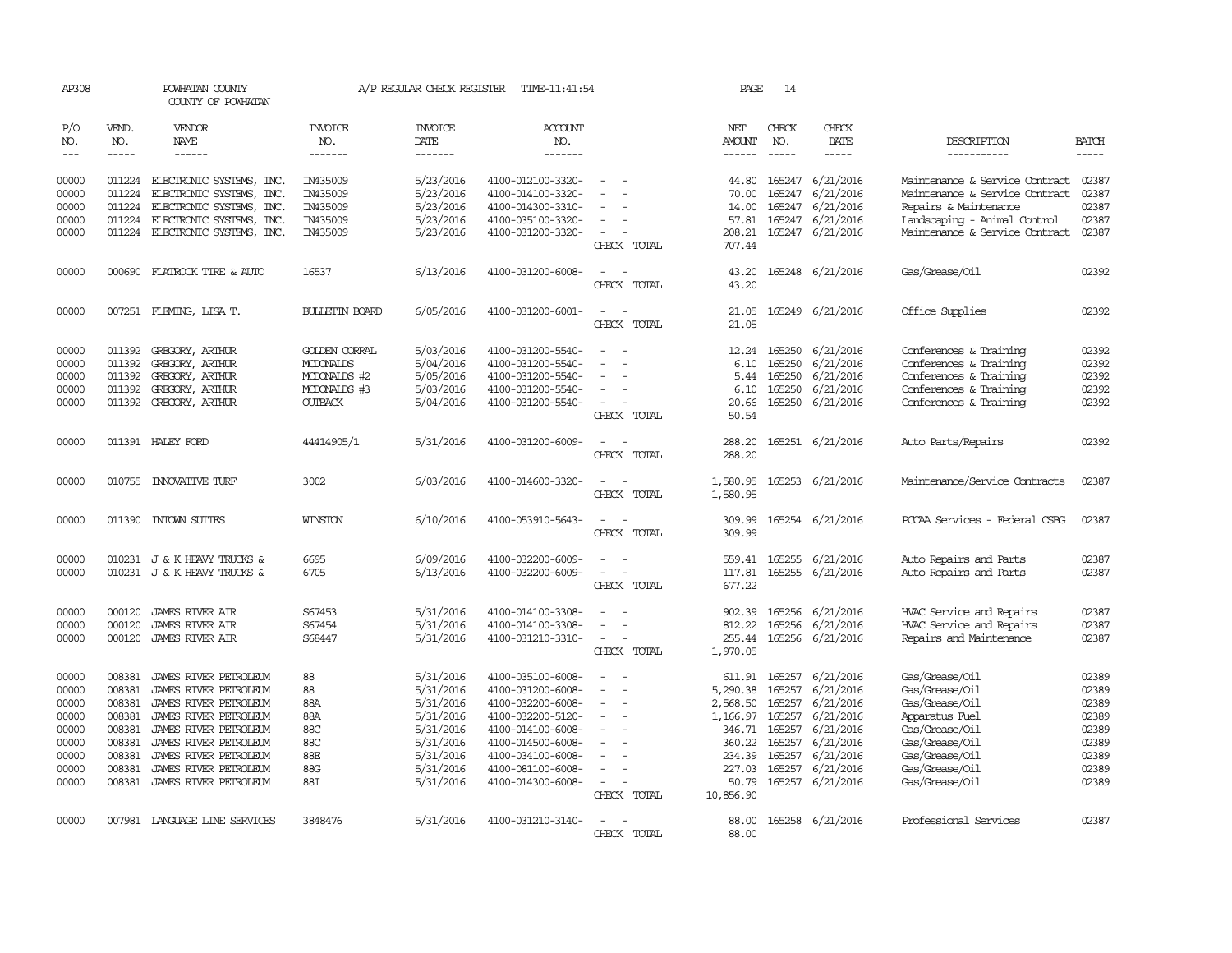| AP308                                                                         |                                                                                        | POWHATAN COUNTY<br>COUNTY OF POWHATAN                                                                                                                                                                                         |                                                                                     | A/P REGULAR CHECK REGISTER                                                                                        | TIME-11:41:54                                                                                                                                                                             |                                                   | PAGE                                                                                                     | 14                                                                                     |                                                                                                                   |                                                                                                                                                                |                                                                               |
|-------------------------------------------------------------------------------|----------------------------------------------------------------------------------------|-------------------------------------------------------------------------------------------------------------------------------------------------------------------------------------------------------------------------------|-------------------------------------------------------------------------------------|-------------------------------------------------------------------------------------------------------------------|-------------------------------------------------------------------------------------------------------------------------------------------------------------------------------------------|---------------------------------------------------|----------------------------------------------------------------------------------------------------------|----------------------------------------------------------------------------------------|-------------------------------------------------------------------------------------------------------------------|----------------------------------------------------------------------------------------------------------------------------------------------------------------|-------------------------------------------------------------------------------|
| P/O<br>NO.                                                                    | VEND.<br>NO.                                                                           | VENDOR<br>NAME                                                                                                                                                                                                                | <b>INVOICE</b><br>NO.                                                               | <b>INVOICE</b><br><b>DATE</b>                                                                                     | <b>ACCOUNT</b><br>NO.                                                                                                                                                                     |                                                   | NET<br>AMOUNT                                                                                            | CHECK<br>NO.                                                                           | CHECK<br><b>DATE</b>                                                                                              | DESCRIPTION                                                                                                                                                    | <b>BATCH</b>                                                                  |
| $\frac{1}{2}$                                                                 | $- - - - -$                                                                            | ------                                                                                                                                                                                                                        | -------                                                                             | -------                                                                                                           | -------                                                                                                                                                                                   |                                                   | $- - - - - -$                                                                                            | $- - - - -$                                                                            | -----                                                                                                             | -----------                                                                                                                                                    | $- - - - -$                                                                   |
| 00000<br>00000<br>00000<br>00000<br>00000                                     | 011224<br>011224<br>011224<br>011224<br>011224                                         | ELECTRONIC SYSTEMS, INC.<br>ELECTRONIC SYSTEMS, INC.<br>ELECTRONIC SYSTEMS, INC.<br>ELECTRONIC SYSTEMS, INC.<br>ELECTRONIC SYSTEMS, INC.                                                                                      | IN435009<br>IN435009<br>IN435009<br>IN435009<br>IN435009                            | 5/23/2016<br>5/23/2016<br>5/23/2016<br>5/23/2016<br>5/23/2016                                                     | 4100-012100-3320-<br>4100-014100-3320-<br>4100-014300-3310-<br>4100-035100-3320-<br>4100-031200-3320-                                                                                     | CHECK TOTAL                                       | 44.80<br>70.00<br>14.00<br>57.81<br>208.21<br>707.44                                                     | 165247<br>165247<br>165247                                                             | 6/21/2016<br>6/21/2016<br>6/21/2016<br>165247 6/21/2016<br>165247 6/21/2016                                       | Maintenance & Service Contract<br>Maintenance & Service Contract<br>Repairs & Maintenance<br>Landscaping - Animal Control<br>Maintenance & Service Contract    | 02387<br>02387<br>02387<br>02387<br>02387                                     |
| 00000                                                                         |                                                                                        | 000690 FLATROCK TIRE & AUTO                                                                                                                                                                                                   | 16537                                                                               | 6/13/2016                                                                                                         | 4100-031200-6008-                                                                                                                                                                         | CHECK TOTAL                                       | 43.20<br>43.20                                                                                           |                                                                                        | 165248 6/21/2016                                                                                                  | Gas/Grease/Oil                                                                                                                                                 | 02392                                                                         |
| 00000                                                                         |                                                                                        | 007251 FLEMING, LISA T.                                                                                                                                                                                                       | <b>BULLETIN BOARD</b>                                                               | 6/05/2016                                                                                                         | 4100-031200-6001-                                                                                                                                                                         | CHECK TOTAL                                       | 21.05<br>21.05                                                                                           |                                                                                        | 165249 6/21/2016                                                                                                  | Office Supplies                                                                                                                                                | 02392                                                                         |
| 00000<br>00000<br>00000<br>00000<br>00000                                     | 011392<br>011392<br>011392<br>011392<br>011392                                         | GREGORY, ARTHUR<br>GREGORY, ARTHUR<br>GREGORY, ARTHUR<br>GREGORY, ARTHUR<br>GREGORY, ARTHUR                                                                                                                                   | <b>GOLDEN CORRAL</b><br>MCDONALDS<br>MCDONALDS #2<br>MCDONALDS #3<br><b>OUTBACK</b> | 5/03/2016<br>5/04/2016<br>5/05/2016<br>5/03/2016<br>5/04/2016                                                     | 4100-031200-5540-<br>4100-031200-5540-<br>4100-031200-5540-<br>4100-031200-5540-<br>4100-031200-5540-                                                                                     | CHECK TOTAL                                       | 12.24<br>6.10<br>5.44<br>6.10<br>20.66<br>50.54                                                          | 165250<br>165250<br>165250<br>165250                                                   | 6/21/2016<br>6/21/2016<br>6/21/2016<br>6/21/2016<br>165250 6/21/2016                                              | Conferences & Training<br>Conferences & Training<br>Conferences & Training<br>Conferences & Training<br>Conferences & Training                                 | 02392<br>02392<br>02392<br>02392<br>02392                                     |
| 00000                                                                         |                                                                                        | 011391 HALEY FORD                                                                                                                                                                                                             | 44414905/1                                                                          | 5/31/2016                                                                                                         | 4100-031200-6009-                                                                                                                                                                         | CHECK TOTAL                                       | 288.20<br>288.20                                                                                         |                                                                                        | 165251 6/21/2016                                                                                                  | Auto Parts/Repairs                                                                                                                                             | 02392                                                                         |
| 00000                                                                         |                                                                                        | 010755 INNOVATIVE TURF                                                                                                                                                                                                        | 3002                                                                                | 6/03/2016                                                                                                         | 4100-014600-3320-                                                                                                                                                                         | CHECK TOTAL                                       | 1,580.95<br>1,580.95                                                                                     |                                                                                        | 165253 6/21/2016                                                                                                  | Maintenance/Service Contracts                                                                                                                                  | 02387                                                                         |
| 00000                                                                         | 011390                                                                                 | INTOWN SUITES                                                                                                                                                                                                                 | WINSTON                                                                             | 6/10/2016                                                                                                         | 4100-053910-5643-                                                                                                                                                                         | CHECK TOTAL                                       | 309.99<br>309.99                                                                                         |                                                                                        | 165254 6/21/2016                                                                                                  | PCCAA Services - Federal CSBG                                                                                                                                  | 02387                                                                         |
| 00000<br>00000                                                                |                                                                                        | 010231 J & K HEAVY TRUCKS &<br>010231 J & K HEAVY TRUCKS &                                                                                                                                                                    | 6695<br>6705                                                                        | 6/09/2016<br>6/13/2016                                                                                            | 4100-032200-6009-<br>4100-032200-6009-                                                                                                                                                    | CHECK TOTAL                                       | 559.41<br>117.81<br>677.22                                                                               | 165255<br>165255                                                                       | 6/21/2016<br>6/21/2016                                                                                            | Auto Repairs and Parts<br>Auto Repairs and Parts                                                                                                               | 02387<br>02387                                                                |
| 00000<br>00000<br>00000                                                       | 000120<br>000120<br>000120                                                             | <b>JAMES RIVER AIR</b><br><b>JAMES RIVER AIR</b><br><b>JAMES RIVER AIR</b>                                                                                                                                                    | S67453<br>S67454<br>S68447                                                          | 5/31/2016<br>5/31/2016<br>5/31/2016                                                                               | 4100-014100-3308-<br>4100-014100-3308-<br>4100-031210-3310-                                                                                                                               | CHECK TOTAL                                       | 902.39<br>812.22<br>255.44<br>1,970.05                                                                   | 165256<br>165256<br>165256                                                             | 6/21/2016<br>6/21/2016<br>6/21/2016                                                                               | HVAC Service and Repairs<br>HVAC Service and Repairs<br>Repairs and Maintenance                                                                                | 02387<br>02387<br>02387                                                       |
| 00000<br>00000<br>00000<br>00000<br>00000<br>00000<br>00000<br>00000<br>00000 | 008381<br>008381<br>008381<br>008381<br>008381<br>008381<br>008381<br>008381<br>008381 | JAMES RIVER PETROLEUM<br>JAMES RIVER PETROLEUM<br>JAMES RIVER PEIROLEUM<br>JAMES RIVER PETROLEUM<br>JAMES RIVER PEIROLEUM<br>JAMES RIVER PETROLEUM<br>JAMES RIVER PETROLEUM<br>JAMES RIVER PETROLEUM<br>JAMES RIVER PETROLEUM | 88<br>88<br>88A<br>88A<br>88C<br>88C<br>88E<br>88G<br>88I                           | 5/31/2016<br>5/31/2016<br>5/31/2016<br>5/31/2016<br>5/31/2016<br>5/31/2016<br>5/31/2016<br>5/31/2016<br>5/31/2016 | 4100-035100-6008-<br>4100-031200-6008-<br>4100-032200-6008-<br>4100-032200-5120-<br>4100-014100-6008-<br>4100-014500-6008-<br>4100-034100-6008-<br>4100-081100-6008-<br>4100-014300-6008- | $\overline{\phantom{a}}$<br>$\sim$<br>CHECK TOTAL | 611.91<br>5,290.38<br>2,568.50<br>1,166.97<br>346.71<br>360.22<br>234.39<br>227.03<br>50.79<br>10,856.90 | 165257<br>165257<br>165257<br>165257<br>165257<br>165257<br>165257<br>165257<br>165257 | 6/21/2016<br>6/21/2016<br>6/21/2016<br>6/21/2016<br>6/21/2016<br>6/21/2016<br>6/21/2016<br>6/21/2016<br>6/21/2016 | Gas/Grease/Oil<br>Gas/Grease/Oil<br>Gas/Grease/Oil<br>Apparatus Fuel<br>Gas/Grease/Oil<br>Gas/Grease/Oil<br>Gas/Grease/Oil<br>Gas/Grease/Oil<br>Gas/Grease/Oil | 02389<br>02389<br>02389<br>02389<br>02389<br>02389<br>02389<br>02389<br>02389 |
| 00000                                                                         |                                                                                        | 007981 LANGUAGE LINE SERVICES                                                                                                                                                                                                 | 3848476                                                                             | 5/31/2016                                                                                                         | 4100-031210-3140-                                                                                                                                                                         | CHECK TOTAL                                       | 88.00<br>88.00                                                                                           |                                                                                        | 165258 6/21/2016                                                                                                  | Professional Services                                                                                                                                          | 02387                                                                         |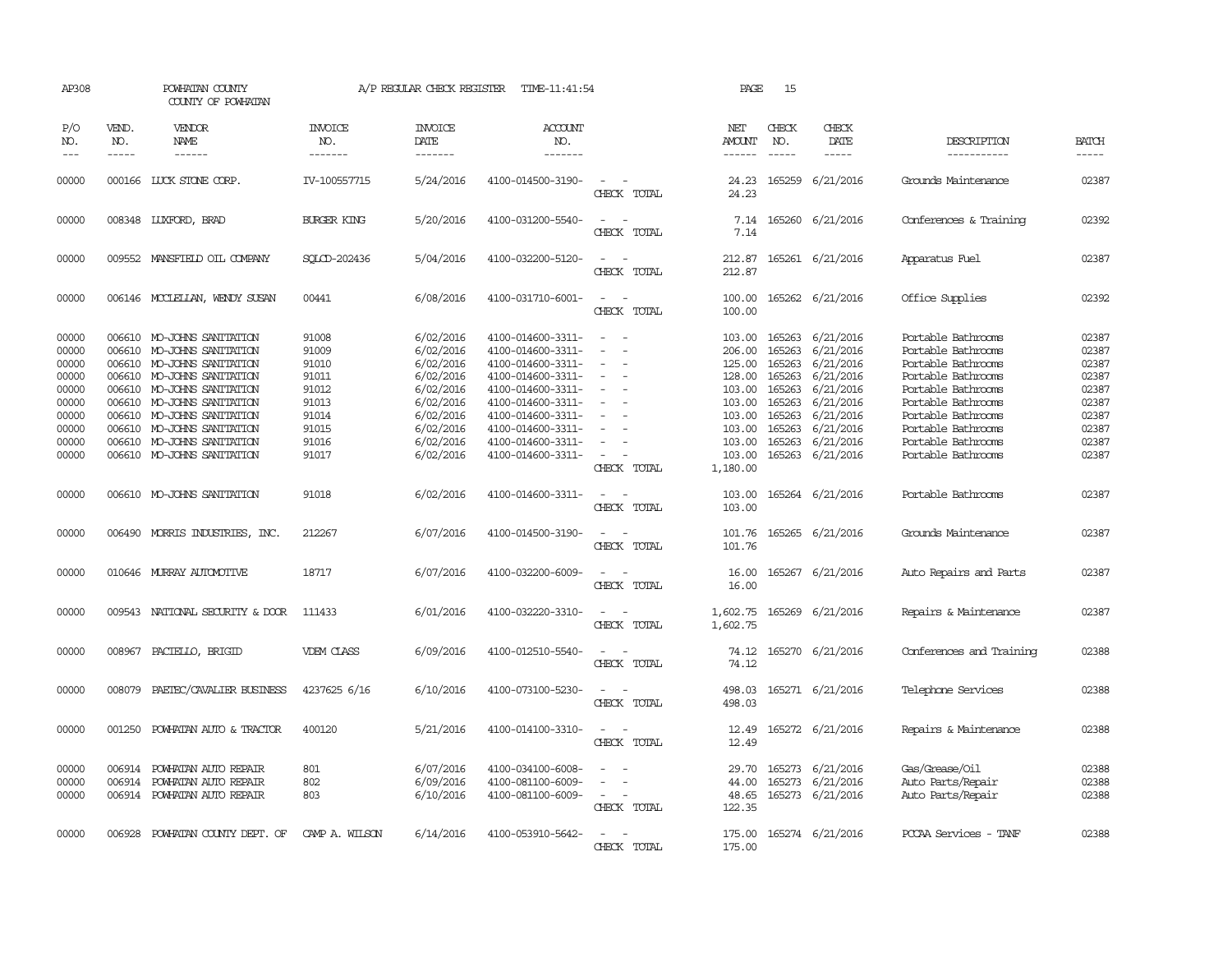| AP308                                     |                             | POWHATAN COUNTY<br>COUNTY OF POWHATAN                                                                                                              |                                           | A/P REGULAR CHECK REGISTER                                    | TIME-11:41:54                                                                                         |                                                                                      | PAGE                                                       | 15                                   |                                                                             |                                                                                                            |                                           |
|-------------------------------------------|-----------------------------|----------------------------------------------------------------------------------------------------------------------------------------------------|-------------------------------------------|---------------------------------------------------------------|-------------------------------------------------------------------------------------------------------|--------------------------------------------------------------------------------------|------------------------------------------------------------|--------------------------------------|-----------------------------------------------------------------------------|------------------------------------------------------------------------------------------------------------|-------------------------------------------|
| P/O<br>NO.<br>$---$                       | VEND.<br>NO.<br>$- - - - -$ | VENDOR<br>NAME<br>------                                                                                                                           | <b>INVOICE</b><br>NO.<br>-------          | <b>INVOICE</b><br>DATE<br>-------                             | ACCOUNT<br>NO.<br>-------                                                                             |                                                                                      | NET<br>AMOUNT<br>$- - - - - -$                             | CHECK<br>NO.<br>$\frac{1}{2}$        | CHECK<br>DATE<br>$- - - - -$                                                | DESCRIPTION<br>-----------                                                                                 | <b>BATCH</b><br>$- - - - -$               |
| 00000                                     |                             | 000166 LUCK STONE CORP.                                                                                                                            | IV-100557715                              | 5/24/2016                                                     | 4100-014500-3190-                                                                                     | $\sim$<br>CHECK TOTAL                                                                | 24.23<br>24.23                                             |                                      | 165259 6/21/2016                                                            | Grounds Maintenance                                                                                        | 02387                                     |
| 00000                                     |                             | 008348 LUXFORD, BRAD                                                                                                                               | <b>BURGER KING</b>                        | 5/20/2016                                                     | 4100-031200-5540-                                                                                     | $\equiv$<br>CHECK TOTAL                                                              | 7.14<br>7.14                                               |                                      | 165260 6/21/2016                                                            | Conferences & Training                                                                                     | 02392                                     |
| 00000                                     |                             | 009552 MANSFIELD OIL COMPANY                                                                                                                       | SOLCD-202436                              | 5/04/2016                                                     | 4100-032200-5120-                                                                                     | $\equiv$<br>CHECK TOTAL                                                              | 212.87<br>212.87                                           |                                      | 165261 6/21/2016                                                            | Apparatus Fuel                                                                                             | 02387                                     |
| 00000                                     |                             | 006146 MCCLELLAN, WENDY SUSAN                                                                                                                      | 00441                                     | 6/08/2016                                                     | 4100-031710-6001-                                                                                     | $\sim$<br>$\overline{\phantom{a}}$<br>CHECK TOTAL                                    | 100.00<br>100.00                                           |                                      | 165262 6/21/2016                                                            | Office Supplies                                                                                            | 02392                                     |
| 00000<br>00000<br>00000<br>00000<br>00000 | 006610                      | MO-JOHNS SANITATION<br>006610 MO-JOHNS SANITATION<br>006610 MO-JOHNS SANITATION<br>006610 MO-JOHNS SANITATION<br>006610 MO-JOHNS SANITATION        | 91008<br>91009<br>91010<br>91011<br>91012 | 6/02/2016<br>6/02/2016<br>6/02/2016<br>6/02/2016<br>6/02/2016 | 4100-014600-3311-<br>4100-014600-3311-<br>4100-014600-3311-<br>4100-014600-3311-<br>4100-014600-3311- | $\sim$<br>$\equiv$<br>$\overline{\phantom{a}}$<br>$\sim$<br>$\overline{\phantom{a}}$ | 103.00<br>206.00<br>125.00<br>128.00<br>103.00             | 165263<br>165263<br>165263           | 165263 6/21/2016<br>6/21/2016<br>165263 6/21/2016<br>6/21/2016<br>6/21/2016 | Portable Bathrooms<br>Portable Bathrooms<br>Portable Bathrooms<br>Portable Bathrooms<br>Portable Bathrooms | 02387<br>02387<br>02387<br>02387<br>02387 |
| 00000<br>00000<br>00000<br>00000<br>00000 |                             | 006610 MO-JOHNS SANITATION<br>006610 MO-JOHNS SANITATION<br>006610 MO-JOHNS SANITATION<br>006610 MO-JOHNS SANITATION<br>006610 MO-JOHNS SANITATION | 91013<br>91014<br>91015<br>91016<br>91017 | 6/02/2016<br>6/02/2016<br>6/02/2016<br>6/02/2016<br>6/02/2016 | 4100-014600-3311-<br>4100-014600-3311-<br>4100-014600-3311-<br>4100-014600-3311-<br>4100-014600-3311- | $\equiv$<br>$\overline{\phantom{a}}$<br>CHECK TOTAL                                  | 103.00<br>103.00<br>103.00<br>103.00<br>103.00<br>1,180.00 | 165263<br>165263<br>165263<br>165263 | 6/21/2016<br>6/21/2016<br>6/21/2016<br>6/21/2016<br>165263 6/21/2016        | Portable Bathrooms<br>Portable Bathrooms<br>Portable Bathrooms<br>Portable Bathrooms<br>Portable Bathrooms | 02387<br>02387<br>02387<br>02387<br>02387 |
| 00000                                     |                             | 006610 MO-JOHNS SANITATION                                                                                                                         | 91018                                     | 6/02/2016                                                     | 4100-014600-3311-                                                                                     | $\sim$<br>CHECK TOTAL                                                                | 103.00<br>103.00                                           |                                      | 165264 6/21/2016                                                            | Portable Bathrooms                                                                                         | 02387                                     |
| 00000                                     | 006490                      | MORRIS INDUSTRIES, INC.                                                                                                                            | 212267                                    | 6/07/2016                                                     | 4100-014500-3190-                                                                                     | CHECK TOTAL                                                                          | 101.76<br>101.76                                           |                                      | 165265 6/21/2016                                                            | Grounds Maintenance                                                                                        | 02387                                     |
| 00000                                     |                             | 010646 MURRAY AUTOMOTTVE                                                                                                                           | 18717                                     | 6/07/2016                                                     | 4100-032200-6009-                                                                                     | $\equiv$<br>CHECK TOTAL                                                              | 16.00<br>16.00                                             | 165267                               | 6/21/2016                                                                   | Auto Repairs and Parts                                                                                     | 02387                                     |
| 00000                                     |                             | 009543 NATIONAL SECURITY & DOOR                                                                                                                    | 111433                                    | 6/01/2016                                                     | 4100-032220-3310-                                                                                     | $\overline{\phantom{a}}$<br>CHECK TOTAL                                              | 1,602.75<br>1,602.75                                       |                                      | 165269 6/21/2016                                                            | Repairs & Maintenance                                                                                      | 02387                                     |
| 00000                                     |                             | 008967 PACIELLO, BRIGID                                                                                                                            | <b>VDEM CLASS</b>                         | 6/09/2016                                                     | 4100-012510-5540-                                                                                     | CHECK TOTAL                                                                          | 74.12<br>74.12                                             |                                      | 165270 6/21/2016                                                            | Conferences and Training                                                                                   | 02388                                     |
| 00000                                     | 008079                      | PAETEC/CAVALIER BUSINESS                                                                                                                           | 4237625 6/16                              | 6/10/2016                                                     | 4100-073100-5230-                                                                                     | $ -$<br>CHECK TOTAL                                                                  | 498.03<br>498.03                                           |                                      | 165271 6/21/2016                                                            | Telephone Services                                                                                         | 02388                                     |
| 00000                                     | 001250                      | POWHATAN AUTO & TRACTOR                                                                                                                            | 400120                                    | 5/21/2016                                                     | 4100-014100-3310-                                                                                     | $\equiv$<br>$\sim$<br>CHECK TOTAL                                                    | 12.49<br>12.49                                             |                                      | 165272 6/21/2016                                                            | Repairs & Maintenance                                                                                      | 02388                                     |
| 00000<br>00000<br>00000                   | 006914<br>006914            | POWHATAN AUTO REPAIR<br>POWHATAN AUTO REPAIR<br>006914 POWHATAN AUTO REPAIR                                                                        | 801<br>802<br>803                         | 6/07/2016<br>6/09/2016<br>6/10/2016                           | 4100-034100-6008-<br>4100-081100-6009-<br>4100-081100-6009-                                           | $\equiv$<br>CHECK TOTAL                                                              | 29.70<br>44.00<br>48.65<br>122.35                          |                                      | 165273 6/21/2016<br>165273 6/21/2016<br>165273 6/21/2016                    | Gas/Grease/Oil<br>Auto Parts/Repair<br>Auto Parts/Repair                                                   | 02388<br>02388<br>02388                   |
| 00000                                     |                             | 006928 POWHATAN COUNTY DEPT. OF                                                                                                                    | CAMP A. WILSON                            | 6/14/2016                                                     | 4100-053910-5642-                                                                                     | <b>CHECK</b><br>TOTAL.                                                               | 175.00<br>175.00                                           |                                      | 165274 6/21/2016                                                            | PCCAA Services - TANF                                                                                      | 02388                                     |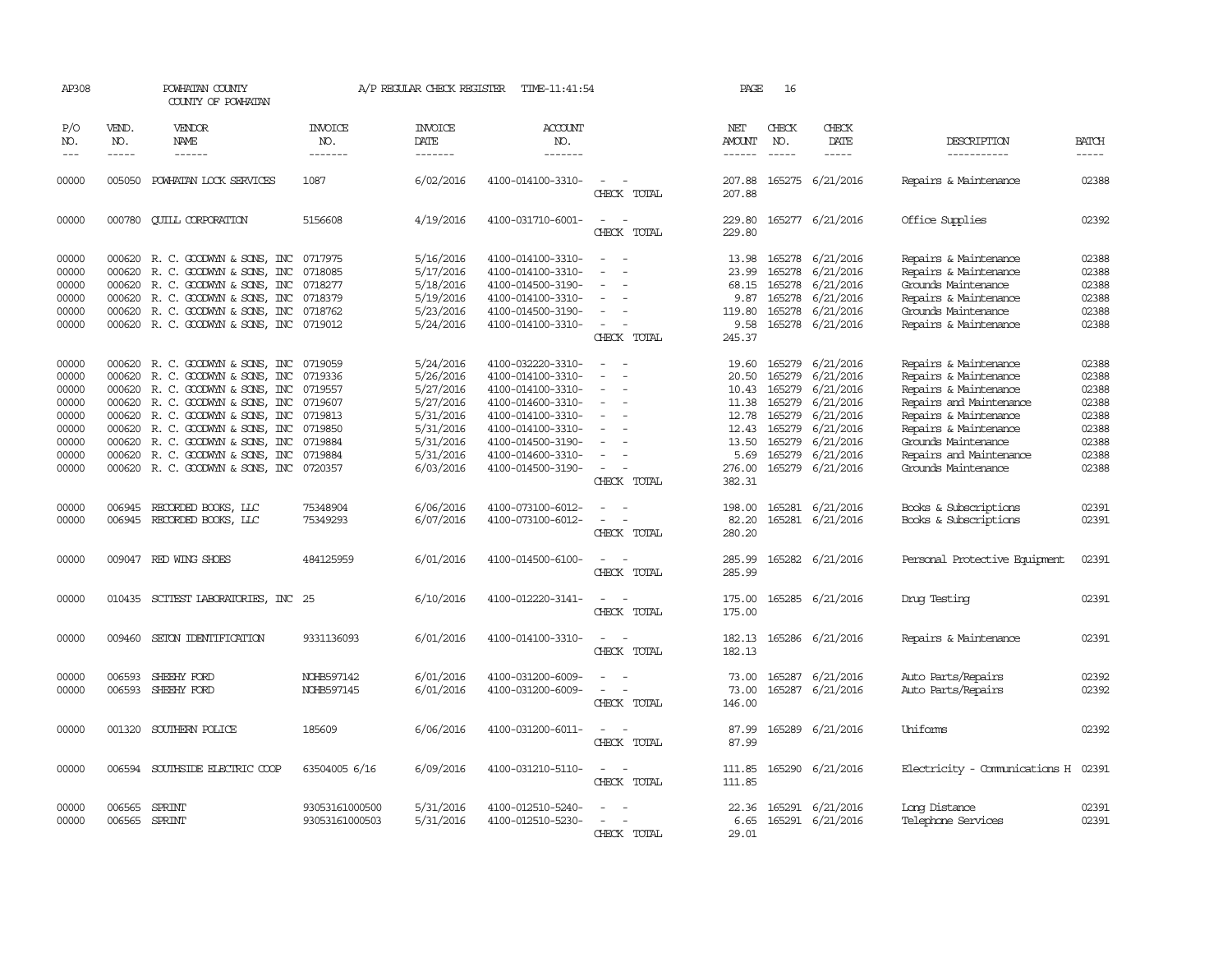| AP308                                                                         |                                                                                                                                                                                                                                                                                                                                                                                                                                                                                     | POWHATAN COUNTY<br>COUNTY OF POWHATAN                                                                                                                                                                                                                                                         |                                                                                                 | A/P REGULAR CHECK REGISTER                                                                                        | TIME-11:41:54                                                                                                                                                                             |                                                                                                                         | PAGE                                                                                    | 16                                                                           |                                                                                                                          |                                                                                                                                                                                                                               |                                                                               |
|-------------------------------------------------------------------------------|-------------------------------------------------------------------------------------------------------------------------------------------------------------------------------------------------------------------------------------------------------------------------------------------------------------------------------------------------------------------------------------------------------------------------------------------------------------------------------------|-----------------------------------------------------------------------------------------------------------------------------------------------------------------------------------------------------------------------------------------------------------------------------------------------|-------------------------------------------------------------------------------------------------|-------------------------------------------------------------------------------------------------------------------|-------------------------------------------------------------------------------------------------------------------------------------------------------------------------------------------|-------------------------------------------------------------------------------------------------------------------------|-----------------------------------------------------------------------------------------|------------------------------------------------------------------------------|--------------------------------------------------------------------------------------------------------------------------|-------------------------------------------------------------------------------------------------------------------------------------------------------------------------------------------------------------------------------|-------------------------------------------------------------------------------|
| P/O<br>NO.                                                                    | VEND.<br>NO.                                                                                                                                                                                                                                                                                                                                                                                                                                                                        | <b>VENDOR</b><br>NAME                                                                                                                                                                                                                                                                         | <b>INVOICE</b><br>NO.                                                                           | <b>INVOICE</b><br>DATE                                                                                            | <b>ACCOUNT</b><br>NO.                                                                                                                                                                     |                                                                                                                         | NET<br>AMOUNT                                                                           | CHECK<br>NO.                                                                 | CHECK<br>DATE                                                                                                            | DESCRIPTION                                                                                                                                                                                                                   | <b>BATCH</b>                                                                  |
| $\qquad \qquad - -$                                                           | $\begin{tabular}{ccccc} \multicolumn{2}{c}{} & \multicolumn{2}{c}{} & \multicolumn{2}{c}{} & \multicolumn{2}{c}{} & \multicolumn{2}{c}{} & \multicolumn{2}{c}{} & \multicolumn{2}{c}{} & \multicolumn{2}{c}{} & \multicolumn{2}{c}{} & \multicolumn{2}{c}{} & \multicolumn{2}{c}{} & \multicolumn{2}{c}{} & \multicolumn{2}{c}{} & \multicolumn{2}{c}{} & \multicolumn{2}{c}{} & \multicolumn{2}{c}{} & \multicolumn{2}{c}{} & \multicolumn{2}{c}{} & \multicolumn{2}{c}{} & \mult$ | ------                                                                                                                                                                                                                                                                                        | -------                                                                                         | -------                                                                                                           | -------                                                                                                                                                                                   |                                                                                                                         | ------                                                                                  | -----                                                                        | -----                                                                                                                    | -----------                                                                                                                                                                                                                   | $- - - - -$                                                                   |
| 00000                                                                         |                                                                                                                                                                                                                                                                                                                                                                                                                                                                                     | 005050 POWHATAN LOCK SERVICES                                                                                                                                                                                                                                                                 | 1087                                                                                            | 6/02/2016                                                                                                         | 4100-014100-3310-                                                                                                                                                                         | CHECK TOTAL                                                                                                             | 207.88<br>207.88                                                                        |                                                                              | 165275 6/21/2016                                                                                                         | Repairs & Maintenance                                                                                                                                                                                                         | 02388                                                                         |
| 00000                                                                         |                                                                                                                                                                                                                                                                                                                                                                                                                                                                                     | 000780 QUILL CORPORATION                                                                                                                                                                                                                                                                      | 5156608                                                                                         | 4/19/2016                                                                                                         | 4100-031710-6001-                                                                                                                                                                         | $\overline{a}$<br>$\sim$<br>CHECK TOTAL                                                                                 | 229.80<br>229.80                                                                        |                                                                              | 165277 6/21/2016                                                                                                         | Office Supplies                                                                                                                                                                                                               | 02392                                                                         |
| 00000<br>00000<br>00000<br>00000<br>00000<br>00000                            | 000620<br>000620<br>000620                                                                                                                                                                                                                                                                                                                                                                                                                                                          | 000620 R. C. GOODWYN & SONS, INC<br>R. C. GOODWYN & SONS, INC<br>R. C. GOODWYN & SONS, INC<br>000620 R. C. GOODWYN & SONS, INC<br>R. C. GOODWYN & SONS, INC<br>000620 R.C. GOODWYN & SONS, INC                                                                                                | 0717975<br>0718085<br>0718277<br>0718379<br>0718762<br>0719012                                  | 5/16/2016<br>5/17/2016<br>5/18/2016<br>5/19/2016<br>5/23/2016<br>5/24/2016                                        | 4100-014100-3310-<br>4100-014100-3310-<br>4100-014500-3190-<br>4100-014100-3310-<br>4100-014500-3190-<br>4100-014100-3310-                                                                | $\overline{\phantom{a}}$<br>$\overline{\phantom{a}}$<br>CHECK TOTAL                                                     | 13.98<br>23.99<br>68.15<br>9.87<br>119.80<br>9.58<br>245.37                             | 165278<br>165278<br>165278<br>165278<br>165278                               | 6/21/2016<br>6/21/2016<br>6/21/2016<br>6/21/2016<br>6/21/2016<br>165278 6/21/2016                                        | Repairs & Maintenance<br>Repairs & Maintenance<br>Grounds Maintenance<br>Repairs & Maintenance<br>Grounds Maintenance<br>Repairs & Maintenance                                                                                | 02388<br>02388<br>02388<br>02388<br>02388<br>02388                            |
| 00000<br>00000<br>00000<br>00000<br>00000<br>00000<br>00000<br>00000<br>00000 | 000620<br>000620<br>000620<br>000620<br>000620                                                                                                                                                                                                                                                                                                                                                                                                                                      | 000620 R. C. GOODWYN & SONS, INC<br>R. C. GOODWYN & SONS, INC<br>000620 R. C. GOODWYN & SONS, INC<br>R. C. GOODWYN & SONS, INC<br>R. C. GOODWYN & SONS, INC<br>R. C. GOODWYN & SONS, INC<br>R. C. GOODWIN & SONS, INC<br>000620 R. C. GOODWYN & SONS, INC<br>000620 R. C. GOODWYN & SONS, INC | 0719059<br>0719336<br>0719557<br>0719607<br>0719813<br>0719850<br>0719884<br>0719884<br>0720357 | 5/24/2016<br>5/26/2016<br>5/27/2016<br>5/27/2016<br>5/31/2016<br>5/31/2016<br>5/31/2016<br>5/31/2016<br>6/03/2016 | 4100-032220-3310-<br>4100-014100-3310-<br>4100-014100-3310-<br>4100-014600-3310-<br>4100-014100-3310-<br>4100-014100-3310-<br>4100-014500-3190-<br>4100-014600-3310-<br>4100-014500-3190- | $\equiv$<br>$\overline{\phantom{0}}$<br>$\overline{\phantom{a}}$<br>$\overline{\phantom{a}}$<br>$\equiv$<br>CHECK TOTAL | 19.60<br>20.50<br>10.43<br>11.38<br>12.78<br>12.43<br>13.50<br>5.69<br>276.00<br>382.31 | 165279<br>165279<br>165279<br>165279<br>165279<br>165279<br>165279<br>165279 | 165279 6/21/2016<br>6/21/2016<br>6/21/2016<br>6/21/2016<br>6/21/2016<br>6/21/2016<br>6/21/2016<br>6/21/2016<br>6/21/2016 | Repairs & Maintenance<br>Repairs & Maintenance<br>Repairs & Maintenance<br>Repairs and Maintenance<br>Repairs & Maintenance<br>Repairs & Maintenance<br>Grounds Maintenance<br>Repairs and Maintenance<br>Grounds Maintenance | 02388<br>02388<br>02388<br>02388<br>02388<br>02388<br>02388<br>02388<br>02388 |
| 00000<br>00000                                                                | 006945<br>006945                                                                                                                                                                                                                                                                                                                                                                                                                                                                    | RECORDED BOOKS, LLC<br>RECORDED BOOKS, LLC                                                                                                                                                                                                                                                    | 75348904<br>75349293                                                                            | 6/06/2016<br>6/07/2016                                                                                            | 4100-073100-6012-<br>4100-073100-6012-                                                                                                                                                    | $\overline{\phantom{a}}$<br>CHECK TOTAL                                                                                 | 198.00<br>82.20<br>280.20                                                               | 165281                                                                       | 165281 6/21/2016<br>6/21/2016                                                                                            | Books & Subscriptions<br>Books & Subscriptions                                                                                                                                                                                | 02391<br>02391                                                                |
| 00000                                                                         |                                                                                                                                                                                                                                                                                                                                                                                                                                                                                     | 009047 RED WING SHOES                                                                                                                                                                                                                                                                         | 484125959                                                                                       | 6/01/2016                                                                                                         | 4100-014500-6100-                                                                                                                                                                         | $\overline{\phantom{a}}$<br>CHECK TOTAL                                                                                 | 285.99<br>285.99                                                                        |                                                                              | 165282 6/21/2016                                                                                                         | Personal Protective Equipment                                                                                                                                                                                                 | 02391                                                                         |
| 00000                                                                         |                                                                                                                                                                                                                                                                                                                                                                                                                                                                                     | 010435 SCITEST LABORATORIES, INC 25                                                                                                                                                                                                                                                           |                                                                                                 | 6/10/2016                                                                                                         | 4100-012220-3141-                                                                                                                                                                         | $\overline{a}$<br>$\sim$<br>CHECK TOTAL                                                                                 | 175.00<br>175.00                                                                        |                                                                              | 165285 6/21/2016                                                                                                         | Druq Testinq                                                                                                                                                                                                                  | 02391                                                                         |
| 00000                                                                         | 009460                                                                                                                                                                                                                                                                                                                                                                                                                                                                              | SETON IDENTIFICATION                                                                                                                                                                                                                                                                          | 9331136093                                                                                      | 6/01/2016                                                                                                         | 4100-014100-3310-                                                                                                                                                                         | $\overline{\phantom{a}}$<br>CHECK TOTAL                                                                                 | 182.13<br>182.13                                                                        |                                                                              | 165286 6/21/2016                                                                                                         | Repairs & Maintenance                                                                                                                                                                                                         | 02391                                                                         |
| 00000<br>00000                                                                | 006593<br>006593                                                                                                                                                                                                                                                                                                                                                                                                                                                                    | SHEEHY FORD<br>SHEEHY FORD                                                                                                                                                                                                                                                                    | NOHB597142<br>NOHB597145                                                                        | 6/01/2016<br>6/01/2016                                                                                            | 4100-031200-6009-<br>4100-031200-6009-                                                                                                                                                    | $\overline{\phantom{a}}$<br>$\overline{\phantom{a}}$<br>CHECK TOTAL                                                     | 73.00<br>73.00<br>146.00                                                                | 165287                                                                       | 6/21/2016<br>165287 6/21/2016                                                                                            | Auto Parts/Repairs<br>Auto Parts/Repairs                                                                                                                                                                                      | 02392<br>02392                                                                |
| 00000                                                                         |                                                                                                                                                                                                                                                                                                                                                                                                                                                                                     | 001320 SOUTHERN POLICE                                                                                                                                                                                                                                                                        | 185609                                                                                          | 6/06/2016                                                                                                         | 4100-031200-6011-                                                                                                                                                                         | $\overline{\phantom{a}}$<br>$\overline{\phantom{a}}$<br>CHECK TOTAL                                                     | 87.99<br>87.99                                                                          |                                                                              | 165289 6/21/2016                                                                                                         | Uniforms                                                                                                                                                                                                                      | 02392                                                                         |
| 00000                                                                         |                                                                                                                                                                                                                                                                                                                                                                                                                                                                                     | 006594 SOUTHSIDE ELECTRIC COOP                                                                                                                                                                                                                                                                | 63504005 6/16                                                                                   | 6/09/2016                                                                                                         | 4100-031210-5110-                                                                                                                                                                         | $\sim$ $\sim$<br>CHECK TOTAL                                                                                            | 111.85<br>111.85                                                                        |                                                                              | 165290 6/21/2016                                                                                                         | Electricity - Comunications H 02391                                                                                                                                                                                           |                                                                               |
| 00000<br>00000                                                                | 006565<br>006565 SPRINT                                                                                                                                                                                                                                                                                                                                                                                                                                                             | SPRINT                                                                                                                                                                                                                                                                                        | 93053161000500<br>93053161000503                                                                | 5/31/2016<br>5/31/2016                                                                                            | 4100-012510-5240-<br>4100-012510-5230-                                                                                                                                                    | CHECK TOTAL                                                                                                             | 22.36<br>6.65<br>29.01                                                                  |                                                                              | 165291 6/21/2016<br>165291 6/21/2016                                                                                     | Long Distance<br>Telephone Services                                                                                                                                                                                           | 02391<br>02391                                                                |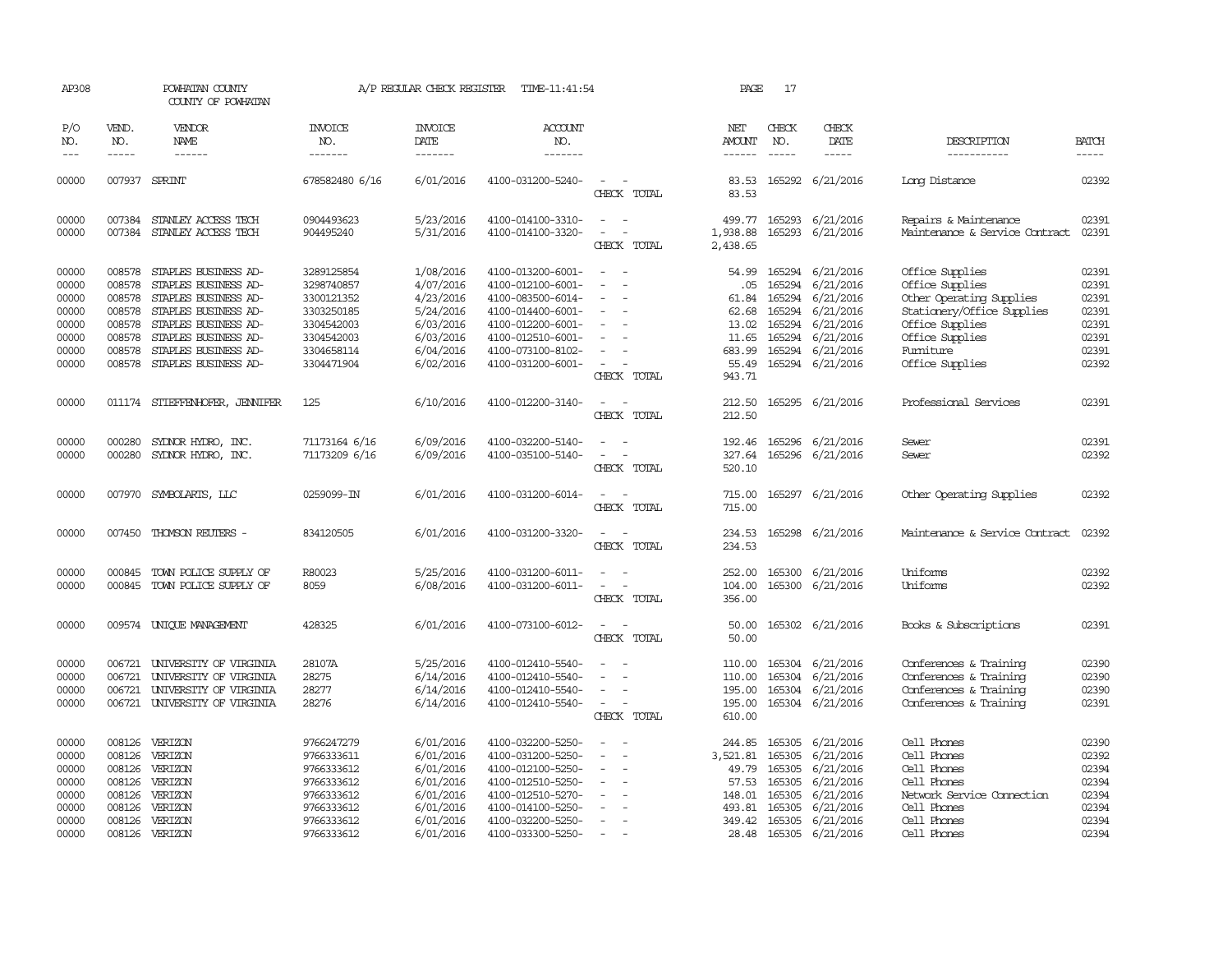| AP308                                                                |                                                                              | POWHATAN COUNTY<br>COUNTY OF POWHATAN                                                                                                                                                        |                                                                                                              | A/P REGULAR CHECK REGISTER                                                                           | TIME-11:41:54                                                                                                                                                        |                                                                 | PAGE                                                                          | 17                                                                           |                                                                                                             |                                                                                                                                                                   |                                                                      |
|----------------------------------------------------------------------|------------------------------------------------------------------------------|----------------------------------------------------------------------------------------------------------------------------------------------------------------------------------------------|--------------------------------------------------------------------------------------------------------------|------------------------------------------------------------------------------------------------------|----------------------------------------------------------------------------------------------------------------------------------------------------------------------|-----------------------------------------------------------------|-------------------------------------------------------------------------------|------------------------------------------------------------------------------|-------------------------------------------------------------------------------------------------------------|-------------------------------------------------------------------------------------------------------------------------------------------------------------------|----------------------------------------------------------------------|
| P/O<br>NO.<br>$---$                                                  | VEND.<br>NO.<br>$- - - - -$                                                  | VENDOR<br>NAME<br>------                                                                                                                                                                     | <b>INVOICE</b><br>NO.<br>-------                                                                             | <b>INVOICE</b><br><b>DATE</b><br>-------                                                             | <b>ACCOUNT</b><br>NO.<br>-------                                                                                                                                     |                                                                 | NET<br>AMOUNT<br>------                                                       | CHECK<br>NO.<br>$- - - - -$                                                  | CHECK<br>DATE<br>-----                                                                                      | DESCRIPTION<br>-----------                                                                                                                                        | <b>BATCH</b><br>-----                                                |
| 00000                                                                |                                                                              | 007937 SPRINT                                                                                                                                                                                | 678582480 6/16                                                                                               | 6/01/2016                                                                                            | 4100-031200-5240-                                                                                                                                                    | $\overline{a}$<br>CHECK TOTAL                                   | 83.53<br>83.53                                                                |                                                                              | 165292 6/21/2016                                                                                            | Long Distance                                                                                                                                                     | 02392                                                                |
| 00000<br>00000                                                       | 007384<br>007384                                                             | STANLEY ACCESS TECH<br>STANLEY ACCESS TECH                                                                                                                                                   | 0904493623<br>904495240                                                                                      | 5/23/2016<br>5/31/2016                                                                               | 4100-014100-3310-<br>4100-014100-3320-                                                                                                                               | $\overline{\phantom{a}}$<br>$\sim$<br>CHECK TOTAL               | 499.77<br>1,938.88<br>2,438.65                                                | 165293<br>165293                                                             | 6/21/2016<br>6/21/2016                                                                                      | Repairs & Maintenance<br>Maintenance & Service Contract                                                                                                           | 02391<br>02391                                                       |
| 00000<br>00000<br>00000<br>00000<br>00000<br>00000<br>00000<br>00000 | 008578<br>008578<br>008578<br>008578<br>008578<br>008578<br>008578<br>008578 | STAPLES BUSINESS AD-<br>STAPLES BUSINESS AD-<br>STAPLES BUSINESS AD-<br>STAPLES BUSINESS AD-<br>STAPLES BUSINESS AD-<br>STAPLES BUSINESS AD-<br>STAPLES BUSINESS AD-<br>STAPLES BUSINESS AD- | 3289125854<br>3298740857<br>3300121352<br>3303250185<br>3304542003<br>3304542003<br>3304658114<br>3304471904 | 1/08/2016<br>4/07/2016<br>4/23/2016<br>5/24/2016<br>6/03/2016<br>6/03/2016<br>6/04/2016<br>6/02/2016 | 4100-013200-6001-<br>4100-012100-6001-<br>4100-083500-6014-<br>4100-014400-6001-<br>4100-012200-6001-<br>4100-012510-6001-<br>4100-073100-8102-<br>4100-031200-6001- | $\overline{\phantom{a}}$<br>$\equiv$<br>$\equiv$<br>CHECK TOTAL | 54.99<br>.05<br>61.84<br>62.68<br>13.02<br>11.65<br>683.99<br>55.49<br>943.71 | 165294<br>165294<br>165294<br>165294<br>165294<br>165294<br>165294<br>165294 | 6/21/2016<br>6/21/2016<br>6/21/2016<br>6/21/2016<br>6/21/2016<br>6/21/2016<br>6/21/2016<br>6/21/2016        | Office Supplies<br>Office Supplies<br>Other Operating Supplies<br>Stationery/Office Supplies<br>Office Supplies<br>Office Supplies<br>Fumiture<br>Office Supplies | 02391<br>02391<br>02391<br>02391<br>02391<br>02391<br>02391<br>02392 |
| 00000                                                                |                                                                              | 011174 STIEFFENHOFER, JENNIFER                                                                                                                                                               | 125                                                                                                          | 6/10/2016                                                                                            | 4100-012200-3140-                                                                                                                                                    | $\sim$<br>CHECK TOTAL                                           | 212.50<br>212.50                                                              |                                                                              | 165295 6/21/2016                                                                                            | Professional Services                                                                                                                                             | 02391                                                                |
| 00000<br>00000                                                       | 000280<br>000280                                                             | SYLNOR HYDRO, INC.<br>SYDNOR HYDRO, INC.                                                                                                                                                     | 71173164 6/16<br>71173209 6/16                                                                               | 6/09/2016<br>6/09/2016                                                                               | 4100-032200-5140-<br>4100-035100-5140-                                                                                                                               | $\sim$ $ \sim$<br>CHECK TOTAL                                   | 327.64<br>520.10                                                              | 192.46 165296<br>165296                                                      | 6/21/2016<br>6/21/2016                                                                                      | Sewer<br>Sewer                                                                                                                                                    | 02391<br>02392                                                       |
| 00000                                                                |                                                                              | 007970 SYMBOLARIS, LLC                                                                                                                                                                       | 0259099-IN                                                                                                   | 6/01/2016                                                                                            | 4100-031200-6014-                                                                                                                                                    | $\equiv$<br>CHECK TOTAL                                         | 715.00<br>715.00                                                              |                                                                              | 165297 6/21/2016                                                                                            | Other Operating Supplies                                                                                                                                          | 02392                                                                |
| 00000                                                                |                                                                              | 007450 THOMSON REUTERS -                                                                                                                                                                     | 834120505                                                                                                    | 6/01/2016                                                                                            | 4100-031200-3320-                                                                                                                                                    | $\equiv$<br>$\sim$<br>CHECK TOTAL                               | 234.53<br>234.53                                                              |                                                                              | 165298 6/21/2016                                                                                            | Maintenance & Service Contract                                                                                                                                    | 02392                                                                |
| 00000<br>00000                                                       | 000845<br>000845                                                             | TOWN POLICE SUPPLY OF<br>TOWN POLICE SUPPLY OF                                                                                                                                               | R80023<br>8059                                                                                               | 5/25/2016<br>6/08/2016                                                                               | 4100-031200-6011-<br>4100-031200-6011-                                                                                                                               | $\equiv$<br>CHECK TOTAL                                         | 252.00<br>104.00<br>356.00                                                    | 165300<br>165300                                                             | 6/21/2016<br>6/21/2016                                                                                      | Uniforms<br>Uniforms                                                                                                                                              | 02392<br>02392                                                       |
| 00000                                                                |                                                                              | 009574 UNIQUE MANAGEMENT                                                                                                                                                                     | 428325                                                                                                       | 6/01/2016                                                                                            | 4100-073100-6012-                                                                                                                                                    | $\sim$<br>CHECK TOTAL                                           | 50.00<br>50.00                                                                |                                                                              | 165302 6/21/2016                                                                                            | Books & Subscriptions                                                                                                                                             | 02391                                                                |
| 00000<br>00000<br>00000<br>00000                                     | 006721<br>006721                                                             | 006721 UNIVERSITY OF VIRGINIA<br>UNIVERSITY OF VIRGINIA<br>UNIVERSITY OF VIRGINIA<br>006721 UNIVERSITY OF VIRGINIA                                                                           | 28107A<br>28275<br>28277<br>28276                                                                            | 5/25/2016<br>6/14/2016<br>6/14/2016<br>6/14/2016                                                     | 4100-012410-5540-<br>4100-012410-5540-<br>4100-012410-5540-<br>4100-012410-5540-                                                                                     | $\equiv$<br>$\sim$<br>$\overline{\phantom{a}}$<br>CHECK TOTAL   | 110.00<br>110.00<br>195.00<br>195.00<br>610.00                                | 165304<br>165304                                                             | 165304 6/21/2016<br>6/21/2016<br>6/21/2016<br>165304 6/21/2016                                              | Conferences & Training<br>Conferences & Training<br>Conferences & Training<br>Conferences & Training                                                              | 02390<br>02390<br>02390<br>02391                                     |
| 00000<br>00000<br>00000<br>00000<br>00000<br>00000<br>00000<br>00000 | 008126<br>008126<br>008126<br>008126<br>008126<br>008126<br>008126           | VERIZON<br>VERIZON<br>VERIZON<br>VERIZON<br>VERIZON<br>VERIZON<br>VERIZON<br>008126 VERIZON                                                                                                  | 9766247279<br>9766333611<br>9766333612<br>9766333612<br>9766333612<br>9766333612<br>9766333612<br>9766333612 | 6/01/2016<br>6/01/2016<br>6/01/2016<br>6/01/2016<br>6/01/2016<br>6/01/2016<br>6/01/2016<br>6/01/2016 | 4100-032200-5250-<br>4100-031200-5250-<br>4100-012100-5250-<br>4100-012510-5250-<br>4100-012510-5270-<br>4100-014100-5250-<br>4100-032200-5250-<br>4100-033300-5250- |                                                                 | 244.85<br>3,521.81<br>49.79<br>57.53<br>148.01<br>493.81<br>349.42<br>28.48   | 165305<br>165305<br>165305<br>165305<br>165305<br>165305<br>165305           | 6/21/2016<br>6/21/2016<br>6/21/2016<br>6/21/2016<br>6/21/2016<br>6/21/2016<br>6/21/2016<br>165305 6/21/2016 | Cell Phones<br>Cell Phones<br>Cell Phones<br>Cell Phones<br>Network Service Connection<br>Cell Phones<br>Cell Phones<br>Cell Phones                               | 02390<br>02392<br>02394<br>02394<br>02394<br>02394<br>02394<br>02394 |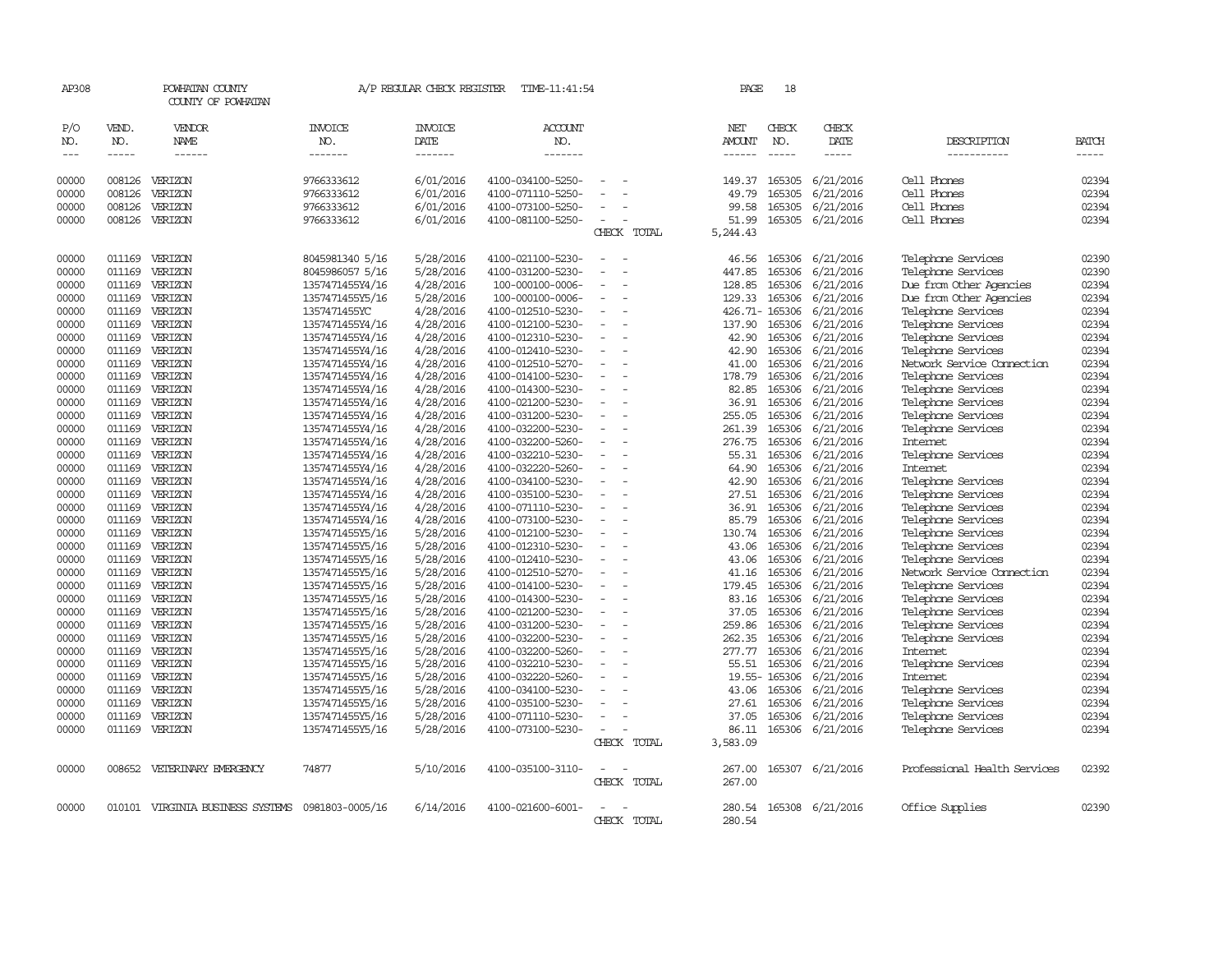| AP308                 |                               | POWHATAN COUNTY<br>COUNTY OF POWHATAN            |                                    | A/P REGULAR CHECK REGISTER         | TIME-11:41:54                        |                          |             | PAGE                     | 18                            |                              |                                               |                             |
|-----------------------|-------------------------------|--------------------------------------------------|------------------------------------|------------------------------------|--------------------------------------|--------------------------|-------------|--------------------------|-------------------------------|------------------------------|-----------------------------------------------|-----------------------------|
| P/O<br>NO.<br>$- - -$ | VEND.<br>NO.<br>$\frac{1}{2}$ | <b>VENDOR</b><br>NAME<br>$\frac{1}{2}$           | <b>INVOICE</b><br>NO.<br>-------   | <b>INVOICE</b><br>DATE<br>-------- | ACCOUNT<br>NO.<br>-------            |                          |             | NET<br>AMOUNT<br>------- | CHECK<br>NO.<br>$\frac{1}{2}$ | CHECK<br>DATE<br>$- - - - -$ | DESCRIPTION<br>-----------                    | <b>BATCH</b><br>$- - - - -$ |
|                       |                               |                                                  |                                    |                                    |                                      |                          |             |                          |                               |                              |                                               |                             |
| 00000                 | 008126                        | VERIZON                                          | 9766333612                         | 6/01/2016                          | 4100-034100-5250-                    |                          |             | 149.37                   | 165305                        | 6/21/2016                    | Cell Phones                                   | 02394                       |
| 00000                 | 008126                        | VERIZON                                          | 9766333612                         | 6/01/2016                          | 4100-071110-5250-                    |                          |             | 49.79                    | 165305                        | 6/21/2016                    | Cell Phones                                   | 02394                       |
| 00000                 | 008126                        | VERIZON                                          | 9766333612                         | 6/01/2016                          | 4100-073100-5250-                    |                          |             | 99.58                    | 165305                        | 6/21/2016                    | Cell Phones                                   | 02394                       |
| 00000                 | 008126                        | VERIZON                                          | 9766333612                         | 6/01/2016                          | 4100-081100-5250-                    | $\equiv$                 |             | 51.99                    |                               | 165305 6/21/2016             | Cell Phones                                   | 02394                       |
|                       |                               |                                                  |                                    |                                    |                                      |                          | CHECK TOTAL | 5,244.43                 |                               |                              |                                               |                             |
| 00000                 | 011169                        |                                                  |                                    |                                    |                                      |                          |             |                          | 165306                        | 6/21/2016                    |                                               | 02390                       |
|                       |                               | VERIZON                                          | 8045981340 5/16                    | 5/28/2016                          | 4100-021100-5230-                    |                          |             | 46.56                    |                               |                              | Telephone Services                            |                             |
| 00000                 | 011169<br>011169              | VERIZON<br>VERIZON                               | 8045986057 5/16                    | 5/28/2016<br>4/28/2016             | 4100-031200-5230-                    |                          |             | 447.85                   | 165306<br>165306              | 6/21/2016<br>6/21/2016       | Telephone Services<br>Due from Other Agencies | 02390<br>02394              |
| 00000<br>00000        | 011169                        | VERIZON                                          | 1357471455Y4/16<br>1357471455Y5/16 | 5/28/2016                          | 100-000100-0006-<br>100-000100-0006- |                          |             | 128.85<br>129.33         | 165306                        | 6/21/2016                    | Due from Other Agencies                       | 02394                       |
| 00000                 | 011169                        | VERIZON                                          | 1357471455YC                       | 4/28/2016                          | 4100-012510-5230-                    | $\sim$                   |             |                          | 426.71-165306                 | 6/21/2016                    | Telephone Services                            | 02394                       |
| 00000                 | 011169                        | VERIZON                                          | 1357471455Y4/16                    | 4/28/2016                          | 4100-012100-5230-                    |                          |             | 137.90                   | 165306                        | 6/21/2016                    | Telephone Services                            | 02394                       |
| 00000                 | 011169                        | VERIZON                                          | 1357471455Y4/16                    | 4/28/2016                          | 4100-012310-5230-                    |                          |             | 42.90                    | 165306                        | 6/21/2016                    | Telephone Services                            | 02394                       |
| 00000                 | 011169                        | VERIZON                                          | 1357471455Y4/16                    | 4/28/2016                          | 4100-012410-5230-                    | $\sim$                   |             | 42.90                    | 165306                        | 6/21/2016                    | Telephone Services                            | 02394                       |
| 00000                 | 011169                        | VERIZON                                          | 1357471455Y4/16                    | 4/28/2016                          | 4100-012510-5270-                    |                          |             | 41.00                    | 165306                        | 6/21/2016                    | Network Service Connection                    | 02394                       |
| 00000                 | 011169                        | VERIZON                                          | 1357471455Y4/16                    | 4/28/2016                          | 4100-014100-5230-                    |                          |             | 178.79                   | 165306                        | 6/21/2016                    | Telephone Services                            | 02394                       |
| 00000                 | 011169                        | VERIZON                                          | 1357471455Y4/16                    | 4/28/2016                          | 4100-014300-5230-                    |                          |             | 82.85                    | 165306                        | 6/21/2016                    | Telephone Services                            | 02394                       |
| 00000                 | 011169                        | VERIZON                                          | 1357471455Y4/16                    | 4/28/2016                          | 4100-021200-5230-                    |                          |             | 36.91                    | 165306                        | 6/21/2016                    | Telephone Services                            | 02394                       |
| 00000                 | 011169                        | VERIZON                                          | 1357471455Y4/16                    | 4/28/2016                          | 4100-031200-5230-                    |                          |             | 255.05                   | 165306                        | 6/21/2016                    | Telephone Services                            | 02394                       |
| 00000                 | 011169                        | VERIZON                                          | 1357471455Y4/16                    | 4/28/2016                          | 4100-032200-5230-                    |                          |             | 261.39                   | 165306                        | 6/21/2016                    | Telephone Services                            | 02394                       |
| 00000                 | 011169                        | VERIZON                                          | 1357471455Y4/16                    | 4/28/2016                          | 4100-032200-5260-                    | $\overline{\phantom{a}}$ |             | 276.75                   | 165306                        | 6/21/2016                    | Internet                                      | 02394                       |
| 00000                 | 011169                        | VERIZON                                          | 1357471455Y4/16                    | 4/28/2016                          | 4100-032210-5230-                    |                          |             | 55.31                    | 165306                        | 6/21/2016                    | Telephone Services                            | 02394                       |
| 00000                 | 011169                        | VERIZON                                          | 1357471455Y4/16                    | 4/28/2016                          | 4100-032220-5260-                    |                          |             | 64.90                    | 165306                        | 6/21/2016                    | Internet                                      | 02394                       |
| 00000                 | 011169                        | VERIZON                                          | 1357471455Y4/16                    | 4/28/2016                          | 4100-034100-5230-                    |                          |             | 42.90                    | 165306                        | 6/21/2016                    | Telephone Services                            | 02394                       |
| 00000                 | 011169                        | VERIZON                                          | 1357471455Y4/16                    | 4/28/2016                          | 4100-035100-5230-                    |                          |             | 27.51                    | 165306                        | 6/21/2016                    | Telephone Services                            | 02394                       |
| 00000                 | 011169                        | VERIZON                                          | 1357471455Y4/16                    | 4/28/2016                          | 4100-071110-5230-                    |                          |             | 36.91                    | 165306                        | 6/21/2016                    | Telephone Services                            | 02394                       |
| 00000                 | 011169                        | VERIZON                                          | 1357471455Y4/16                    | 4/28/2016                          | 4100-073100-5230-                    |                          |             | 85.79                    | 165306                        | 6/21/2016                    | Telephone Services                            | 02394                       |
| 00000                 | 011169                        | VERIZON                                          | 1357471455Y5/16                    | 5/28/2016                          | 4100-012100-5230-                    |                          |             | 130.74                   | 165306                        | 6/21/2016                    | Telephone Services                            | 02394                       |
| 00000                 | 011169                        | VERIZON                                          | 1357471455Y5/16                    | 5/28/2016                          | 4100-012310-5230-                    |                          |             | 43.06                    | 165306                        | 6/21/2016                    | Telephone Services                            | 02394                       |
| 00000                 | 011169                        | VERIZON                                          | 1357471455Y5/16                    | 5/28/2016                          | 4100-012410-5230-                    |                          |             | 43.06                    | 165306                        | 6/21/2016                    | Telephone Services                            | 02394                       |
| 00000                 | 011169                        | VERIZON                                          | 1357471455Y5/16                    | 5/28/2016                          | 4100-012510-5270-                    | $\overline{\phantom{a}}$ |             | 41.16                    | 165306                        | 6/21/2016                    | Network Service Cornection                    | 02394                       |
| 00000                 | 011169                        | VERIZON                                          | 1357471455Y5/16                    | 5/28/2016                          | 4100-014100-5230-                    |                          |             | 179.45                   | 165306                        | 6/21/2016                    | Telephone Services                            | 02394                       |
| 00000                 | 011169                        | VERIZON                                          | 1357471455Y5/16                    | 5/28/2016                          | 4100-014300-5230-                    |                          |             | 83.16                    | 165306                        | 6/21/2016                    | Telephone Services                            | 02394                       |
| 00000                 | 011169                        | VERIZON                                          | 1357471455Y5/16                    | 5/28/2016                          | 4100-021200-5230-                    |                          |             | 37.05                    | 165306                        | 6/21/2016                    | Telephone Services                            | 02394                       |
| 00000                 | 011169                        | VERIZON                                          | 1357471455Y5/16                    | 5/28/2016                          | 4100-031200-5230-                    |                          |             | 259.86                   | 165306                        | 6/21/2016                    | Telephone Services                            | 02394                       |
| 00000                 | 011169                        | VERIZON                                          | 1357471455Y5/16                    | 5/28/2016                          | 4100-032200-5230-                    |                          |             | 262.35                   | 165306                        | 6/21/2016                    | Telephone Services                            | 02394                       |
| 00000                 | 011169                        | VERIZON                                          | 1357471455Y5/16                    | 5/28/2016                          | 4100-032200-5260-                    |                          |             | 277.77                   | 165306                        | 6/21/2016                    | Internet                                      | 02394                       |
| 00000                 | 011169                        | VERIZON                                          | 1357471455Y5/16                    | 5/28/2016                          | 4100-032210-5230-                    |                          |             | 55.51                    | 165306                        | 6/21/2016                    | Telephone Services                            | 02394                       |
| 00000                 | 011169                        | VERIZON                                          | 1357471455Y5/16                    | 5/28/2016                          | 4100-032220-5260-                    |                          |             | $19.55 -$                | 165306                        | 6/21/2016                    | <b>Internet</b>                               | 02394                       |
| 00000                 | 011169                        | VERIZON                                          | 1357471455Y5/16                    | 5/28/2016                          | 4100-034100-5230-                    |                          |             | 43.06                    | 165306                        | 6/21/2016                    | Telephone Services                            | 02394                       |
| 00000                 | 011169                        | VERIZON                                          | 1357471455Y5/16                    | 5/28/2016                          | 4100-035100-5230-                    |                          |             | 27.61                    | 165306                        | 6/21/2016                    | Telephone Services                            | 02394                       |
| 00000                 | 011169                        | VERIZON                                          | 1357471455Y5/16                    | 5/28/2016                          | 4100-071110-5230-                    |                          |             | 37.05                    | 165306                        | 6/21/2016                    | Telephone Services                            | 02394                       |
| 00000                 | 011169                        | VERIZON                                          | 1357471455Y5/16                    | 5/28/2016                          | 4100-073100-5230-                    | $\equiv$                 |             | 86.11                    |                               | 165306 6/21/2016             | Telephone Services                            | 02394                       |
|                       |                               |                                                  |                                    |                                    |                                      |                          | CHECK TOTAL | 3,583.09                 |                               |                              |                                               |                             |
|                       | 008652                        | VETERINARY EMERGENCY                             | 74877                              |                                    | 4100-035100-3110-                    |                          |             |                          |                               |                              | Professional Health Services                  | 02392                       |
| 00000                 |                               |                                                  |                                    | 5/10/2016                          |                                      |                          | CHECK TOTAL | 267.00<br>267.00         | 165307                        | 6/21/2016                    |                                               |                             |
|                       |                               |                                                  |                                    |                                    |                                      |                          |             |                          |                               |                              |                                               |                             |
| 00000                 |                               | 010101 VIRGINIA BUSINESS SYSTEMS 0981803-0005/16 |                                    | 6/14/2016                          | 4100-021600-6001-                    |                          |             | 280.54                   |                               | 165308 6/21/2016             | Office Supplies                               | 02390                       |
|                       |                               |                                                  |                                    |                                    |                                      |                          | CHECK TOTAL | 280.54                   |                               |                              |                                               |                             |
|                       |                               |                                                  |                                    |                                    |                                      |                          |             |                          |                               |                              |                                               |                             |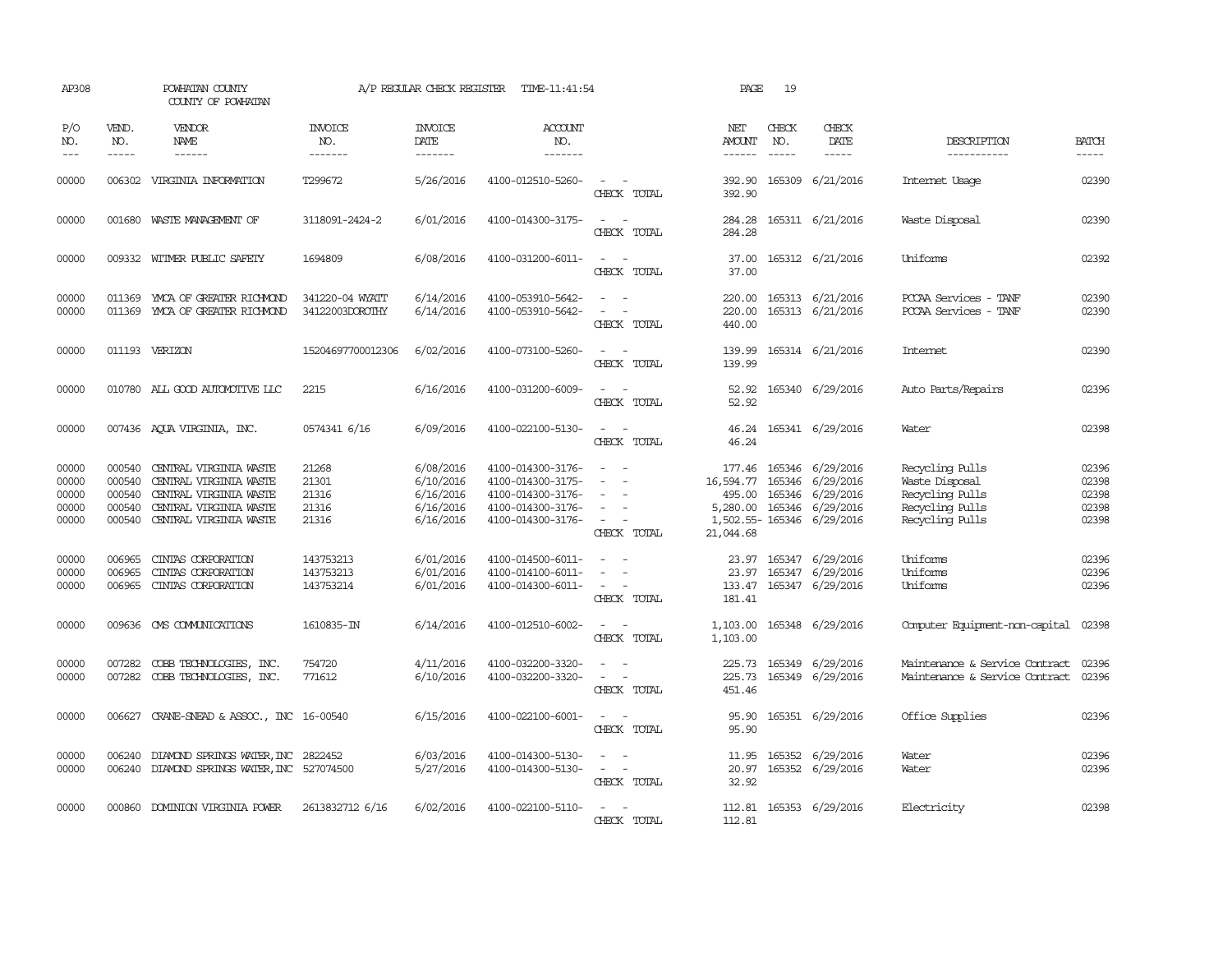| AP308                                     |                                      | POWHATAN COUNTY<br>COUNTY OF POWHATAN                                                                                                 |                                           | A/P REGULAR CHECK REGISTER                                    | TIME-11:41:54                                                                                         |                                                                                                                             | PAGE                                                        | 19           |                                                                                                |                                                                                            |                                           |
|-------------------------------------------|--------------------------------------|---------------------------------------------------------------------------------------------------------------------------------------|-------------------------------------------|---------------------------------------------------------------|-------------------------------------------------------------------------------------------------------|-----------------------------------------------------------------------------------------------------------------------------|-------------------------------------------------------------|--------------|------------------------------------------------------------------------------------------------|--------------------------------------------------------------------------------------------|-------------------------------------------|
| P/O<br>NO.<br>$---$                       | VEND.<br>NO.<br>$- - - - -$          | VENDOR<br>NAME<br>------                                                                                                              | <b>INVOICE</b><br>NO.<br>-------          | <b>INVOICE</b><br>DATE<br>-------                             | ACCOUNT<br>NO.<br>-------                                                                             |                                                                                                                             | NET<br>AMOUNT<br>------                                     | CHECK<br>NO. | CHECK<br>DATE<br>-----                                                                         | DESCRIPTION<br>-----------                                                                 | <b>BATCH</b><br>-----                     |
| 00000                                     |                                      | 006302 VIRGINIA INFORMATION                                                                                                           | T299672                                   | 5/26/2016                                                     | 4100-012510-5260-                                                                                     | $\overline{\phantom{a}}$<br>CHECK TOTAL                                                                                     | 392.90<br>392.90                                            |              | 165309 6/21/2016                                                                               | Internet Usage                                                                             | 02390                                     |
| 00000                                     |                                      | 001680 WASTE MANAGEMENT OF                                                                                                            | 3118091-2424-2                            | 6/01/2016                                                     | 4100-014300-3175-                                                                                     | $\sim$<br>CHECK TOTAL                                                                                                       | 284.28<br>284.28                                            |              | 165311 6/21/2016                                                                               | Waste Disposal                                                                             | 02390                                     |
| 00000                                     |                                      | 009332 WITMER PUBLIC SAFETY                                                                                                           | 1694809                                   | 6/08/2016                                                     | 4100-031200-6011-                                                                                     | $\sim$ $\sim$<br>CHECK TOTAL                                                                                                | 37.00<br>37.00                                              |              | 165312 6/21/2016                                                                               | Uniforms                                                                                   | 02392                                     |
| 00000<br>00000                            | 011369<br>011369                     | YMCA OF GREATER RICHMOND<br>YMCA OF GREATER RICHMOND                                                                                  | 341220-04 WYATT<br>34122003DOROTHY        | 6/14/2016<br>6/14/2016                                        | 4100-053910-5642-<br>4100-053910-5642-                                                                | $\sim$<br>$\sim$<br>CHECK TOTAL                                                                                             | 220.00<br>220.00<br>440.00                                  |              | 165313 6/21/2016<br>165313 6/21/2016                                                           | PCCAA Services - TANF<br>PCCAA Services - TANF                                             | 02390<br>02390                            |
| 00000                                     |                                      | 011193 VERIZON                                                                                                                        | 15204697700012306                         | 6/02/2016                                                     | 4100-073100-5260-                                                                                     | $\overline{\phantom{a}}$<br>CHECK TOTAL                                                                                     | 139.99<br>139.99                                            |              | 165314 6/21/2016                                                                               | Internet                                                                                   | 02390                                     |
| 00000                                     |                                      | 010780 ALL GOOD AUTOMOTTVE LLC                                                                                                        | 2215                                      | 6/16/2016                                                     | 4100-031200-6009-                                                                                     | $\frac{1}{2} \left( \frac{1}{2} \right) \left( \frac{1}{2} \right) = \frac{1}{2} \left( \frac{1}{2} \right)$<br>CHECK TOTAL | 52.92<br>52.92                                              |              | 165340 6/29/2016                                                                               | Auto Parts/Repairs                                                                         | 02396                                     |
| 00000                                     |                                      | 007436 AQUA VIRGINIA, INC.                                                                                                            | 0574341 6/16                              | 6/09/2016                                                     | 4100-022100-5130-                                                                                     | $\sim$ $ \sim$<br>CHECK TOTAL                                                                                               | 46.24                                                       |              | 46.24 165341 6/29/2016                                                                         | Water                                                                                      | 02398                                     |
| 00000<br>00000<br>00000<br>00000<br>00000 | 000540<br>000540<br>000540<br>000540 | CENTRAL VIRGINIA WASTE<br>CENTRAL VIRGINIA WASTE<br>CENTRAL VIRGINIA WASTE<br>CENTRAL VIRGINIA WASTE<br>000540 CENTRAL VIRGINIA WASTE | 21268<br>21301<br>21316<br>21316<br>21316 | 6/08/2016<br>6/10/2016<br>6/16/2016<br>6/16/2016<br>6/16/2016 | 4100-014300-3176-<br>4100-014300-3175-<br>4100-014300-3176-<br>4100-014300-3176-<br>4100-014300-3176- | $\equiv$<br>$\sim$<br>$\overline{\phantom{a}}$<br>$\sim$<br>$\sim$<br>$\sim$<br>CHECK TOTAL                                 | 177.46<br>16,594.77 165346 6/29/2016<br>495.00<br>21,044.68 |              | 165346 6/29/2016<br>165346 6/29/2016<br>5,280.00 165346 6/29/2016<br>1,502.55-165346 6/29/2016 | Recycling Pulls<br>Waste Disposal<br>Recycling Pulls<br>Recycling Pulls<br>Recycling Pulls | 02396<br>02398<br>02398<br>02398<br>02398 |
| 00000<br>00000<br>00000                   | 006965<br>006965<br>006965           | CINIAS CORPORATION<br>CINIAS CORPORATION<br>CINIAS CORPORATION                                                                        | 143753213<br>143753213<br>143753214       | 6/01/2016<br>6/01/2016<br>6/01/2016                           | 4100-014500-6011-<br>4100-014100-6011-<br>4100-014300-6011-                                           | $\sim$<br>$\sim$<br>$\equiv$<br>$\sim$<br>CHECK TOTAL                                                                       | 181.41                                                      |              | 23.97 165347 6/29/2016<br>23.97 165347 6/29/2016<br>133.47 165347 6/29/2016                    | Uniforms<br>Uniforms<br>Uniforms                                                           | 02396<br>02396<br>02396                   |
| 00000                                     | 009636                               | CMS COMMUNICATIONS                                                                                                                    | 1610835-IN                                | 6/14/2016                                                     | 4100-012510-6002-                                                                                     | CHECK TOTAL                                                                                                                 | 1,103.00<br>1,103.00                                        |              | 165348 6/29/2016                                                                               | Computer Equipment-non-capital                                                             | 02398                                     |
| 00000<br>00000                            | 007282                               | COBB TECHNOLOGIES, INC.<br>007282 COBB TECHNOLOGIES, INC.                                                                             | 754720<br>771612                          | 4/11/2016<br>6/10/2016                                        | 4100-032200-3320-<br>4100-032200-3320-                                                                | $\equiv$<br>$\sim$ 100 $\sim$<br>CHECK TOTAL                                                                                | 225.73<br>225.73<br>451.46                                  |              | 165349 6/29/2016<br>165349 6/29/2016                                                           | Maintenance & Service Contract<br>Maintenance & Service Contract                           | 02396<br>02396                            |
| 00000                                     |                                      | 006627 CRANE-SNEAD & ASSOC., INC 16-00540                                                                                             |                                           | 6/15/2016                                                     | 4100-022100-6001-                                                                                     | $\omega_{\rm{max}}$ and $\omega_{\rm{max}}$<br>CHECK TOTAL                                                                  | 95.90<br>95.90                                              |              | 165351 6/29/2016                                                                               | Office Supplies                                                                            | 02396                                     |
| 00000<br>00000                            | 006240<br>006240                     | DIAMOND SPRINGS WATER, INC 2822452<br>DIAMOND SPRINGS WATER, INC 527074500                                                            |                                           | 6/03/2016<br>5/27/2016                                        | 4100-014300-5130-<br>4100-014300-5130-                                                                | $\equiv$<br>CHECK TOTAL                                                                                                     | 11.95<br>20.97<br>32.92                                     |              | 165352 6/29/2016<br>165352 6/29/2016                                                           | Water<br>Water                                                                             | 02396<br>02396                            |
| 00000                                     | 000860                               | DOMINION VIRGINIA POWER                                                                                                               | 2613832712 6/16                           | 6/02/2016                                                     | 4100-022100-5110-                                                                                     | $ -$<br>CHECK TOTAL                                                                                                         | 112.81                                                      |              | 112.81 165353 6/29/2016                                                                        | Electricity                                                                                | 02398                                     |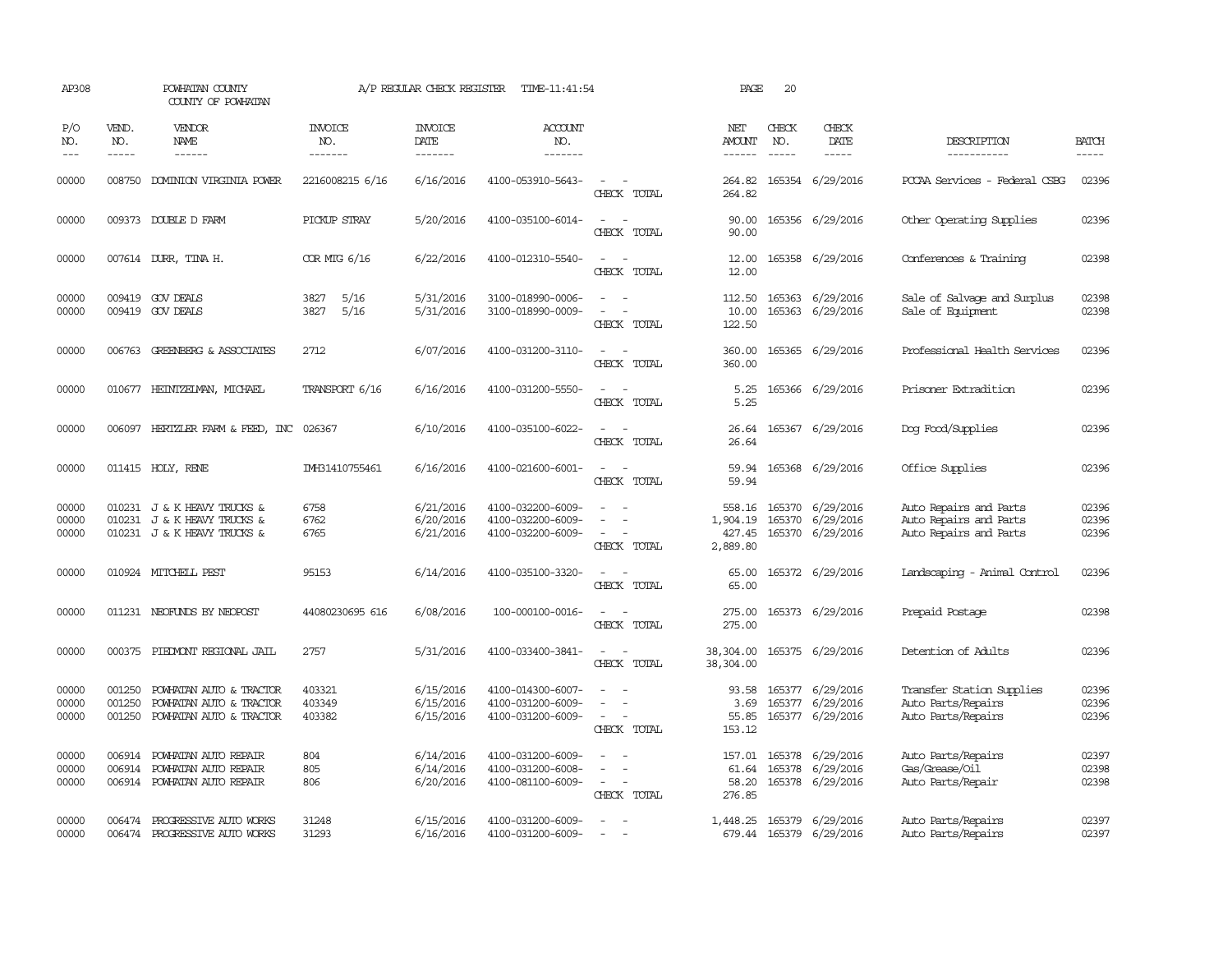| AP308                   |                               | POWHATAN COUNTY<br>COUNTY OF POWHATAN                                                                                                                                                                                                                                                                                                                                                                                                                                                        | A/P REGULAR CHECK REGISTER<br>TIME-11:41:54 |                                     |                                                             |                                                                                                                                          | PAGE                                     | 20                            |                                                          |                                                                            |                               |
|-------------------------|-------------------------------|----------------------------------------------------------------------------------------------------------------------------------------------------------------------------------------------------------------------------------------------------------------------------------------------------------------------------------------------------------------------------------------------------------------------------------------------------------------------------------------------|---------------------------------------------|-------------------------------------|-------------------------------------------------------------|------------------------------------------------------------------------------------------------------------------------------------------|------------------------------------------|-------------------------------|----------------------------------------------------------|----------------------------------------------------------------------------|-------------------------------|
| P/O<br>NO.<br>$- - -$   | VEND.<br>NO.<br>$\frac{1}{2}$ | VENDOR<br>NAME<br>$\frac{1}{2} \left( \frac{1}{2} \right) \left( \frac{1}{2} \right) \left( \frac{1}{2} \right) \left( \frac{1}{2} \right) \left( \frac{1}{2} \right) \left( \frac{1}{2} \right) \left( \frac{1}{2} \right) \left( \frac{1}{2} \right) \left( \frac{1}{2} \right) \left( \frac{1}{2} \right) \left( \frac{1}{2} \right) \left( \frac{1}{2} \right) \left( \frac{1}{2} \right) \left( \frac{1}{2} \right) \left( \frac{1}{2} \right) \left( \frac{1}{2} \right) \left( \frac$ | <b>INVOICE</b><br>NO.<br>-------            | <b>INVOICE</b><br>DATE<br>-------   | ACCOUNT<br>NO.<br>-------                                   |                                                                                                                                          | NET<br>AMOUNT<br>$- - - - - -$           | CHECK<br>NO.<br>$\frac{1}{2}$ | CHECK<br>DATE<br>$\frac{1}{2}$                           | DESCRIPTION<br>-----------                                                 | <b>BATCH</b><br>$\frac{1}{2}$ |
| 00000                   | 008750                        | DOMINION VIRGINIA POWER                                                                                                                                                                                                                                                                                                                                                                                                                                                                      | 2216008215 6/16                             | 6/16/2016                           | 4100-053910-5643-                                           | $\omega_{\rm{max}}$ and $\omega_{\rm{max}}$<br>CHECK TOTAL                                                                               | 264.82<br>264.82                         |                               | 165354 6/29/2016                                         | PCCAA Services - Federal CSBG                                              | 02396                         |
| 00000                   |                               | 009373 DOUBLE D FARM                                                                                                                                                                                                                                                                                                                                                                                                                                                                         | PICKUP STRAY                                | 5/20/2016                           | 4100-035100-6014-                                           | $\sim$<br>$\sim$<br>CHECK TOTAL                                                                                                          | 90.00<br>90.00                           |                               | 165356 6/29/2016                                         | Other Operating Supplies                                                   | 02396                         |
| 00000                   |                               | 007614 DURR, TINA H.                                                                                                                                                                                                                                                                                                                                                                                                                                                                         | COR MIG 6/16                                | 6/22/2016                           | 4100-012310-5540-                                           | $\sim$ $\sim$<br>CHECK TOTAL                                                                                                             | 12.00<br>12.00                           |                               | 165358 6/29/2016                                         | Conferences & Training                                                     | 02398                         |
| 00000<br>00000          |                               | 009419 GOV DEALS<br>009419 GOV DEALS                                                                                                                                                                                                                                                                                                                                                                                                                                                         | 5/16<br>3827<br>3827<br>5/16                | 5/31/2016<br>5/31/2016              | 3100-018990-0006-<br>3100-018990-0009-                      | $\equiv$<br>$\omega$<br>CHECK TOTAL                                                                                                      | 112.50<br>10.00<br>122.50                |                               | 165363 6/29/2016<br>165363 6/29/2016                     | Sale of Salvage and Surplus<br>Sale of Equipment                           | 02398<br>02398                |
| 00000                   |                               | 006763 GREENBERG & ASSOCIATES                                                                                                                                                                                                                                                                                                                                                                                                                                                                | 2712                                        | 6/07/2016                           | 4100-031200-3110-                                           | $\overline{\phantom{a}}$<br>CHECK TOTAL                                                                                                  | 360.00<br>360.00                         |                               | 165365 6/29/2016                                         | Professional Health Services                                               | 02396                         |
| 00000                   |                               | 010677 HEINTZEIMAN, MICHAEL                                                                                                                                                                                                                                                                                                                                                                                                                                                                  | TRANSPORT 6/16                              | 6/16/2016                           | 4100-031200-5550-                                           | $\sim$ 100 $\mu$<br>CHECK TOTAL                                                                                                          | 5.25<br>5.25                             |                               | 165366 6/29/2016                                         | Prisoner Extradition                                                       | 02396                         |
| 00000                   |                               | 006097 HERTZLER FARM & FEED, INC 026367                                                                                                                                                                                                                                                                                                                                                                                                                                                      |                                             | 6/10/2016                           | 4100-035100-6022-                                           | CHECK TOTAL                                                                                                                              | 26.64<br>26.64                           |                               | 165367 6/29/2016                                         | Dog Food/Supplies                                                          | 02396                         |
| 00000                   |                               | 011415 HOLY, RENE                                                                                                                                                                                                                                                                                                                                                                                                                                                                            | IMH31410755461                              | 6/16/2016                           | 4100-021600-6001-                                           | $\sim$<br>CHECK TOTAL                                                                                                                    | 59.94                                    |                               | 59.94 165368 6/29/2016                                   | Office Supplies                                                            | 02396                         |
| 00000<br>00000<br>00000 |                               | 010231 J & K HEAVY TRUCKS &<br>010231 J & K HEAVY TRUCKS &<br>010231 J & K HEAVY TRUCKS &                                                                                                                                                                                                                                                                                                                                                                                                    | 6758<br>6762<br>6765                        | 6/21/2016<br>6/20/2016<br>6/21/2016 | 4100-032200-6009-<br>4100-032200-6009-<br>4100-032200-6009- | $\sim$<br>CHECK TOTAL                                                                                                                    | 558.16<br>1,904.19<br>427.45<br>2,889.80 |                               | 165370 6/29/2016<br>165370 6/29/2016<br>165370 6/29/2016 | Auto Repairs and Parts<br>Auto Repairs and Parts<br>Auto Repairs and Parts | 02396<br>02396<br>02396       |
| 00000                   |                               | 010924 MITCHELL PEST                                                                                                                                                                                                                                                                                                                                                                                                                                                                         | 95153                                       | 6/14/2016                           | 4100-035100-3320-                                           | $\sim$<br>CHECK TOTAL                                                                                                                    | 65.00<br>65.00                           |                               | 165372 6/29/2016                                         | Landscaping - Animal Control                                               | 02396                         |
| 00000                   |                               | 011231 NEOFUNDS BY NEOPOST                                                                                                                                                                                                                                                                                                                                                                                                                                                                   | 44080230695 616                             | 6/08/2016                           | 100-000100-0016-                                            | $\sim$ $  -$<br>CHECK TOTAL                                                                                                              | 275.00<br>275.00                         |                               | 165373 6/29/2016                                         | Prepaid Postage                                                            | 02398                         |
| 00000                   | 000375                        | PIEDMONT REGIONAL JAIL                                                                                                                                                                                                                                                                                                                                                                                                                                                                       | 2757                                        | 5/31/2016                           | 4100-033400-3841-                                           | $\frac{1}{2} \left( \frac{1}{2} \right) \left( \frac{1}{2} \right) \left( \frac{1}{2} \right) \left( \frac{1}{2} \right)$<br>CHECK TOTAL | 38,304.00<br>38,304.00                   |                               | 165375 6/29/2016                                         | Detention of Adults                                                        | 02396                         |
| 00000<br>00000<br>00000 | 001250<br>001250<br>001250    | POWHATAN AUTO & TRACTOR<br>POWHATAN AUTO & TRACTOR<br>POWHATAN AUTO & TRACTOR                                                                                                                                                                                                                                                                                                                                                                                                                | 403321<br>403349<br>403382                  | 6/15/2016<br>6/15/2016<br>6/15/2016 | 4100-014300-6007-<br>4100-031200-6009-<br>4100-031200-6009- | $\equiv$<br>$\sim$<br>CHECK TOTAL                                                                                                        | 93.58<br>3.69<br>55.85<br>153.12         |                               | 165377 6/29/2016<br>165377 6/29/2016<br>165377 6/29/2016 | Transfer Station Supplies<br>Auto Parts/Repairs<br>Auto Parts/Repairs      | 02396<br>02396<br>02396       |
| 00000<br>00000<br>00000 | 006914                        | POWHATAN AUTO REPAIR<br>006914 POWHATAN AUTO REPAIR<br>006914 POWHATAN AUTO REPAIR                                                                                                                                                                                                                                                                                                                                                                                                           | 804<br>805<br>806                           | 6/14/2016<br>6/14/2016<br>6/20/2016 | 4100-031200-6009-<br>4100-031200-6008-<br>4100-081100-6009- | $\sim$<br>$\sim$<br>$\sim$ $-$<br>$\overline{\phantom{a}}$<br>CHECK TOTAL                                                                | 157.01<br>61.64<br>58.20<br>276.85       |                               | 165378 6/29/2016<br>165378 6/29/2016<br>165378 6/29/2016 | Auto Parts/Repairs<br>Gas/Grease/Oil<br>Auto Parts/Repair                  | 02397<br>02398<br>02398       |
| 00000<br>00000          | 006474                        | PROGRESSIVE AUTO WORKS<br>006474 PROGRESSIVE AUTO WORKS                                                                                                                                                                                                                                                                                                                                                                                                                                      | 31248<br>31293                              | 6/15/2016<br>6/16/2016              | 4100-031200-6009-<br>4100-031200-6009-                      | $\overline{\phantom{a}}$<br>$\sim$                                                                                                       | 1,448.25                                 |                               | 165379 6/29/2016<br>679.44 165379 6/29/2016              | Auto Parts/Repairs<br>Auto Parts/Repairs                                   | 02397<br>02397                |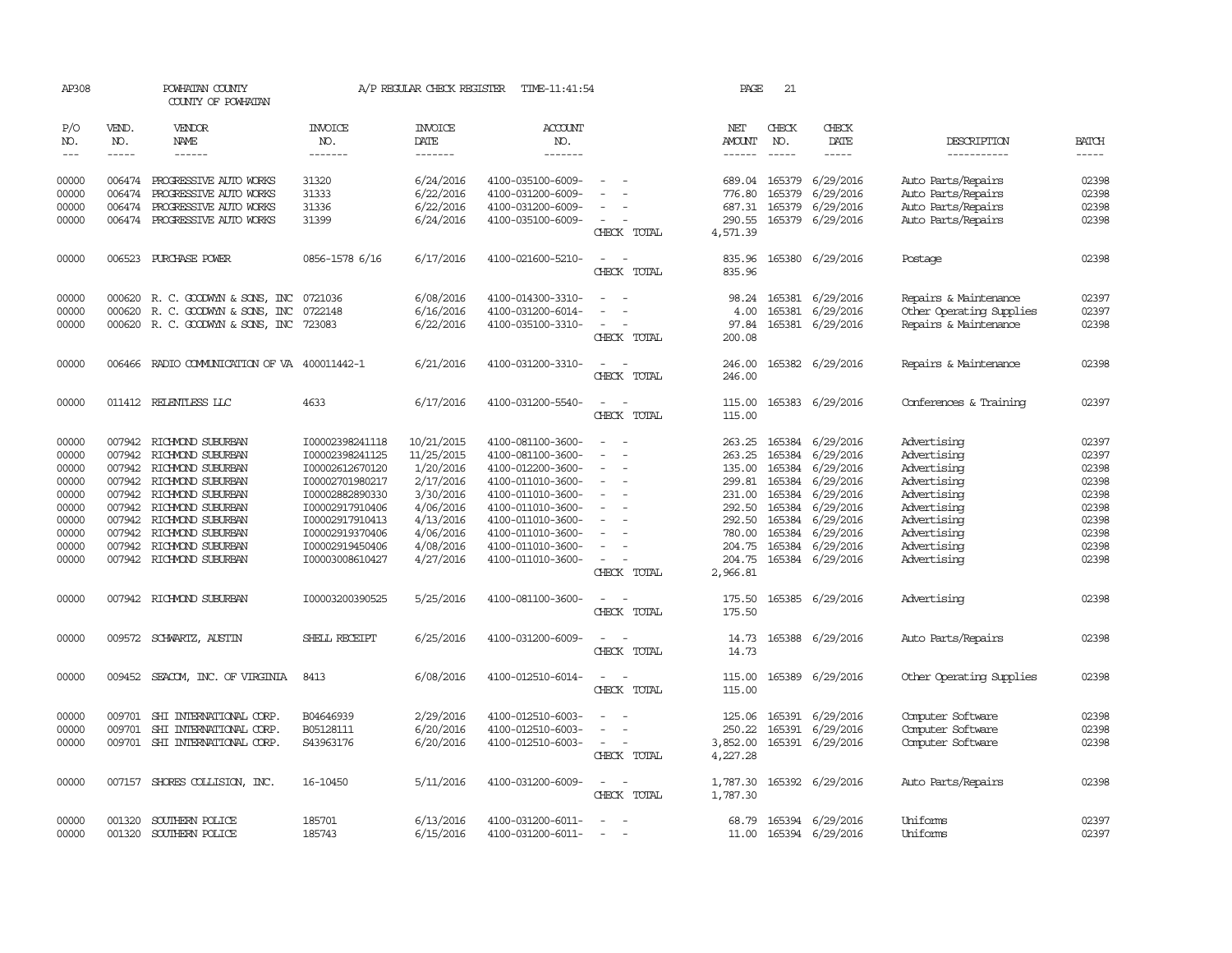| AP308          | POWHATAN COUNTY |                                                                                                                                                                                                                                                                                                                                                                                                                                                                            | A/P REGULAR CHECK REGISTER<br>TIME-11:41:54<br>COUNTY OF POWHATAN |                        |                                        |                                         |                      | 21<br>PAGE       |                         |                                          |                |  |  |
|----------------|-----------------|----------------------------------------------------------------------------------------------------------------------------------------------------------------------------------------------------------------------------------------------------------------------------------------------------------------------------------------------------------------------------------------------------------------------------------------------------------------------------|-------------------------------------------------------------------|------------------------|----------------------------------------|-----------------------------------------|----------------------|------------------|-------------------------|------------------------------------------|----------------|--|--|
| P/O<br>NO.     | VEND.<br>NO.    | <b>VENDOR</b><br>NAME                                                                                                                                                                                                                                                                                                                                                                                                                                                      | <b>INVOICE</b><br>NO.                                             | <b>INVOICE</b><br>DATE | ACCOUNT<br>NO.                         |                                         | NET<br><b>AMOUNT</b> | CHECK<br>NO.     | CHECK<br>DATE           | DESCRIPTION                              | <b>BATCH</b>   |  |  |
| $---$          | $- - - - -$     | $\frac{1}{2} \left( \frac{1}{2} \right) \left( \frac{1}{2} \right) \left( \frac{1}{2} \right) \left( \frac{1}{2} \right) \left( \frac{1}{2} \right) \left( \frac{1}{2} \right) \left( \frac{1}{2} \right) \left( \frac{1}{2} \right) \left( \frac{1}{2} \right) \left( \frac{1}{2} \right) \left( \frac{1}{2} \right) \left( \frac{1}{2} \right) \left( \frac{1}{2} \right) \left( \frac{1}{2} \right) \left( \frac{1}{2} \right) \left( \frac{1}{2} \right) \left( \frac$ | --------                                                          | --------               | --------                               |                                         | $- - - - - -$        | $\frac{1}{2}$    | -----                   | -----------                              | $- - - - -$    |  |  |
| 00000<br>00000 | 006474          | 006474 PROGRESSIVE AUTO WORKS<br>PROGRESSIVE AUTO WORKS                                                                                                                                                                                                                                                                                                                                                                                                                    | 31320<br>31333                                                    | 6/24/2016<br>6/22/2016 | 4100-035100-6009-<br>4100-031200-6009- |                                         | 689.04<br>776.80     | 165379<br>165379 | 6/29/2016<br>6/29/2016  | Auto Parts/Repairs<br>Auto Parts/Repairs | 02398<br>02398 |  |  |
| 00000          | 006474          | PROGRESSIVE AUTO WORKS                                                                                                                                                                                                                                                                                                                                                                                                                                                     | 31336                                                             | 6/22/2016              | 4100-031200-6009-                      |                                         | 687.31               | 165379           | 6/29/2016               | Auto Parts/Repairs                       | 02398          |  |  |
| 00000          |                 | 006474 PROGRESSIVE AUTO WORKS                                                                                                                                                                                                                                                                                                                                                                                                                                              | 31399                                                             | 6/24/2016              | 4100-035100-6009-                      | $\sim$<br>CHECK TOTAL                   | 290.55<br>4,571.39   |                  | 165379 6/29/2016        | Auto Parts/Repairs                       | 02398          |  |  |
| 00000          |                 | 006523 PURCHASE POWER                                                                                                                                                                                                                                                                                                                                                                                                                                                      | 0856-1578 6/16                                                    | 6/17/2016              | 4100-021600-5210-                      | $\equiv$<br>$\sim$<br>CHECK TOTAL       | 835.96<br>835.96     |                  | 165380 6/29/2016        | Postage                                  | 02398          |  |  |
| 00000          |                 | 000620 R. C. GOODWYN & SONS, INC                                                                                                                                                                                                                                                                                                                                                                                                                                           | 0721036                                                           | 6/08/2016              | 4100-014300-3310-                      |                                         | 98.24                | 165381           | 6/29/2016               | Repairs & Maintenance                    | 02397          |  |  |
| 00000          | 000620          | R. C. GOODWYN & SONS, INC                                                                                                                                                                                                                                                                                                                                                                                                                                                  | 0722148                                                           | 6/16/2016              | 4100-031200-6014-                      | $\overline{\phantom{a}}$                | 4.00                 | 165381           | 6/29/2016               | Other Operating Supplies                 | 02397          |  |  |
| 00000          |                 | 000620 R. C. GOODWYN & SONS, INC                                                                                                                                                                                                                                                                                                                                                                                                                                           | 723083                                                            | 6/22/2016              | 4100-035100-3310-                      | $\equiv$<br>CHECK TOTAL                 | 97.84<br>200.08      | 165381           | 6/29/2016               | Repairs & Maintenance                    | 02398          |  |  |
| 00000          |                 | 006466 RADIO COMMUNICATION OF VA 400011442-1                                                                                                                                                                                                                                                                                                                                                                                                                               |                                                                   | 6/21/2016              | 4100-031200-3310-                      | $\overline{a}$<br>CHECK TOTAL           | 246.00<br>246.00     |                  | 165382 6/29/2016        | Repairs & Maintenance                    | 02398          |  |  |
| 00000          |                 | 011412 RELENTLESS LLC                                                                                                                                                                                                                                                                                                                                                                                                                                                      | 4633                                                              | 6/17/2016              | 4100-031200-5540-                      | $\equiv$<br>CHECK TOTAL                 | 115.00<br>115.00     |                  | 165383 6/29/2016        | Conferences & Training                   | 02397          |  |  |
| 00000          |                 | 007942 RICHMOND SUBURBAN                                                                                                                                                                                                                                                                                                                                                                                                                                                   | I00002398241118                                                   | 10/21/2015             | 4100-081100-3600-                      | $\sim$<br>$\sim$                        |                      |                  | 263.25 165384 6/29/2016 | Advertising                              | 02397          |  |  |
| 00000          | 007942          | RICHMOND SUBURBAN                                                                                                                                                                                                                                                                                                                                                                                                                                                          | I00002398241125                                                   | 11/25/2015             | 4100-081100-3600-                      |                                         | 263.25               | 165384           | 6/29/2016               | Advertising                              | 02397          |  |  |
| 00000          |                 | 007942 RICHMOND SUBURBAN                                                                                                                                                                                                                                                                                                                                                                                                                                                   | I00002612670120                                                   | 1/20/2016<br>2/17/2016 | 4100-012200-3600-                      | $\equiv$                                | 135.00               | 165384           | 6/29/2016               | Advertising                              | 02398          |  |  |
| 00000<br>00000 | 007942          | RICHMOND SUBURBAN<br>007942 RICHMOND SUBURBAN                                                                                                                                                                                                                                                                                                                                                                                                                              | I00002701980217<br>I00002882890330                                | 3/30/2016              | 4100-011010-3600-<br>4100-011010-3600- |                                         | 299.81<br>231.00     | 165384<br>165384 | 6/29/2016<br>6/29/2016  | Advertising<br>Advertising               | 02398<br>02398 |  |  |
| 00000          |                 | 007942 RICHMOND SUBURBAN                                                                                                                                                                                                                                                                                                                                                                                                                                                   | I00002917910406                                                   | 4/06/2016              | 4100-011010-3600-                      |                                         | 292.50               | 165384           | 6/29/2016               | Advertising                              | 02398          |  |  |
| 00000          |                 | 007942 RICHMOND SUBURBAN                                                                                                                                                                                                                                                                                                                                                                                                                                                   | I00002917910413                                                   | 4/13/2016              | 4100-011010-3600-                      |                                         | 292.50               | 165384           | 6/29/2016               | Advertising                              | 02398          |  |  |
| 00000          | 007942          | RICHMOND SUBURBAN                                                                                                                                                                                                                                                                                                                                                                                                                                                          | I00002919370406                                                   | 4/06/2016              | 4100-011010-3600-                      | $\equiv$                                | 780.00               | 165384           | 6/29/2016               | Advertising                              | 02398          |  |  |
| 00000          | 007942          | RICHMOND SUBURBAN                                                                                                                                                                                                                                                                                                                                                                                                                                                          | I00002919450406                                                   | 4/08/2016              | 4100-011010-3600-                      |                                         | 204.75               | 165384           | 6/29/2016               | Advertising                              | 02398          |  |  |
| 00000          |                 | 007942 RICHMOND SUBURBAN                                                                                                                                                                                                                                                                                                                                                                                                                                                   | I00003008610427                                                   | 4/27/2016              | 4100-011010-3600-                      | $\equiv$<br>CHECK TOTAL                 | 204.75<br>2,966.81   |                  | 165384 6/29/2016        | Advertising                              | 02398          |  |  |
| 00000          |                 | 007942 RICHMOND SUBURBAN                                                                                                                                                                                                                                                                                                                                                                                                                                                   | I00003200390525                                                   | 5/25/2016              | 4100-081100-3600-                      | $\overline{\phantom{a}}$<br>CHECK TOTAL | 175.50<br>175.50     |                  | 165385 6/29/2016        | Advertising                              | 02398          |  |  |
| 00000          |                 | 009572 SCHWARTZ, AUSTIN                                                                                                                                                                                                                                                                                                                                                                                                                                                    | SHELL RECEIPT                                                     | 6/25/2016              | 4100-031200-6009-                      | CHECK TOTAL                             | 14.73<br>14.73       |                  | 165388 6/29/2016        | Auto Parts/Repairs                       | 02398          |  |  |
| 00000          |                 | 009452 SEACOM, INC. OF VIRGINIA                                                                                                                                                                                                                                                                                                                                                                                                                                            | 8413                                                              | 6/08/2016              | 4100-012510-6014-                      | $\overline{a}$<br>$\sim$<br>CHECK TOTAL | 115.00<br>115.00     |                  | 165389 6/29/2016        | Other Operating Supplies                 | 02398          |  |  |
| 00000          | 009701          | SHI INTERNATIONAL CORP.                                                                                                                                                                                                                                                                                                                                                                                                                                                    | B04646939                                                         | 2/29/2016              | 4100-012510-6003-                      |                                         | 125.06               | 165391           | 6/29/2016               | Computer Software                        | 02398          |  |  |
| 00000          | 009701          | SHI INTERNATIONAL CORP.                                                                                                                                                                                                                                                                                                                                                                                                                                                    | B05128111                                                         | 6/20/2016              | 4100-012510-6003-                      |                                         | 250.22               | 165391           | 6/29/2016               | Computer Software                        | 02398          |  |  |
| 00000          |                 | 009701 SHI INTERNATIONAL CORP.                                                                                                                                                                                                                                                                                                                                                                                                                                             | S43963176                                                         | 6/20/2016              | 4100-012510-6003-                      | $\sim$ $-$<br>CHECK TOTAL               | 3,852.00<br>4,227.28 |                  | 165391 6/29/2016        | Computer Software                        | 02398          |  |  |
| 00000          |                 | 007157 SHORES COLLISION, INC.                                                                                                                                                                                                                                                                                                                                                                                                                                              | 16-10450                                                          | 5/11/2016              | 4100-031200-6009-                      | $\sim$<br>$\sim$<br>CHECK TOTAL         | 1,787.30<br>1,787.30 |                  | 165392 6/29/2016        | Auto Parts/Repairs                       | 02398          |  |  |
| 00000          | 001320          | SOUTHERN POLICE                                                                                                                                                                                                                                                                                                                                                                                                                                                            | 185701                                                            | 6/13/2016              | 4100-031200-6011-                      | $\overline{\phantom{a}}$                |                      |                  | 68.79 165394 6/29/2016  | Uniforms                                 | 02397          |  |  |
| 00000          | 001320          | SOUTHERN POLICE                                                                                                                                                                                                                                                                                                                                                                                                                                                            | 185743                                                            | 6/15/2016              | 4100-031200-6011-                      |                                         | 11.00                |                  | 165394 6/29/2016        | Uniforms                                 | 02397          |  |  |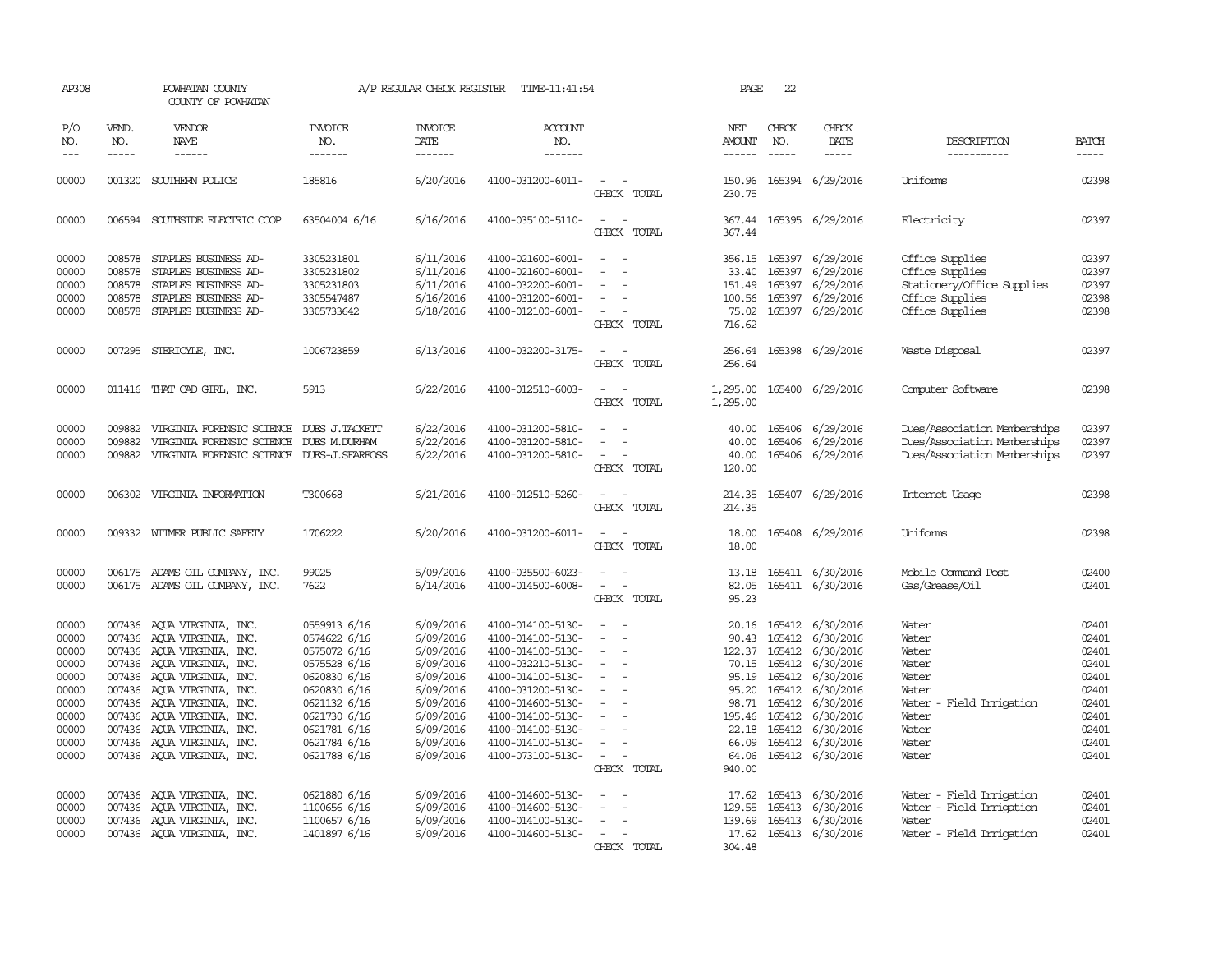| AP308                                                                                           |                             | POWHATAN COUNTY<br>COUNTY OF POWHATAN                                                                                                                                                                                                                                                                                                  |                                                                                                                                                                              | A/P REGULAR CHECK REGISTER                                                                                                                  | TIME-11:41:54                                                                                                                                                                                                                       |                                                                                                                                                                                                                                                                                                       | PAGE                                                                   | 22                                                                                              |                                                                                                                                                                        |                                                                                                                    |                                                                                                 |
|-------------------------------------------------------------------------------------------------|-----------------------------|----------------------------------------------------------------------------------------------------------------------------------------------------------------------------------------------------------------------------------------------------------------------------------------------------------------------------------------|------------------------------------------------------------------------------------------------------------------------------------------------------------------------------|---------------------------------------------------------------------------------------------------------------------------------------------|-------------------------------------------------------------------------------------------------------------------------------------------------------------------------------------------------------------------------------------|-------------------------------------------------------------------------------------------------------------------------------------------------------------------------------------------------------------------------------------------------------------------------------------------------------|------------------------------------------------------------------------|-------------------------------------------------------------------------------------------------|------------------------------------------------------------------------------------------------------------------------------------------------------------------------|--------------------------------------------------------------------------------------------------------------------|-------------------------------------------------------------------------------------------------|
| P/O<br>NO.<br>$- - -$                                                                           | VEND.<br>NO.<br>$- - - - -$ | VENDOR<br>NAME<br>$- - - - - -$                                                                                                                                                                                                                                                                                                        | <b>INVOICE</b><br>NO.<br>-------                                                                                                                                             | <b>INVOICE</b><br>DATE<br>$- - - - - - -$                                                                                                   | <b>ACCOUNT</b><br>NO.<br>-------                                                                                                                                                                                                    |                                                                                                                                                                                                                                                                                                       | NET<br>AMOUNT<br>$- - - - - -$                                         | CHECK<br>NO.<br>$\frac{1}{2}$                                                                   | CHECK<br>DATE<br>-----                                                                                                                                                 | DESCRIPTION<br>-----------                                                                                         | <b>BATCH</b><br>$- - - - -$                                                                     |
|                                                                                                 |                             |                                                                                                                                                                                                                                                                                                                                        |                                                                                                                                                                              |                                                                                                                                             |                                                                                                                                                                                                                                     |                                                                                                                                                                                                                                                                                                       |                                                                        |                                                                                                 |                                                                                                                                                                        |                                                                                                                    |                                                                                                 |
| 00000                                                                                           |                             | 001320 SOUTHERN POLICE                                                                                                                                                                                                                                                                                                                 | 185816                                                                                                                                                                       | 6/20/2016                                                                                                                                   | 4100-031200-6011-                                                                                                                                                                                                                   | $\overline{\phantom{a}}$<br>CHECK TOTAL                                                                                                                                                                                                                                                               | 230.75                                                                 |                                                                                                 | 150.96 165394 6/29/2016                                                                                                                                                | Uniforms                                                                                                           | 02398                                                                                           |
| 00000                                                                                           |                             | 006594 SOUTHSIDE ELECTRIC COOP                                                                                                                                                                                                                                                                                                         | 63504004 6/16                                                                                                                                                                | 6/16/2016                                                                                                                                   | 4100-035100-5110-                                                                                                                                                                                                                   | $\overline{\phantom{a}}$<br>$\sim$<br>CHECK TOTAL                                                                                                                                                                                                                                                     | 367.44                                                                 |                                                                                                 | 367.44 165395 6/29/2016                                                                                                                                                | Electricity                                                                                                        | 02397                                                                                           |
| 00000<br>00000<br>00000<br>00000<br>00000                                                       | 008578<br>008578<br>008578  | STAPLES BUSINESS AD-<br>STAPLES BUSINESS AD-<br>STAPLES BUSINESS AD-<br>008578 STAPLES BUSINESS AD-<br>008578 STAPLES BUSINESS AD-                                                                                                                                                                                                     | 3305231801<br>3305231802<br>3305231803<br>3305547487<br>3305733642                                                                                                           | 6/11/2016<br>6/11/2016<br>6/11/2016<br>6/16/2016<br>6/18/2016                                                                               | 4100-021600-6001-<br>4100-021600-6001-<br>4100-032200-6001-<br>4100-031200-6001-<br>4100-012100-6001-                                                                                                                               | $\sim$<br>$\overline{\phantom{a}}$<br>$\sim$<br>CHECK TOTAL                                                                                                                                                                                                                                           | 33.40<br>151.49<br>100.56<br>75.02<br>716.62                           | 165397<br>165397<br>165397                                                                      | 356.15 165397 6/29/2016<br>6/29/2016<br>6/29/2016<br>6/29/2016<br>165397 6/29/2016                                                                                     | Office Supplies<br>Office Supplies<br>Stationery/Office Supplies<br>Office Supplies<br>Office Supplies             | 02397<br>02397<br>02397<br>02398<br>02398                                                       |
| 00000                                                                                           |                             | 007295 STERICYLE, INC.                                                                                                                                                                                                                                                                                                                 | 1006723859                                                                                                                                                                   | 6/13/2016                                                                                                                                   | 4100-032200-3175-                                                                                                                                                                                                                   | $\overline{\phantom{a}}$<br>$\overline{\phantom{a}}$<br>CHECK TOTAL                                                                                                                                                                                                                                   | 256.64<br>256.64                                                       |                                                                                                 | 165398 6/29/2016                                                                                                                                                       | Waste Disposal                                                                                                     | 02397                                                                                           |
| 00000                                                                                           |                             | 011416 THAT CAD GIRL, INC.                                                                                                                                                                                                                                                                                                             | 5913                                                                                                                                                                         | 6/22/2016                                                                                                                                   | 4100-012510-6003-                                                                                                                                                                                                                   | CHECK TOTAL                                                                                                                                                                                                                                                                                           | 1,295.00                                                               |                                                                                                 | 1,295.00 165400 6/29/2016                                                                                                                                              | Computer Software                                                                                                  | 02398                                                                                           |
| 00000<br>00000<br>00000                                                                         | 009882<br>009882<br>009882  | VIRGINIA FORENSIC SCIENCE DUES J.TACKETT<br>VIRGINIA FORENSIC SCIENCE DUES M.DURHAM<br>VIRGINIA FORENSIC SCIENCE DUES-J.SEARFOSS                                                                                                                                                                                                       |                                                                                                                                                                              | 6/22/2016<br>6/22/2016<br>6/22/2016                                                                                                         | 4100-031200-5810-<br>4100-031200-5810-<br>4100-031200-5810-                                                                                                                                                                         | $\sim$<br>CHECK TOTAL                                                                                                                                                                                                                                                                                 | 40.00<br>40.00<br>40.00<br>120.00                                      | 165406<br>165406                                                                                | 6/29/2016<br>6/29/2016<br>165406 6/29/2016                                                                                                                             | Dues/Association Memberships<br>Dues/Association Memberships<br>Dues/Association Memberships                       | 02397<br>02397<br>02397                                                                         |
| 00000                                                                                           |                             | 006302 VIRGINIA INFORMATION                                                                                                                                                                                                                                                                                                            | T300668                                                                                                                                                                      | 6/21/2016                                                                                                                                   | 4100-012510-5260-                                                                                                                                                                                                                   | CHECK TOTAL                                                                                                                                                                                                                                                                                           | 214.35                                                                 |                                                                                                 | 214.35 165407 6/29/2016                                                                                                                                                | Internet Usage                                                                                                     | 02398                                                                                           |
| 00000                                                                                           |                             | 009332 WITMER PUBLIC SAFETY                                                                                                                                                                                                                                                                                                            | 1706222                                                                                                                                                                      | 6/20/2016                                                                                                                                   | 4100-031200-6011-                                                                                                                                                                                                                   | CHECK TOTAL                                                                                                                                                                                                                                                                                           | 18.00<br>18.00                                                         |                                                                                                 | 165408 6/29/2016                                                                                                                                                       | Uniforms                                                                                                           | 02398                                                                                           |
| 00000<br>00000                                                                                  |                             | 006175 ADAMS OIL COMPANY, INC.<br>006175 ADAMS OIL COMPANY, INC.                                                                                                                                                                                                                                                                       | 99025<br>7622                                                                                                                                                                | 5/09/2016<br>6/14/2016                                                                                                                      | 4100-035500-6023-<br>4100-014500-6008-                                                                                                                                                                                              | $\sim$<br>$\overline{\phantom{a}}$<br>CHECK TOTAL                                                                                                                                                                                                                                                     | 82.05<br>95.23                                                         |                                                                                                 | 13.18 165411 6/30/2016<br>165411 6/30/2016                                                                                                                             | Mobile Command Post<br>Gas/Grease/Oil                                                                              | 02400<br>02401                                                                                  |
| 00000<br>00000<br>00000<br>00000<br>00000<br>00000<br>00000<br>00000<br>00000<br>00000<br>00000 |                             | 007436 AQUA VIRGINIA, INC.<br>007436 AQUA VIRGINIA, INC.<br>007436 AQUA VIRGINIA, INC.<br>007436 AQUA VIRGINIA, INC.<br>007436 AQUA VIRGINIA, INC.<br>007436 AQUA VIRGINIA, INC.<br>007436 AQUA VIRGINIA, INC.<br>007436 AQUA VIRGINIA, INC.<br>007436 AQUA VIRGINIA, INC.<br>007436 AQUA VIRGINIA, INC.<br>007436 AQUA VIRGINIA, INC. | 0559913 6/16<br>0574622 6/16<br>0575072 6/16<br>0575528 6/16<br>0620830 6/16<br>0620830 6/16<br>0621132 6/16<br>0621730 6/16<br>0621781 6/16<br>0621784 6/16<br>0621788 6/16 | 6/09/2016<br>6/09/2016<br>6/09/2016<br>6/09/2016<br>6/09/2016<br>6/09/2016<br>6/09/2016<br>6/09/2016<br>6/09/2016<br>6/09/2016<br>6/09/2016 | 4100-014100-5130-<br>4100-014100-5130-<br>4100-014100-5130-<br>4100-032210-5130-<br>4100-014100-5130-<br>4100-031200-5130-<br>4100-014600-5130-<br>4100-014100-5130-<br>4100-014100-5130-<br>4100-014100-5130-<br>4100-073100-5130- | $\sim$<br>$\overline{\phantom{a}}$<br>$\overline{\phantom{a}}$<br>$\overline{\phantom{a}}$<br>$\overline{\phantom{a}}$<br>$\overline{\phantom{a}}$<br>$\overline{\phantom{a}}$<br>$\overline{\phantom{a}}$<br>$\sim$<br>$\overline{\phantom{a}}$<br>$\sim$<br>$\overline{\phantom{a}}$<br>CHECK TOTAL | 90.43<br>95.19<br>95.20<br>195.46<br>22.18<br>66.09<br>64.06<br>940.00 | 122.37 165412<br>70.15 165412<br>165412<br>165412<br>98.71 165412<br>165412<br>165412<br>165412 | 20.16 165412 6/30/2016<br>165412 6/30/2016<br>6/30/2016<br>6/30/2016<br>6/30/2016<br>6/30/2016<br>6/30/2016<br>6/30/2016<br>6/30/2016<br>6/30/2016<br>165412 6/30/2016 | Water<br>Water<br>Water<br>Water<br>Water<br>Water<br>Water - Field Irrigation<br>Water<br>Water<br>Water<br>Water | 02401<br>02401<br>02401<br>02401<br>02401<br>02401<br>02401<br>02401<br>02401<br>02401<br>02401 |
| 00000<br>00000<br>00000<br>00000                                                                |                             | 007436 AQUA VIRGINIA, INC.<br>007436 AQUA VIRGINIA, INC.<br>007436 AQUA VIRGINIA, INC.<br>007436 AQUA VIRGINIA, INC.                                                                                                                                                                                                                   | 0621880 6/16<br>1100656 6/16<br>1100657 6/16<br>1401897 6/16                                                                                                                 | 6/09/2016<br>6/09/2016<br>6/09/2016<br>6/09/2016                                                                                            | 4100-014600-5130-<br>4100-014600-5130-<br>4100-014100-5130-<br>4100-014600-5130-                                                                                                                                                    | $\overline{\phantom{a}}$<br>$\overline{a}$<br>$\overline{\phantom{a}}$<br>$\overline{\phantom{a}}$<br>CHECK TOTAL                                                                                                                                                                                     | 17.62<br>129.55<br>139.69<br>17.62<br>304.48                           |                                                                                                 | 165413 6/30/2016<br>165413 6/30/2016<br>165413 6/30/2016<br>165413 6/30/2016                                                                                           | Water - Field Irrigation<br>Water - Field Irrigation<br>Water<br>Water - Field Irrigation                          | 02401<br>02401<br>02401<br>02401                                                                |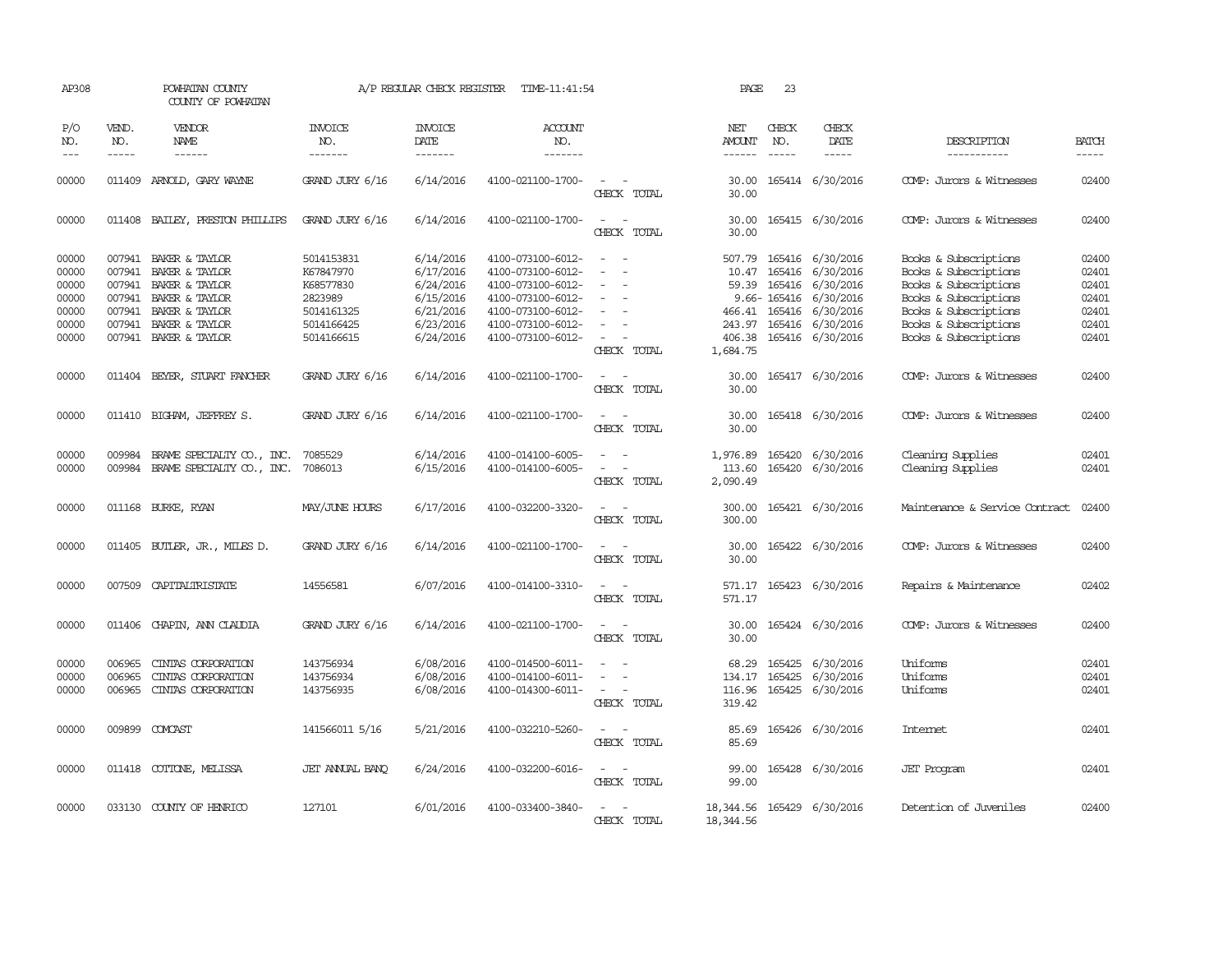| AP308                                              |                                      | POWHATAN COUNTY<br>COUNTY OF POWHATAN                                                                                  |                                                                             | A/P REGULAR CHECK REGISTER                                                 | TIME-11:41:54                                                                                                              |                                                      | PAGE                                         | 23                            |                                                                                                                           |                                                                                                                                                    |                                                    |
|----------------------------------------------------|--------------------------------------|------------------------------------------------------------------------------------------------------------------------|-----------------------------------------------------------------------------|----------------------------------------------------------------------------|----------------------------------------------------------------------------------------------------------------------------|------------------------------------------------------|----------------------------------------------|-------------------------------|---------------------------------------------------------------------------------------------------------------------------|----------------------------------------------------------------------------------------------------------------------------------------------------|----------------------------------------------------|
| P/O<br>NO.<br>$---$                                | VEND.<br>NO.<br>$\frac{1}{2}$        | VENDOR<br>NAME                                                                                                         | <b>INVOICE</b><br>NO.<br>-------                                            | <b>INVOICE</b><br>DATE<br>-------                                          | <b>ACCOUNT</b><br>NO.<br>-------                                                                                           |                                                      | NET<br>AMOUNT<br>$- - - - - -$               | CHECK<br>NO.<br>$\frac{1}{2}$ | CHECK<br>DATE<br>$- - - - -$                                                                                              | DESCRIPTION<br>-----------                                                                                                                         | <b>BATCH</b><br>$\frac{1}{2}$                      |
| 00000                                              | 011409                               | ARNOLD, GARY WAYNE                                                                                                     | GRAND JURY 6/16                                                             | 6/14/2016                                                                  | 4100-021100-1700-                                                                                                          | CHECK TOTAL                                          | 30.00<br>30.00                               |                               | 165414 6/30/2016                                                                                                          | COMP: Jurors & Witnesses                                                                                                                           | 02400                                              |
| 00000                                              |                                      | 011408 BAILEY, PRESTON PHILLIPS                                                                                        | GRAND JURY 6/16                                                             | 6/14/2016                                                                  | 4100-021100-1700-                                                                                                          | $\overline{\phantom{a}}$<br>CHECK TOTAL              | 30.00<br>30.00                               |                               | 165415 6/30/2016                                                                                                          | COMP: Jurors & Witnesses                                                                                                                           | 02400                                              |
| 00000<br>00000<br>00000<br>00000<br>00000<br>00000 | 007941<br>007941<br>007941<br>007941 | 007941 BAKER & TAYLOR<br>BAKER & TAYLOR<br>BAKER & TAYLOR<br>BAKER & TAYLOR<br>BAKER & TAYLOR<br>007941 BAKER & TAYLOR | 5014153831<br>K67847970<br>K68577830<br>2823989<br>5014161325<br>5014166425 | 6/14/2016<br>6/17/2016<br>6/24/2016<br>6/15/2016<br>6/21/2016<br>6/23/2016 | 4100-073100-6012-<br>4100-073100-6012-<br>4100-073100-6012-<br>4100-073100-6012-<br>4100-073100-6012-<br>4100-073100-6012- | $\overline{\phantom{a}}$<br>- 14<br>$\sim$<br>$\sim$ | 507.79<br>10.47<br>59.39<br>466.41<br>243.97 |                               | 165416 6/30/2016<br>165416 6/30/2016<br>165416 6/30/2016<br>9.66-165416 6/30/2016<br>165416 6/30/2016<br>165416 6/30/2016 | Books & Subscriptions<br>Books & Subscriptions<br>Books & Subscriptions<br>Books & Subscriptions<br>Books & Subscriptions<br>Books & Subscriptions | 02400<br>02401<br>02401<br>02401<br>02401<br>02401 |
| 00000                                              |                                      | 007941 BAKER & TAYLOR                                                                                                  | 5014166615                                                                  | 6/24/2016                                                                  | 4100-073100-6012-                                                                                                          | CHECK TOTAL                                          | 406.38<br>1,684.75                           |                               | 165416 6/30/2016                                                                                                          | Books & Subscriptions                                                                                                                              | 02401                                              |
| 00000                                              |                                      | 011404 BEYER, STUART FANCHER                                                                                           | GRAND JURY 6/16                                                             | 6/14/2016                                                                  | 4100-021100-1700-                                                                                                          | $\equiv$<br>$\sim$<br>CHECK TOTAL                    | 30.00<br>30.00                               |                               | 165417 6/30/2016                                                                                                          | COMP: Jurors & Witnesses                                                                                                                           | 02400                                              |
| 00000                                              |                                      | 011410 BIGHAM, JEFFREY S.                                                                                              | GRAND JURY 6/16                                                             | 6/14/2016                                                                  | 4100-021100-1700-                                                                                                          | $\sim$ $\sim$<br>CHECK TOTAL                         | 30.00<br>30.00                               |                               | 165418 6/30/2016                                                                                                          | COMP: Jurors & Witnesses                                                                                                                           | 02400                                              |
| 00000<br>00000                                     | 009984                               | BRAME SPECIALITY CO., INC.<br>009984 BRAME SPECIALTY CO., INC.                                                         | 7085529<br>7086013                                                          | 6/14/2016<br>6/15/2016                                                     | 4100-014100-6005-<br>4100-014100-6005-                                                                                     | $\equiv$<br>CHECK TOTAL                              | 1,976.89<br>113.60<br>2,090.49               |                               | 165420 6/30/2016<br>165420 6/30/2016                                                                                      | Cleaning Supplies<br>Cleaning Supplies                                                                                                             | 02401<br>02401                                     |
| 00000                                              |                                      | 011168 BURKE, RYAN                                                                                                     | MAY/JUNE HOURS                                                              | 6/17/2016                                                                  | 4100-032200-3320-                                                                                                          | CHECK TOTAL                                          | 300.00<br>300.00                             |                               | 165421 6/30/2016                                                                                                          | Maintenance & Service Contract                                                                                                                     | 02400                                              |
| 00000                                              |                                      | 011405 BUTLER, JR., MILES D.                                                                                           | GRAND JURY 6/16                                                             | 6/14/2016                                                                  | 4100-021100-1700-                                                                                                          | $\sim$<br>CHECK TOTAL                                | 30.00<br>30.00                               |                               | 165422 6/30/2016                                                                                                          | COMP: Jurors & Witnesses                                                                                                                           | 02400                                              |
| 00000                                              | 007509                               | CAPITALIRISTATE                                                                                                        | 14556581                                                                    | 6/07/2016                                                                  | 4100-014100-3310-                                                                                                          | CHECK TOTAL                                          | 571.17<br>571.17                             |                               | 165423 6/30/2016                                                                                                          | Repairs & Maintenance                                                                                                                              | 02402                                              |
| 00000                                              | 011406                               | CHAPIN, ANN CLAUDIA                                                                                                    | GRAND JURY 6/16                                                             | 6/14/2016                                                                  | 4100-021100-1700-                                                                                                          | $\overline{\phantom{a}}$<br>CHECK TOTAL              | 30.00<br>30.00                               |                               | 165424 6/30/2016                                                                                                          | COMP: Jurors & Witnesses                                                                                                                           | 02400                                              |
| 00000<br>00000<br>00000                            | 006965<br>006965<br>006965           | CINIAS CORPORATION<br>CINIAS CORPORATION<br>CINIAS CORPORATION                                                         | 143756934<br>143756934<br>143756935                                         | 6/08/2016<br>6/08/2016<br>6/08/2016                                        | 4100-014500-6011-<br>4100-014100-6011-<br>4100-014300-6011-                                                                | $\equiv$<br>$\equiv$<br>CHECK TOTAL                  | 68.29<br>134.17<br>116.96<br>319.42          | 165425<br>165425              | 6/30/2016<br>6/30/2016<br>165425 6/30/2016                                                                                | Uniforms<br>Uniforms<br>Uniforms                                                                                                                   | 02401<br>02401<br>02401                            |
| 00000                                              |                                      | 009899 COMCAST                                                                                                         | 141566011 5/16                                                              | 5/21/2016                                                                  | 4100-032210-5260-                                                                                                          | $\overline{\phantom{a}}$<br>CHECK TOTAL              | 85.69<br>85.69                               |                               | 165426 6/30/2016                                                                                                          | Internet                                                                                                                                           | 02401                                              |
| 00000                                              |                                      | 011418 COTTONE, MELISSA                                                                                                | JET ANNUAL BANO                                                             | 6/24/2016                                                                  | 4100-032200-6016-                                                                                                          | $\sim$<br>CHECK TOTAL                                | 99.00<br>99.00                               |                               | 165428 6/30/2016                                                                                                          | <b>JET</b> Program                                                                                                                                 | 02401                                              |
| 00000                                              |                                      | 033130 COUNTY OF HENRICO                                                                                               | 127101                                                                      | 6/01/2016                                                                  | 4100-033400-3840-                                                                                                          | CHECK TOTAL                                          | 18, 344.56 165429 6/30/2016<br>18,344.56     |                               |                                                                                                                           | Detention of Juveniles                                                                                                                             | 02400                                              |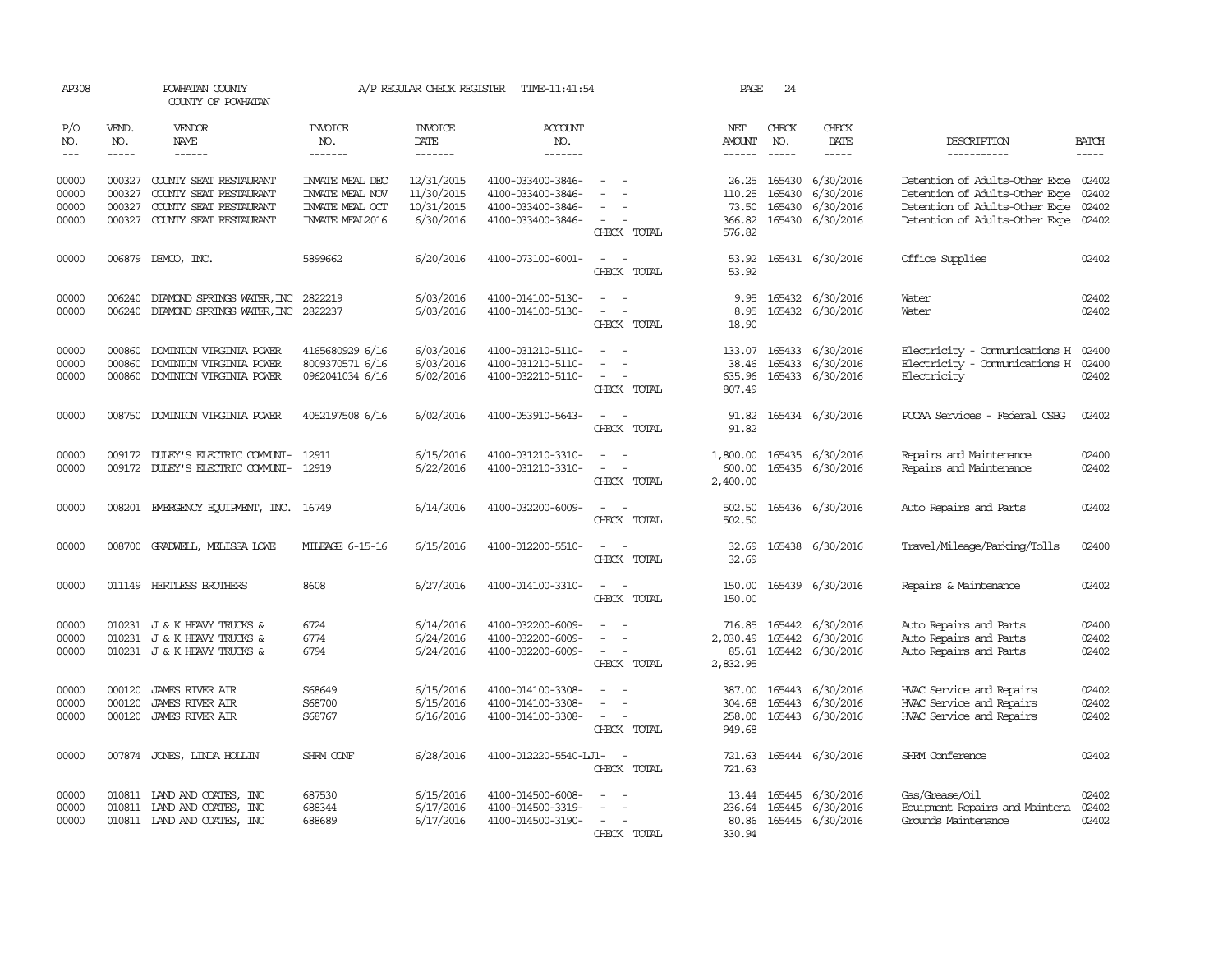| AP308                       |                       | POWHATAN COUNTY<br>COUNTY OF POWHATAN                              |                                           | A/P REGULAR CHECK REGISTER        | TIME-11:41:54                          |                                                                                                                             | PAGE                           | 24           |                                      |                                                                        |                       |
|-----------------------------|-----------------------|--------------------------------------------------------------------|-------------------------------------------|-----------------------------------|----------------------------------------|-----------------------------------------------------------------------------------------------------------------------------|--------------------------------|--------------|--------------------------------------|------------------------------------------------------------------------|-----------------------|
| P/O<br>NO.<br>$\frac{1}{2}$ | VEND.<br>NO.<br>----- | VENDOR<br>NAME<br>$- - - - - -$                                    | INVOICE<br>NO.<br>-------                 | <b>INVOICE</b><br>DATE<br>------- | <b>ACCOUNT</b><br>NO.<br>-------       |                                                                                                                             | NET<br>AMOUNT<br>$- - - - - -$ | CHECK<br>NO. | CHECK<br>DATE<br>$- - - - -$         | DESCRIPTION<br>-----------                                             | <b>BATCH</b><br>----- |
|                             |                       |                                                                    |                                           |                                   |                                        |                                                                                                                             |                                |              |                                      |                                                                        |                       |
| 00000<br>00000              | 000327<br>000327      | COUNTY SEAT RESTAURANT<br>COUNTY SEAT RESTAURANT                   | INVATE MEAL DEC<br><b>INVATE MEAL NOV</b> | 12/31/2015<br>11/30/2015          | 4100-033400-3846-<br>4100-033400-3846- | $\sim$                                                                                                                      | 26.25<br>110.25                | 165430       | 165430 6/30/2016<br>6/30/2016        | Detention of Adults-Other Expe 02402<br>Detention of Adults-Other Expe | 02402                 |
| 00000                       | 000327                | COUNTY SEAT RESTAURANT                                             | <b>INVATE MEAL CCT</b>                    | 10/31/2015                        | 4100-033400-3846-                      | $\equiv$                                                                                                                    | 73.50                          |              | 165430 6/30/2016                     | Detention of Adults-Other Expe                                         | 02402                 |
| 00000                       | 000327                | COUNTY SEAT RESTAURANT                                             | <b>INVATE MEAL2016</b>                    | 6/30/2016                         | 4100-033400-3846-                      | $\overline{\phantom{a}}$                                                                                                    | 366.82                         |              | 165430 6/30/2016                     | Detention of Adults-Other Expe                                         | 02402                 |
|                             |                       |                                                                    |                                           |                                   |                                        | CHECK TOTAL                                                                                                                 | 576.82                         |              |                                      |                                                                        |                       |
| 00000                       |                       | 006879 DEMCO, INC.                                                 | 5899662                                   | 6/20/2016                         | 4100-073100-6001-                      | $\frac{1}{2} \left( \frac{1}{2} \right) \left( \frac{1}{2} \right) = \frac{1}{2} \left( \frac{1}{2} \right)$<br>CHECK TOTAL | 53.92                          |              | 53.92 165431 6/30/2016               | Office Supplies                                                        | 02402                 |
| 00000                       | 006240                | DIAMOND SPRINGS WATER, INC 2822219                                 |                                           | 6/03/2016                         | 4100-014100-5130-                      | $\equiv$                                                                                                                    | 9.95                           |              | 165432 6/30/2016                     | Water                                                                  | 02402                 |
| 00000                       | 006240                | DIAMOND SPRINGS WATER, INC 2822237                                 |                                           | 6/03/2016                         | 4100-014100-5130-                      | $\equiv$<br>CHECK TOTAL                                                                                                     | 8.95<br>18.90                  |              | 165432 6/30/2016                     | Water                                                                  | 02402                 |
|                             |                       |                                                                    |                                           |                                   |                                        |                                                                                                                             |                                |              |                                      |                                                                        |                       |
| 00000<br>00000              | 000860<br>000860      | DOMINION VIRGINIA POWER<br>DOMINION VIRGINIA POWER                 | 4165680929 6/16<br>8009370571 6/16        | 6/03/2016<br>6/03/2016            | 4100-031210-5110-<br>4100-031210-5110- | $\overline{\phantom{a}}$<br>$\overline{\phantom{a}}$                                                                        | 133.07<br>38.46                |              | 165433 6/30/2016<br>165433 6/30/2016 | Electricity - Comunications H<br>Electricity - Comunications H         | 02400<br>02400        |
| 00000                       | 000860                | DOMINION VIRGINIA POWER                                            | 0962041034 6/16                           | 6/02/2016                         | 4100-032210-5110-                      | $\sim$ $-$                                                                                                                  | 635.96                         |              | 165433 6/30/2016                     | Electricity                                                            | 02402                 |
|                             |                       |                                                                    |                                           |                                   |                                        | CHECK TOTAL                                                                                                                 | 807.49                         |              |                                      |                                                                        |                       |
| 00000                       |                       | 008750 DOMINION VIRGINIA POWER                                     | 4052197508 6/16                           | 6/02/2016                         | 4100-053910-5643-                      | $\frac{1}{2} \left( \frac{1}{2} \right) \left( \frac{1}{2} \right) = \frac{1}{2} \left( \frac{1}{2} \right)$<br>CHECK TOTAL | 91.82                          |              | 91.82 165434 6/30/2016               | PCCAA Services - Federal CSBG                                          | 02402                 |
|                             |                       |                                                                    |                                           |                                   |                                        |                                                                                                                             |                                |              |                                      |                                                                        |                       |
| 00000<br>00000              |                       | 009172 DULEY'S ELECTRIC COMUNI-<br>009172 DULEY'S ELECTRIC COMUNI- | 12911<br>12919                            | 6/15/2016<br>6/22/2016            | 4100-031210-3310-<br>4100-031210-3310- |                                                                                                                             | 1,800.00<br>600.00             |              | 165435 6/30/2016<br>165435 6/30/2016 | Repairs and Maintenance<br>Repairs and Maintenance                     | 02400<br>02402        |
|                             |                       |                                                                    |                                           |                                   |                                        | CHECK TOTAL                                                                                                                 | 2,400.00                       |              |                                      |                                                                        |                       |
| 00000                       |                       | 008201 EMERGENCY EQUIPMENT, INC. 16749                             |                                           | 6/14/2016                         | 4100-032200-6009-                      | $\equiv$                                                                                                                    | 502.50                         |              | 165436 6/30/2016                     | Auto Repairs and Parts                                                 | 02402                 |
|                             |                       |                                                                    |                                           |                                   |                                        | CHECK TOTAL                                                                                                                 | 502.50                         |              |                                      |                                                                        |                       |
| 00000                       |                       | 008700 GRADWELL, MELISSA LOWE                                      | MILEAGE 6-15-16                           | 6/15/2016                         | 4100-012200-5510-                      | CHECK TOTAL                                                                                                                 | 32.69<br>32.69                 |              | 165438 6/30/2016                     | Travel/Mileage/Parking/Tolls                                           | 02400                 |
|                             |                       |                                                                    |                                           |                                   |                                        |                                                                                                                             |                                |              |                                      |                                                                        |                       |
| 00000                       | 011149                | HERTLESS BROTHERS                                                  | 8608                                      | 6/27/2016                         | 4100-014100-3310-                      |                                                                                                                             | 150.00                         |              | 165439 6/30/2016                     | Repairs & Maintenance                                                  | 02402                 |
|                             |                       |                                                                    |                                           |                                   |                                        | CHECK TOTAL                                                                                                                 | 150.00                         |              |                                      |                                                                        |                       |
| 00000                       |                       | 010231 J & K HEAVY TRUCKS &                                        | 6724                                      | 6/14/2016                         | 4100-032200-6009-                      |                                                                                                                             | 716.85                         |              | 165442 6/30/2016                     | Auto Repairs and Parts                                                 | 02400                 |
| 00000                       |                       | 010231 J & K HEAVY TRUCKS &                                        | 6774                                      | 6/24/2016                         | 4100-032200-6009-                      |                                                                                                                             | 2,030.49                       |              | 165442 6/30/2016                     | Auto Repairs and Parts                                                 | 02402                 |
| 00000                       |                       | 010231 J & K HEAVY TRUCKS &                                        | 6794                                      | 6/24/2016                         | 4100-032200-6009-                      | $\overline{\phantom{a}}$<br>CHECK TOTAL                                                                                     | 85.61<br>2,832.95              |              | 165442 6/30/2016                     | Auto Repairs and Parts                                                 | 02402                 |
|                             |                       |                                                                    |                                           |                                   |                                        |                                                                                                                             |                                |              |                                      |                                                                        |                       |
| 00000                       | 000120                | <b>JAMES RIVER AIR</b>                                             | S68649                                    | 6/15/2016                         | 4100-014100-3308-                      |                                                                                                                             | 387.00                         |              | 165443 6/30/2016                     | HVAC Service and Repairs                                               | 02402                 |
| 00000                       | 000120                | <b>JAMES RIVER AIR</b>                                             | S68700                                    | 6/15/2016                         | 4100-014100-3308-                      | $\sim$                                                                                                                      | 304.68                         |              | 165443 6/30/2016                     | HVAC Service and Repairs                                               | 02402                 |
| 00000                       | 000120                | <b>JAMES RIVER AIR</b>                                             | S68767                                    | 6/16/2016                         | 4100-014100-3308-                      | $\sim$<br>CHECK TOTAL                                                                                                       | 258.00<br>949.68               |              | 165443 6/30/2016                     | HVAC Service and Repairs                                               | 02402                 |
| 00000                       |                       | 007874 JONES, LINDA HOLLIN                                         | SHRM CONF                                 | 6/28/2016                         | 4100-012220-5540-LJ1-                  | $\sim$                                                                                                                      | 721.63                         |              | 165444 6/30/2016                     | SHRM Conference                                                        | 02402                 |
|                             |                       |                                                                    |                                           |                                   |                                        | CHECK TOTAL                                                                                                                 | 721.63                         |              |                                      |                                                                        |                       |
| 00000                       |                       | 010811 LAND AND COATES, INC                                        | 687530                                    | 6/15/2016                         | 4100-014500-6008-                      | $\overline{\phantom{a}}$                                                                                                    |                                |              | 13.44 165445 6/30/2016               | Gas/Grease/Oil                                                         | 02402                 |
| 00000                       |                       | 010811 LAND AND COATES, INC                                        | 688344                                    | 6/17/2016                         | 4100-014500-3319-                      |                                                                                                                             | 236.64                         |              | 165445 6/30/2016                     | Equipment Repairs and Maintena                                         | 02402                 |
| 00000                       |                       | 010811 LAND AND COATES, INC                                        | 688689                                    | 6/17/2016                         | 4100-014500-3190-                      | CHECK TOTAL                                                                                                                 | 330.94                         |              | 80.86 165445 6/30/2016               | Grounds Maintenance                                                    | 02402                 |
|                             |                       |                                                                    |                                           |                                   |                                        |                                                                                                                             |                                |              |                                      |                                                                        |                       |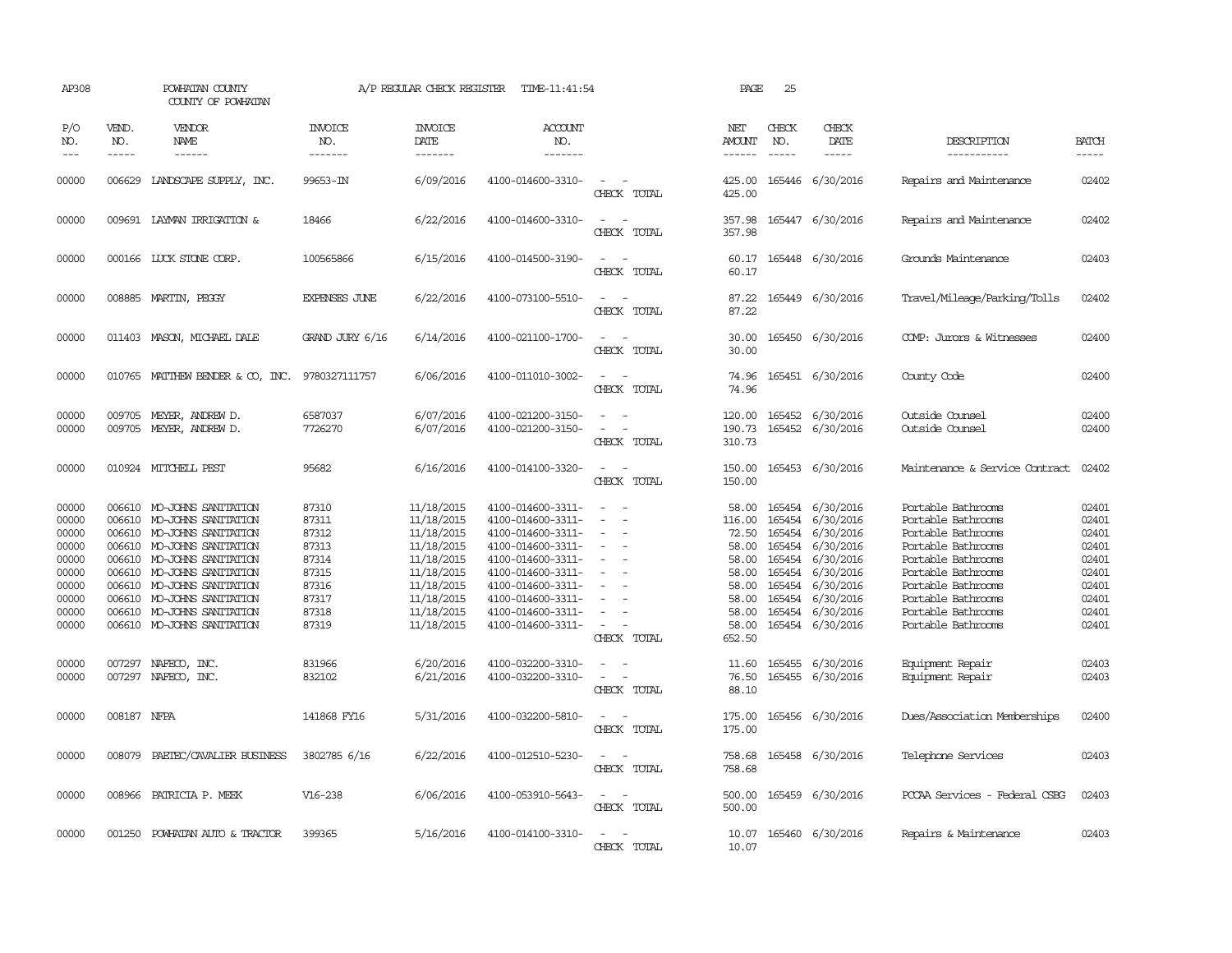| AP308                                                                                  |                                                | POWHATAN COUNTY<br>COUNTY OF POWHATAN                                                                                                                                                                                                                                 |                                                                                        | A/P REGULAR CHECK REGISTER                                                                                                               | TIME-11:41:54                                                                                                                                                                                                  |                                                                                                                             | PAGE                                                                                              | 25                                                                 |                                                                                                                                                     |                                                                                                                                                                                                                          |                                                                                        |
|----------------------------------------------------------------------------------------|------------------------------------------------|-----------------------------------------------------------------------------------------------------------------------------------------------------------------------------------------------------------------------------------------------------------------------|----------------------------------------------------------------------------------------|------------------------------------------------------------------------------------------------------------------------------------------|----------------------------------------------------------------------------------------------------------------------------------------------------------------------------------------------------------------|-----------------------------------------------------------------------------------------------------------------------------|---------------------------------------------------------------------------------------------------|--------------------------------------------------------------------|-----------------------------------------------------------------------------------------------------------------------------------------------------|--------------------------------------------------------------------------------------------------------------------------------------------------------------------------------------------------------------------------|----------------------------------------------------------------------------------------|
| P/O<br>NO.<br>$- - -$                                                                  | VEND.<br>NO.<br>$\frac{1}{2}$                  | VENDOR<br>NAME<br>$- - - - - -$                                                                                                                                                                                                                                       | <b>INVOICE</b><br>NO.<br>-------                                                       | <b>INVOICE</b><br>DATE<br>-------                                                                                                        | <b>ACCOUNT</b><br>NO.<br>-------                                                                                                                                                                               |                                                                                                                             | NET<br>AMOUNT<br>------                                                                           | CHECK<br>NO.<br>$- - - - -$                                        | CHECK<br>DATE<br>$- - - - -$                                                                                                                        | DESCRIPTION<br>-----------                                                                                                                                                                                               | <b>BATCH</b><br>$- - - - -$                                                            |
| 00000                                                                                  | 006629                                         | LANDSCAPE SUPPLY, INC.                                                                                                                                                                                                                                                | 99653-IN                                                                               | 6/09/2016                                                                                                                                | 4100-014600-3310-                                                                                                                                                                                              | $\sim$<br>CHECK TOTAL                                                                                                       | 425.00<br>425.00                                                                                  |                                                                    | 165446 6/30/2016                                                                                                                                    | Repairs and Maintenance                                                                                                                                                                                                  | 02402                                                                                  |
| 00000                                                                                  |                                                | 009691 LAYMAN IRRIGATION &                                                                                                                                                                                                                                            | 18466                                                                                  | 6/22/2016                                                                                                                                | 4100-014600-3310-                                                                                                                                                                                              | CHECK TOTAL                                                                                                                 | 357.98<br>357.98                                                                                  |                                                                    | 165447 6/30/2016                                                                                                                                    | Repairs and Maintenance                                                                                                                                                                                                  | 02402                                                                                  |
| 00000                                                                                  |                                                | 000166 LUCK STONE CORP.                                                                                                                                                                                                                                               | 100565866                                                                              | 6/15/2016                                                                                                                                | 4100-014500-3190-                                                                                                                                                                                              | $\frac{1}{2} \left( \frac{1}{2} \right) \left( \frac{1}{2} \right) = \frac{1}{2} \left( \frac{1}{2} \right)$<br>CHECK TOTAL | 60.17<br>60.17                                                                                    |                                                                    | 165448 6/30/2016                                                                                                                                    | Grounds Maintenance                                                                                                                                                                                                      | 02403                                                                                  |
| 00000                                                                                  |                                                | 008885 MARTIN, PEGGY                                                                                                                                                                                                                                                  | <b>EXPENSES JUNE</b>                                                                   | 6/22/2016                                                                                                                                | 4100-073100-5510-                                                                                                                                                                                              | $\sim$<br>$\overline{\phantom{a}}$<br>CHECK TOTAL                                                                           | 87.22<br>87.22                                                                                    |                                                                    | 165449 6/30/2016                                                                                                                                    | Travel/Mileage/Parking/Tolls                                                                                                                                                                                             | 02402                                                                                  |
| 00000                                                                                  |                                                | 011403 MASON, MICHAEL DALE                                                                                                                                                                                                                                            | GRAND JURY 6/16                                                                        | 6/14/2016                                                                                                                                | 4100-021100-1700-                                                                                                                                                                                              | CHECK TOTAL                                                                                                                 | 30.00<br>30.00                                                                                    |                                                                    | 165450 6/30/2016                                                                                                                                    | COMP: Jurors & Witnesses                                                                                                                                                                                                 | 02400                                                                                  |
| 00000                                                                                  |                                                | 010765 MATTHEW BENDER & CO, INC.                                                                                                                                                                                                                                      | 9780327111757                                                                          | 6/06/2016                                                                                                                                | 4100-011010-3002-                                                                                                                                                                                              | $\equiv$<br>CHECK TOTAL                                                                                                     | 74.96<br>74.96                                                                                    |                                                                    | 165451 6/30/2016                                                                                                                                    | County Code                                                                                                                                                                                                              | 02400                                                                                  |
| 00000<br>00000                                                                         | 009705<br>009705                               | MEYER, ANDREW D.<br>MEYER, ANDREW D.                                                                                                                                                                                                                                  | 6587037<br>7726270                                                                     | 6/07/2016<br>6/07/2016                                                                                                                   | 4100-021200-3150-<br>4100-021200-3150-                                                                                                                                                                         | $\equiv$<br>CHECK TOTAL                                                                                                     | 120.00<br>190.73<br>310.73                                                                        |                                                                    | 165452 6/30/2016<br>165452 6/30/2016                                                                                                                | Outside Counsel<br>Outside Counsel                                                                                                                                                                                       | 02400<br>02400                                                                         |
| 00000                                                                                  |                                                | 010924 MITCHELL PEST                                                                                                                                                                                                                                                  | 95682                                                                                  | 6/16/2016                                                                                                                                | 4100-014100-3320-                                                                                                                                                                                              | $\equiv$<br>CHECK TOTAL                                                                                                     | 150.00<br>150.00                                                                                  |                                                                    | 165453 6/30/2016                                                                                                                                    | Maintenance & Service Contract                                                                                                                                                                                           | 02402                                                                                  |
| 00000<br>00000<br>00000<br>00000<br>00000<br>00000<br>00000<br>00000<br>00000<br>00000 | 006610<br>006610<br>006610<br>006610<br>006610 | 006610 MO-JOHNS SANITATION<br>MO-JOHNS SANITATION<br>006610 MO-JOHNS SANITATION<br>MO-JOHNS SANITATION<br>006610 MO-JOHNS SANITATION<br>MO-JOHNS SANITATION<br>006610 MO-JOHNS SANITATION<br>MO-JOHNS SANITATION<br>MO-JOHNS SANITATION<br>006610 MO-JOHNS SANITATION | 87310<br>87311<br>87312<br>87313<br>87314<br>87315<br>87316<br>87317<br>87318<br>87319 | 11/18/2015<br>11/18/2015<br>11/18/2015<br>11/18/2015<br>11/18/2015<br>11/18/2015<br>11/18/2015<br>11/18/2015<br>11/18/2015<br>11/18/2015 | 4100-014600-3311-<br>4100-014600-3311-<br>4100-014600-3311-<br>4100-014600-3311-<br>4100-014600-3311-<br>4100-014600-3311-<br>4100-014600-3311-<br>4100-014600-3311-<br>4100-014600-3311-<br>4100-014600-3311- | $\equiv$<br>$\overline{\phantom{a}}$<br>$\sim$<br>$\equiv$<br>CHECK TOTAL                                                   | 58.00<br>116.00<br>72.50<br>58.00<br>58.00<br>58.00<br>58.00<br>58.00<br>58.00<br>58.00<br>652.50 | 165454<br>165454<br>165454<br>165454<br>165454<br>165454<br>165454 | 165454 6/30/2016<br>165454 6/30/2016<br>165454 6/30/2016<br>6/30/2016<br>6/30/2016<br>6/30/2016<br>6/30/2016<br>6/30/2016<br>6/30/2016<br>6/30/2016 | Portable Bathrooms<br>Portable Bathrooms<br>Portable Bathrooms<br>Portable Bathrooms<br>Portable Bathrooms<br>Portable Bathrooms<br>Portable Bathrooms<br>Portable Bathrooms<br>Portable Bathrooms<br>Portable Bathrooms | 02401<br>02401<br>02401<br>02401<br>02401<br>02401<br>02401<br>02401<br>02401<br>02401 |
| 00000<br>00000                                                                         | 007297                                         | NAFECO, INC.<br>007297 NAFECO, INC.                                                                                                                                                                                                                                   | 831966<br>832102                                                                       | 6/20/2016<br>6/21/2016                                                                                                                   | 4100-032200-3310-<br>4100-032200-3310-                                                                                                                                                                         | $\overline{\phantom{a}}$<br>CHECK TOTAL                                                                                     | 11.60<br>76.50<br>88.10                                                                           |                                                                    | 165455 6/30/2016<br>165455 6/30/2016                                                                                                                | Equipment Repair<br>Equipment Repair                                                                                                                                                                                     | 02403<br>02403                                                                         |
| 00000                                                                                  | 008187 NFPA                                    |                                                                                                                                                                                                                                                                       | 141868 FY16                                                                            | 5/31/2016                                                                                                                                | 4100-032200-5810-                                                                                                                                                                                              | CHECK TOTAL                                                                                                                 | 175.00<br>175.00                                                                                  |                                                                    | 165456 6/30/2016                                                                                                                                    | Dues/Association Memberships                                                                                                                                                                                             | 02400                                                                                  |
| 00000                                                                                  | 008079                                         | PAETEC/CAVALIER BUSINESS                                                                                                                                                                                                                                              | 3802785 6/16                                                                           | 6/22/2016                                                                                                                                | 4100-012510-5230-                                                                                                                                                                                              | $\overline{\phantom{a}}$<br>CHECK TOTAL                                                                                     | 758.68<br>758.68                                                                                  |                                                                    | 165458 6/30/2016                                                                                                                                    | Telephone Services                                                                                                                                                                                                       | 02403                                                                                  |
| 00000                                                                                  |                                                | 008966 PATRICIA P. MEEK                                                                                                                                                                                                                                               | V16-238                                                                                | 6/06/2016                                                                                                                                | 4100-053910-5643-                                                                                                                                                                                              | CHECK TOTAL                                                                                                                 | 500.00<br>500.00                                                                                  |                                                                    | 165459 6/30/2016                                                                                                                                    | PCCAA Services - Federal CSBG                                                                                                                                                                                            | 02403                                                                                  |
| 00000                                                                                  |                                                | 001250 POWHATAN AUTO & TRACTOR                                                                                                                                                                                                                                        | 399365                                                                                 | 5/16/2016                                                                                                                                | 4100-014100-3310-                                                                                                                                                                                              | TOTAL<br>CHECK                                                                                                              | 10.07                                                                                             |                                                                    | 10.07 165460 6/30/2016                                                                                                                              | Repairs & Maintenance                                                                                                                                                                                                    | 02403                                                                                  |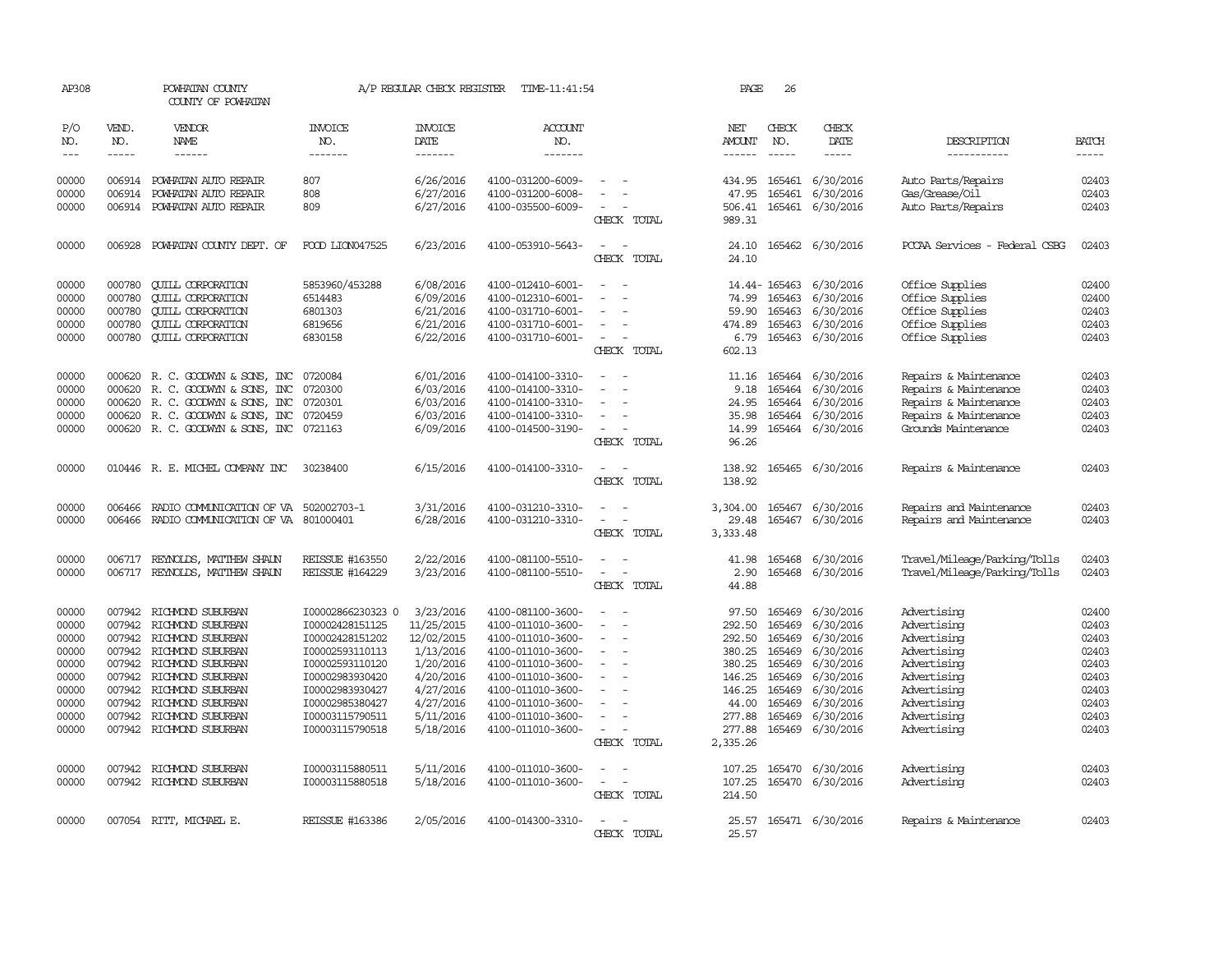| AP308               |                                                                                                                                                                                                                                                                                                                                                                                                                                                                         | POWHATAN COUNTY<br>COUNTY OF POWHATAN                |                                    | A/P REGULAR CHECK REGISTER        | TIME-11:41:54                          |                                                                                                              | PAGE                    | 26                          |                         |                               |                |
|---------------------|-------------------------------------------------------------------------------------------------------------------------------------------------------------------------------------------------------------------------------------------------------------------------------------------------------------------------------------------------------------------------------------------------------------------------------------------------------------------------|------------------------------------------------------|------------------------------------|-----------------------------------|----------------------------------------|--------------------------------------------------------------------------------------------------------------|-------------------------|-----------------------------|-------------------------|-------------------------------|----------------|
| P/O<br>NO.<br>$---$ | VEND.<br>NO.<br>$\begin{tabular}{ccccc} \multicolumn{2}{c }{\multicolumn{2}{c }{\multicolumn{2}{c }{\multicolumn{2}{c}}{\hspace{-2.2cm}}}} \multicolumn{2}{c }{\multicolumn{2}{c }{\hspace{-2.2cm}}\hline} \multicolumn{2}{c }{\hspace{-2.2cm}}\hline \multicolumn{2}{c }{\hspace{-2.2cm}}\hline \multicolumn{2}{c }{\hspace{-2.2cm}}\hline \multicolumn{2}{c }{\hspace{-2.2cm}}\hline \multicolumn{2}{c }{\hspace{-2.2cm}}\hline \multicolumn{2}{c }{\hspace{-2.2cm}}$ | VENDOR<br>NAME<br>------                             | <b>INVOICE</b><br>NO.<br>-------   | <b>INVOICE</b><br>DATE<br>------- | <b>ACCOUNT</b><br>NO.<br>-------       |                                                                                                              | NET<br>AMOUNT<br>------ | CHECK<br>NO.<br>$- - - - -$ | CHECK<br>DATE           | DESCRIPTION<br>-----------    | <b>BATCH</b>   |
| 00000               | 006914                                                                                                                                                                                                                                                                                                                                                                                                                                                                  | POWHATAN AUTO REPAIR                                 | 807                                | 6/26/2016                         | 4100-031200-6009-                      | $\overline{\phantom{a}}$                                                                                     | 434.95                  |                             | 165461 6/30/2016        | Auto Parts/Repairs            | 02403          |
| 00000               | 006914                                                                                                                                                                                                                                                                                                                                                                                                                                                                  | POWHATAN AUTO REPAIR                                 | 808                                | 6/27/2016                         | 4100-031200-6008-                      |                                                                                                              | 47.95                   | 165461                      | 6/30/2016               | Gas/Grease/Oil                | 02403          |
| 00000               |                                                                                                                                                                                                                                                                                                                                                                                                                                                                         | 006914 POWHATAN AUTO REPAIR                          | 809                                | 6/27/2016                         | 4100-035500-6009-                      | $\equiv$                                                                                                     |                         |                             | 506.41 165461 6/30/2016 | Auto Parts/Repairs            | 02403          |
|                     |                                                                                                                                                                                                                                                                                                                                                                                                                                                                         |                                                      |                                    |                                   |                                        | CHECK TOTAL                                                                                                  | 989.31                  |                             |                         |                               |                |
| 00000               | 006928                                                                                                                                                                                                                                                                                                                                                                                                                                                                  | POWHATAN COUNTY DEPT. OF                             | FOOD LION047525                    | 6/23/2016                         | 4100-053910-5643-                      | $\overline{\phantom{a}}$                                                                                     | 24.10                   |                             | 165462 6/30/2016        | PCCAA Services - Federal CSBG | 02403          |
|                     |                                                                                                                                                                                                                                                                                                                                                                                                                                                                         |                                                      |                                    |                                   |                                        | CHECK TOTAL                                                                                                  | 24.10                   |                             |                         |                               |                |
| 00000               | 000780                                                                                                                                                                                                                                                                                                                                                                                                                                                                  | <b>QUILL CORPORATION</b>                             | 5853960/453288                     | 6/08/2016                         | 4100-012410-6001-                      | $\equiv$                                                                                                     |                         |                             | 14.44-165463 6/30/2016  | Office Supplies               | 02400          |
| 00000               | 000780                                                                                                                                                                                                                                                                                                                                                                                                                                                                  | <b>CUILL CORPORATION</b>                             | 6514483                            | 6/09/2016                         | 4100-012310-6001-                      |                                                                                                              | 74.99                   | 165463                      | 6/30/2016               | Office Supplies               | 02400          |
| 00000               | 000780                                                                                                                                                                                                                                                                                                                                                                                                                                                                  | <b>CUILL CORPORATION</b>                             | 6801303                            | 6/21/2016                         | 4100-031710-6001-                      |                                                                                                              | 59.90                   | 165463                      | 6/30/2016               | Office Supplies               | 02403          |
| 00000               | 000780                                                                                                                                                                                                                                                                                                                                                                                                                                                                  | <b>CUILL CORPORATION</b>                             | 6819656                            | 6/21/2016                         | 4100-031710-6001-                      | $\overline{\phantom{a}}$                                                                                     | 474.89                  |                             | 165463 6/30/2016        | Office Supplies               | 02403          |
| 00000               | 000780                                                                                                                                                                                                                                                                                                                                                                                                                                                                  | <b>CUILL CORPORATION</b>                             | 6830158                            | 6/22/2016                         | 4100-031710-6001-                      | $\overline{\phantom{a}}$                                                                                     | 6.79                    | 165463                      | 6/30/2016               | Office Supplies               | 02403          |
|                     |                                                                                                                                                                                                                                                                                                                                                                                                                                                                         |                                                      |                                    |                                   |                                        | CHECK TOTAL                                                                                                  | 602.13                  |                             |                         |                               |                |
| 00000               | 000620                                                                                                                                                                                                                                                                                                                                                                                                                                                                  | R. C. GOODWYN & SONS, INC                            | 0720084                            | 6/01/2016                         | 4100-014100-3310-                      | $\equiv$                                                                                                     | 11.16                   | 165464                      | 6/30/2016               | Repairs & Maintenance         | 02403          |
| 00000               | 000620                                                                                                                                                                                                                                                                                                                                                                                                                                                                  | R. C. GOODWYN & SONS, INC                            | 0720300                            | 6/03/2016                         | 4100-014100-3310-                      |                                                                                                              | 9.18                    | 165464                      | 6/30/2016               | Repairs & Maintenance         | 02403          |
| 00000               | 000620                                                                                                                                                                                                                                                                                                                                                                                                                                                                  | R. C. GOODWYN & SONS, INC                            | 0720301                            | 6/03/2016                         | 4100-014100-3310-                      |                                                                                                              | 24.95                   |                             | 165464 6/30/2016        | Repairs & Maintenance         | 02403          |
| 00000               |                                                                                                                                                                                                                                                                                                                                                                                                                                                                         | 000620 R.C. GOODWYN & SONS, INC                      | 0720459                            | 6/03/2016                         | 4100-014100-3310-                      | $\equiv$                                                                                                     | 35.98                   |                             | 165464 6/30/2016        | Repairs & Maintenance         | 02403          |
| 00000               |                                                                                                                                                                                                                                                                                                                                                                                                                                                                         | 000620 R. C. GOODWYN & SONS, INC 0721163             |                                    | 6/09/2016                         | 4100-014500-3190-                      | $\sim$                                                                                                       | 14.99                   |                             | 165464 6/30/2016        | Grounds Maintenance           | 02403          |
|                     |                                                                                                                                                                                                                                                                                                                                                                                                                                                                         |                                                      |                                    |                                   |                                        | CHECK TOTAL                                                                                                  | 96.26                   |                             |                         |                               |                |
| 00000               |                                                                                                                                                                                                                                                                                                                                                                                                                                                                         | 010446 R. E. MICHEL COMPANY INC                      | 30238400                           | 6/15/2016                         | 4100-014100-3310-                      | $\sim$<br>CHECK TOTAL                                                                                        | 138.92<br>138.92        |                             | 165465 6/30/2016        | Repairs & Maintenance         | 02403          |
|                     |                                                                                                                                                                                                                                                                                                                                                                                                                                                                         |                                                      |                                    |                                   |                                        |                                                                                                              |                         |                             |                         |                               |                |
| 00000               | 006466                                                                                                                                                                                                                                                                                                                                                                                                                                                                  | RADIO COMMUNICATION OF VA 502002703-1                |                                    | 3/31/2016                         | 4100-031210-3310-                      | $\frac{1}{2} \left( \frac{1}{2} \right) \left( \frac{1}{2} \right) = \frac{1}{2} \left( \frac{1}{2} \right)$ | 3,304.00                |                             | 165467 6/30/2016        | Repairs and Maintenance       | 02403          |
| 00000               | 006466                                                                                                                                                                                                                                                                                                                                                                                                                                                                  | RADIO COMMUNICATION OF VA                            | 801000401                          | 6/28/2016                         | 4100-031210-3310-                      | $\overline{\phantom{a}}$                                                                                     | 29.48                   | 165467                      | 6/30/2016               | Repairs and Maintenance       | 02403          |
|                     |                                                                                                                                                                                                                                                                                                                                                                                                                                                                         |                                                      |                                    |                                   |                                        | CHECK TOTAL                                                                                                  | 3,333.48                |                             |                         |                               |                |
| 00000               | 006717                                                                                                                                                                                                                                                                                                                                                                                                                                                                  | REYNOLDS, MATTHEW SHALN                              | <b>REISSUE #163550</b>             | 2/22/2016                         | 4100-081100-5510-                      | $\overline{\phantom{a}}$                                                                                     | 41.98                   | 165468                      | 6/30/2016               | Travel/Mileage/Parking/Tolls  | 02403          |
| 00000               |                                                                                                                                                                                                                                                                                                                                                                                                                                                                         | 006717 REYNOLDS, MATTHEW SHAUN                       | <b>REISSUE #164229</b>             | 3/23/2016                         | 4100-081100-5510-                      | $\equiv$                                                                                                     | 2.90                    |                             | 165468 6/30/2016        | Travel/Mileage/Parking/Tolls  | 02403          |
|                     |                                                                                                                                                                                                                                                                                                                                                                                                                                                                         |                                                      |                                    |                                   |                                        | CHECK TOTAL                                                                                                  | 44.88                   |                             |                         |                               |                |
| 00000               |                                                                                                                                                                                                                                                                                                                                                                                                                                                                         | 007942 RICHMOND SUBURBAN                             | I00002866230323 0                  | 3/23/2016                         | 4100-081100-3600-                      | $\sim$                                                                                                       | 97.50                   | 165469                      | 6/30/2016               | Advertising                   | 02400          |
| 00000               | 007942                                                                                                                                                                                                                                                                                                                                                                                                                                                                  | RICHMOND SUBURBAN                                    | I00002428151125                    | 11/25/2015                        | 4100-011010-3600-                      |                                                                                                              | 292.50                  | 165469                      | 6/30/2016               | Advertising                   | 02403          |
| 00000               | 007942                                                                                                                                                                                                                                                                                                                                                                                                                                                                  | RICHMOND SUBURBAN                                    | I00002428151202                    | 12/02/2015                        | 4100-011010-3600-                      | $\overline{\phantom{a}}$                                                                                     | 292.50                  | 165469                      | 6/30/2016               | Advertising                   | 02403          |
| 00000<br>00000      |                                                                                                                                                                                                                                                                                                                                                                                                                                                                         | 007942 RICHMOND SUBURBAN<br>007942 RICHMOND SUBURBAN | 100002593110113<br>I00002593110120 | 1/13/2016<br>1/20/2016            | 4100-011010-3600-<br>4100-011010-3600- | $\equiv$<br>$\overline{\phantom{a}}$                                                                         | 380.25<br>380.25        | 165469<br>165469            | 6/30/2016<br>6/30/2016  | Advertising<br>Advertising    | 02403<br>02403 |
| 00000               |                                                                                                                                                                                                                                                                                                                                                                                                                                                                         | 007942 RICHMOND SUBURBAN                             | I00002983930420                    | 4/20/2016                         | 4100-011010-3600-                      | $\equiv$                                                                                                     | 146.25                  | 165469                      | 6/30/2016               | Advertising                   | 02403          |
| 00000               |                                                                                                                                                                                                                                                                                                                                                                                                                                                                         | 007942 RICHMOND SUBURBAN                             | I00002983930427                    | 4/27/2016                         | 4100-011010-3600-                      | $\sim$                                                                                                       | 146.25                  | 165469                      | 6/30/2016               | Advertising                   | 02403          |
| 00000               |                                                                                                                                                                                                                                                                                                                                                                                                                                                                         | 007942 RICHMOND SUBURBAN                             | I00002985380427                    | 4/27/2016                         | 4100-011010-3600-                      | $\sim$                                                                                                       | 44.00                   | 165469                      | 6/30/2016               | Advertising                   | 02403          |
| 00000               |                                                                                                                                                                                                                                                                                                                                                                                                                                                                         | 007942 RICHMOND SUBURBAN                             | I00003115790511                    | 5/11/2016                         | 4100-011010-3600-                      | $\equiv$                                                                                                     | 277.88                  | 165469                      | 6/30/2016               | Advertising                   | 02403          |
| 00000               |                                                                                                                                                                                                                                                                                                                                                                                                                                                                         | 007942 RICHMOND SUBURBAN                             | I00003115790518                    | 5/18/2016                         | 4100-011010-3600-                      | $\sim$                                                                                                       | 277.88                  |                             | 165469 6/30/2016        | Advertising                   | 02403          |
|                     |                                                                                                                                                                                                                                                                                                                                                                                                                                                                         |                                                      |                                    |                                   |                                        | CHECK TOTAL                                                                                                  | 2,335.26                |                             |                         |                               |                |
| 00000               |                                                                                                                                                                                                                                                                                                                                                                                                                                                                         | 007942 RICHMOND SUBURBAN                             | I00003115880511                    | 5/11/2016                         | 4100-011010-3600-                      |                                                                                                              | 107.25                  |                             | 165470 6/30/2016        | Advertising                   | 02403          |
| 00000               |                                                                                                                                                                                                                                                                                                                                                                                                                                                                         | 007942 RICHMOND SUBURBAN                             | I00003115880518                    | 5/18/2016                         | 4100-011010-3600-                      | $\overline{\phantom{a}}$                                                                                     | 107.25                  |                             | 165470 6/30/2016        | Advertising                   | 02403          |
|                     |                                                                                                                                                                                                                                                                                                                                                                                                                                                                         |                                                      |                                    |                                   |                                        | CHECK TOTAL                                                                                                  | 214.50                  |                             |                         |                               |                |
| 00000               |                                                                                                                                                                                                                                                                                                                                                                                                                                                                         | 007054 RITT, MICHAEL E.                              | REISSUE #163386                    | 2/05/2016                         | 4100-014300-3310-                      | $\sim$ 100 $\mu$                                                                                             | 25.57                   |                             | 165471 6/30/2016        | Repairs & Maintenance         | 02403          |
|                     |                                                                                                                                                                                                                                                                                                                                                                                                                                                                         |                                                      |                                    |                                   |                                        | CHECK TOTAL                                                                                                  | 25.57                   |                             |                         |                               |                |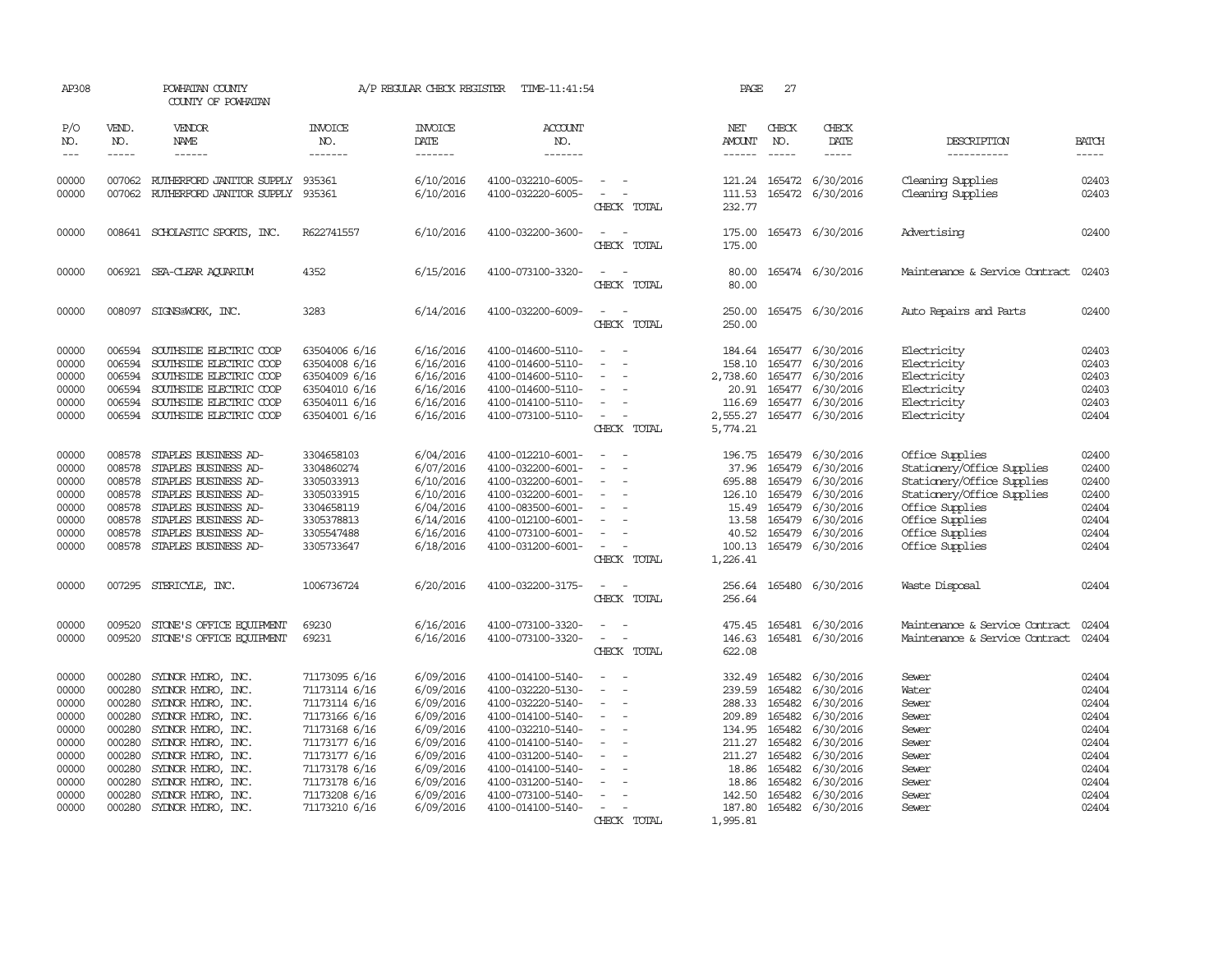| AP308                                                                                           |                                                                                                  | POWHATAN COUNTY<br>COUNTY OF POWHATAN                                                                                                                                                                                                                 |                                                                                                                                                                                         | A/P REGULAR CHECK REGISTER                                                                                                                  | TIME-11:41:54                                                                                                                                                                                                                       |                         | PAGE                                                                                                                 | 27                                                                                               |                                                                                                                                                    |                                                                                                                                                                                       |                                                                                                 |
|-------------------------------------------------------------------------------------------------|--------------------------------------------------------------------------------------------------|-------------------------------------------------------------------------------------------------------------------------------------------------------------------------------------------------------------------------------------------------------|-----------------------------------------------------------------------------------------------------------------------------------------------------------------------------------------|---------------------------------------------------------------------------------------------------------------------------------------------|-------------------------------------------------------------------------------------------------------------------------------------------------------------------------------------------------------------------------------------|-------------------------|----------------------------------------------------------------------------------------------------------------------|--------------------------------------------------------------------------------------------------|----------------------------------------------------------------------------------------------------------------------------------------------------|---------------------------------------------------------------------------------------------------------------------------------------------------------------------------------------|-------------------------------------------------------------------------------------------------|
| P/O<br>NO.<br>$---$                                                                             | VEND.<br>NO.<br>$- - - - -$                                                                      | <b>VENDOR</b><br><b>NAME</b><br>------                                                                                                                                                                                                                | <b>INVOICE</b><br>NO.<br>-------                                                                                                                                                        | <b>INVOICE</b><br>DATE<br>-------                                                                                                           | <b>ACCOUNT</b><br>NO.<br>-------                                                                                                                                                                                                    |                         | NET<br>AMOUNT                                                                                                        | CHECK<br>NO.<br>$\frac{1}{2}$                                                                    | CHECK<br><b>DATE</b><br>-----                                                                                                                      | DESCRIPTION<br>-----------                                                                                                                                                            | <b>BATCH</b><br>$- - - - -$                                                                     |
| 00000<br>00000                                                                                  |                                                                                                  | 007062 RUTHERFORD JANITOR SUPPLY<br>007062 RUIHERFORD JANITOR SUPPLY 935361                                                                                                                                                                           | 935361                                                                                                                                                                                  | 6/10/2016<br>6/10/2016                                                                                                                      | 4100-032210-6005-<br>4100-032220-6005-                                                                                                                                                                                              | $\sim$<br>CHECK TOTAL   | 111.53<br>232.77                                                                                                     |                                                                                                  | 121.24 165472 6/30/2016<br>165472 6/30/2016                                                                                                        | Cleaning Supplies<br>Cleaning Supplies                                                                                                                                                | 02403<br>02403                                                                                  |
| 00000                                                                                           |                                                                                                  | 008641 SCHOLASTIC SPORTS, INC.                                                                                                                                                                                                                        | R622741557                                                                                                                                                                              | 6/10/2016                                                                                                                                   | 4100-032200-3600-                                                                                                                                                                                                                   | CHECK TOTAL             | 175.00<br>175.00                                                                                                     |                                                                                                  | 165473 6/30/2016                                                                                                                                   | Advertising                                                                                                                                                                           | 02400                                                                                           |
| 00000                                                                                           |                                                                                                  | 006921 SEA-CLEAR AQUARIUM                                                                                                                                                                                                                             | 4352                                                                                                                                                                                    | 6/15/2016                                                                                                                                   | 4100-073100-3320-                                                                                                                                                                                                                   | CHECK TOTAL             | 80.00<br>80.00                                                                                                       |                                                                                                  | 165474 6/30/2016                                                                                                                                   | Maintenance & Service Contract                                                                                                                                                        | 02403                                                                                           |
| 00000                                                                                           | 008097                                                                                           | SIGNS@WORK, INC.                                                                                                                                                                                                                                      | 3283                                                                                                                                                                                    | 6/14/2016                                                                                                                                   | 4100-032200-6009-                                                                                                                                                                                                                   | CHECK TOTAL             | 250.00<br>250.00                                                                                                     |                                                                                                  | 165475 6/30/2016                                                                                                                                   | Auto Repairs and Parts                                                                                                                                                                | 02400                                                                                           |
| 00000<br>00000<br>00000<br>00000<br>00000<br>00000                                              | 006594<br>006594<br>006594<br>006594<br>006594                                                   | SOUTHSIDE ELECTRIC COOP<br>SOUTHSIDE ELECTRIC COOP<br>SOUTHSIDE ELECTRIC COOP<br>SOUTHSIDE ELECTRIC COOP<br>SOUTHSIDE ELECTRIC COOP<br>006594 SOUTHSIDE ELECTRIC COOP                                                                                 | 63504006 6/16<br>63504008 6/16<br>63504009 6/16<br>63504010 6/16<br>63504011 6/16<br>63504001 6/16                                                                                      | 6/16/2016<br>6/16/2016<br>6/16/2016<br>6/16/2016<br>6/16/2016<br>6/16/2016                                                                  | 4100-014600-5110-<br>4100-014600-5110-<br>4100-014600-5110-<br>4100-014600-5110-<br>4100-014100-5110-<br>4100-073100-5110-                                                                                                          | CHECK TOTAL             | 184.64<br>158.10<br>2,738.60<br>20.91<br>116.69<br>2,555.27<br>5,774.21                                              | 165477<br>165477<br>165477<br>165477                                                             | 6/30/2016<br>165477 6/30/2016<br>6/30/2016<br>6/30/2016<br>6/30/2016<br>165477 6/30/2016                                                           | Electricity<br>Electricity<br>Electricity<br>Electricity<br>Electricity<br>Electricity                                                                                                | 02403<br>02403<br>02403<br>02403<br>02403<br>02404                                              |
| 00000<br>00000<br>00000<br>00000<br>00000<br>00000<br>00000<br>00000                            | 008578<br>008578<br>008578<br>008578<br>008578<br>008578<br>008578<br>008578                     | STAPLES BUSINESS AD-<br>STAPLES BUSINESS AD-<br>STAPLES BUSINESS AD-<br>STAPLES BUSINESS AD-<br>STAPLES BUSINESS AD-<br>STAPLES BUSINESS AD-<br>STAPLES BUSINESS AD-<br>STAPLES BUSINESS AD-                                                          | 3304658103<br>3304860274<br>3305033913<br>3305033915<br>3304658119<br>3305378813<br>3305547488<br>3305733647                                                                            | 6/04/2016<br>6/07/2016<br>6/10/2016<br>6/10/2016<br>6/04/2016<br>6/14/2016<br>6/16/2016<br>6/18/2016                                        | 4100-012210-6001-<br>4100-032200-6001-<br>4100-032200-6001-<br>4100-032200-6001-<br>4100-083500-6001-<br>4100-012100-6001-<br>4100-073100-6001-<br>4100-031200-6001-                                                                | $\equiv$<br>CHECK TOTAL | 196.75<br>37.96<br>695.88<br>126.10<br>15.49<br>13.58<br>40.52<br>100.13<br>1,226.41                                 | 165479<br>165479<br>165479<br>165479<br>165479<br>165479<br>165479                               | 6/30/2016<br>6/30/2016<br>6/30/2016<br>6/30/2016<br>6/30/2016<br>6/30/2016<br>6/30/2016<br>165479 6/30/2016                                        | Office Supplies<br>Stationery/Office Supplies<br>Stationery/Office Supplies<br>Stationery/Office Supplies<br>Office Supplies<br>Office Supplies<br>Office Supplies<br>Office Supplies | 02400<br>02400<br>02400<br>02400<br>02404<br>02404<br>02404<br>02404                            |
| 00000                                                                                           | 007295                                                                                           | STERICYLE, INC.                                                                                                                                                                                                                                       | 1006736724                                                                                                                                                                              | 6/20/2016                                                                                                                                   | 4100-032200-3175-                                                                                                                                                                                                                   | CHECK TOTAL             | 256.64<br>256.64                                                                                                     |                                                                                                  | 165480 6/30/2016                                                                                                                                   | Waste Disposal                                                                                                                                                                        | 02404                                                                                           |
| 00000<br>00000                                                                                  | 009520<br>009520                                                                                 | STONE'S OFFICE EQUIPMENT<br>STONE'S OFFICE EQUIPMENT                                                                                                                                                                                                  | 69230<br>69231                                                                                                                                                                          | 6/16/2016<br>6/16/2016                                                                                                                      | 4100-073100-3320-<br>4100-073100-3320-                                                                                                                                                                                              | $\equiv$<br>CHECK TOTAL | 475.45<br>146.63<br>622.08                                                                                           | 165481                                                                                           | 6/30/2016<br>165481 6/30/2016                                                                                                                      | Maintenance & Service Contract<br>Maintenance & Service Contract                                                                                                                      | 02404<br>02404                                                                                  |
| 00000<br>00000<br>00000<br>00000<br>00000<br>00000<br>00000<br>00000<br>00000<br>00000<br>00000 | 000280<br>000280<br>000280<br>000280<br>000280<br>000280<br>000280<br>000280<br>000280<br>000280 | SYDNOR HYDRO, INC.<br>SYDNOR HYDRO, INC.<br>SYDNOR HYDRO, INC.<br>SYDNOR HYDRO, INC.<br>SYDNOR HYDRO, INC.<br>SYDNOR HYDRO, INC.<br>SYDNOR HYDRO, INC.<br>SYDNOR HYDRO, INC.<br>SYDNOR HYDRO, INC.<br>SYDNOR HYDRO, INC.<br>000280 SYDNOR HYDRO, INC. | 71173095 6/16<br>71173114 6/16<br>71173114 6/16<br>71173166 6/16<br>71173168 6/16<br>71173177 6/16<br>71173177 6/16<br>71173178 6/16<br>71173178 6/16<br>71173208 6/16<br>71173210 6/16 | 6/09/2016<br>6/09/2016<br>6/09/2016<br>6/09/2016<br>6/09/2016<br>6/09/2016<br>6/09/2016<br>6/09/2016<br>6/09/2016<br>6/09/2016<br>6/09/2016 | 4100-014100-5140-<br>4100-032220-5130-<br>4100-032220-5140-<br>4100-014100-5140-<br>4100-032210-5140-<br>4100-014100-5140-<br>4100-031200-5140-<br>4100-014100-5140-<br>4100-031200-5140-<br>4100-073100-5140-<br>4100-014100-5140- | CHECK TOTAL             | 332.49<br>239.59<br>288.33<br>209.89<br>134.95<br>211.27<br>211.27<br>18.86<br>18.86<br>142.50<br>187.80<br>1,995.81 | 165482<br>165482<br>165482<br>165482<br>165482<br>165482<br>165482<br>165482<br>165482<br>165482 | 6/30/2016<br>6/30/2016<br>6/30/2016<br>6/30/2016<br>6/30/2016<br>6/30/2016<br>6/30/2016<br>6/30/2016<br>6/30/2016<br>6/30/2016<br>165482 6/30/2016 | Sewer<br>Water<br>Sewer<br>Sewer<br>Sewer<br>Sewer<br>Sewer<br>Sewer<br>Sewer<br>Sewer<br>Sewer                                                                                       | 02404<br>02404<br>02404<br>02404<br>02404<br>02404<br>02404<br>02404<br>02404<br>02404<br>02404 |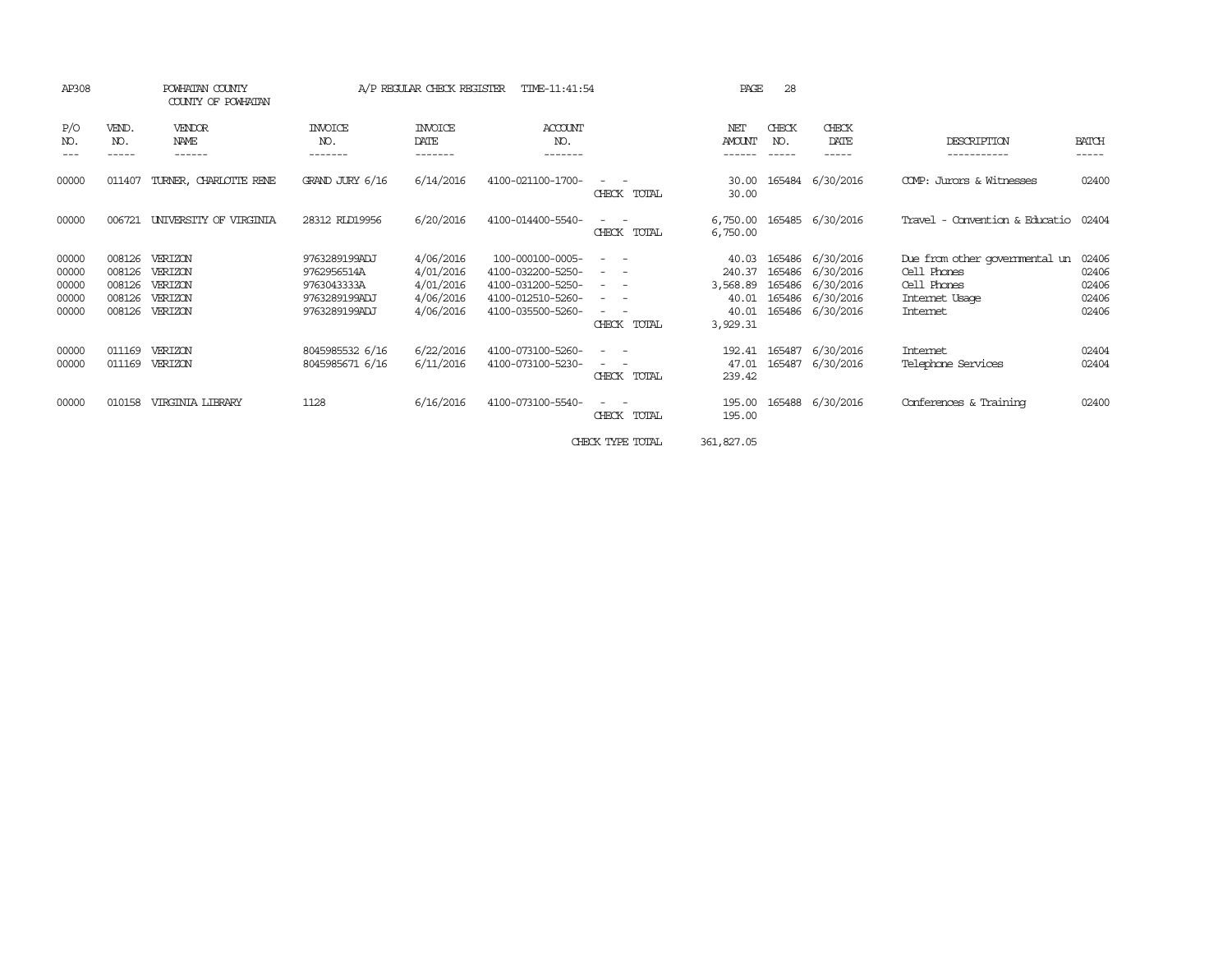| AP308                                     |                                                | POWHATAN COUNTY<br>COUNTY OF POWHATAN               |                                                                               | A/P REGULAR CHECK REGISTER                                    | TIME-11:41:54                                                                                        |                                                                                                                                                                                                                                                                                                                                                                                                                                                                                                                                         | PAGE                                                      | 28               |                                                                                                  |                                                                                            |                                           |
|-------------------------------------------|------------------------------------------------|-----------------------------------------------------|-------------------------------------------------------------------------------|---------------------------------------------------------------|------------------------------------------------------------------------------------------------------|-----------------------------------------------------------------------------------------------------------------------------------------------------------------------------------------------------------------------------------------------------------------------------------------------------------------------------------------------------------------------------------------------------------------------------------------------------------------------------------------------------------------------------------------|-----------------------------------------------------------|------------------|--------------------------------------------------------------------------------------------------|--------------------------------------------------------------------------------------------|-------------------------------------------|
| P/O<br>NO.                                | VEND.<br>NO.                                   | VENDOR<br>NAME                                      | INVOICE<br>NO.                                                                | <b>INVOICE</b><br>DATE<br>-------                             | ACCOUNT<br>NO.                                                                                       |                                                                                                                                                                                                                                                                                                                                                                                                                                                                                                                                         | NET<br>AMOUNT                                             | CHECK<br>NO.     | CHECK<br>DATE                                                                                    | DESCRIPTION                                                                                | <b>BATCH</b><br>-----                     |
| 00000                                     | 011407                                         | TURNER, CHARLOTTE RENE                              | GRAND JURY 6/16                                                               | 6/14/2016                                                     | 4100-021100-1700-                                                                                    | CHECK TOTAL                                                                                                                                                                                                                                                                                                                                                                                                                                                                                                                             | 30.00<br>30.00                                            |                  | 165484 6/30/2016                                                                                 | COMP: Jurors & Witnesses                                                                   | 02400                                     |
| 00000                                     | 006721                                         | UNIVERSITY OF VIRGINIA                              | 28312 RLD19956                                                                | 6/20/2016                                                     | 4100-014400-5540-                                                                                    | $\frac{1}{2} \left( \frac{1}{2} \right) \left( \frac{1}{2} \right) \left( \frac{1}{2} \right) \left( \frac{1}{2} \right)$<br>CHECK TOTAL                                                                                                                                                                                                                                                                                                                                                                                                | 6,750.00<br>6,750.00                                      |                  | 165485 6/30/2016                                                                                 | Travel - Convention & Educatio                                                             | 02404                                     |
| 00000<br>00000<br>00000<br>00000<br>00000 | 008126<br>008126<br>008126<br>008126<br>008126 | VERIZON<br>VERIZON<br>VERIZON<br>VERIZON<br>VERIZON | 9763289199ADJ<br>9762956514A<br>9763043333A<br>9763289199ADJ<br>9763289199ADJ | 4/06/2016<br>4/01/2016<br>4/01/2016<br>4/06/2016<br>4/06/2016 | 100-000100-0005-<br>4100-032200-5250-<br>4100-031200-5250-<br>4100-012510-5260-<br>4100-035500-5260- | $\frac{1}{2} \left( \frac{1}{2} \right) \left( \frac{1}{2} \right) \left( \frac{1}{2} \right) \left( \frac{1}{2} \right)$<br>$\frac{1}{2} \left( \frac{1}{2} \right) \left( \frac{1}{2} \right) \left( \frac{1}{2} \right) \left( \frac{1}{2} \right)$<br>$\frac{1}{2} \left( \frac{1}{2} \right) \left( \frac{1}{2} \right) \left( \frac{1}{2} \right) \left( \frac{1}{2} \right)$<br>$\frac{1}{2} \left( \frac{1}{2} \right) \left( \frac{1}{2} \right) \left( \frac{1}{2} \right) \left( \frac{1}{2} \right)$<br>$ -$<br>CHECK TOTAL | 40.03<br>240.37<br>3,568.89<br>40.01<br>40.01<br>3,929.31 |                  | 165486 6/30/2016<br>165486 6/30/2016<br>165486 6/30/2016<br>165486 6/30/2016<br>165486 6/30/2016 | Due from other governmental un<br>Cell Phones<br>Cell Phones<br>Internet Usage<br>Internet | 02406<br>02406<br>02406<br>02406<br>02406 |
| 00000<br>00000                            | 011169<br>011169                               | <b>VERTZON</b><br>VERIZON                           | 8045985532 6/16<br>8045985671 6/16                                            | 6/22/2016<br>6/11/2016                                        | 4100-073100-5260-<br>4100-073100-5230-                                                               | $\frac{1}{2} \left( \frac{1}{2} \right) \left( \frac{1}{2} \right) \left( \frac{1}{2} \right) \left( \frac{1}{2} \right)$<br>$ -$<br>CHECK TOTAL                                                                                                                                                                                                                                                                                                                                                                                        | 192.41<br>47.01<br>239.42                                 | 165487<br>165487 | 6/30/2016<br>6/30/2016                                                                           | Internet<br>Telephone Services                                                             | 02404<br>02404                            |
| 00000                                     | 010158                                         | <b>VIRGINIA LIBRARY</b>                             | 1128                                                                          | 6/16/2016                                                     | 4100-073100-5540-                                                                                    | CHECK TOTAL                                                                                                                                                                                                                                                                                                                                                                                                                                                                                                                             | 195.00<br>195.00                                          |                  | 165488 6/30/2016                                                                                 | Conferences & Training                                                                     | 02400                                     |
|                                           |                                                |                                                     |                                                                               |                                                               |                                                                                                      | CHECK TYPE TOTAL                                                                                                                                                                                                                                                                                                                                                                                                                                                                                                                        | 361,827.05                                                |                  |                                                                                                  |                                                                                            |                                           |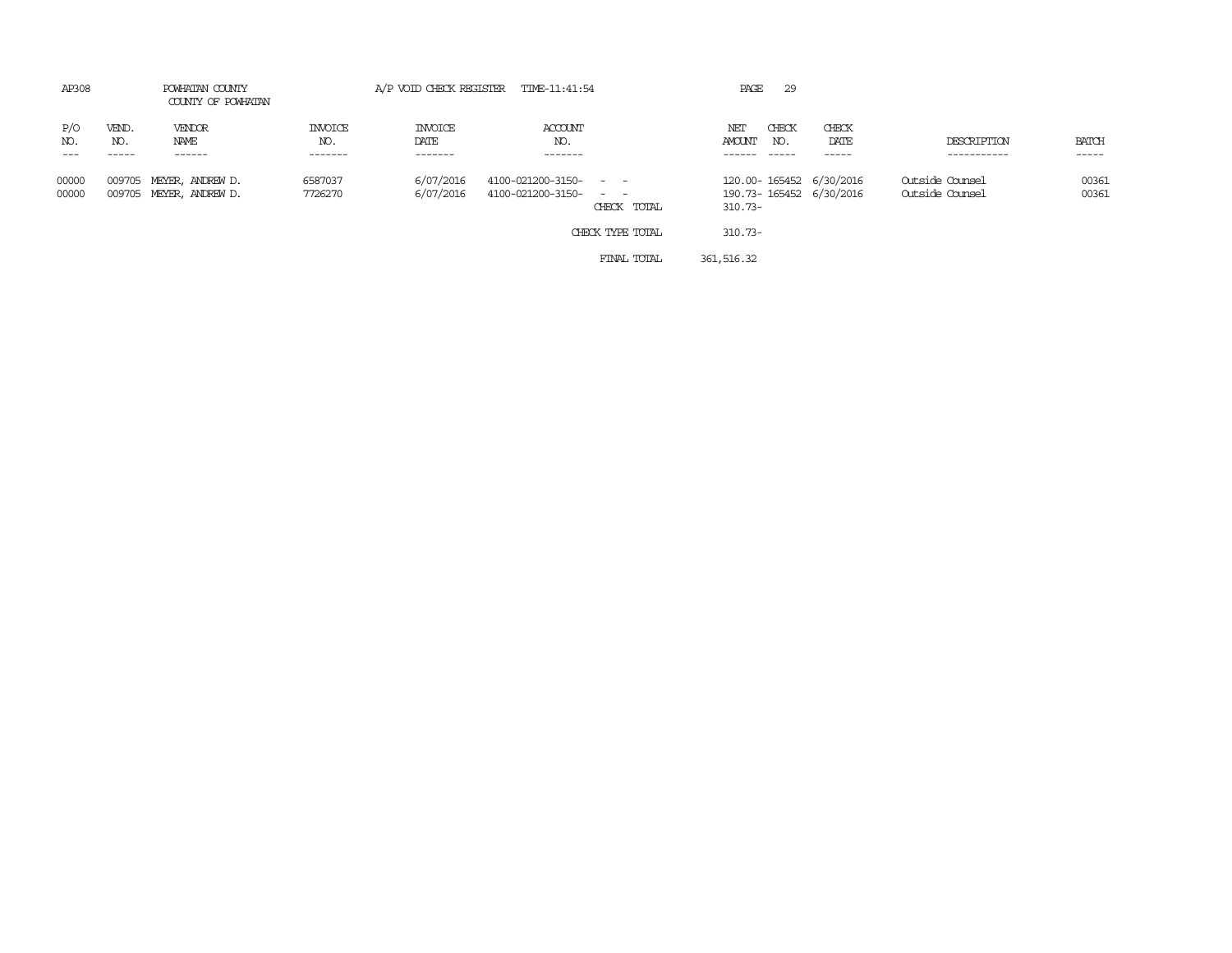| AP308                 |                       | POWHATAN COUNTY<br>COUNTY OF POWHATAN       |                           | A/P VOID CHECK REGISTER TIME-11:41:54 |                                                                                   | PAGE<br>29                                                                    |                                    |                |
|-----------------------|-----------------------|---------------------------------------------|---------------------------|---------------------------------------|-----------------------------------------------------------------------------------|-------------------------------------------------------------------------------|------------------------------------|----------------|
| P/O<br>NO.<br>$- - -$ | VEND.<br>NO.<br>----- | VENDOR<br>NAME<br>------                    | INVOICE<br>NO.<br>------- | INVOICE<br>DATE<br>-------            | <b>ACCOUNT</b><br>NO.<br>-------                                                  | CHECK<br>CHECK<br>NET<br>AMOUNT<br>DATE<br>NO.<br>$- - - - -$<br>------       | DESCRIPTION<br>-----------         | BATCH<br>----- |
| 00000<br>00000        | 009705                | MEYER, ANDREW D.<br>009705 MEYER, ANDREW D. | 6587037<br>7726270        | 6/07/2016<br>6/07/2016                | 4100-021200-3150- - -<br>4100-021200-3150- - -<br>CHECK TOTAL<br>CHECK TYPE TOTAL | 120.00-165452 6/30/2016<br>190.73-165452 6/30/2016<br>$310.73 -$<br>$310.73-$ | Outside Counsel<br>Outside Counsel | 00361<br>00361 |

FINAL TOTAL 361,516.32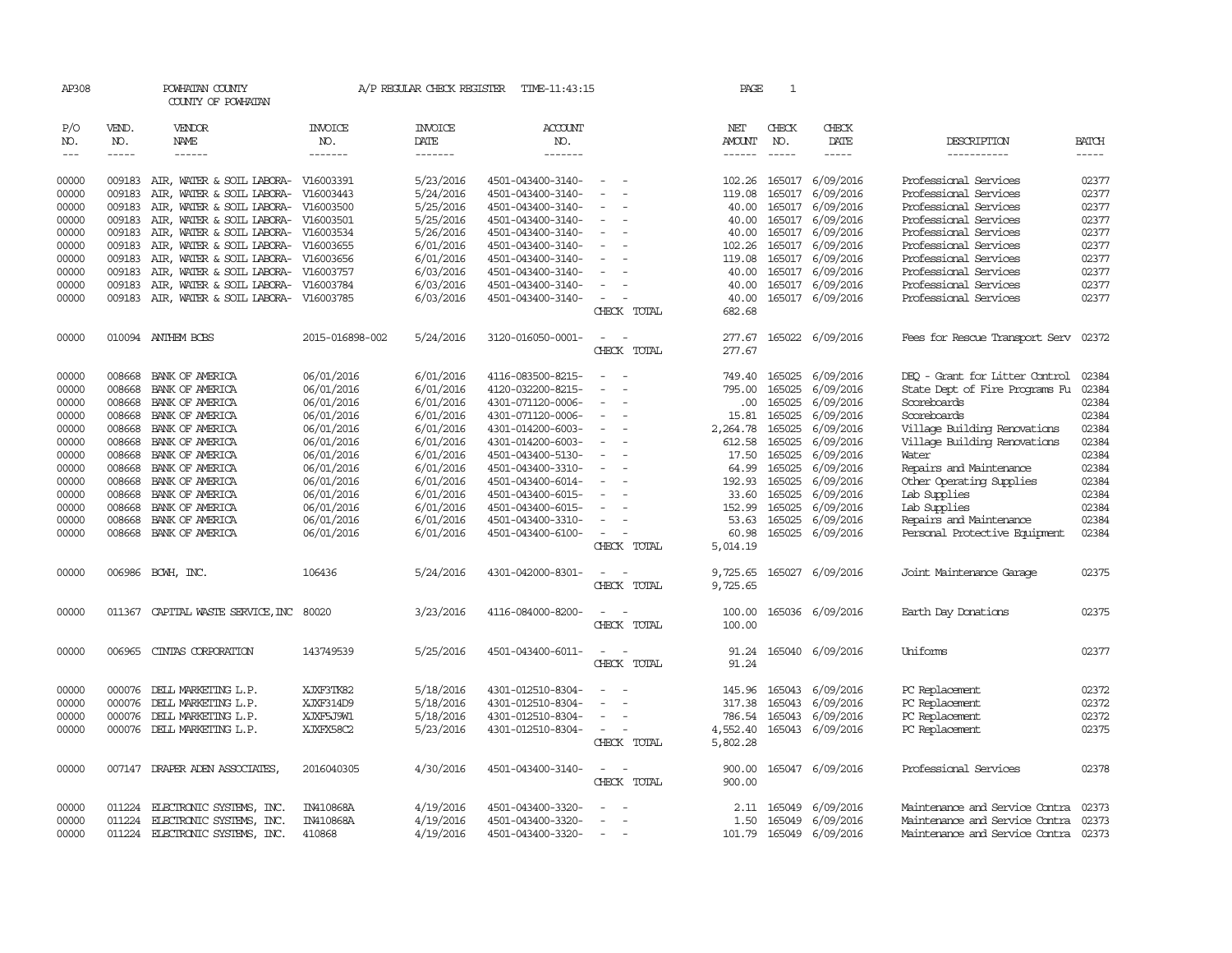| AP308                             |                          | POWHATAN COUNTY<br>COUNTY OF POWHATAN                  |                           |                                   | A/P REGULAR CHECK REGISTER TIME-11:43:15 |                                            | PAGE             | 1                           |                               |                                                |                       |
|-----------------------------------|--------------------------|--------------------------------------------------------|---------------------------|-----------------------------------|------------------------------------------|--------------------------------------------|------------------|-----------------------------|-------------------------------|------------------------------------------------|-----------------------|
| P/O<br>NO.<br>$\qquad \qquad - -$ | VEND.<br>NO.<br>$\cdots$ | VENDOR<br>NAME<br>------                               | INVOICE<br>NO.<br>------- | <b>INVOICE</b><br>DATE<br>------- | ACCOUNT<br>NO.<br>-------                |                                            | NET<br>AMOUNT    | CHECK<br>NO.<br>$- - - - -$ | CHECK<br>DATE<br>-----        | DESCRIPTION<br>-----------                     | <b>BATCH</b><br>----- |
|                                   |                          |                                                        |                           |                                   |                                          |                                            |                  |                             |                               |                                                |                       |
| 00000                             | 009183                   | AIR, WATER & SOIL LABORA-                              | V16003391                 | 5/23/2016                         | 4501-043400-3140-                        |                                            | 102.26           | 165017                      | 6/09/2016                     | Professional Services                          | 02377                 |
| 00000                             | 009183                   | AIR, WATER & SOIL LABORA-                              | V16003443                 | 5/24/2016                         | 4501-043400-3140-                        | $\sim$                                     | 119.08           | 165017                      | 6/09/2016                     | Professional Services                          | 02377                 |
| 00000                             | 009183                   | AIR, WATER & SOIL LABORA-                              | V16003500                 | 5/25/2016                         | 4501-043400-3140-                        |                                            | 40.00            | 165017                      | 6/09/2016                     | Professional Services                          | 02377                 |
| 00000                             | 009183                   | AIR, WATER & SOIL LABORA- V16003501                    |                           | 5/25/2016                         | 4501-043400-3140-                        | $\sim$                                     | 40.00            | 165017                      | 6/09/2016                     | Professional Services                          | 02377                 |
| 00000                             | 009183<br>009183         | AIR, WATER & SOIL LABORA- V16003534                    |                           | 5/26/2016<br>6/01/2016            | 4501-043400-3140-                        |                                            | 40.00            | 165017                      | 165017 6/09/2016<br>6/09/2016 | Professional Services                          | 02377<br>02377        |
| 00000<br>00000                    | 009183                   | AIR, WATER & SOIL LABORA-<br>AIR, WATER & SOIL LABORA- | V16003655<br>V16003656    | 6/01/2016                         | 4501-043400-3140-<br>4501-043400-3140-   |                                            | 102.26<br>119.08 | 165017                      | 6/09/2016                     | Professional Services<br>Professional Services | 02377                 |
| 00000                             | 009183                   | AIR, WATER & SOIL LABORA-                              | V16003757                 | 6/03/2016                         | 4501-043400-3140-                        | $\equiv$                                   | 40.00            | 165017                      | 6/09/2016                     | Professional Services                          | 02377                 |
| 00000                             | 009183                   | AIR, WATER & SOIL LABORA- V16003784                    |                           | 6/03/2016                         | 4501-043400-3140-                        | $\sim$                                     | 40.00            |                             | 165017 6/09/2016              | Professional Services                          | 02377                 |
| 00000                             | 009183                   | AIR, WATER & SOIL LABORA-                              | V16003785                 | 6/03/2016                         | 4501-043400-3140-                        | $\overline{\phantom{a}}$                   | 40.00            |                             | 165017 6/09/2016              | Professional Services                          | 02377                 |
|                                   |                          |                                                        |                           |                                   |                                          | CHECK TOTAL                                | 682.68           |                             |                               |                                                |                       |
| 00000                             |                          | 010094 ANTHEM BCBS                                     | 2015-016898-002           | 5/24/2016                         | 3120-016050-0001-                        | $\sim$                                     | 277.67           |                             | 165022 6/09/2016              | Fees for Rescue Transport Serv                 | 02372                 |
|                                   |                          |                                                        |                           |                                   |                                          | CHECK TOTAL                                | 277.67           |                             |                               |                                                |                       |
| 00000                             | 008668                   | BANK OF AMERICA                                        | 06/01/2016                | 6/01/2016                         | 4116-083500-8215-                        | $\sim$<br>$\sim$                           |                  | 749.40 165025               | 6/09/2016                     | DEQ - Grant for Litter Control                 | 02384                 |
| 00000                             | 008668                   | BANK OF AMERICA                                        | 06/01/2016                | 6/01/2016                         | 4120-032200-8215-                        |                                            | 795.00           | 165025                      | 6/09/2016                     | State Dept of Fire Programs Fu                 | 02384                 |
| 00000                             | 008668                   | BANK OF AMERICA                                        | 06/01/2016                | 6/01/2016                         | 4301-071120-0006-                        |                                            | .00.             | 165025                      | 6/09/2016                     | Scoreboards                                    | 02384                 |
| 00000                             | 008668                   | BANK OF AMERICA                                        | 06/01/2016                | 6/01/2016                         | 4301-071120-0006-                        | $\overline{\phantom{a}}$                   | 15.81            | 165025                      | 6/09/2016                     | Scoreboards                                    | 02384                 |
| 00000                             | 008668                   | BANK OF AMERICA                                        | 06/01/2016                | 6/01/2016                         | 4301-014200-6003-                        | $\overline{\phantom{a}}$                   | 2,264.78         | 165025                      | 6/09/2016                     | Village Building Renovations                   | 02384                 |
| 00000                             | 008668                   | BANK OF AMERICA                                        | 06/01/2016                | 6/01/2016                         | 4301-014200-6003-                        |                                            | 612.58           | 165025                      | 6/09/2016                     | Village Building Renovations                   | 02384                 |
| 00000                             | 008668                   | BANK OF AMERICA                                        | 06/01/2016                | 6/01/2016                         | 4501-043400-5130-                        |                                            | 17.50            | 165025                      | 6/09/2016                     | Water                                          | 02384                 |
| 00000                             | 008668                   | BANK OF AMERICA                                        | 06/01/2016                | 6/01/2016                         | 4501-043400-3310-                        | $\overline{\phantom{a}}$<br>$\overline{a}$ | 64.99            | 165025                      | 6/09/2016                     | Repairs and Maintenance                        | 02384                 |
| 00000                             | 008668                   | BANK OF AMERICA                                        | 06/01/2016                | 6/01/2016                         | 4501-043400-6014-                        |                                            | 192.93           | 165025                      | 6/09/2016                     | Other Operating Supplies                       | 02384                 |
| 00000                             | 008668                   | BANK OF AMERICA                                        | 06/01/2016                | 6/01/2016                         | 4501-043400-6015-                        |                                            | 33.60            | 165025                      | 6/09/2016                     | Lab Supplies                                   | 02384                 |
| 00000                             | 008668                   | BANK OF AMERICA                                        | 06/01/2016                | 6/01/2016                         | 4501-043400-6015-                        |                                            | 152.99           | 165025                      | 6/09/2016                     | Lab Supplies                                   | 02384                 |
| 00000                             | 008668                   | BANK OF AMERICA                                        | 06/01/2016                | 6/01/2016                         | 4501-043400-3310-                        | $\overline{\phantom{a}}$                   | 53.63            | 165025                      | 6/09/2016                     | Repairs and Maintenance                        | 02384                 |
| 00000                             | 008668                   | BANK OF AMERICA                                        | 06/01/2016                | 6/01/2016                         | 4501-043400-6100-                        | $\overline{\phantom{a}}$                   | 60.98            | 165025                      | 6/09/2016                     | Personal Protective Equipment                  | 02384                 |
|                                   |                          |                                                        |                           |                                   |                                          | CHECK TOTAL                                | 5,014.19         |                             |                               |                                                |                       |
| 00000                             |                          | 006986 BCWH, INC.                                      | 106436                    | 5/24/2016                         | 4301-042000-8301-                        |                                            | 9,725.65         |                             | 165027 6/09/2016              | Joint Maintenance Garage                       | 02375                 |
|                                   |                          |                                                        |                           |                                   |                                          | CHECK TOTAL                                | 9,725.65         |                             |                               |                                                |                       |
| 00000                             |                          | 011367 CAPITAL WASTE SERVICE, INC 80020                |                           | 3/23/2016                         | 4116-084000-8200-                        |                                            | 100.00           |                             | 165036 6/09/2016              | Earth Day Donations                            | 02375                 |
|                                   |                          |                                                        |                           |                                   |                                          | CHECK TOTAL                                | 100.00           |                             |                               |                                                |                       |
| 00000                             | 006965                   | CINIAS CORPORATION                                     | 143749539                 | 5/25/2016                         | 4501-043400-6011-                        | $\sim$ 100 $\mu$                           | 91.24            |                             | 165040 6/09/2016              | Uniforms                                       | 02377                 |
|                                   |                          |                                                        |                           |                                   |                                          | CHECK TOTAL                                | 91.24            |                             |                               |                                                |                       |
| 00000                             | 000076                   | DELL MARKETING L.P.                                    | XJXF3TK82                 | 5/18/2016                         | 4301-012510-8304-                        |                                            | 145.96           |                             | 165043 6/09/2016              | PC Replacement                                 | 02372                 |
| 00000                             | 000076                   | DELL MARKETING L.P.                                    | XJXF314D9                 | 5/18/2016                         | 4301-012510-8304-                        | $\overline{\phantom{a}}$                   | 317.38           | 165043                      | 6/09/2016                     | PC Replacement                                 | 02372                 |
| 00000                             | 000076                   | DELL MARKETING L.P.                                    | XJXF5J9W1                 | 5/18/2016                         | 4301-012510-8304-                        |                                            | 786.54           | 165043                      | 6/09/2016                     | PC Replacement                                 | 02372                 |
| 00000                             | 000076                   | DELL MARKETING L.P.                                    | XJXFX58C2                 | 5/23/2016                         | 4301-012510-8304-                        |                                            | 4,552.40         | 165043                      | 6/09/2016                     | PC Replacement                                 | 02375                 |
|                                   |                          |                                                        |                           |                                   |                                          | CHECK TOTAL                                | 5,802.28         |                             |                               |                                                |                       |
| 00000                             |                          | 007147 DRAPER ADEN ASSOCIATES,                         | 2016040305                | 4/30/2016                         | 4501-043400-3140-                        |                                            | 900.00           |                             | 165047 6/09/2016              | Professional Services                          | 02378                 |
|                                   |                          |                                                        |                           |                                   |                                          | CHECK TOTAL                                | 900.00           |                             |                               |                                                |                       |
| 00000                             |                          | 011224 ELECTRONIC SYSTEMS, INC.                        | IN410868A                 | 4/19/2016                         | 4501-043400-3320-                        |                                            |                  | 2.11 165049                 | 6/09/2016                     | Maintenance and Service Contra                 | 02373                 |
| 00000                             | 011224                   | ELECTRONIC SYSTEMS, INC.                               | IN410868A                 | 4/19/2016                         | 4501-043400-3320-                        | $\sim$                                     | 1.50             | 165049                      | 6/09/2016                     | Maintenance and Service Contra                 | 02373                 |
| 00000                             | 011224                   | ELECTRONIC SYSTEMS, INC.                               | 410868                    | 4/19/2016                         | 4501-043400-3320-                        | $\overline{\phantom{a}}$                   |                  |                             | 101.79 165049 6/09/2016       | Maintenance and Service Contra 02373           |                       |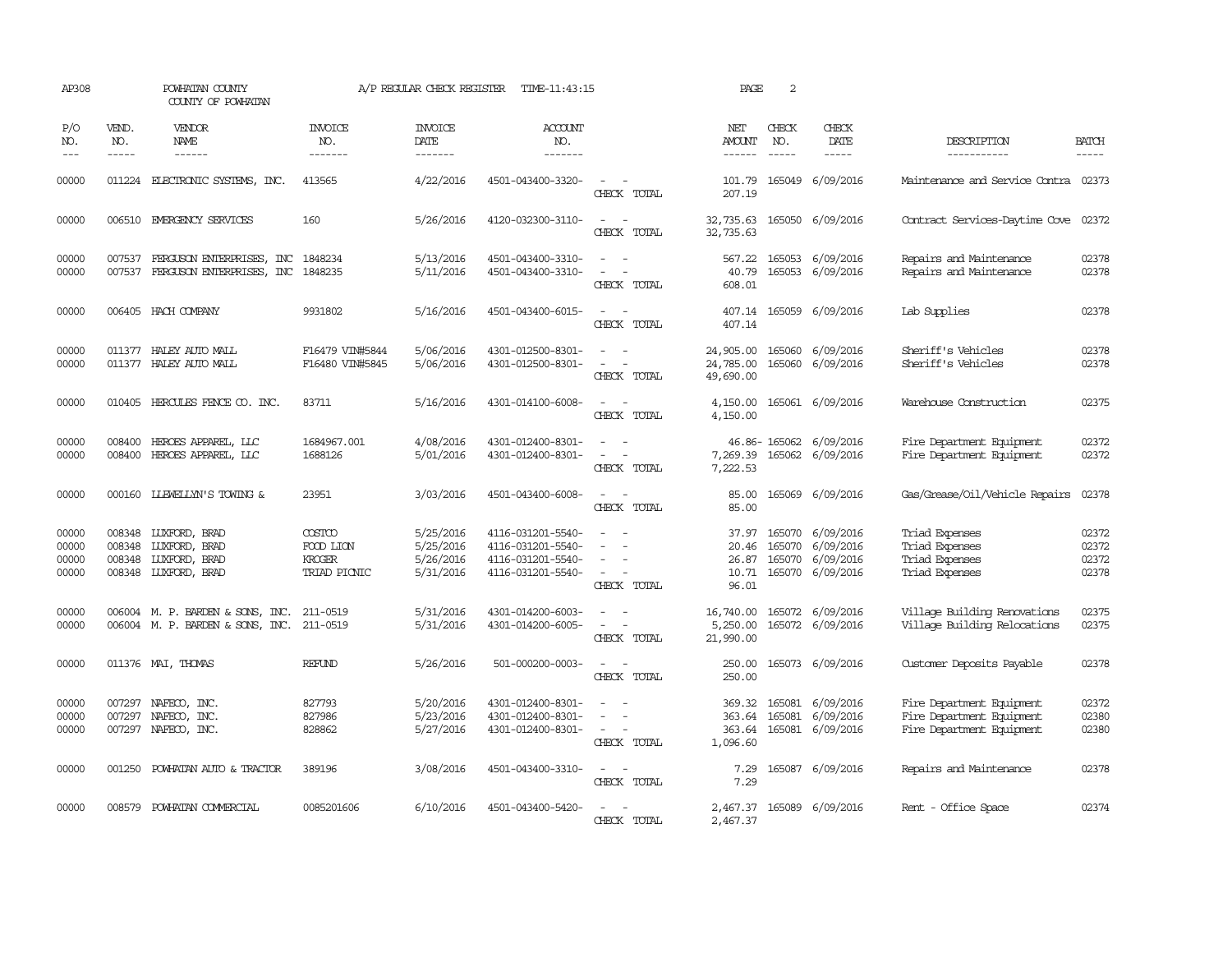| AP308                            |                             | POWHATAN COUNTY<br>COUNTY OF POWHATAN                                                 |                                                      | A/P REGULAR CHECK REGISTER                       | TIME-11:43:15                                                                    |                                                                                                                                                                   | PAGE                                      | 2                             |                                                                |                                                                                     |                                  |
|----------------------------------|-----------------------------|---------------------------------------------------------------------------------------|------------------------------------------------------|--------------------------------------------------|----------------------------------------------------------------------------------|-------------------------------------------------------------------------------------------------------------------------------------------------------------------|-------------------------------------------|-------------------------------|----------------------------------------------------------------|-------------------------------------------------------------------------------------|----------------------------------|
| P/O<br>NO.<br>$---$              | VEND.<br>NO.<br>$- - - - -$ | VENDOR<br>NAME<br>$- - - - - -$                                                       | <b>INVOICE</b><br>NO.<br>-------                     | <b>INVOICE</b><br>DATE<br>-------                | ACCOUNT<br>NO.<br>$- - - - - - -$                                                |                                                                                                                                                                   | NET<br><b>AMOUNT</b><br>$- - - - - -$     | CHECK<br>NO.<br>$\frac{1}{2}$ | CHECK<br>DATE<br>$- - - - -$                                   | DESCRIPTION<br>-----------                                                          | <b>BATCH</b><br>-----            |
| 00000                            |                             | 011224 ELECTRONIC SYSTEMS, INC.                                                       | 413565                                               | 4/22/2016                                        | 4501-043400-3320-                                                                | CHECK TOTAL                                                                                                                                                       | 101.79<br>207.19                          |                               | 165049 6/09/2016                                               | Maintenance and Service Contra 02373                                                |                                  |
| 00000                            |                             | 006510 EMERGENCY SERVICES                                                             | 160                                                  | 5/26/2016                                        | 4120-032300-3110-                                                                | $\overline{\phantom{a}}$<br>CHECK TOTAL                                                                                                                           | 32,735.63<br>32,735.63                    |                               | 165050 6/09/2016                                               | Contract Services-Daytime Cove                                                      | 02372                            |
| 00000<br>00000                   | 007537                      | FERGUSON ENTERPRISES, INC<br>007537 FERGUSON ENTERPRISES, INC 1848235                 | 1848234                                              | 5/13/2016<br>5/11/2016                           | 4501-043400-3310-<br>4501-043400-3310-                                           | $\frac{1}{2} \left( \frac{1}{2} \right) \left( \frac{1}{2} \right) = \frac{1}{2} \left( \frac{1}{2} \right)$<br>$\sim$<br>$\overline{\phantom{a}}$<br>CHECK TOTAL | 567.22<br>40.79<br>608.01                 |                               | 165053 6/09/2016<br>165053 6/09/2016                           | Repairs and Maintenance<br>Repairs and Maintenance                                  | 02378<br>02378                   |
| 00000                            |                             | 006405 HACH COMPANY                                                                   | 9931802                                              | 5/16/2016                                        | 4501-043400-6015-                                                                | $\sim$<br>$\overline{a}$<br>CHECK TOTAL                                                                                                                           | 407.14                                    |                               | 407.14 165059 6/09/2016                                        | Lab Supplies                                                                        | 02378                            |
| 00000<br>00000                   |                             | 011377 HALEY AUTO MALL<br>011377 HALEY AUTO MALL                                      | F16479 VIN#5844<br>F16480 VIN#5845                   | 5/06/2016<br>5/06/2016                           | 4301-012500-8301-<br>4301-012500-8301-                                           | CHECK TOTAL                                                                                                                                                       | 24,905.00<br>24,785.00<br>49,690.00       |                               | 165060 6/09/2016<br>165060 6/09/2016                           | Sheriff's Vehicles<br>Sheriff's Vehicles                                            | 02378<br>02378                   |
| 00000                            |                             | 010405 HERCULES FENCE CO. INC.                                                        | 83711                                                | 5/16/2016                                        | 4301-014100-6008-                                                                | CHECK TOTAL                                                                                                                                                       | 4,150.00<br>4,150.00                      |                               | 165061 6/09/2016                                               | Warehouse Construction                                                              | 02375                            |
| 00000<br>00000                   | 008400                      | HEROES APPAREL, LLC<br>008400 HEROES APPAREL, LLC                                     | 1684967.001<br>1688126                               | 4/08/2016<br>5/01/2016                           | 4301-012400-8301-<br>4301-012400-8301-                                           | $\overline{\phantom{a}}$<br>$\sim$<br>CHECK TOTAL                                                                                                                 | 7,269.39<br>7,222.53                      |                               | 46.86-165062 6/09/2016<br>165062 6/09/2016                     | Fire Department Equipment<br>Fire Department Equipment                              | 02372<br>02372                   |
| 00000                            |                             | 000160 LIEWELLYN'S TOWING &                                                           | 23951                                                | 3/03/2016                                        | 4501-043400-6008-                                                                | $\sim$ $\sim$<br>CHECK TOTAL                                                                                                                                      | 85.00<br>85.00                            |                               | 165069 6/09/2016                                               | Gas/Grease/Oil/Vehicle Repairs                                                      | 02378                            |
| 00000<br>00000<br>00000<br>00000 | 008348<br>008348            | 008348 LUXFORD, BRAD<br>LUXFORD, BRAD<br><b>LUXFORD, BRAD</b><br>008348 LUXFORD, BRAD | <b>COSTCO</b><br>FOOD LION<br>KROGER<br>TRIAD PICNIC | 5/25/2016<br>5/25/2016<br>5/26/2016<br>5/31/2016 | 4116-031201-5540-<br>4116-031201-5540-<br>4116-031201-5540-<br>4116-031201-5540- | CHECK TOTAL                                                                                                                                                       | 37.97<br>20.46<br>26.87<br>10.71<br>96.01 | 165070<br>165070              | 165070 6/09/2016<br>6/09/2016<br>6/09/2016<br>165070 6/09/2016 | Triad Expenses<br>Triad Expenses<br>Triad Expenses<br>Triad Expenses                | 02372<br>02372<br>02372<br>02378 |
| 00000<br>00000                   |                             | 006004 M. P. BARDEN & SONS, INC.<br>006004 M. P. BARDEN & SONS, INC.                  | 211-0519<br>211-0519                                 | 5/31/2016<br>5/31/2016                           | 4301-014200-6003-<br>4301-014200-6005-                                           | CHECK TOTAL                                                                                                                                                       | 16,740.00<br>5,250.00<br>21,990.00        |                               | 165072 6/09/2016<br>165072 6/09/2016                           | Village Building Renovations<br>Village Building Relocations                        | 02375<br>02375                   |
| 00000                            |                             | 011376 MAI, THOMAS                                                                    | REFUND                                               | 5/26/2016                                        | 501-000200-0003-                                                                 | $\overline{\phantom{a}}$<br>CHECK TOTAL                                                                                                                           | 250.00<br>250.00                          |                               | 165073 6/09/2016                                               | Customer Deposits Payable                                                           | 02378                            |
| 00000<br>00000<br>00000          | 007297<br>007297            | NAFECO, INC.<br>NAFECO, INC.<br>007297 NAFECO, INC.                                   | 827793<br>827986<br>828862                           | 5/20/2016<br>5/23/2016<br>5/27/2016              | 4301-012400-8301-<br>4301-012400-8301-<br>4301-012400-8301-                      | $\overline{\phantom{a}}$<br>$\overline{\phantom{a}}$<br>$\overline{\phantom{a}}$<br>CHECK TOTAL                                                                   | 369.32<br>363.64<br>363.64<br>1,096.60    | 165081<br>165081              | 6/09/2016<br>6/09/2016<br>165081 6/09/2016                     | Fire Department Equipment<br>Fire Department Equipment<br>Fire Department Equipment | 02372<br>02380<br>02380          |
| 00000                            | 001250                      | POWHATAN AUTO & TRACTOR                                                               | 389196                                               | 3/08/2016                                        | 4501-043400-3310-                                                                | $\overline{\phantom{a}}$<br>$\sim$<br>CHECK TOTAL                                                                                                                 | 7.29<br>7.29                              |                               | 165087 6/09/2016                                               | Repairs and Maintenance                                                             | 02378                            |
| 00000                            |                             | 008579 POWHATAN COMMERCIAL                                                            | 0085201606                                           | 6/10/2016                                        | 4501-043400-5420-                                                                | CHECK TOTAL                                                                                                                                                       | 2,467.37<br>2,467.37                      |                               | 165089 6/09/2016                                               | Rent - Office Space                                                                 | 02374                            |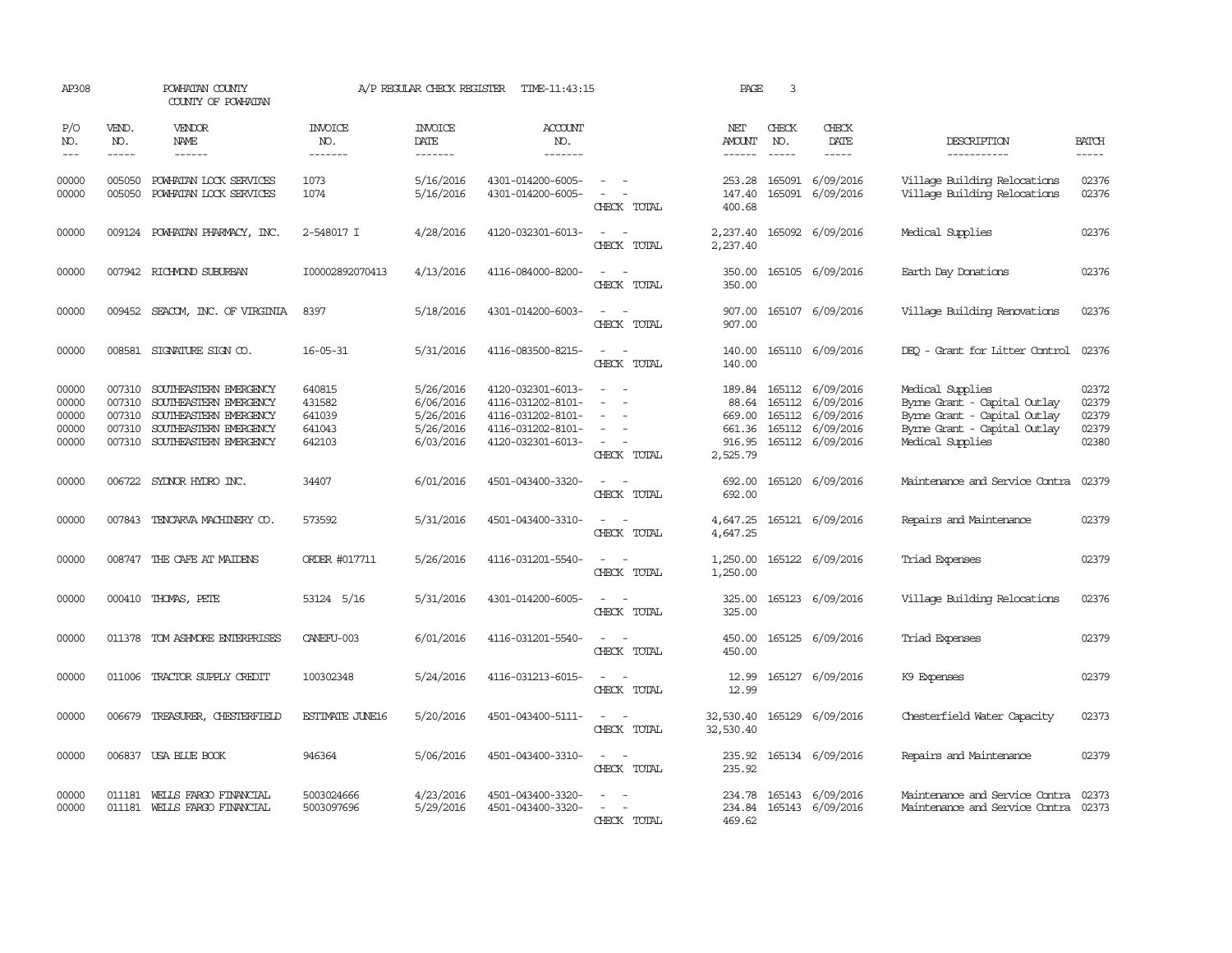| AP308                                     |                                                | POWHATAN COUNTY<br>COUNTY OF POWHATAN                                                                                                                                                                                                                                                                                                                                                                                                                                                        |                                                | A/P REGULAR CHECK REGISTER                                    | TIME-11:43:15                                                                                         |                                                                                                                             | PAGE                                  | 3                           |                                                                                                         |                                                                                                                                      |                                           |
|-------------------------------------------|------------------------------------------------|----------------------------------------------------------------------------------------------------------------------------------------------------------------------------------------------------------------------------------------------------------------------------------------------------------------------------------------------------------------------------------------------------------------------------------------------------------------------------------------------|------------------------------------------------|---------------------------------------------------------------|-------------------------------------------------------------------------------------------------------|-----------------------------------------------------------------------------------------------------------------------------|---------------------------------------|-----------------------------|---------------------------------------------------------------------------------------------------------|--------------------------------------------------------------------------------------------------------------------------------------|-------------------------------------------|
| P/O<br>NO.<br>$- - -$                     | VEND.<br>NO.<br>$- - - - -$                    | VENDOR<br>NAME<br>$\frac{1}{2} \left( \frac{1}{2} \right) \left( \frac{1}{2} \right) \left( \frac{1}{2} \right) \left( \frac{1}{2} \right) \left( \frac{1}{2} \right) \left( \frac{1}{2} \right) \left( \frac{1}{2} \right) \left( \frac{1}{2} \right) \left( \frac{1}{2} \right) \left( \frac{1}{2} \right) \left( \frac{1}{2} \right) \left( \frac{1}{2} \right) \left( \frac{1}{2} \right) \left( \frac{1}{2} \right) \left( \frac{1}{2} \right) \left( \frac{1}{2} \right) \left( \frac$ | <b>INVOICE</b><br>NO.<br>-------               | <b>INVOICE</b><br>DATE<br>-------                             | ACCOUNT<br>NO.<br>-------                                                                             |                                                                                                                             | NET<br>AMOUNT<br>------               | CHECK<br>NO.<br>$- - - - -$ | CHECK<br>DATE<br>$\frac{1}{2}$                                                                          | DESCRIPTION<br>-----------                                                                                                           | <b>BATCH</b>                              |
| 00000<br>00000                            | 005050<br>005050                               | POWHATAN LOCK SERVICES<br>POWHATAN LOCK SERVICES                                                                                                                                                                                                                                                                                                                                                                                                                                             | 1073<br>1074                                   | 5/16/2016<br>5/16/2016                                        | 4301-014200-6005-<br>4301-014200-6005-                                                                | $\sim$<br>$\sim$<br>CHECK TOTAL                                                                                             | 253.28<br>147.40<br>400.68            |                             | 165091 6/09/2016<br>165091 6/09/2016                                                                    | Village Building Relocations<br>Village Building Relocations                                                                         | 02376<br>02376                            |
| 00000                                     |                                                | 009124 POWHATAN PHARMACY, INC.                                                                                                                                                                                                                                                                                                                                                                                                                                                               | 2-548017 I                                     | 4/28/2016                                                     | 4120-032301-6013-                                                                                     | $\frac{1}{2} \left( \frac{1}{2} \right) \left( \frac{1}{2} \right) = \frac{1}{2} \left( \frac{1}{2} \right)$<br>CHECK TOTAL | 2,237.40<br>2,237.40                  |                             | 165092 6/09/2016                                                                                        | Medical Supplies                                                                                                                     | 02376                                     |
| 00000                                     |                                                | 007942 RICHMOND SUBURBAN                                                                                                                                                                                                                                                                                                                                                                                                                                                                     | I00002892070413                                | 4/13/2016                                                     | 4116-084000-8200-                                                                                     | CHECK TOTAL                                                                                                                 | 350.00<br>350.00                      |                             | 165105 6/09/2016                                                                                        | Earth Day Donations                                                                                                                  | 02376                                     |
| 00000                                     |                                                | 009452 SEACOM, INC. OF VIRGINIA                                                                                                                                                                                                                                                                                                                                                                                                                                                              | 8397                                           | 5/18/2016                                                     | 4301-014200-6003-                                                                                     | $\sim$<br>$\sim$<br>CHECK TOTAL                                                                                             | 907.00<br>907.00                      |                             | 165107 6/09/2016                                                                                        | Village Building Renovations                                                                                                         | 02376                                     |
| 00000                                     |                                                | 008581 SIGNATURE SIGN CO.                                                                                                                                                                                                                                                                                                                                                                                                                                                                    | $16 - 05 - 31$                                 | 5/31/2016                                                     | 4116-083500-8215-                                                                                     | $\sim$ $\sim$<br>CHECK TOTAL                                                                                                | 140.00<br>140.00                      |                             | 165110 6/09/2016                                                                                        | DEO - Grant for Litter Control                                                                                                       | 02376                                     |
| 00000<br>00000<br>00000<br>00000<br>00000 | 007310<br>007310<br>007310<br>007310<br>007310 | SOUTHEASTERN EMERGENCY<br>SOUTHEASTERN EMERGENCY<br>SOUTHEASTERN EMERGENCY<br>SOUTHEASTERN EMERGENCY<br>SOUTHEASTERN EMERGENCY                                                                                                                                                                                                                                                                                                                                                               | 640815<br>431582<br>641039<br>641043<br>642103 | 5/26/2016<br>6/06/2016<br>5/26/2016<br>5/26/2016<br>6/03/2016 | 4120-032301-6013-<br>4116-031202-8101-<br>4116-031202-8101-<br>4116-031202-8101-<br>4120-032301-6013- | CHECK TOTAL                                                                                                                 | 88.64<br>669.00<br>916.95<br>2,525.79 | 165112                      | 189.84 165112 6/09/2016<br>6/09/2016<br>165112 6/09/2016<br>661.36 165112 6/09/2016<br>165112 6/09/2016 | Medical Supplies<br>Byrne Grant - Capital Outlay<br>Byrne Grant - Capital Outlay<br>Byrne Grant - Capital Outlay<br>Medical Supplies | 02372<br>02379<br>02379<br>02379<br>02380 |
| 00000                                     | 006722                                         | SYDNOR HYDRO INC.                                                                                                                                                                                                                                                                                                                                                                                                                                                                            | 34407                                          | 6/01/2016                                                     | 4501-043400-3320-                                                                                     | $\sim$ 100 $\mu$<br>CHECK TOTAL                                                                                             | 692.00<br>692.00                      |                             | 165120 6/09/2016                                                                                        | Maintenance and Service Contra                                                                                                       | 02379                                     |
| 00000                                     | 007843                                         | TENCARVA MACHINERY CO.                                                                                                                                                                                                                                                                                                                                                                                                                                                                       | 573592                                         | 5/31/2016                                                     | 4501-043400-3310-                                                                                     | $\sim$ 100 $\sim$<br>CHECK TOTAL                                                                                            | 4,647.25<br>4,647.25                  |                             | 165121 6/09/2016                                                                                        | Repairs and Maintenance                                                                                                              | 02379                                     |
| 00000                                     | 008747                                         | THE CAFE AT MAIDENS                                                                                                                                                                                                                                                                                                                                                                                                                                                                          | ORDER #017711                                  | 5/26/2016                                                     | 4116-031201-5540-                                                                                     | CHECK TOTAL                                                                                                                 | 1,250.00<br>1,250.00                  |                             | 165122 6/09/2016                                                                                        | Triad Expenses                                                                                                                       | 02379                                     |
| 00000                                     |                                                | 000410 THOMAS, PETE                                                                                                                                                                                                                                                                                                                                                                                                                                                                          | 53124 5/16                                     | 5/31/2016                                                     | 4301-014200-6005-                                                                                     | CHECK TOTAL                                                                                                                 | 325.00<br>325.00                      |                             | 165123 6/09/2016                                                                                        | Village Building Relocations                                                                                                         | 02376                                     |
| 00000                                     | 011378                                         | TOM ASHMORE ENTERPRISES                                                                                                                                                                                                                                                                                                                                                                                                                                                                      | CANEFU-003                                     | 6/01/2016                                                     | 4116-031201-5540-                                                                                     | CHECK TOTAL                                                                                                                 | 450.00<br>450.00                      |                             | 165125 6/09/2016                                                                                        | Triad Expenses                                                                                                                       | 02379                                     |
| 00000                                     | 011006                                         | TRACTOR SUPPLY CREDIT                                                                                                                                                                                                                                                                                                                                                                                                                                                                        | 100302348                                      | 5/24/2016                                                     | 4116-031213-6015-                                                                                     | $\overline{\phantom{a}}$<br>CHECK TOTAL                                                                                     | 12.99<br>12.99                        |                             | 165127 6/09/2016                                                                                        | K9 Expenses                                                                                                                          | 02379                                     |
| 00000                                     | 006679                                         | TREASURER, CHESTERFIELD                                                                                                                                                                                                                                                                                                                                                                                                                                                                      | <b>ESTIMATE JUNE16</b>                         | 5/20/2016                                                     | 4501-043400-5111-                                                                                     | CHECK TOTAL                                                                                                                 | 32,530.40<br>32,530.40                |                             | 165129 6/09/2016                                                                                        | Chesterfield Water Capacity                                                                                                          | 02373                                     |
| 00000                                     | 006837                                         | USA BLUE BOOK                                                                                                                                                                                                                                                                                                                                                                                                                                                                                | 946364                                         | 5/06/2016                                                     | 4501-043400-3310-                                                                                     | $\equiv$<br>CHECK TOTAL                                                                                                     | 235.92<br>235.92                      |                             | 165134 6/09/2016                                                                                        | Repairs and Maintenance                                                                                                              | 02379                                     |
| 00000<br>00000                            | 011181                                         | WEILS FARGO FINANCIAL<br>011181 WELLS FARGO FINANCIAL                                                                                                                                                                                                                                                                                                                                                                                                                                        | 5003024666<br>5003097696                       | 4/23/2016<br>5/29/2016                                        | 4501-043400-3320-<br>4501-043400-3320-                                                                | $\sim$<br>CHECK TOTAL                                                                                                       | 234.78<br>469.62                      |                             | 165143 6/09/2016<br>234.84 165143 6/09/2016                                                             | Maintenance and Service Contra<br>Maintenance and Service Contra                                                                     | 02373<br>02373                            |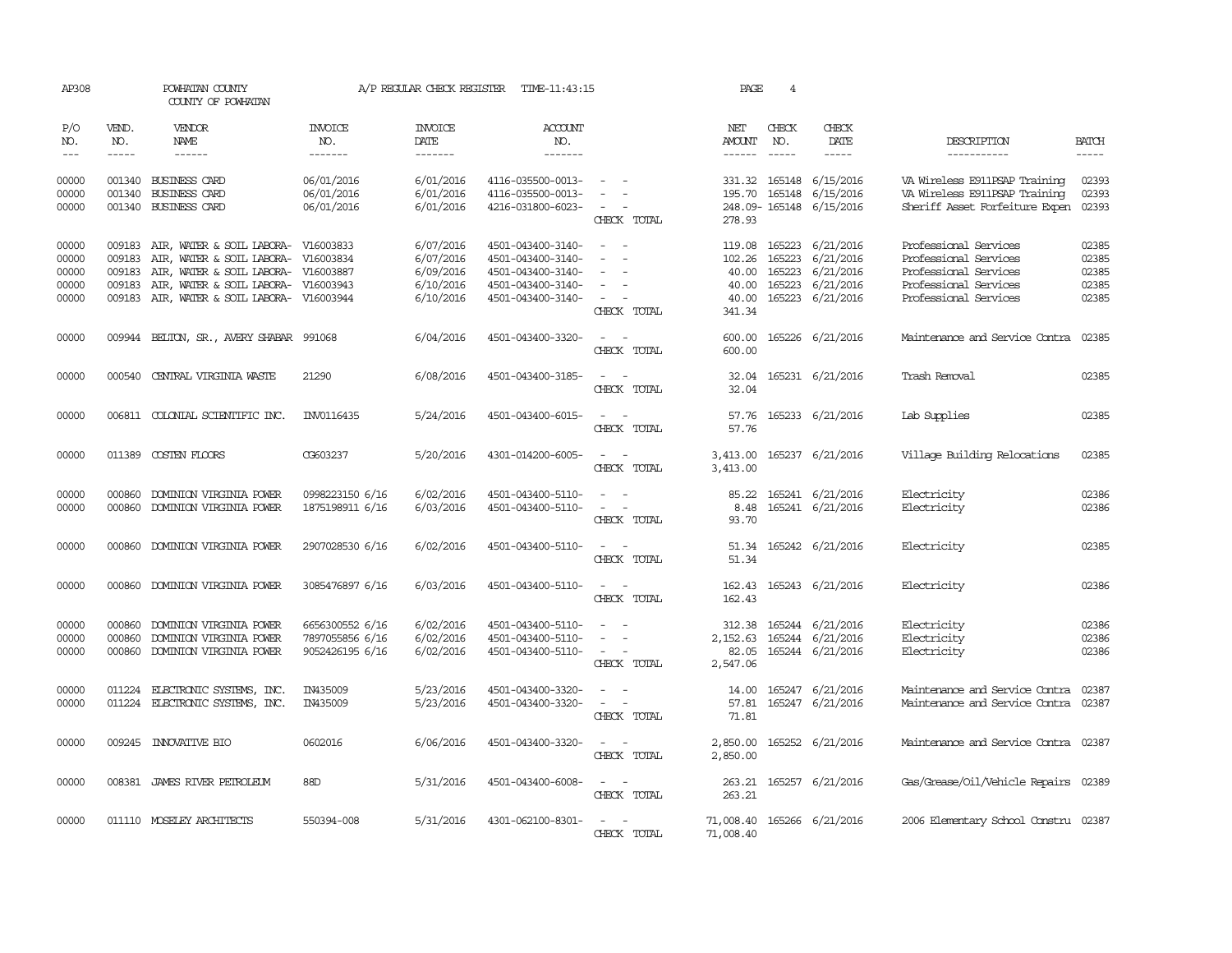| AP308                   |                  | POWHATAN COUNTY<br>COUNTY OF POWHATAN                                                |                                                       | A/P REGULAR CHECK REGISTER          | TIME-11:43:15                                               |                                                                                                                                            | PAGE                     | 4             |                                                                           |                                                                       |                         |
|-------------------------|------------------|--------------------------------------------------------------------------------------|-------------------------------------------------------|-------------------------------------|-------------------------------------------------------------|--------------------------------------------------------------------------------------------------------------------------------------------|--------------------------|---------------|---------------------------------------------------------------------------|-----------------------------------------------------------------------|-------------------------|
| P/O<br>NO.              | VEND.<br>NO.     | VENDOR<br>NAME                                                                       | <b>INVOICE</b><br>NO.                                 | <b>INVOICE</b><br>DATE              | <b>ACCOUNT</b><br>NO.                                       |                                                                                                                                            | NET<br>AMOUNT            | CHECK<br>NO.  | CHECK<br>DATE                                                             | DESCRIPTION                                                           | <b>BATCH</b>            |
| $---$                   | $\frac{1}{2}$    | $- - - - - -$                                                                        | -------                                               | --------                            | $- - - - - - -$                                             |                                                                                                                                            |                          | $\frac{1}{2}$ | $\frac{1}{2}$                                                             | -----------                                                           | $\frac{1}{2}$           |
| 00000                   | 001340           | <b>BUSINESS CARD</b>                                                                 | 06/01/2016                                            | 6/01/2016                           | 4116-035500-0013-                                           | $\sim$                                                                                                                                     |                          | 331.32 165148 | 6/15/2016                                                                 | VA Wireless E911PSAP Training                                         | 02393<br>02393          |
| 00000<br>00000          | 001340           | <b>BUSINESS CARD</b><br>001340 BUSINESS CARD                                         | 06/01/2016<br>06/01/2016                              | 6/01/2016<br>6/01/2016              | 4116-035500-0013-<br>4216-031800-6023-                      | CHECK TOTAL                                                                                                                                | 278.93                   | 195.70 165148 | 6/15/2016<br>248.09-165148 6/15/2016                                      | VA Wireless E911PSAP Training<br>Sheriff Asset Forfeiture Expen 02393 |                         |
| 00000<br>00000          | 009183           | 009183 AIR, WATER & SOIL LABORA- V16003833<br>AIR, WATER & SOIL LABORA-              | V16003834                                             | 6/07/2016<br>6/07/2016              | 4501-043400-3140-<br>4501-043400-3140-                      | $\overline{\phantom{a}}$<br>$\sim$<br>$\overline{\phantom{0}}$                                                                             | 102.26                   | 165223        | 119.08 165223 6/21/2016<br>6/21/2016                                      | Professional Services<br>Professional Services                        | 02385<br>02385          |
| 00000                   | 009183           | AIR, WATER & SOIL LABORA-                                                            | V16003887                                             | 6/09/2016                           | 4501-043400-3140-                                           | $\sim$                                                                                                                                     | 40.00                    | 165223        | 6/21/2016                                                                 | Professional Services                                                 | 02385                   |
| 00000<br>00000          | 009183           | AIR, WATER & SOIL LABORA- V16003943<br>009183 AIR, WATER & SOIL LABORA- V16003944    |                                                       | 6/10/2016<br>6/10/2016              | 4501-043400-3140-<br>4501-043400-3140-                      | $\equiv$<br>$\sim$ $ -$<br>CHECK TOTAL                                                                                                     | 40.00<br>40.00<br>341.34 | 165223        | 6/21/2016<br>165223 6/21/2016                                             | Professional Services<br>Professional Services                        | 02385<br>02385          |
| 00000                   |                  | 009944 BELTON, SR., AVERY SHABAR 991068                                              |                                                       | 6/04/2016                           | 4501-043400-3320-                                           | $\sim$ $\sim$<br>CHECK TOTAL                                                                                                               | 600.00                   |               | 600.00 165226 6/21/2016                                                   | Maintenance and Service Contra 02385                                  |                         |
| 00000                   |                  | 000540 CENTRAL VIRGINIA WASTE                                                        | 21290                                                 | 6/08/2016                           | 4501-043400-3185-                                           | $\overline{\phantom{a}}$<br>CHECK TOTAL                                                                                                    | 32.04<br>32.04           |               | 165231 6/21/2016                                                          | Trash Removal                                                         | 02385                   |
| 00000                   |                  | 006811 COLONIAL SCIENTIFIC INC.                                                      | INV0116435                                            | 5/24/2016                           | 4501-043400-6015-                                           | $\sim$<br>$\sim$<br>CHECK TOTAL                                                                                                            | 57.76<br>57.76           |               | 165233 6/21/2016                                                          | Lab Supplies                                                          | 02385                   |
| 00000                   |                  | 011389 COSTEN FLOORS                                                                 | CG603237                                              | 5/20/2016                           | 4301-014200-6005-                                           | $\frac{1}{2} \left( \frac{1}{2} \right) \left( \frac{1}{2} \right) = \frac{1}{2} \left( \frac{1}{2} \right)$<br>CHECK TOTAL                | 3,413.00<br>3,413.00     |               | 165237 6/21/2016                                                          | Village Building Relocations                                          | 02385                   |
| 00000                   | 000860           | DOMINION VIRGINIA POWER                                                              | 0998223150 6/16                                       | 6/02/2016                           | 4501-043400-5110-                                           | $\sim$<br>$\sim$                                                                                                                           | 85.22                    |               | 165241 6/21/2016                                                          | Electricity                                                           | 02386                   |
| 00000                   | 000860           | DOMINION VIRGINIA POWER                                                              | 1875198911 6/16                                       | 6/03/2016                           | 4501-043400-5110-                                           | $\sim$<br>$\sim$<br>CHECK TOTAL                                                                                                            | 8.48<br>93.70            |               | 165241 6/21/2016                                                          | Electricity                                                           | 02386                   |
| 00000                   |                  | 000860 DOMINION VIRGINIA POWER                                                       | 2907028530 6/16                                       | 6/02/2016                           | 4501-043400-5110-                                           | $\sim$ $\sim$<br>CHECK TOTAL                                                                                                               | 51.34                    |               | 51.34 165242 6/21/2016                                                    | Electricity                                                           | 02385                   |
| 00000                   |                  | 000860 DOMINION VIRGINIA POWER                                                       | 3085476897 6/16                                       | 6/03/2016                           | 4501-043400-5110-                                           | $\sim$<br>$\sim$<br>CHECK TOTAL                                                                                                            | 162.43                   |               | 162.43 165243 6/21/2016                                                   | Electricity                                                           | 02386                   |
| 00000<br>00000<br>00000 | 000860<br>000860 | DOMINION VIRGINIA POWER<br>DOMINION VIRGINIA POWER<br>000860 DOMINION VIRGINIA POWER | 6656300552 6/16<br>7897055856 6/16<br>9052426195 6/16 | 6/02/2016<br>6/02/2016<br>6/02/2016 | 4501-043400-5110-<br>4501-043400-5110-<br>4501-043400-5110- | $\overline{\phantom{a}}$<br>$\sim$<br>$\sim$<br>CHECK TOTAL                                                                                | 82.05<br>2,547.06        |               | 312.38 165244 6/21/2016<br>2, 152.63 165244 6/21/2016<br>165244 6/21/2016 | Electricity<br>Electricity<br>Electricity                             | 02386<br>02386<br>02386 |
| 00000<br>00000          |                  | 011224 ELECTRONIC SYSTEMS, INC.<br>011224 ELECTRONIC SYSTEMS, INC.                   | IN435009<br>IN435009                                  | 5/23/2016<br>5/23/2016              | 4501-043400-3320-<br>4501-043400-3320-                      | $\frac{1}{2} \left( \frac{1}{2} \right) \left( \frac{1}{2} \right) = \frac{1}{2} \left( \frac{1}{2} \right)$<br>$\sim$ $ -$<br>CHECK TOTAL | 71.81                    |               | 14.00 165247 6/21/2016<br>57.81 165247 6/21/2016                          | Maintenance and Service Contra<br>Maintenance and Service Contra      | 02387<br>02387          |
| 00000                   |                  | 009245 INNOVATIVE BIO                                                                | 0602016                                               | 6/06/2016                           | 4501-043400-3320-                                           | $\sim$ $ \sim$<br>CHECK TOTAL                                                                                                              | 2,850.00<br>2,850.00     |               | 165252 6/21/2016                                                          | Maintenance and Service Contra 02387                                  |                         |
| 00000                   |                  | 008381 JAMES RIVER PEIROLEUM                                                         | 88D                                                   | 5/31/2016                           | 4501-043400-6008-                                           | $\sim$<br>$\sim$<br>CHECK TOTAL                                                                                                            | 263.21<br>263.21         |               | 165257 6/21/2016                                                          | Gas/Grease/Oil/Vehicle Repairs 02389                                  |                         |
| 00000                   |                  | 011110 MOSELEY ARCHITECTS                                                            | 550394-008                                            | 5/31/2016                           | 4301-062100-8301-                                           | $\sim$ $ \sim$<br>CHECK TOTAL                                                                                                              | 71,008.40                |               | 71,008.40 165266 6/21/2016                                                | 2006 Elementary School Constru 02387                                  |                         |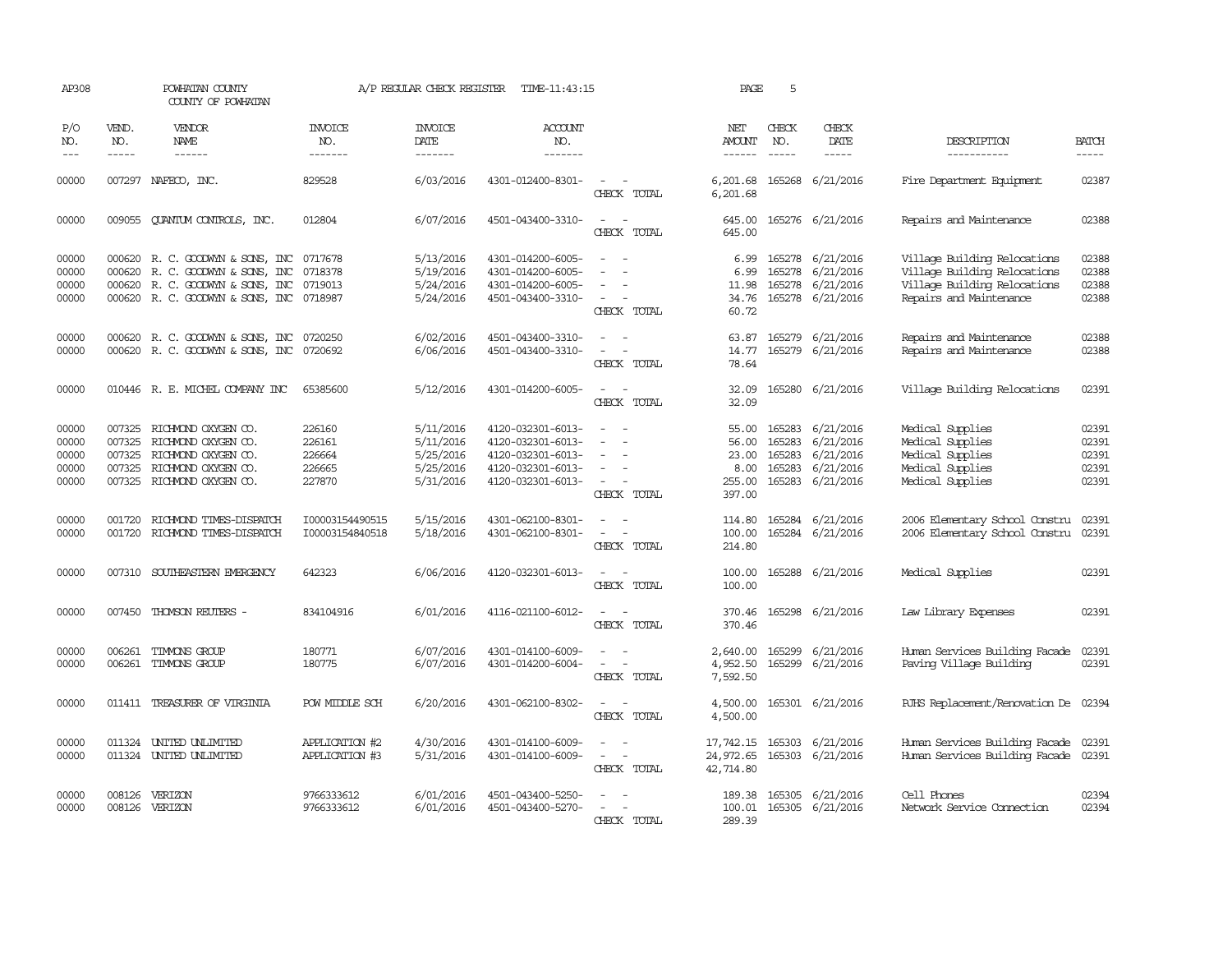| AP308                                     |                                      | POWHATAN COUNTY<br>COUNTY OF POWHATAN                                                                                                                |                                                | A/P REGULAR CHECK REGISTER                                    | TIME-11:43:15                                                                                         |                                                                                                                                                 | PAGE                                                | 5                                              |                                                                              |                                                                                                                         |                                           |
|-------------------------------------------|--------------------------------------|------------------------------------------------------------------------------------------------------------------------------------------------------|------------------------------------------------|---------------------------------------------------------------|-------------------------------------------------------------------------------------------------------|-------------------------------------------------------------------------------------------------------------------------------------------------|-----------------------------------------------------|------------------------------------------------|------------------------------------------------------------------------------|-------------------------------------------------------------------------------------------------------------------------|-------------------------------------------|
| P/O<br>NO.<br>$---$                       | VEND.<br>NO.<br>$\frac{1}{2}$        | VENDOR<br>NAME<br>------                                                                                                                             | INVOICE<br>NO.<br>-------                      | <b>INVOICE</b><br>DATE<br>-------                             | <b>ACCOUNT</b><br>NO.<br>-------                                                                      |                                                                                                                                                 | NET<br><b>AMOUNT</b><br>$- - - - - -$               | CHECK<br>NO.<br>$- - - - -$                    | CHECK<br>DATE<br>$- - - - -$                                                 | DESCRIPTION<br>-----------                                                                                              | <b>BATCH</b><br>$- - - - -$               |
| 00000                                     |                                      | 007297 NAFECO, INC.                                                                                                                                  | 829528                                         | 6/03/2016                                                     | 4301-012400-8301-                                                                                     | CHECK TOTAL                                                                                                                                     | 6,201.68<br>6,201.68                                |                                                | 165268 6/21/2016                                                             | Fire Department Equipment                                                                                               | 02387                                     |
| 00000                                     |                                      | 009055 CUANTUM CONTROLS, INC.                                                                                                                        | 012804                                         | 6/07/2016                                                     | 4501-043400-3310-                                                                                     | $\sim$<br>$\overline{\phantom{a}}$<br>CHECK TOTAL                                                                                               | 645.00<br>645.00                                    |                                                | 165276 6/21/2016                                                             | Repairs and Maintenance                                                                                                 | 02388                                     |
| 00000<br>00000<br>00000<br>00000          |                                      | 000620 R. C. GOODWYN & SONS, INC<br>000620 R. C. GOODWYN & SONS, INC<br>000620 R. C. GOODWYN & SONS, INC<br>000620 R. C. GOODWYN & SONS, INC 0718987 | 0717678<br>0718378<br>0719013                  | 5/13/2016<br>5/19/2016<br>5/24/2016<br>5/24/2016              | 4301-014200-6005-<br>4301-014200-6005-<br>4301-014200-6005-<br>4501-043400-3310-                      | $\overline{\phantom{a}}$<br>$\sim$<br>$\overline{\phantom{a}}$<br>CHECK TOTAL                                                                   | 6.99<br>6.99<br>11.98<br>34.76<br>60.72             |                                                | 165278 6/21/2016<br>165278 6/21/2016<br>165278 6/21/2016<br>165278 6/21/2016 | Village Building Relocations<br>Village Building Relocations<br>Village Building Relocations<br>Repairs and Maintenance | 02388<br>02388<br>02388<br>02388          |
| 00000<br>00000                            |                                      | 000620 R. C. GOODWYN & SONS, INC 0720250<br>000620 R. C. GOODWYN & SONS, INC                                                                         | 0720692                                        | 6/02/2016<br>6/06/2016                                        | 4501-043400-3310-<br>4501-043400-3310-                                                                | $\frac{1}{2} \left( \frac{1}{2} \right) \left( \frac{1}{2} \right) = \frac{1}{2} \left( \frac{1}{2} \right)$<br>$\sim$<br>$\sim$<br>CHECK TOTAL | 14.77<br>78.64                                      |                                                | 63.87 165279 6/21/2016<br>165279 6/21/2016                                   | Repairs and Maintenance<br>Repairs and Maintenance                                                                      | 02388<br>02388                            |
| 00000                                     |                                      | 010446 R. E. MICHEL COMPANY INC                                                                                                                      | 65385600                                       | 5/12/2016                                                     | 4301-014200-6005-                                                                                     | CHECK TOTAL                                                                                                                                     | 32.09<br>32.09                                      |                                                | 165280 6/21/2016                                                             | Village Building Relocations                                                                                            | 02391                                     |
| 00000<br>00000<br>00000<br>00000<br>00000 | 007325<br>007325<br>007325<br>007325 | RICHMOND OXYGEN CO.<br>RICHMOND OXYGEN CO.<br>RICHMOND OXYGEN CO.<br>RICHMOND OXYGEN CO.<br>007325 RICHMOND OXYGEN CO.                               | 226160<br>226161<br>226664<br>226665<br>227870 | 5/11/2016<br>5/11/2016<br>5/25/2016<br>5/25/2016<br>5/31/2016 | 4120-032301-6013-<br>4120-032301-6013-<br>4120-032301-6013-<br>4120-032301-6013-<br>4120-032301-6013- | $\equiv$<br>$\sim$<br>$\sim$<br>$\overline{\phantom{a}}$<br>$\overline{\phantom{a}}$<br>CHECK TOTAL                                             | 55.00<br>56.00<br>23.00<br>8.00<br>255.00<br>397.00 | 165283<br>165283<br>165283<br>165283<br>165283 | 6/21/2016<br>6/21/2016<br>6/21/2016<br>6/21/2016<br>6/21/2016                | Medical Supplies<br>Medical Supplies<br>Medical Supplies<br>Medical Supplies<br>Medical Supplies                        | 02391<br>02391<br>02391<br>02391<br>02391 |
| 00000<br>00000                            | 001720                               | RICHMOND TIMES-DISPATCH<br>001720 RICHMOND TIMES-DISPATCH                                                                                            | I00003154490515<br>I00003154840518             | 5/15/2016<br>5/18/2016                                        | 4301-062100-8301-<br>4301-062100-8301-                                                                | $\omega_{\rm{max}}$ and $\omega_{\rm{max}}$<br>$\sim$ $-$<br>$\sim$<br>CHECK TOTAL                                                              | 114.80<br>100.00<br>214.80                          |                                                | 165284 6/21/2016<br>165284 6/21/2016                                         | 2006 Elementary School Constru<br>2006 Elementary School Constru                                                        | 02391<br>02391                            |
| 00000                                     |                                      | 007310 SOUTHEASTERN EMERGENCY                                                                                                                        | 642323                                         | 6/06/2016                                                     | 4120-032301-6013-                                                                                     | $\sim$<br>$\sim$<br>CHECK TOTAL                                                                                                                 | 100.00<br>100.00                                    |                                                | 165288 6/21/2016                                                             | Medical Supplies                                                                                                        | 02391                                     |
| 00000                                     | 007450                               | THOMSON REUTERS -                                                                                                                                    | 834104916                                      | 6/01/2016                                                     | 4116-021100-6012-                                                                                     | $\overline{\phantom{a}}$<br>$\overline{\phantom{a}}$<br>CHECK TOTAL                                                                             | 370.46<br>370.46                                    |                                                | 165298 6/21/2016                                                             | Law Library Expenses                                                                                                    | 02391                                     |
| 00000<br>00000                            | 006261<br>006261                     | TIMANS GROUP<br>TIMMONS GROUP                                                                                                                        | 180771<br>180775                               | 6/07/2016<br>6/07/2016                                        | 4301-014100-6009-<br>4301-014200-6004-                                                                | CHECK TOTAL                                                                                                                                     | 2,640.00<br>4,952.50<br>7,592.50                    | 165299<br>165299                               | 6/21/2016<br>6/21/2016                                                       | Human Services Building Facade<br>Paving Village Building                                                               | 02391<br>02391                            |
| 00000                                     |                                      | 011411 TREASURER OF VIRGINIA                                                                                                                         | POW MIDDLE SCH                                 | 6/20/2016                                                     | 4301-062100-8302-                                                                                     | CHECK TOTAL                                                                                                                                     | 4,500.00<br>4,500.00                                |                                                | 165301 6/21/2016                                                             | RJHS Replacement/Renovation De 02394                                                                                    |                                           |
| 00000<br>00000                            |                                      | 011324 UNITED UNLIMITED<br>011324 UNITED UNLIMITED                                                                                                   | APPLICATION #2<br>APPLICATION #3               | 4/30/2016<br>5/31/2016                                        | 4301-014100-6009-<br>4301-014100-6009-                                                                | $\sim$ $ \sim$<br>CHECK TOTAL                                                                                                                   | 17,742.15<br>24,972.65<br>42,714.80                 | 165303                                         | 6/21/2016<br>165303 6/21/2016                                                | Human Services Building Facade<br>Human Services Building Facade 02391                                                  | 02391                                     |
| 00000<br>00000                            | 008126                               | VERIZON<br>008126 VERIZON                                                                                                                            | 9766333612<br>9766333612                       | 6/01/2016<br>6/01/2016                                        | 4501-043400-5250-<br>4501-043400-5270-                                                                | CHECK TOTAL                                                                                                                                     | 189.38<br>100.01<br>289.39                          |                                                | 165305 6/21/2016<br>165305 6/21/2016                                         | Cell Phones<br>Network Service Connection                                                                               | 02394<br>02394                            |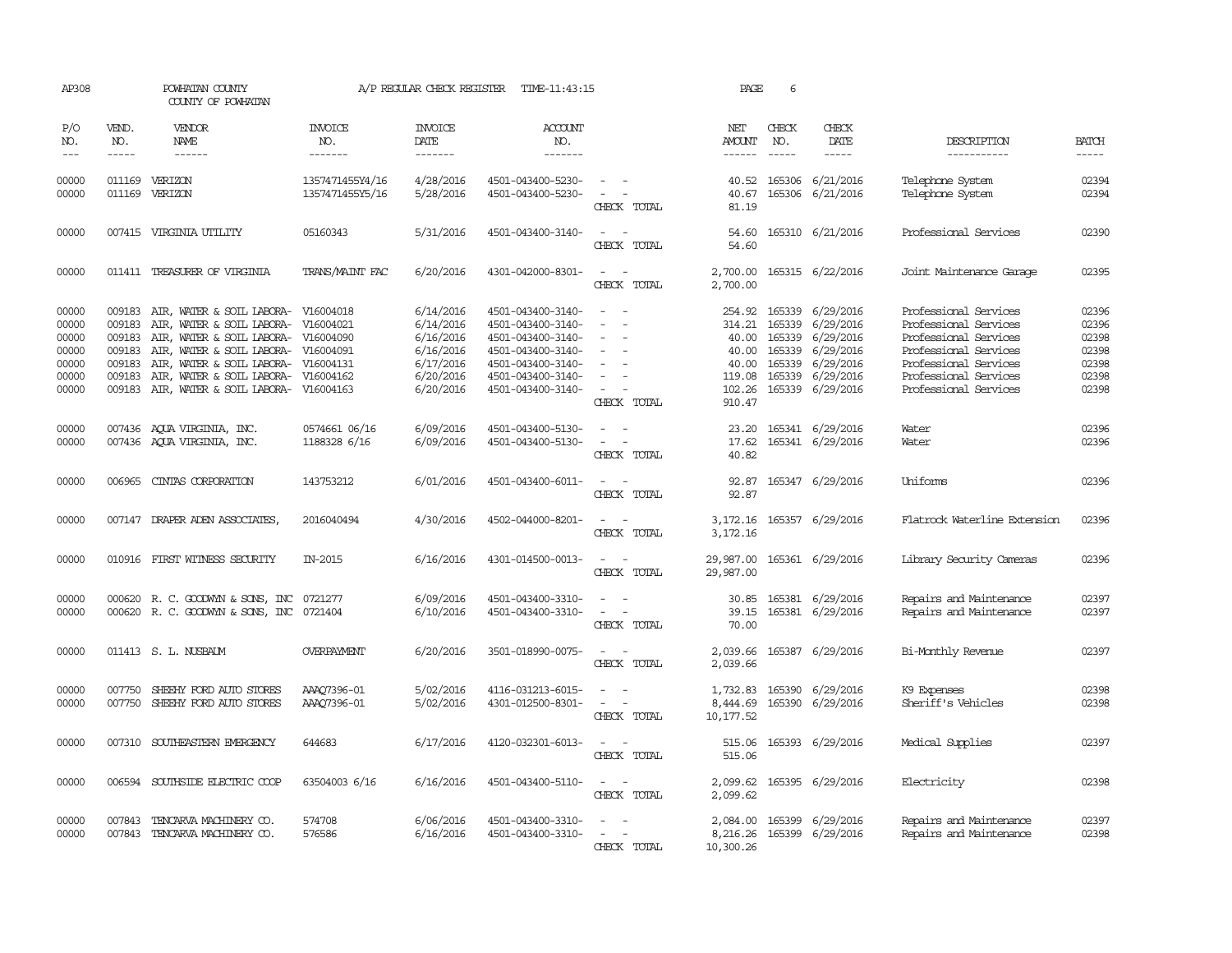| AP308                                                       |                                                          | POWHATAN COUNTY<br>COUNTY OF POWHATAN                                                                                                                                                                                              |                                                               | A/P REGULAR CHECK REGISTER                                                              | TIME-11:43:15                                                                                                                                   |                                                                                                                                                                   | PAGE                                                  | 6                             |                                                                                                                                                        |                                                                                                                                                                             |                                                             |
|-------------------------------------------------------------|----------------------------------------------------------|------------------------------------------------------------------------------------------------------------------------------------------------------------------------------------------------------------------------------------|---------------------------------------------------------------|-----------------------------------------------------------------------------------------|-------------------------------------------------------------------------------------------------------------------------------------------------|-------------------------------------------------------------------------------------------------------------------------------------------------------------------|-------------------------------------------------------|-------------------------------|--------------------------------------------------------------------------------------------------------------------------------------------------------|-----------------------------------------------------------------------------------------------------------------------------------------------------------------------------|-------------------------------------------------------------|
| P/O<br>NO.<br>$---$                                         | VEND.<br>NO.<br>$- - - - -$                              | VENDOR<br>NAME<br>$- - - - - -$                                                                                                                                                                                                    | <b>INVOICE</b><br>NO.<br>-------                              | <b>INVOICE</b><br>DATE<br>$- - - - - - -$                                               | <b>ACCOUNT</b><br>NO.<br>$- - - - - - -$                                                                                                        |                                                                                                                                                                   | NET<br>AMOUNT<br>------                               | CHECK<br>NO.<br>$\frac{1}{2}$ | CHECK<br>DATE<br>$- - - - -$                                                                                                                           | DESCRIPTION<br>-----------                                                                                                                                                  | <b>BATCH</b><br>-----                                       |
| 00000<br>00000                                              |                                                          | 011169 VERIZON<br>011169 VERIZON                                                                                                                                                                                                   | 1357471455Y4/16<br>1357471455Y5/16                            | 4/28/2016<br>5/28/2016                                                                  | 4501-043400-5230-<br>4501-043400-5230-                                                                                                          | $\frac{1}{2} \left( \frac{1}{2} \right) \left( \frac{1}{2} \right) = \frac{1}{2} \left( \frac{1}{2} \right)$<br>$\sim$ $-$<br>CHECK TOTAL                         | 40.67<br>81.19                                        | 165306                        | 40.52 165306 6/21/2016<br>6/21/2016                                                                                                                    | Telephone System<br>Telephone System                                                                                                                                        | 02394<br>02394                                              |
| 00000                                                       |                                                          | 007415 VIRGINIA UTILITY                                                                                                                                                                                                            | 05160343                                                      | 5/31/2016                                                                               | 4501-043400-3140-                                                                                                                               | $\frac{1}{2} \left( \frac{1}{2} \right) \left( \frac{1}{2} \right) = \frac{1}{2} \left( \frac{1}{2} \right)$<br>CHECK TOTAL                                       | 54.60<br>54.60                                        |                               | 165310 6/21/2016                                                                                                                                       | Professional Services                                                                                                                                                       | 02390                                                       |
| 00000                                                       |                                                          | 011411 TREASURER OF VIRGINIA                                                                                                                                                                                                       | TRANS/MAINT FAC                                               | 6/20/2016                                                                               | 4301-042000-8301-                                                                                                                               | $\frac{1}{2} \left( \frac{1}{2} \right) \left( \frac{1}{2} \right) = \frac{1}{2} \left( \frac{1}{2} \right)$<br>CHECK TOTAL                                       | 2,700.00                                              |                               | 2,700.00 165315 6/22/2016                                                                                                                              | Joint Maintenance Garage                                                                                                                                                    | 02395                                                       |
| 00000<br>00000<br>00000<br>00000<br>00000<br>00000<br>00000 | 009183<br>009183<br>009183<br>009183<br>009183<br>009183 | AIR, WATER & SOIL LABORA-<br>AIR, WATER & SOIL LABORA- V16004021<br>AIR, WATER & SOIL LABORA- V16004090<br>AIR, WATER & SOIL LABORA-<br>AIR, WATER & SOIL LABORA-<br>AIR, WATER & SOIL LABORA-<br>009183 AIR, WATER & SOIL LABORA- | V16004018<br>V16004091<br>V16004131<br>V16004162<br>V16004163 | 6/14/2016<br>6/14/2016<br>6/16/2016<br>6/16/2016<br>6/17/2016<br>6/20/2016<br>6/20/2016 | 4501-043400-3140-<br>4501-043400-3140-<br>4501-043400-3140-<br>4501-043400-3140-<br>4501-043400-3140-<br>4501-043400-3140-<br>4501-043400-3140- | $\sim$<br>$\overline{\phantom{a}}$<br>$\sim$<br>$\sim$<br>$\equiv$<br>$\sim$<br>CHECK TOTAL                                                                       | 254.92<br>40.00<br>40.00<br>40.00<br>102.26<br>910.47 |                               | 165339 6/29/2016<br>314.21 165339 6/29/2016<br>165339 6/29/2016<br>165339 6/29/2016<br>165339 6/29/2016<br>119.08 165339 6/29/2016<br>165339 6/29/2016 | Professional Services<br>Professional Services<br>Professional Services<br>Professional Services<br>Professional Services<br>Professional Services<br>Professional Services | 02396<br>02396<br>02398<br>02398<br>02398<br>02398<br>02398 |
| 00000<br>00000                                              |                                                          | 007436 AQUA VIRGINIA, INC.<br>007436 AQUA VIRGINIA, INC.                                                                                                                                                                           | 0574661 06/16<br>1188328 6/16                                 | 6/09/2016<br>6/09/2016                                                                  | 4501-043400-5130-<br>4501-043400-5130-                                                                                                          | $\sim$ $ \sim$<br>$\overline{\phantom{a}}$<br>$\overline{\phantom{a}}$<br>CHECK TOTAL                                                                             | 17.62<br>40.82                                        |                               | 23.20 165341 6/29/2016<br>165341 6/29/2016                                                                                                             | Water<br>Water                                                                                                                                                              | 02396<br>02396                                              |
| 00000                                                       |                                                          | 006965 CINTAS CORPORATION                                                                                                                                                                                                          | 143753212                                                     | 6/01/2016                                                                               | 4501-043400-6011-                                                                                                                               | $\overline{\phantom{a}}$<br>CHECK TOTAL                                                                                                                           | 92.87<br>92.87                                        |                               | 165347 6/29/2016                                                                                                                                       | Uniforms                                                                                                                                                                    | 02396                                                       |
| 00000                                                       |                                                          | 007147 DRAPER ADEN ASSOCIATES                                                                                                                                                                                                      | 2016040494                                                    | 4/30/2016                                                                               | 4502-044000-8201-                                                                                                                               | $\frac{1}{2} \left( \frac{1}{2} \right) \left( \frac{1}{2} \right) = \frac{1}{2} \left( \frac{1}{2} \right)$<br>CHECK TOTAL                                       | 3,172.16                                              |                               | 3,172.16 165357 6/29/2016                                                                                                                              | Flatrock Waterline Extension                                                                                                                                                | 02396                                                       |
| 00000                                                       |                                                          | 010916 FIRST WITNESS SECURITY                                                                                                                                                                                                      | IN-2015                                                       | 6/16/2016                                                                               | 4301-014500-0013-                                                                                                                               | $\sim$ $\sim$<br>CHECK TOTAL                                                                                                                                      | 29,987.00<br>29,987.00                                |                               | 165361 6/29/2016                                                                                                                                       | Library Security Cameras                                                                                                                                                    | 02396                                                       |
| 00000<br>00000                                              |                                                          | 000620 R. C. GOODWYN & SONS, INC<br>000620 R. C. GOODWYN & SONS, INC 0721404                                                                                                                                                       | 0721277                                                       | 6/09/2016<br>6/10/2016                                                                  | 4501-043400-3310-<br>4501-043400-3310-                                                                                                          | $\frac{1}{2} \left( \frac{1}{2} \right) \left( \frac{1}{2} \right) = \frac{1}{2} \left( \frac{1}{2} \right)$<br>$\sim$ $ -$<br>CHECK TOTAL                        | 39.15<br>70.00                                        |                               | 30.85 165381 6/29/2016<br>165381 6/29/2016                                                                                                             | Repairs and Maintenance<br>Repairs and Maintenance                                                                                                                          | 02397<br>02397                                              |
| 00000                                                       |                                                          | 011413 S. L. NUSBAUM                                                                                                                                                                                                               | <b>OVERPAYMENT</b>                                            | 6/20/2016                                                                               | 3501-018990-0075-                                                                                                                               | $\sim$ $\sim$<br>CHECK TOTAL                                                                                                                                      | 2,039.66                                              |                               | 2,039.66 165387 6/29/2016                                                                                                                              | Bi-Monthly Revenue                                                                                                                                                          | 02397                                                       |
| 00000<br>00000                                              | 007750<br>007750                                         | SHEEHY FORD AUTO STORES<br>SHEEHY FORD AUTO STORES                                                                                                                                                                                 | AAA07396-01<br>AAA07396-01                                    | 5/02/2016<br>5/02/2016                                                                  | 4116-031213-6015-<br>4301-012500-8301-                                                                                                          | CHECK TOTAL                                                                                                                                                       | 8,444.69<br>10, 177.52                                |                               | 1,732.83 165390 6/29/2016<br>165390 6/29/2016                                                                                                          | K9 Expenses<br>Sheriff's Vehicles                                                                                                                                           | 02398<br>02398                                              |
| 00000                                                       | 007310                                                   | SOUTHEASTERN EMERGENCY                                                                                                                                                                                                             | 644683                                                        | 6/17/2016                                                                               | 4120-032301-6013-                                                                                                                               | CHECK TOTAL                                                                                                                                                       | 515.06                                                |                               | 515.06 165393 6/29/2016                                                                                                                                | Medical Supplies                                                                                                                                                            | 02397                                                       |
| 00000                                                       | 006594                                                   | SOUTHSIDE ELECTRIC COOP                                                                                                                                                                                                            | 63504003 6/16                                                 | 6/16/2016                                                                               | 4501-043400-5110-                                                                                                                               | $\overline{\phantom{a}}$<br>CHECK TOTAL                                                                                                                           | 2,099.62<br>2,099.62                                  |                               | 165395 6/29/2016                                                                                                                                       | Electricity                                                                                                                                                                 | 02398                                                       |
| 00000<br>00000                                              | 007843                                                   | TENCARVA MACHINERY CO.<br>007843 TENCARVA MACHINERY CO.                                                                                                                                                                            | 574708<br>576586                                              | 6/06/2016<br>6/16/2016                                                                  | 4501-043400-3310-<br>4501-043400-3310-                                                                                                          | $\frac{1}{2} \left( \frac{1}{2} \right) \left( \frac{1}{2} \right) = \frac{1}{2} \left( \frac{1}{2} \right)$<br>$\overline{\phantom{a}}$<br>$\sim$<br>CHECK TOTAL | 8,216.26<br>10,300.26                                 |                               | 2,084.00 165399 6/29/2016<br>165399 6/29/2016                                                                                                          | Repairs and Maintenance<br>Repairs and Maintenance                                                                                                                          | 02397<br>02398                                              |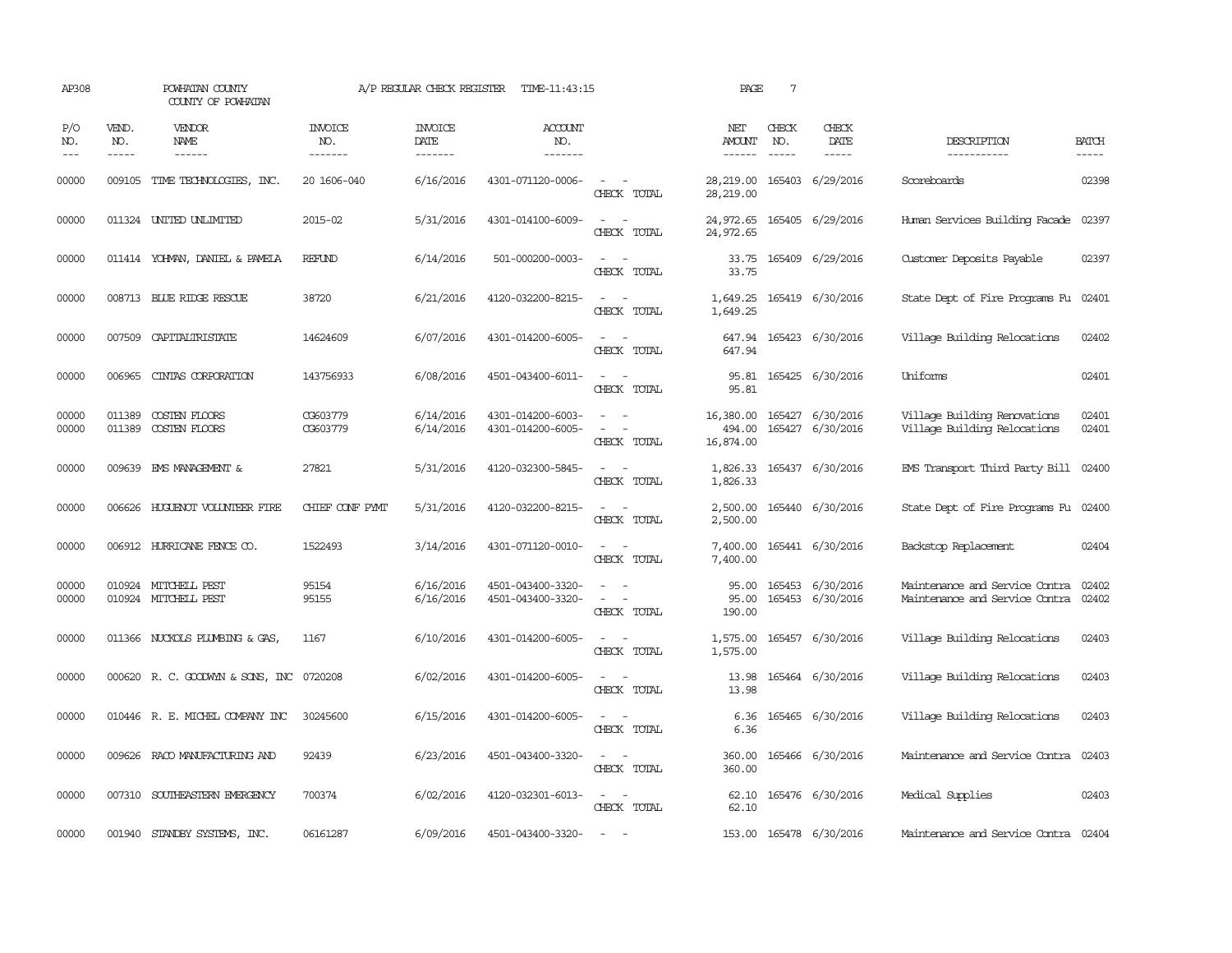| AP308               |                       | POWHATAN COUNTY<br>COUNTY OF POWHATAN        |                                  | A/P REGULAR CHECK REGISTER         | TIME-11:43:15                          |                                                                                                                                          | PAGE                             | $7\phantom{.0}$ |                                      |                                                                  |                       |
|---------------------|-----------------------|----------------------------------------------|----------------------------------|------------------------------------|----------------------------------------|------------------------------------------------------------------------------------------------------------------------------------------|----------------------------------|-----------------|--------------------------------------|------------------------------------------------------------------|-----------------------|
| P/O<br>NO.<br>$---$ | VEND.<br>NO.<br>----- | <b>VENDOR</b><br>NAME<br>$- - - - - -$       | <b>INVOICE</b><br>NO.<br>------- | <b>INVOICE</b><br>DATE<br>-------- | <b>ACCOUNT</b><br>NO.<br>-------       |                                                                                                                                          | NET<br>AMOUNT                    | CHECK<br>NO.    | CHECK<br>DATE                        | DESCRIPTION<br>-----------                                       | <b>BATCH</b><br>----- |
| 00000               | 009105                | TIME TECHNOLOGIES, INC.                      | 20 1606-040                      | 6/16/2016                          | 4301-071120-0006-                      | $\sim$ $ -$<br>CHECK TOTAL                                                                                                               | 28,219.00<br>28,219.00           |                 | 165403 6/29/2016                     | Scoreboards                                                      | 02398                 |
| 00000               |                       | 011324 UNITED UNLIMITED                      | 2015-02                          | 5/31/2016                          | 4301-014100-6009-                      | $\frac{1}{2} \left( \frac{1}{2} \right) \left( \frac{1}{2} \right) = \frac{1}{2} \left( \frac{1}{2} \right)$<br>CHECK TOTAL              | 24,972.65<br>24,972.65           |                 | 165405 6/29/2016                     | Human Services Building Facade                                   | 02397                 |
| 00000               |                       | 011414 YOHNAN, DANIEL & PAMELA               | REFUND                           | 6/14/2016                          | 501-000200-0003-                       | $\sim$ $-$<br>CHECK TOTAL                                                                                                                | 33.75<br>33.75                   |                 | 165409 6/29/2016                     | Customer Deposits Payable                                        | 02397                 |
| 00000               |                       | 008713 BLUE RIDGE RESCUE                     | 38720                            | 6/21/2016                          | 4120-032200-8215-                      | $\frac{1}{2} \left( \frac{1}{2} \right) \left( \frac{1}{2} \right) = \frac{1}{2} \left( \frac{1}{2} \right)$<br>CHECK TOTAL              | 1,649.25<br>1,649.25             |                 | 165419 6/30/2016                     | State Dept of Fire Programs Fu                                   | 02401                 |
| 00000               |                       | 007509 CAPITALIRISTATE                       | 14624609                         | 6/07/2016                          | 4301-014200-6005-                      | $ -$<br>CHECK TOTAL                                                                                                                      | 647.94<br>647.94                 |                 | 165423 6/30/2016                     | Village Building Relocations                                     | 02402                 |
| 00000               | 006965                | CINIAS CORPORATION                           | 143756933                        | 6/08/2016                          | 4501-043400-6011-                      | $\frac{1}{2} \left( \frac{1}{2} \right) \left( \frac{1}{2} \right) \left( \frac{1}{2} \right) \left( \frac{1}{2} \right)$<br>CHECK TOTAL | 95.81<br>95.81                   |                 | 165425 6/30/2016                     | Uniforms                                                         | 02401                 |
| 00000<br>00000      | 011389<br>011389      | COSTEN FLOORS<br>COSTEN FLOORS               | CG603779<br>CG603779             | 6/14/2016<br>6/14/2016             | 4301-014200-6003-<br>4301-014200-6005- | $\overline{\phantom{a}}$<br>CHECK TOTAL                                                                                                  | 16,380.00<br>494.00<br>16,874.00 |                 | 165427 6/30/2016<br>165427 6/30/2016 | Village Building Renovations<br>Village Building Relocations     | 02401<br>02401        |
| 00000               |                       | 009639 EMS MANAGEMENT &                      | 27821                            | 5/31/2016                          | 4120-032300-5845-                      | CHECK TOTAL                                                                                                                              | 1,826.33<br>1,826.33             |                 | 165437 6/30/2016                     | EMS Transport Third Party Bill                                   | 02400                 |
| 00000               | 006626                | HUGUENOT VOLUNTEER FIRE                      | CHIEF CONF PYMT                  | 5/31/2016                          | 4120-032200-8215-                      | $\sim$<br>CHECK TOTAL                                                                                                                    | 2,500.00                         |                 | 2,500.00 165440 6/30/2016            | State Dept of Fire Programs Fu                                   | 02400                 |
| 00000               |                       | 006912 HURRICANE FENCE CO.                   | 1522493                          | 3/14/2016                          | 4301-071120-0010-                      | $\overline{\phantom{a}}$<br>CHECK TOTAL                                                                                                  | 7,400.00<br>7,400.00             |                 | 165441 6/30/2016                     | Backstop Replacement                                             | 02404                 |
| 00000<br>00000      |                       | 010924 MITCHELL PEST<br>010924 MITCHELL PEST | 95154<br>95155                   | 6/16/2016<br>6/16/2016             | 4501-043400-3320-<br>4501-043400-3320- | $\sim$ 100 $\sim$<br>$ -$<br>CHECK TOTAL                                                                                                 | 95.00<br>95.00<br>190.00         |                 | 165453 6/30/2016<br>165453 6/30/2016 | Maintenance and Service Contra<br>Maintenance and Service Contra | 02402<br>02402        |
| 00000               |                       | 011366 NUCKOLS PLUMBING & GAS,               | 1167                             | 6/10/2016                          | 4301-014200-6005-                      | $\overline{\phantom{a}}$<br>CHECK TOTAL                                                                                                  | 1,575.00<br>1,575.00             |                 | 165457 6/30/2016                     | Village Building Relocations                                     | 02403                 |
| 00000               |                       | 000620 R. C. GOODWYN & SONS, INC             | 0720208                          | 6/02/2016                          | 4301-014200-6005-                      | $\sim$<br>$\sim$<br>CHECK TOTAL                                                                                                          | 13.98<br>13.98                   |                 | 165464 6/30/2016                     | Village Building Relocations                                     | 02403                 |
| 00000               |                       | 010446 R. E. MICHEL COMPANY INC              | 30245600                         | 6/15/2016                          | 4301-014200-6005-                      | $\overline{\phantom{a}}$<br>$\sim$<br>CHECK TOTAL                                                                                        | 6.36<br>6.36                     |                 | 165465 6/30/2016                     | Village Building Relocations                                     | 02403                 |
| 00000               |                       | 009626 RACO MANJFACTURING AND                | 92439                            | 6/23/2016                          | 4501-043400-3320-                      | $\frac{1}{2} \left( \frac{1}{2} \right) \left( \frac{1}{2} \right) = \frac{1}{2} \left( \frac{1}{2} \right)$<br>CHECK TOTAL              | 360.00<br>360.00                 |                 | 165466 6/30/2016                     | Maintenance and Service Contra                                   | 02403                 |
| 00000               |                       | 007310 SOUTHEASTERN EMERGENCY                | 700374                           | 6/02/2016                          | 4120-032301-6013-                      | $\sim$ $ \sim$<br>CHECK TOTAL                                                                                                            | 62.10<br>62.10                   |                 | 165476 6/30/2016                     | Medical Supplies                                                 | 02403                 |
| 00000               |                       | 001940 STANDBY SYSTEMS, INC.                 | 06161287                         | 6/09/2016                          | 4501-043400-3320-                      | <b><i><u>Participate</u></i></b>                                                                                                         |                                  |                 | 153.00 165478 6/30/2016              | Maintenance and Service Contra                                   | 02404                 |